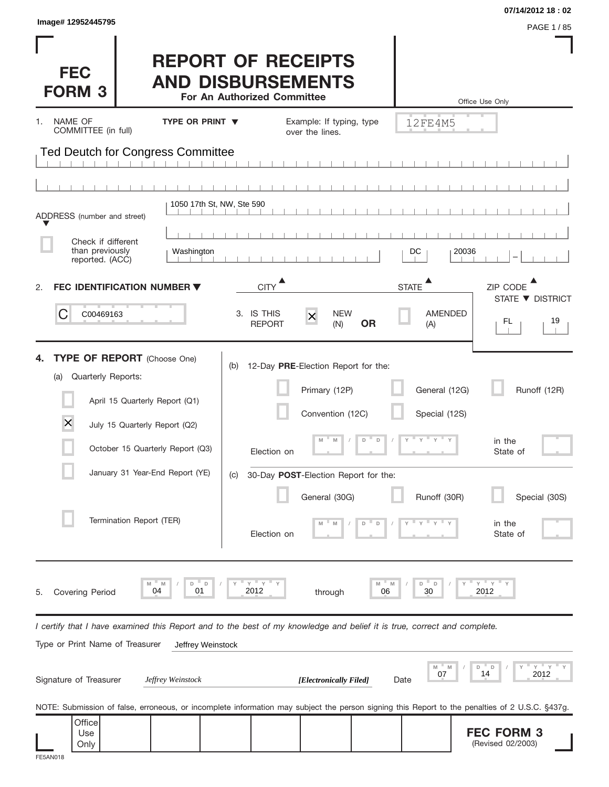| Image# 12952445795                                                                                                                                                                                                                                |                                                                                      |                                                                                                                                                                                     |                                                                         | 07/14/2012 18:02<br>PAGE 1/85                                             |
|---------------------------------------------------------------------------------------------------------------------------------------------------------------------------------------------------------------------------------------------------|--------------------------------------------------------------------------------------|-------------------------------------------------------------------------------------------------------------------------------------------------------------------------------------|-------------------------------------------------------------------------|---------------------------------------------------------------------------|
| <b>FEC</b><br><b>FORM 3</b>                                                                                                                                                                                                                       | <b>REPORT OF RECEIPTS</b><br><b>AND DISBURSEMENTS</b><br>For An Authorized Committee |                                                                                                                                                                                     |                                                                         | Office Use Only                                                           |
| NAME OF<br>1.<br>COMMITTEE (in full)                                                                                                                                                                                                              | <b>TYPE OR PRINT ▼</b>                                                               | Example: If typing, type<br>over the lines.                                                                                                                                         | 12FE4M5                                                                 |                                                                           |
| Ted Deutch for Congress Committee                                                                                                                                                                                                                 |                                                                                      |                                                                                                                                                                                     |                                                                         |                                                                           |
|                                                                                                                                                                                                                                                   | 1050 17th St, NW, Ste 590                                                            |                                                                                                                                                                                     |                                                                         |                                                                           |
| ADDRESS (number and street)                                                                                                                                                                                                                       |                                                                                      |                                                                                                                                                                                     |                                                                         |                                                                           |
| Check if different<br>than previously<br>reported. (ACC)                                                                                                                                                                                          | Washington                                                                           |                                                                                                                                                                                     | DC                                                                      | 20036                                                                     |
| FEC IDENTIFICATION NUMBER ▼<br>2.                                                                                                                                                                                                                 |                                                                                      | <b>CITY</b>                                                                                                                                                                         | $\blacktriangle$<br><b>STATE</b>                                        | ZIP CODE<br>STATE ▼ DISTRICT                                              |
| C<br>C00469163                                                                                                                                                                                                                                    | 3. IS THIS                                                                           | <b>NEW</b><br>$\times$<br><b>OR</b><br><b>REPORT</b><br>(N)                                                                                                                         | <b>AMENDED</b><br>(A)                                                   | 19<br>FL.                                                                 |
| <b>TYPE OF REPORT</b> (Choose One)<br>Quarterly Reports:<br>(a)<br>April 15 Quarterly Report (Q1)<br>$\times$<br>July 15 Quarterly Report (Q2)<br>October 15 Quarterly Report (Q3)<br>January 31 Year-End Report (YE)<br>Termination Report (TER) | (b)<br>(C)                                                                           | 12-Day PRE-Election Report for the:<br>Primary (12P)<br>Convention (12C)<br>M<br>D<br>M<br>Election on<br>30-Day POST-Election Report for the:<br>General (30G)<br>D<br>Election on | General (12G)<br>Special (12S)<br>$\Box$<br>$y = y = y$<br>Runoff (30R) | Runoff (12R)<br>in the<br>State of<br>Special (30S)<br>in the<br>State of |
| M<br>04<br><b>Covering Period</b><br>5.                                                                                                                                                                                                           | $Y$ $Y$<br>D<br>D<br>M<br>01<br>2012                                                 | through                                                                                                                                                                             | D<br>D<br>M<br>30<br>06                                                 | $Y$ $Y$ $Y$<br>2012                                                       |
| I certify that I have examined this Report and to the best of my knowledge and belief it is true, correct and complete.<br>Type or Print Name of Treasurer                                                                                        | Jeffrey Weinstock                                                                    |                                                                                                                                                                                     |                                                                         |                                                                           |
| Signature of Treasurer                                                                                                                                                                                                                            | Jeffrey Weinstock                                                                    | [Electronically Filed]                                                                                                                                                              | M<br>$-M$<br>07<br>Date                                                 | $Y$ $Y$<br>" D<br>D<br>14<br>2012                                         |
| NOTE: Submission of false, erroneous, or incomplete information may subject the person signing this Report to the penalties of 2 U.S.C. §437g.                                                                                                    |                                                                                      |                                                                                                                                                                                     |                                                                         |                                                                           |
| Office<br>Use<br>Only<br>FE5AN018                                                                                                                                                                                                                 |                                                                                      |                                                                                                                                                                                     |                                                                         | <b>FEC FORM 3</b><br>(Revised 02/2003)                                    |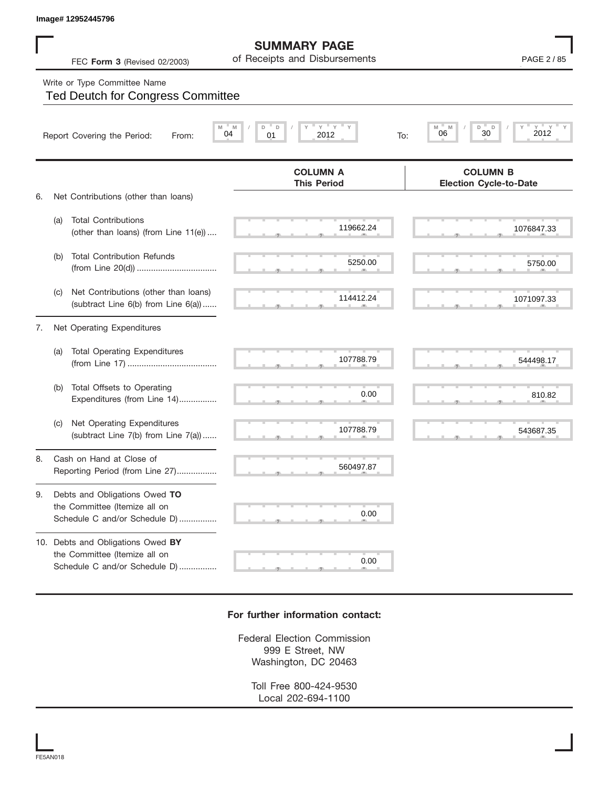## Write or Type Committee Name

|    |     | Image# 12952445796                                                                                         |                                                      |                                                          |
|----|-----|------------------------------------------------------------------------------------------------------------|------------------------------------------------------|----------------------------------------------------------|
|    |     | FEC Form 3 (Revised 02/2003)                                                                               | <b>SUMMARY PAGE</b><br>of Receipts and Disbursements | PAGE 2 / 85                                              |
|    |     | Write or Type Committee Name<br><b>Ted Deutch for Congress Committee</b>                                   |                                                      |                                                          |
|    |     | Report Covering the Period:<br>From:                                                                       | $Y$ $Y$<br>D<br>D<br>M<br>04<br>01<br>2012<br>To:    | $Y - Y$<br>M<br>D<br>D<br>$Y =$<br>M<br>2012<br>06<br>30 |
|    |     |                                                                                                            | <b>COLUMN A</b><br><b>This Period</b>                | <b>COLUMN B</b><br><b>Election Cycle-to-Date</b>         |
| 6. | (a) | Net Contributions (other than loans)<br><b>Total Contributions</b><br>(other than loans) (from Line 11(e)) | 119662.24                                            | 1076847.33                                               |
|    | (b) | <b>Total Contribution Refunds</b>                                                                          | 5250.00                                              | 5750.00                                                  |
|    | (C) | Net Contributions (other than loans)<br>(subtract Line 6(b) from Line 6(a))                                | 114412.24                                            | 1071097.33                                               |
| 7. |     | Net Operating Expenditures                                                                                 |                                                      |                                                          |
|    | (a) | <b>Total Operating Expenditures</b>                                                                        | 107788.79                                            | 544498.17                                                |
|    | (b) | Total Offsets to Operating<br>Expenditures (from Line 14)                                                  | 0.00                                                 | 810.82                                                   |
|    | (C) | Net Operating Expenditures<br>(subtract Line 7(b) from Line 7(a))                                          | 107788.79                                            | 543687.35                                                |
| 8. |     | Cash on Hand at Close of<br>Reporting Period (from Line 27)                                                | 560497.87                                            |                                                          |
| 9. |     | Debts and Obligations Owed TO<br>the Committee (Itemize all on<br>Schedule C and/or Schedule D)            | 0.00                                                 |                                                          |
|    |     | 10. Debts and Obligations Owed BY<br>the Committee (Itemize all on<br>Schedule C and/or Schedule D)        | 0.00                                                 |                                                          |

## **For further information contact:**

Federal Election Commission 999 E Street, NW Washington, DC 20463

> Toll Free 800-424-9530 Local 202-694-1100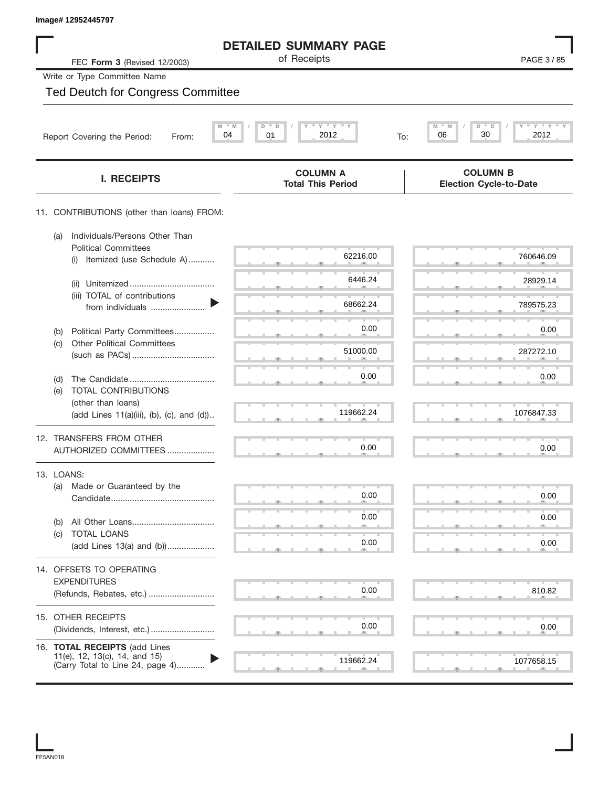| Image# 12952445797                                                                                 |                                                         |                                                  |
|----------------------------------------------------------------------------------------------------|---------------------------------------------------------|--------------------------------------------------|
|                                                                                                    | <b>DETAILED SUMMARY PAGE</b>                            |                                                  |
| FEC Form 3 (Revised 12/2003)                                                                       | of Receipts                                             | PAGE 3/85                                        |
| Write or Type Committee Name                                                                       |                                                         |                                                  |
| <b>Ted Deutch for Congress Committee</b>                                                           |                                                         |                                                  |
|                                                                                                    |                                                         |                                                  |
| M<br>04<br>Report Covering the Period:<br>From:                                                    | $Y$ $Y$ $Y$ $Y$<br>$- M$<br>D<br>D<br>01<br>2012<br>To: | $Y$ $Y$ $Y$<br>M<br>D<br>D<br>30<br>06<br>2012   |
| <b>I. RECEIPTS</b>                                                                                 | <b>COLUMN A</b><br><b>Total This Period</b>             | <b>COLUMN B</b><br><b>Election Cycle-to-Date</b> |
| 11. CONTRIBUTIONS (other than loans) FROM:                                                         |                                                         |                                                  |
| Individuals/Persons Other Than<br>(a)<br><b>Political Committees</b>                               |                                                         |                                                  |
| Itemized (use Schedule A)<br>(i)                                                                   | 62216.00                                                | 760646.09                                        |
| (ii)                                                                                               | 6446.24                                                 | 28929.14                                         |
| (iii) TOTAL of contributions<br>from individuals                                                   | 68662.24                                                | 789575.23                                        |
| Political Party Committees<br>(b)                                                                  | 0.00                                                    | 0.00                                             |
| <b>Other Political Committees</b><br>(c)                                                           | 51000.00                                                | 287272.10                                        |
|                                                                                                    | 0.00                                                    | 0.00                                             |
| (d)<br><b>TOTAL CONTRIBUTIONS</b><br>(e)                                                           |                                                         |                                                  |
| (other than loans)<br>(add Lines 11(a)(iii), (b), (c), and (d))                                    | 119662.24                                               | 1076847.33                                       |
| 12. TRANSFERS FROM OTHER                                                                           |                                                         |                                                  |
| AUTHORIZED COMMITTEES                                                                              | 0.00                                                    | 0.00                                             |
| 13. LOANS:                                                                                         |                                                         |                                                  |
| Made or Guaranteed by the<br>(a)                                                                   | 0.00                                                    | 0.00                                             |
|                                                                                                    | 0.00                                                    | 0.00                                             |
| (b)<br>TOTAL LOANS<br>(c)                                                                          |                                                         |                                                  |
| (add Lines 13(a) and (b))                                                                          | 0.00                                                    | 0.00                                             |
| 14. OFFSETS TO OPERATING<br><b>EXPENDITURES</b>                                                    |                                                         |                                                  |
| (Refunds, Rebates, etc.)                                                                           | 0.00                                                    | 810.82                                           |
| 15. OTHER RECEIPTS                                                                                 |                                                         |                                                  |
|                                                                                                    | 0.00                                                    | 0.00                                             |
| 16. TOTAL RECEIPTS (add Lines<br>11(e), 12, 13(c), 14, and 15)<br>(Carry Total to Line 24, page 4) | 119662.24                                               | 1077658.15                                       |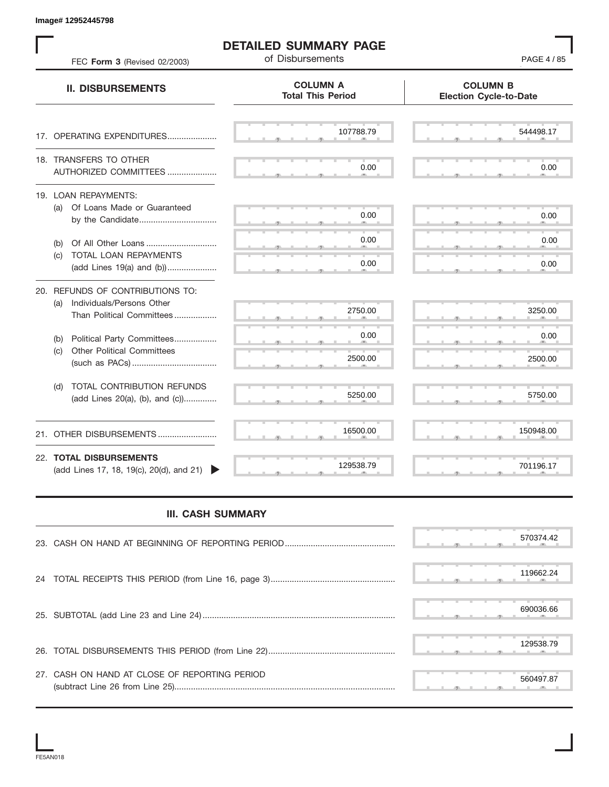S S S , , . S S S , , . S S S , , . S S S , , . S S S , , . S S S , , .  $\overline{S}$  s  $\overline{S}$  ,  $\overline{S}$  ,  $\overline{S}$  ,  $\overline{S}$  ,  $\overline{S}$  ,  $\overline{S}$  ,  $\overline{S}$  ,  $\overline{S}$  ,  $\overline{S}$  ,  $\overline{S}$  ,  $\overline{S}$  ,  $\overline{S}$  ,  $\overline{S}$  ,  $\overline{S}$  ,  $\overline{S}$  ,  $\overline{S}$  ,  $\overline{S}$  ,  $\overline{S}$  ,  $\overline{S}$  , S S S , , . S S S , , . S S S , , . S S S , , . S S S , , . S S S , , . S S S , , . S S S , , .  $5250.00$  5750. S S S , , . S S S , , . S S S S S S **COLUMN B Election Cycle-to-Date COLUMN A Total This Period** 17. OPERATING EXPENDITURES.................... 18. TRANSFERS TO OTHER AUTHORIZED COMMITTEES ..................... 19. LOAN REPAYMENTS: (a) Of Loans Made or Guaranteed by the Candidate ................................. (b) Of All Other Loans .............................. (c) TOTAL LOAN REPAYMENTS (add Lines 19(a) and (b)) ..................... 20. REFUNDS OF CONTRIBUTIONS TO: (a) Individuals/Persons Other Than Political Committees ................. (b) Political Party Committees.................. (c) Other Political Committees (such as PACs) .................................... (d) TOTAL CONTRIBUTION REFUNDS (add Lines 20(a), (b), and (c)).............. 21. OTHER DISBURSEMENTS ......................... 22. **TOTAL DISBURSEMENTS**   $(add$  Lines 17, 18, 19 $(c)$ , 20 $(d)$ , and 21) **II. DISBURSEMENTS** FEC **Form 3** (Revised 02/2003) **of Disbursements FEC <b>Form 3** (Revised 02/2003) , , . , , . Example 1983445781<br>
THE CHEM REPORTER TREE COMMUNAL PROPERTY ORDER AND THE COMMUNAL COMMUNAL COMMUNAL COMMUNAL COMMUNAL COMMUNAL COMMUNAL COMMUNAL COMMUNAL COMMUNAL COMMUNAL COMMUNAL COMMUNAL COMMUNAL COMMUNAL COMMUNAL CO

**DETAILED SUMMARY PAGE**

## **III. CASH SUMMARY**

|                                               | 570374.42 |  |
|-----------------------------------------------|-----------|--|
|                                               | 119662.24 |  |
|                                               | 690036.66 |  |
|                                               | 129538.79 |  |
| 27. CASH ON HAND AT CLOSE OF REPORTING PERIOD | 560497.87 |  |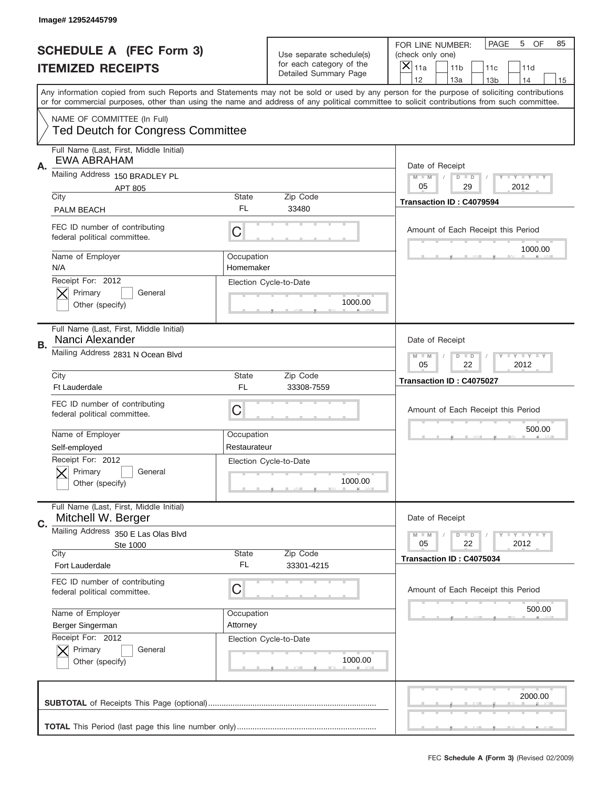|    | Image# 12952445799                                                      |                            |                                                   |                                                                                                                                                                                                                                                                                                                                     |
|----|-------------------------------------------------------------------------|----------------------------|---------------------------------------------------|-------------------------------------------------------------------------------------------------------------------------------------------------------------------------------------------------------------------------------------------------------------------------------------------------------------------------------------|
|    | <b>SCHEDULE A (FEC Form 3)</b>                                          |                            | Use separate schedule(s)                          | PAGE<br>OF<br>5<br>85<br>FOR LINE NUMBER:<br>(check only one)                                                                                                                                                                                                                                                                       |
|    | <b>ITEMIZED RECEIPTS</b>                                                |                            | for each category of the<br>Detailed Summary Page | ×<br>11a<br>11 <sub>b</sub><br>11c<br>11d                                                                                                                                                                                                                                                                                           |
|    |                                                                         |                            |                                                   | 12<br>13a<br>14<br>13 <sub>b</sub><br>15<br>Any information copied from such Reports and Statements may not be sold or used by any person for the purpose of soliciting contributions<br>or for commercial purposes, other than using the name and address of any political committee to solicit contributions from such committee. |
|    | NAME OF COMMITTEE (In Full)<br><b>Ted Deutch for Congress Committee</b> |                            |                                                   |                                                                                                                                                                                                                                                                                                                                     |
| Α. | Full Name (Last, First, Middle Initial)<br><b>EWA ABRAHAM</b>           |                            |                                                   | Date of Receipt                                                                                                                                                                                                                                                                                                                     |
|    | Mailing Address 150 BRADLEY PL<br><b>APT 805</b>                        |                            |                                                   | $M - M$<br><b>LEY LEY LEY</b><br>$D$ $D$<br>05<br>29<br>2012                                                                                                                                                                                                                                                                        |
|    | City<br><b>PALM BEACH</b>                                               | State<br>FL.               | Zip Code<br>33480                                 | Transaction ID: C4079594                                                                                                                                                                                                                                                                                                            |
|    | FEC ID number of contributing<br>federal political committee.           | C                          |                                                   | Amount of Each Receipt this Period<br>1000.00                                                                                                                                                                                                                                                                                       |
|    | Name of Employer<br>N/A                                                 | Occupation<br>Homemaker    |                                                   |                                                                                                                                                                                                                                                                                                                                     |
|    | Receipt For: 2012<br>Primary<br>General<br>Other (specify)              |                            | Election Cycle-to-Date<br>1000.00                 |                                                                                                                                                                                                                                                                                                                                     |
| В. | Full Name (Last, First, Middle Initial)<br>Nanci Alexander              |                            |                                                   | Date of Receipt                                                                                                                                                                                                                                                                                                                     |
|    | Mailing Address 2831 N Ocean Blvd                                       |                            |                                                   | <b>LY LY LY</b><br>$M$ M<br>$D$ $D$<br>05<br>22<br>2012                                                                                                                                                                                                                                                                             |
|    | City<br>Ft Lauderdale                                                   | State<br>FL                | Zip Code<br>33308-7559                            | Transaction ID: C4075027                                                                                                                                                                                                                                                                                                            |
|    | FEC ID number of contributing<br>federal political committee.           | C                          |                                                   | Amount of Each Receipt this Period                                                                                                                                                                                                                                                                                                  |
|    | Name of Employer<br>Self-employed                                       | Occupation<br>Restaurateur |                                                   | 500.00                                                                                                                                                                                                                                                                                                                              |
|    | Receipt For: 2012                                                       |                            | Election Cycle-to-Date                            |                                                                                                                                                                                                                                                                                                                                     |
|    | General<br>Primary<br>Other (specify)                                   |                            | 1000.00                                           |                                                                                                                                                                                                                                                                                                                                     |
| C. | Full Name (Last, First, Middle Initial)<br>Mitchell W. Berger           |                            |                                                   | Date of Receipt                                                                                                                                                                                                                                                                                                                     |
|    | Mailing Address 350 E Las Olas Blvd<br>Ste 1000                         |                            |                                                   | $I - Y - I - Y - I - Y$<br>$M - M$<br>$D$ $D$<br>05<br>22<br>2012                                                                                                                                                                                                                                                                   |
|    | City<br>Fort Lauderdale                                                 | State<br>FL.               | Zip Code<br>33301-4215                            | Transaction ID: C4075034                                                                                                                                                                                                                                                                                                            |
|    | FEC ID number of contributing<br>federal political committee.           | C                          |                                                   | Amount of Each Receipt this Period                                                                                                                                                                                                                                                                                                  |
|    | Name of Employer                                                        | Occupation                 |                                                   | 500.00                                                                                                                                                                                                                                                                                                                              |
|    | Berger Singerman                                                        | Attorney                   |                                                   |                                                                                                                                                                                                                                                                                                                                     |
|    | Receipt For: 2012<br>Primary<br>General<br>Other (specify)              |                            | Election Cycle-to-Date<br>1000.00                 |                                                                                                                                                                                                                                                                                                                                     |
|    |                                                                         |                            |                                                   | 2000.00                                                                                                                                                                                                                                                                                                                             |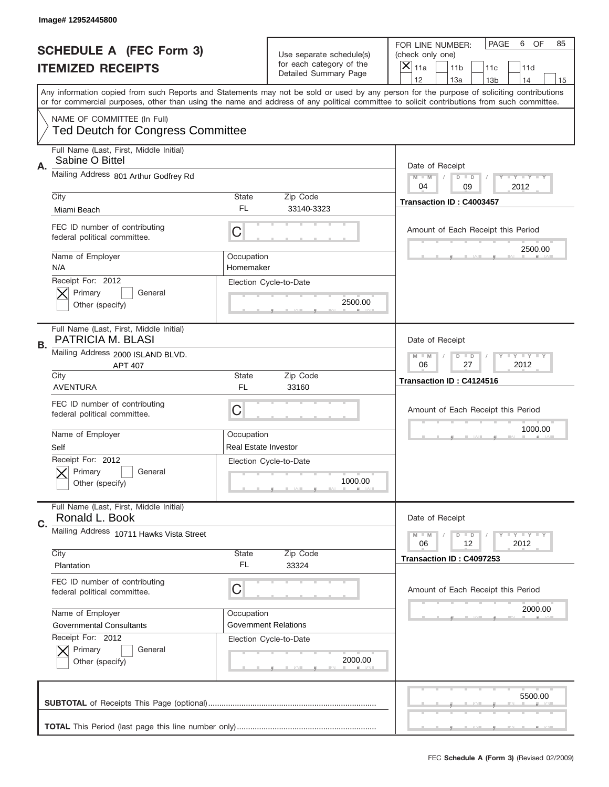|    | Image# 12952445800                                                      |                             |                                                   |                                                                                                                                                                                                                                                                                                                                     |
|----|-------------------------------------------------------------------------|-----------------------------|---------------------------------------------------|-------------------------------------------------------------------------------------------------------------------------------------------------------------------------------------------------------------------------------------------------------------------------------------------------------------------------------------|
|    | <b>SCHEDULE A (FEC Form 3)</b>                                          |                             | Use separate schedule(s)                          | PAGE<br>6<br>OF<br>85<br>FOR LINE NUMBER:<br>(check only one)                                                                                                                                                                                                                                                                       |
|    | <b>ITEMIZED RECEIPTS</b>                                                |                             | for each category of the<br>Detailed Summary Page | ×<br>11a<br>11 <sub>b</sub><br>11c<br>11d                                                                                                                                                                                                                                                                                           |
|    |                                                                         |                             |                                                   | 12<br>13a<br>13 <sub>b</sub><br>14<br>15<br>Any information copied from such Reports and Statements may not be sold or used by any person for the purpose of soliciting contributions<br>or for commercial purposes, other than using the name and address of any political committee to solicit contributions from such committee. |
|    | NAME OF COMMITTEE (In Full)<br><b>Ted Deutch for Congress Committee</b> |                             |                                                   |                                                                                                                                                                                                                                                                                                                                     |
|    |                                                                         |                             |                                                   |                                                                                                                                                                                                                                                                                                                                     |
| Α. | Full Name (Last, First, Middle Initial)<br>Sabine O Bittel              |                             |                                                   | Date of Receipt                                                                                                                                                                                                                                                                                                                     |
|    | Mailing Address 801 Arthur Godfrey Rd                                   |                             |                                                   | Y TY TY TY<br>$M$ $M$<br>$D$ $D$<br>04<br>2012<br>09                                                                                                                                                                                                                                                                                |
|    | City                                                                    | State                       | Zip Code                                          | Transaction ID: C4003457                                                                                                                                                                                                                                                                                                            |
|    | Miami Beach                                                             | FL                          | 33140-3323                                        |                                                                                                                                                                                                                                                                                                                                     |
|    | FEC ID number of contributing<br>federal political committee.           | C                           |                                                   | Amount of Each Receipt this Period<br>2500.00                                                                                                                                                                                                                                                                                       |
|    | Name of Employer<br>N/A                                                 | Occupation<br>Homemaker     |                                                   |                                                                                                                                                                                                                                                                                                                                     |
|    | Receipt For: 2012<br>Primary<br>General<br>Other (specify)              |                             | Election Cycle-to-Date<br>2500.00                 |                                                                                                                                                                                                                                                                                                                                     |
|    |                                                                         |                             |                                                   |                                                                                                                                                                                                                                                                                                                                     |
| В. | Full Name (Last, First, Middle Initial)<br>PATRICIA M. BLASI            |                             |                                                   | Date of Receipt                                                                                                                                                                                                                                                                                                                     |
|    | Mailing Address 2000 ISLAND BLVD.<br><b>APT 407</b>                     |                             |                                                   | $T$ $Y$ $T$ $Y$ $T$ $Y$<br>$M - M$<br>$D$ $D$<br>06<br>27<br>2012                                                                                                                                                                                                                                                                   |
|    | City                                                                    | State                       | Zip Code                                          | Transaction ID: C4124516                                                                                                                                                                                                                                                                                                            |
|    |                                                                         |                             |                                                   |                                                                                                                                                                                                                                                                                                                                     |
|    | <b>AVENTURA</b>                                                         | <b>FL</b>                   | 33160                                             |                                                                                                                                                                                                                                                                                                                                     |
|    | FEC ID number of contributing<br>federal political committee.           | C                           |                                                   | Amount of Each Receipt this Period                                                                                                                                                                                                                                                                                                  |
|    | Name of Employer                                                        | Occupation                  |                                                   | 1000.00                                                                                                                                                                                                                                                                                                                             |
|    | Self                                                                    | <b>Real Estate Investor</b> |                                                   |                                                                                                                                                                                                                                                                                                                                     |
|    | Receipt For: 2012<br>Primary<br>General                                 |                             | Election Cycle-to-Date                            |                                                                                                                                                                                                                                                                                                                                     |
|    | Other (specify)                                                         |                             | 1000.00                                           |                                                                                                                                                                                                                                                                                                                                     |
| C. | Full Name (Last, First, Middle Initial)<br>Ronald L. Book               |                             |                                                   | Date of Receipt                                                                                                                                                                                                                                                                                                                     |
|    | Mailing Address 10711 Hawks Vista Street                                |                             |                                                   | $T + Y = Y + Y$<br>$M \perp M$<br>$D$ $D$<br>06<br>2012<br>12                                                                                                                                                                                                                                                                       |
|    | City                                                                    | State                       | Zip Code                                          | Transaction ID: C4097253                                                                                                                                                                                                                                                                                                            |
|    | Plantation                                                              | FL                          | 33324                                             |                                                                                                                                                                                                                                                                                                                                     |
|    | FEC ID number of contributing<br>federal political committee.           | C                           |                                                   | Amount of Each Receipt this Period                                                                                                                                                                                                                                                                                                  |
|    | Name of Employer                                                        | Occupation                  |                                                   | 2000.00                                                                                                                                                                                                                                                                                                                             |
|    | <b>Governmental Consultants</b>                                         |                             | <b>Government Relations</b>                       |                                                                                                                                                                                                                                                                                                                                     |
|    | Receipt For: 2012                                                       |                             | Election Cycle-to-Date                            |                                                                                                                                                                                                                                                                                                                                     |
|    | Primary<br>General<br>Other (specify)                                   |                             | 2000.00                                           |                                                                                                                                                                                                                                                                                                                                     |
|    |                                                                         |                             |                                                   | 5500.00                                                                                                                                                                                                                                                                                                                             |
|    |                                                                         |                             |                                                   |                                                                                                                                                                                                                                                                                                                                     |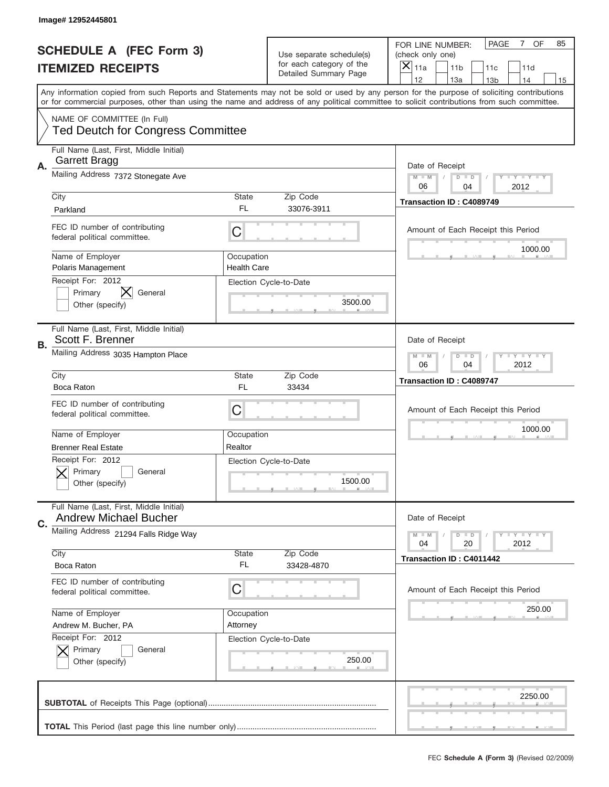|    | Image# 12952445801                                                      |                                  |                                                   |                                                                                                                                                                                                                                                                                         |
|----|-------------------------------------------------------------------------|----------------------------------|---------------------------------------------------|-----------------------------------------------------------------------------------------------------------------------------------------------------------------------------------------------------------------------------------------------------------------------------------------|
|    | <b>SCHEDULE A (FEC Form 3)</b>                                          |                                  | Use separate schedule(s)                          | OF<br><b>PAGE</b><br>$\overline{7}$<br>85<br>FOR LINE NUMBER:<br>(check only one)                                                                                                                                                                                                       |
|    | <b>ITEMIZED RECEIPTS</b>                                                |                                  | for each category of the<br>Detailed Summary Page | ×<br>11a<br>11 <sub>b</sub><br>11c<br>11d                                                                                                                                                                                                                                               |
|    |                                                                         |                                  |                                                   | 12<br>13a<br>14<br>13 <sub>b</sub><br>15                                                                                                                                                                                                                                                |
|    |                                                                         |                                  |                                                   | Any information copied from such Reports and Statements may not be sold or used by any person for the purpose of soliciting contributions<br>or for commercial purposes, other than using the name and address of any political committee to solicit contributions from such committee. |
|    |                                                                         |                                  |                                                   |                                                                                                                                                                                                                                                                                         |
|    | NAME OF COMMITTEE (In Full)<br><b>Ted Deutch for Congress Committee</b> |                                  |                                                   |                                                                                                                                                                                                                                                                                         |
| Α. | Full Name (Last, First, Middle Initial)<br>Garrett Bragg                |                                  |                                                   | Date of Receipt                                                                                                                                                                                                                                                                         |
|    | Mailing Address 7372 Stonegate Ave                                      |                                  |                                                   | $M - M$<br><b>LY LY LY</b><br>$D$ $D$<br>06<br>04<br>2012                                                                                                                                                                                                                               |
|    | City                                                                    | State                            | Zip Code                                          | Transaction ID: C4089749                                                                                                                                                                                                                                                                |
|    | Parkland                                                                | FL                               | 33076-3911                                        |                                                                                                                                                                                                                                                                                         |
|    | FEC ID number of contributing<br>federal political committee.           | C                                |                                                   | Amount of Each Receipt this Period                                                                                                                                                                                                                                                      |
|    | Name of Employer<br><b>Polaris Management</b>                           | Occupation<br><b>Health Care</b> |                                                   | 1000.00                                                                                                                                                                                                                                                                                 |
|    | Receipt For: 2012<br>X<br>Primary<br>General                            |                                  | Election Cycle-to-Date                            |                                                                                                                                                                                                                                                                                         |
|    | Other (specify)                                                         |                                  | 3500.00                                           |                                                                                                                                                                                                                                                                                         |
|    | Full Name (Last, First, Middle Initial)<br>Scott F. Brenner             |                                  |                                                   | Date of Receipt                                                                                                                                                                                                                                                                         |
| В. | Mailing Address 3035 Hampton Place                                      |                                  |                                                   | $M - M$<br><b>LEYTEY LEY</b><br>$D$ $D$                                                                                                                                                                                                                                                 |
|    |                                                                         |                                  |                                                   | 06<br>04<br>2012                                                                                                                                                                                                                                                                        |
|    | City                                                                    | State                            | Zip Code                                          | Transaction ID: C4089747                                                                                                                                                                                                                                                                |
|    | Boca Raton                                                              | FL                               | 33434                                             |                                                                                                                                                                                                                                                                                         |
|    |                                                                         |                                  |                                                   |                                                                                                                                                                                                                                                                                         |
|    | FEC ID number of contributing                                           |                                  |                                                   | Amount of Each Receipt this Period                                                                                                                                                                                                                                                      |
|    | federal political committee.                                            | C                                |                                                   |                                                                                                                                                                                                                                                                                         |
|    | Name of Employer                                                        | Occupation                       |                                                   | 1000.00                                                                                                                                                                                                                                                                                 |
|    | <b>Brenner Real Estate</b>                                              | Realtor                          |                                                   |                                                                                                                                                                                                                                                                                         |
|    | Receipt For: 2012                                                       |                                  | Election Cycle-to-Date                            |                                                                                                                                                                                                                                                                                         |
|    | General<br>Primary                                                      |                                  |                                                   |                                                                                                                                                                                                                                                                                         |
|    | Other (specify)                                                         |                                  | 1500.00                                           |                                                                                                                                                                                                                                                                                         |
|    | Full Name (Last, First, Middle Initial)<br><b>Andrew Michael Bucher</b> |                                  |                                                   | Date of Receipt                                                                                                                                                                                                                                                                         |
| C. | Mailing Address 21294 Falls Ridge Way                                   |                                  |                                                   | $I - Y - I - Y - I - Y$<br>$M - M$<br>$D$ $D$                                                                                                                                                                                                                                           |
|    | City                                                                    | <b>State</b>                     | Zip Code                                          | 2012<br>04<br>20                                                                                                                                                                                                                                                                        |
|    | Boca Raton                                                              | FL                               | 33428-4870                                        | Transaction ID: C4011442                                                                                                                                                                                                                                                                |
|    | FEC ID number of contributing<br>federal political committee.           | C                                |                                                   | Amount of Each Receipt this Period                                                                                                                                                                                                                                                      |
|    |                                                                         |                                  |                                                   | 250.00                                                                                                                                                                                                                                                                                  |
|    | Name of Employer<br>Andrew M. Bucher, PA                                | Occupation<br>Attorney           |                                                   |                                                                                                                                                                                                                                                                                         |
|    | Receipt For: 2012                                                       |                                  | Election Cycle-to-Date                            |                                                                                                                                                                                                                                                                                         |
|    | Primary<br>General                                                      |                                  |                                                   |                                                                                                                                                                                                                                                                                         |
|    | Other (specify)                                                         |                                  | 250.00                                            |                                                                                                                                                                                                                                                                                         |
|    |                                                                         |                                  |                                                   |                                                                                                                                                                                                                                                                                         |
|    |                                                                         |                                  |                                                   | 2250.00                                                                                                                                                                                                                                                                                 |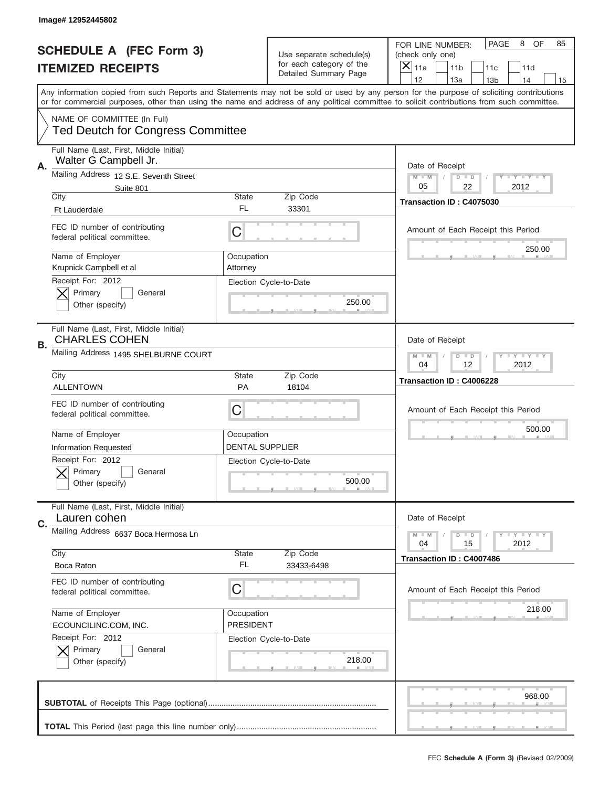|    | Image# 12952445802                                               |                        |                                                   |                                                                                                                                                                                                                                                                                                                                     |
|----|------------------------------------------------------------------|------------------------|---------------------------------------------------|-------------------------------------------------------------------------------------------------------------------------------------------------------------------------------------------------------------------------------------------------------------------------------------------------------------------------------------|
|    | <b>SCHEDULE A (FEC Form 3)</b>                                   |                        | Use separate schedule(s)                          | PAGE<br>8<br>OF<br>85<br>FOR LINE NUMBER:<br>(check only one)                                                                                                                                                                                                                                                                       |
|    | <b>ITEMIZED RECEIPTS</b>                                         |                        | for each category of the<br>Detailed Summary Page | ×<br>11a<br>11 <sub>b</sub><br>11c<br>11d                                                                                                                                                                                                                                                                                           |
|    |                                                                  |                        |                                                   | 12<br>13a<br>14<br>13 <sub>b</sub><br>15<br>Any information copied from such Reports and Statements may not be sold or used by any person for the purpose of soliciting contributions<br>or for commercial purposes, other than using the name and address of any political committee to solicit contributions from such committee. |
|    | NAME OF COMMITTEE (In Full)                                      |                        |                                                   |                                                                                                                                                                                                                                                                                                                                     |
|    | <b>Ted Deutch for Congress Committee</b>                         |                        |                                                   |                                                                                                                                                                                                                                                                                                                                     |
| А. | Full Name (Last, First, Middle Initial)<br>Walter G Campbell Jr. |                        |                                                   | Date of Receipt                                                                                                                                                                                                                                                                                                                     |
|    | Mailing Address 12 S.E. Seventh Street                           |                        |                                                   | $M$ $M$<br>Y I Y I Y I Y<br>$D$ $D$                                                                                                                                                                                                                                                                                                 |
|    | Suite 801<br>City                                                | State                  | Zip Code                                          | 05<br>22<br>2012                                                                                                                                                                                                                                                                                                                    |
|    | <b>Ft Lauderdale</b>                                             | FL                     | 33301                                             | Transaction ID: C4075030                                                                                                                                                                                                                                                                                                            |
|    | FEC ID number of contributing<br>federal political committee.    | C                      |                                                   | Amount of Each Receipt this Period                                                                                                                                                                                                                                                                                                  |
|    | Name of Employer<br>Krupnick Campbell et al                      | Occupation<br>Attorney |                                                   | 250.00                                                                                                                                                                                                                                                                                                                              |
|    | Receipt For: 2012<br>Primary<br>General<br>Other (specify)       |                        | Election Cycle-to-Date<br>250.00                  |                                                                                                                                                                                                                                                                                                                                     |
|    | Full Name (Last, First, Middle Initial)<br><b>CHARLES COHEN</b>  |                        |                                                   | Date of Receipt                                                                                                                                                                                                                                                                                                                     |
| В. | Mailing Address 1495 SHELBURNE COURT                             |                        |                                                   | $T$ $Y$ $T$ $Y$ $T$ $Y$<br>$M$ $M$<br>$D$ $D$<br>04<br>12<br>2012                                                                                                                                                                                                                                                                   |
|    | City                                                             | State                  | Zip Code                                          | Transaction ID: C4006228                                                                                                                                                                                                                                                                                                            |
|    | <b>ALLENTOWN</b>                                                 | <b>PA</b>              | 18104                                             |                                                                                                                                                                                                                                                                                                                                     |
|    | FEC ID number of contributing<br>federal political committee.    | C                      |                                                   | Amount of Each Receipt this Period                                                                                                                                                                                                                                                                                                  |
|    | Name of Employer                                                 | Occupation             |                                                   | 500.00                                                                                                                                                                                                                                                                                                                              |
|    | <b>Information Requested</b>                                     | DENTAL SUPPLIER        |                                                   |                                                                                                                                                                                                                                                                                                                                     |
|    | Receipt For: 2012<br>General<br>Primary<br>Other (specify)       |                        | Election Cycle-to-Date<br>500.00                  |                                                                                                                                                                                                                                                                                                                                     |
| C. | Full Name (Last, First, Middle Initial)<br>Lauren cohen          |                        |                                                   | Date of Receipt                                                                                                                                                                                                                                                                                                                     |
|    | Mailing Address 6637 Boca Hermosa Ln                             |                        |                                                   | $T + Y = Y + Y$<br>$M - M$<br>$D$ $D$<br>2012<br>04<br>15                                                                                                                                                                                                                                                                           |
|    | City<br>Boca Raton                                               | State<br>FL            | Zip Code<br>33433-6498                            | Transaction ID: C4007486                                                                                                                                                                                                                                                                                                            |
|    | FEC ID number of contributing                                    |                        |                                                   |                                                                                                                                                                                                                                                                                                                                     |
|    | federal political committee.                                     | C                      |                                                   | Amount of Each Receipt this Period<br>218.00                                                                                                                                                                                                                                                                                        |
|    | Name of Employer                                                 | Occupation             |                                                   |                                                                                                                                                                                                                                                                                                                                     |
|    | ECOUNCILINC.COM, INC.<br>Receipt For: 2012                       | PRESIDENT              |                                                   |                                                                                                                                                                                                                                                                                                                                     |
|    | Primary<br>General<br>Other (specify)                            |                        | Election Cycle-to-Date<br>218.00                  |                                                                                                                                                                                                                                                                                                                                     |
|    |                                                                  |                        |                                                   | 968.00                                                                                                                                                                                                                                                                                                                              |
|    |                                                                  |                        |                                                   |                                                                                                                                                                                                                                                                                                                                     |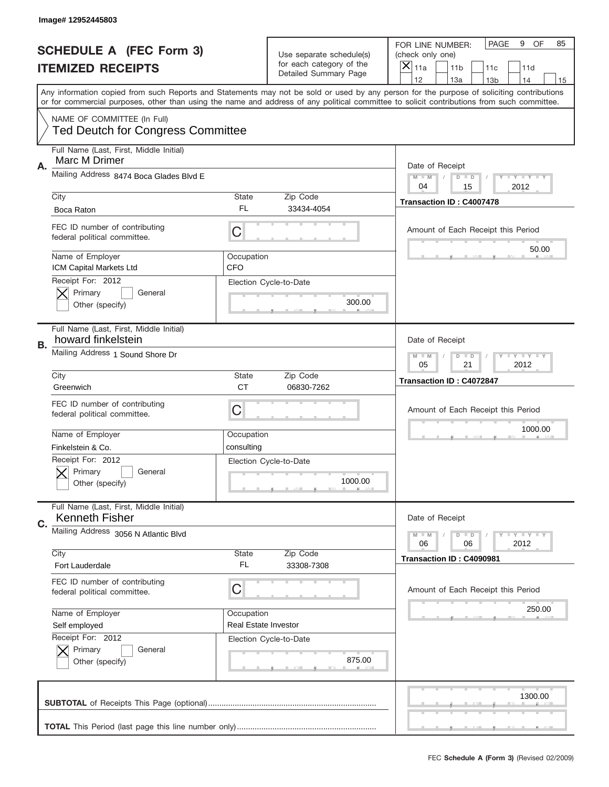|    | Image#12952445803                                                       |                           |                                                   |                                                                                                                                                                                       |
|----|-------------------------------------------------------------------------|---------------------------|---------------------------------------------------|---------------------------------------------------------------------------------------------------------------------------------------------------------------------------------------|
|    | <b>SCHEDULE A (FEC Form 3)</b>                                          |                           | Use separate schedule(s)                          | PAGE<br>9<br>OF<br>85<br>FOR LINE NUMBER:<br>(check only one)                                                                                                                         |
|    | <b>ITEMIZED RECEIPTS</b>                                                |                           | for each category of the<br>Detailed Summary Page | ×<br>11a<br>11 <sub>b</sub><br>11c<br>11d                                                                                                                                             |
|    |                                                                         |                           |                                                   | 12<br>13a<br>14<br>13 <sub>b</sub><br>15<br>Any information copied from such Reports and Statements may not be sold or used by any person for the purpose of soliciting contributions |
|    |                                                                         |                           |                                                   | or for commercial purposes, other than using the name and address of any political committee to solicit contributions from such committee.                                            |
|    | NAME OF COMMITTEE (In Full)<br><b>Ted Deutch for Congress Committee</b> |                           |                                                   |                                                                                                                                                                                       |
| Α. | Full Name (Last, First, Middle Initial)<br>Marc M Drimer                |                           |                                                   | Date of Receipt                                                                                                                                                                       |
|    | Mailing Address 8474 Boca Glades Blvd E                                 |                           |                                                   | Y TY TY TY<br>$M - M$<br>$D$ $D$<br>2012<br>04<br>15                                                                                                                                  |
|    | City                                                                    | <b>State</b>              | Zip Code                                          | Transaction ID: C4007478                                                                                                                                                              |
|    | Boca Raton                                                              | FL.                       | 33434-4054                                        |                                                                                                                                                                                       |
|    | FEC ID number of contributing<br>federal political committee.           | C                         |                                                   | Amount of Each Receipt this Period<br>50.00                                                                                                                                           |
|    | Name of Employer<br>ICM Capital Markets Ltd                             | Occupation<br><b>CFO</b>  |                                                   |                                                                                                                                                                                       |
|    | Receipt For: 2012<br>Primary<br>General<br>Other (specify)              |                           | Election Cycle-to-Date<br>300.00                  |                                                                                                                                                                                       |
| В. | Full Name (Last, First, Middle Initial)<br>howard finkelstein           |                           |                                                   | Date of Receipt                                                                                                                                                                       |
|    | Mailing Address 1 Sound Shore Dr                                        |                           |                                                   | <b>LY LY LY</b><br>$M - M$<br>$D$ $D$<br>05<br>21<br>2012                                                                                                                             |
|    | City<br>Greenwich                                                       | <b>State</b><br><b>CT</b> | Zip Code                                          | Transaction ID: C4072847                                                                                                                                                              |
|    | FEC ID number of contributing<br>federal political committee.           | C                         | 06830-7262                                        | Amount of Each Receipt this Period                                                                                                                                                    |
|    | Name of Employer                                                        | Occupation                |                                                   | 1000.00                                                                                                                                                                               |
|    | Finkelstein & Co.                                                       | consulting                |                                                   |                                                                                                                                                                                       |
|    | Receipt For: 2012<br>General<br>Primary<br>Other (specify)              |                           | Election Cycle-to-Date<br>1000.00                 |                                                                                                                                                                                       |
| C. | Full Name (Last, First, Middle Initial)<br><b>Kenneth Fisher</b>        |                           |                                                   | Date of Receipt                                                                                                                                                                       |
|    | Mailing Address 3056 N Atlantic Blvd<br>City                            | <b>State</b>              | Zip Code                                          | <b>LY LY LY</b><br>$M - M$<br>$D$ $D$<br>06<br>2012<br>06                                                                                                                             |
|    | Fort Lauderdale                                                         | FL.                       | 33308-7308                                        | Transaction ID: C4090981                                                                                                                                                              |
|    | FEC ID number of contributing<br>federal political committee.           | C                         |                                                   | Amount of Each Receipt this Period                                                                                                                                                    |
|    | Name of Employer                                                        | Occupation                |                                                   | 250.00                                                                                                                                                                                |
|    | Self employed                                                           | Real Estate Investor      |                                                   |                                                                                                                                                                                       |
|    | Receipt For: 2012<br>Primary<br>General<br>Other (specify)              |                           | Election Cycle-to-Date<br>875.00                  |                                                                                                                                                                                       |
|    |                                                                         |                           |                                                   | 1300.00                                                                                                                                                                               |
|    |                                                                         |                           |                                                   |                                                                                                                                                                                       |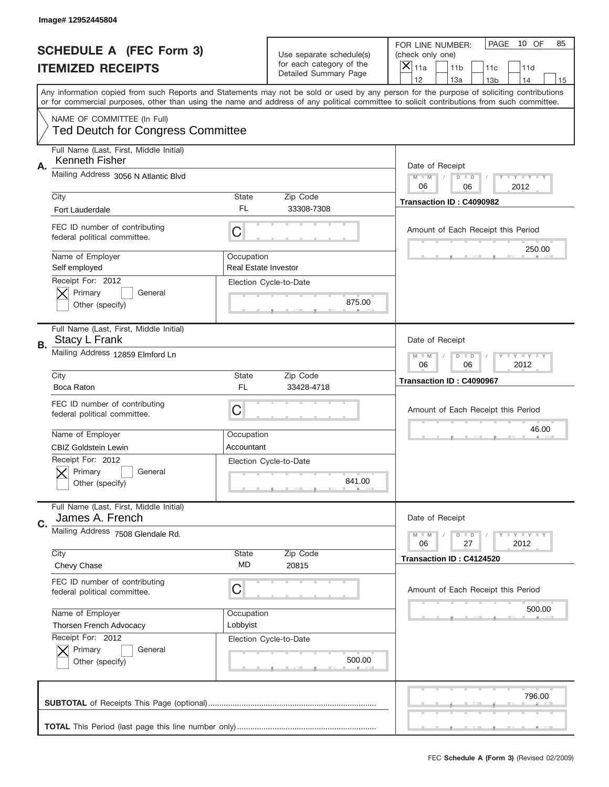|    | Image# 12952445804                                                      |                                           |                                                   |                                                                                                                                                                                       |
|----|-------------------------------------------------------------------------|-------------------------------------------|---------------------------------------------------|---------------------------------------------------------------------------------------------------------------------------------------------------------------------------------------|
|    | <b>SCHEDULE A (FEC Form 3)</b>                                          |                                           | Use separate schedule(s)                          | PAGE<br>10 OF<br>85<br>FOR LINE NUMBER:<br>(check only one)                                                                                                                           |
|    | <b>ITEMIZED RECEIPTS</b>                                                |                                           | for each category of the<br>Detailed Summary Page | ×<br>11a<br>11 <sub>b</sub><br>11c<br>11d                                                                                                                                             |
|    |                                                                         |                                           |                                                   | 12<br>13a<br>14<br>13 <sub>b</sub><br>15<br>Any information copied from such Reports and Statements may not be sold or used by any person for the purpose of soliciting contributions |
|    |                                                                         |                                           |                                                   | or for commercial purposes, other than using the name and address of any political committee to solicit contributions from such committee.                                            |
|    | NAME OF COMMITTEE (In Full)<br><b>Ted Deutch for Congress Committee</b> |                                           |                                                   |                                                                                                                                                                                       |
| Α. | Full Name (Last, First, Middle Initial)<br>Kenneth Fisher               |                                           |                                                   | Date of Receipt                                                                                                                                                                       |
|    | Mailing Address 3056 N Atlantic Blvd                                    |                                           |                                                   | Y TY TY TY<br>$M$ M<br>$D$ $D$<br>06<br>2012<br>06                                                                                                                                    |
|    | City<br><b>Fort Lauderdale</b>                                          | State<br>FL                               | Zip Code<br>33308-7308                            | Transaction ID: C4090982                                                                                                                                                              |
|    | FEC ID number of contributing<br>federal political committee.           | C                                         |                                                   | Amount of Each Receipt this Period                                                                                                                                                    |
|    | Name of Employer<br>Self employed                                       | Occupation<br><b>Real Estate Investor</b> |                                                   | 250.00                                                                                                                                                                                |
|    | Receipt For: 2012<br>Primary<br>General<br>Other (specify)              |                                           | Election Cycle-to-Date<br>875.00                  |                                                                                                                                                                                       |
| В. | Full Name (Last, First, Middle Initial)<br>Stacy L Frank                |                                           |                                                   | Date of Receipt                                                                                                                                                                       |
|    | Mailing Address 12859 Elmford Ln                                        |                                           |                                                   | <b>LY LY LY</b><br>$M$ $M$<br>$D$ $D$<br>06<br>06<br>2012                                                                                                                             |
|    | City                                                                    | State                                     | Zip Code                                          | Transaction ID: C4090967                                                                                                                                                              |
|    | Boca Raton                                                              | <b>FL</b>                                 | 33428-4718                                        |                                                                                                                                                                                       |
|    | FEC ID number of contributing<br>federal political committee.           | C                                         |                                                   | Amount of Each Receipt this Period                                                                                                                                                    |
|    | Name of Employer                                                        | Occupation                                |                                                   | 46.00                                                                                                                                                                                 |
|    | <b>CBIZ Goldstein Lewin</b>                                             | Accountant                                |                                                   |                                                                                                                                                                                       |
|    | Receipt For: 2012<br>General<br>Primary<br>Other (specify)              |                                           | Election Cycle-to-Date<br>841.00                  |                                                                                                                                                                                       |
| C. | Full Name (Last, First, Middle Initial)<br>James A. French              |                                           |                                                   | Date of Receipt                                                                                                                                                                       |
|    | Mailing Address 7508 Glendale Rd.                                       |                                           |                                                   | $T + Y = Y + Y$<br>$M - M$<br>$D$ $D$<br>06<br>2012<br>27                                                                                                                             |
|    | City<br>Chevy Chase                                                     | State<br>MD                               | Zip Code<br>20815                                 | Transaction ID: C4124520                                                                                                                                                              |
|    | FEC ID number of contributing<br>federal political committee.           | C                                         |                                                   | Amount of Each Receipt this Period                                                                                                                                                    |
|    | Name of Employer                                                        | Occupation                                |                                                   | 500.00                                                                                                                                                                                |
|    | Thorsen French Advocacy                                                 | Lobbyist                                  |                                                   |                                                                                                                                                                                       |
|    |                                                                         |                                           |                                                   |                                                                                                                                                                                       |
|    | Receipt For: 2012<br>Primary<br>General<br>Other (specify)              | Election Cycle-to-Date                    | 500.00                                            |                                                                                                                                                                                       |
|    |                                                                         |                                           |                                                   | 796.00                                                                                                                                                                                |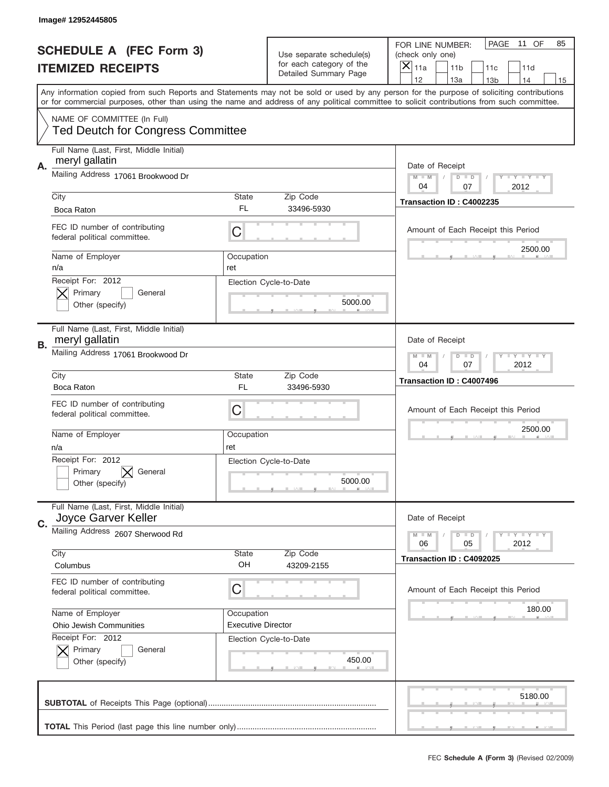|    | Image# 12952445805                                             |                           |                                                   |                                                                                                                                                                                                                                                                                                                                     |
|----|----------------------------------------------------------------|---------------------------|---------------------------------------------------|-------------------------------------------------------------------------------------------------------------------------------------------------------------------------------------------------------------------------------------------------------------------------------------------------------------------------------------|
|    | <b>SCHEDULE A (FEC Form 3)</b>                                 |                           | Use separate schedule(s)                          | PAGE<br>11 OF<br>85<br>FOR LINE NUMBER:<br>(check only one)                                                                                                                                                                                                                                                                         |
|    | <b>ITEMIZED RECEIPTS</b>                                       |                           | for each category of the<br>Detailed Summary Page | ×<br>11a<br>11 <sub>b</sub><br>11c<br>11d                                                                                                                                                                                                                                                                                           |
|    |                                                                |                           |                                                   | 12<br>13a<br>14<br>13 <sub>b</sub><br>15<br>Any information copied from such Reports and Statements may not be sold or used by any person for the purpose of soliciting contributions<br>or for commercial purposes, other than using the name and address of any political committee to solicit contributions from such committee. |
|    | NAME OF COMMITTEE (In Full)                                    |                           |                                                   |                                                                                                                                                                                                                                                                                                                                     |
|    | <b>Ted Deutch for Congress Committee</b>                       |                           |                                                   |                                                                                                                                                                                                                                                                                                                                     |
| А. | Full Name (Last, First, Middle Initial)<br>meryl gallatin      |                           |                                                   | Date of Receipt                                                                                                                                                                                                                                                                                                                     |
|    | Mailing Address 17061 Brookwood Dr                             |                           |                                                   | Y I Y I Y I Y<br>$M - M$<br>$D$ $D$<br>2012<br>04<br>07                                                                                                                                                                                                                                                                             |
|    | City<br>Boca Raton                                             | State<br>FL               | Zip Code<br>33496-5930                            | Transaction ID: C4002235                                                                                                                                                                                                                                                                                                            |
|    | FEC ID number of contributing<br>federal political committee.  | C                         |                                                   | Amount of Each Receipt this Period                                                                                                                                                                                                                                                                                                  |
|    | Name of Employer<br>n/a                                        | Occupation<br>ret         |                                                   | 2500.00                                                                                                                                                                                                                                                                                                                             |
|    | Receipt For: 2012<br>Primary<br>General<br>Other (specify)     |                           | Election Cycle-to-Date<br>5000.00                 |                                                                                                                                                                                                                                                                                                                                     |
| В. | Full Name (Last, First, Middle Initial)<br>meryl gallatin      |                           |                                                   | Date of Receipt                                                                                                                                                                                                                                                                                                                     |
|    | Mailing Address 17061 Brookwood Dr                             |                           |                                                   | $T$ $Y$ $T$ $Y$ $T$ $Y$<br>$M$ $M$<br>$D$ $D$<br>04<br>07<br>2012                                                                                                                                                                                                                                                                   |
|    | City<br>Boca Raton                                             | State<br><b>FL</b>        | Zip Code<br>33496-5930                            | Transaction ID: C4007496                                                                                                                                                                                                                                                                                                            |
|    | FEC ID number of contributing<br>federal political committee.  | C                         |                                                   | Amount of Each Receipt this Period                                                                                                                                                                                                                                                                                                  |
|    | Name of Employer<br>n/a                                        | Occupation<br>ret         |                                                   | 2500.00                                                                                                                                                                                                                                                                                                                             |
|    | Receipt For: 2012<br>Primary<br>General<br>Other (specify)     |                           | Election Cycle-to-Date<br>5000.00                 |                                                                                                                                                                                                                                                                                                                                     |
| C. | Full Name (Last, First, Middle Initial)<br>Joyce Garver Keller |                           |                                                   | Date of Receipt                                                                                                                                                                                                                                                                                                                     |
|    | Mailing Address 2607 Sherwood Rd                               |                           |                                                   | <b>LY LY LY</b><br>$M \perp M$<br>$D$ $D$<br>2012<br>06<br>05                                                                                                                                                                                                                                                                       |
|    | City<br>Columbus                                               | State<br>OH               | Zip Code<br>43209-2155                            | Transaction ID: C4092025                                                                                                                                                                                                                                                                                                            |
|    | FEC ID number of contributing<br>federal political committee.  | C                         |                                                   | Amount of Each Receipt this Period                                                                                                                                                                                                                                                                                                  |
|    | Name of Employer                                               | Occupation                |                                                   | 180.00                                                                                                                                                                                                                                                                                                                              |
|    | Ohio Jewish Communities<br>Receipt For: 2012                   | <b>Executive Director</b> | Election Cycle-to-Date                            |                                                                                                                                                                                                                                                                                                                                     |
|    | Primary<br>General<br>Other (specify)                          |                           | 450.00                                            |                                                                                                                                                                                                                                                                                                                                     |
|    |                                                                |                           |                                                   | 5180.00                                                                                                                                                                                                                                                                                                                             |
|    |                                                                |                           |                                                   |                                                                                                                                                                                                                                                                                                                                     |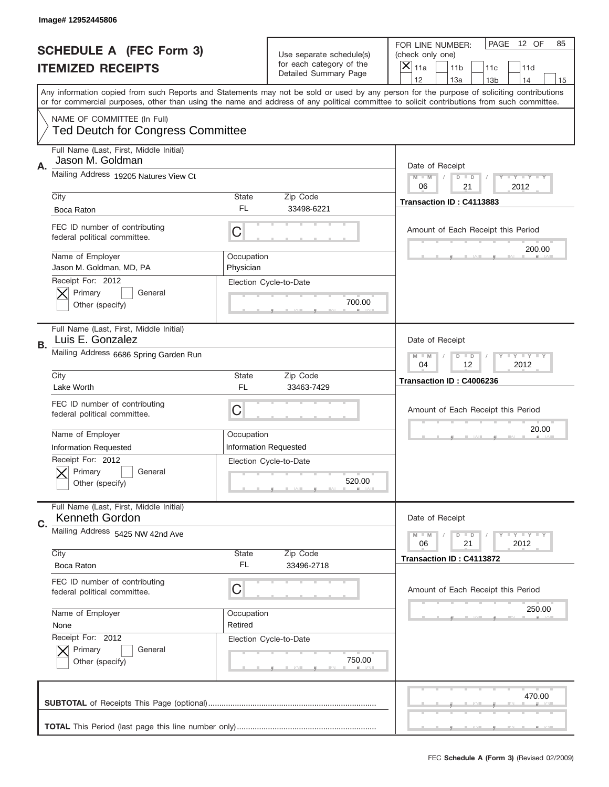|    | Image# 12952445806                                                                         |                         |                                                                  |                                                                                                                                                                                                                                                                                         |
|----|--------------------------------------------------------------------------------------------|-------------------------|------------------------------------------------------------------|-----------------------------------------------------------------------------------------------------------------------------------------------------------------------------------------------------------------------------------------------------------------------------------------|
|    | <b>SCHEDULE A (FEC Form 3)</b>                                                             |                         | Use separate schedule(s)                                         | PAGE<br>12 OF<br>85<br>FOR LINE NUMBER:<br>(check only one)                                                                                                                                                                                                                             |
|    | <b>ITEMIZED RECEIPTS</b>                                                                   |                         | for each category of the<br>Detailed Summary Page                | ×<br>11a<br>11 <sub>b</sub><br>11c<br>11d                                                                                                                                                                                                                                               |
|    |                                                                                            |                         |                                                                  | 12<br>13a<br>14<br>13 <sub>b</sub><br>15                                                                                                                                                                                                                                                |
|    |                                                                                            |                         |                                                                  | Any information copied from such Reports and Statements may not be sold or used by any person for the purpose of soliciting contributions<br>or for commercial purposes, other than using the name and address of any political committee to solicit contributions from such committee. |
|    | NAME OF COMMITTEE (In Full)<br><b>Ted Deutch for Congress Committee</b>                    |                         |                                                                  |                                                                                                                                                                                                                                                                                         |
| Α. | Full Name (Last, First, Middle Initial)<br>Jason M. Goldman                                |                         |                                                                  | Date of Receipt                                                                                                                                                                                                                                                                         |
|    | Mailing Address 19205 Natures View Ct                                                      |                         |                                                                  | $M - M$<br>Y I Y I Y I Y<br>$D$ $D$<br>21<br>2012<br>06                                                                                                                                                                                                                                 |
|    | City                                                                                       | <b>State</b>            | Zip Code                                                         | Transaction ID: C4113883                                                                                                                                                                                                                                                                |
|    | Boca Raton                                                                                 | FL.                     | 33498-6221                                                       |                                                                                                                                                                                                                                                                                         |
|    | FEC ID number of contributing<br>federal political committee.                              | C                       |                                                                  | Amount of Each Receipt this Period<br>200.00                                                                                                                                                                                                                                            |
|    | Name of Employer<br>Jason M. Goldman, MD, PA                                               | Occupation<br>Physician |                                                                  |                                                                                                                                                                                                                                                                                         |
|    | Receipt For: 2012<br>Primary<br>General<br>Other (specify)                                 |                         | Election Cycle-to-Date<br>700.00                                 |                                                                                                                                                                                                                                                                                         |
| В. | Full Name (Last, First, Middle Initial)<br>Luis E. Gonzalez                                |                         |                                                                  | Date of Receipt                                                                                                                                                                                                                                                                         |
|    | Mailing Address 6686 Spring Garden Run                                                     |                         |                                                                  | <b>LY LY LY</b><br>$M - M$<br>$D$ $D$<br>04<br>12<br>2012                                                                                                                                                                                                                               |
|    | City<br>Lake Worth                                                                         | <b>State</b><br>FL      | Zip Code<br>33463-7429                                           | Transaction ID: C4006236                                                                                                                                                                                                                                                                |
|    |                                                                                            |                         |                                                                  |                                                                                                                                                                                                                                                                                         |
|    | FEC ID number of contributing<br>federal political committee.                              | C                       |                                                                  | Amount of Each Receipt this Period                                                                                                                                                                                                                                                      |
|    |                                                                                            |                         |                                                                  | 20.00                                                                                                                                                                                                                                                                                   |
|    | Name of Employer                                                                           | Occupation              |                                                                  |                                                                                                                                                                                                                                                                                         |
|    | <b>Information Requested</b><br>Receipt For: 2012<br>Primary<br>General<br>Other (specify) |                         | <b>Information Requested</b><br>Election Cycle-to-Date<br>520.00 |                                                                                                                                                                                                                                                                                         |
| C. | Full Name (Last, First, Middle Initial)<br>Kenneth Gordon                                  |                         |                                                                  | Date of Receipt                                                                                                                                                                                                                                                                         |
|    | Mailing Address 5425 NW 42nd Ave                                                           |                         |                                                                  | <b>TEY TEY TEY</b><br>$M - M$<br>$D$ $D$<br>21<br>2012<br>06                                                                                                                                                                                                                            |
|    | City<br>Boca Raton                                                                         | State<br>FL.            | Zip Code<br>33496-2718                                           | Transaction ID: C4113872                                                                                                                                                                                                                                                                |
|    | FEC ID number of contributing<br>federal political committee.                              | C                       |                                                                  | Amount of Each Receipt this Period                                                                                                                                                                                                                                                      |
|    | Name of Employer                                                                           | Occupation              |                                                                  | 250.00                                                                                                                                                                                                                                                                                  |
|    | None<br>Receipt For: 2012<br>Primary<br>General                                            | Retired                 | Election Cycle-to-Date                                           |                                                                                                                                                                                                                                                                                         |
|    | Other (specify)                                                                            |                         | 750.00                                                           |                                                                                                                                                                                                                                                                                         |
|    |                                                                                            |                         |                                                                  | 470.00                                                                                                                                                                                                                                                                                  |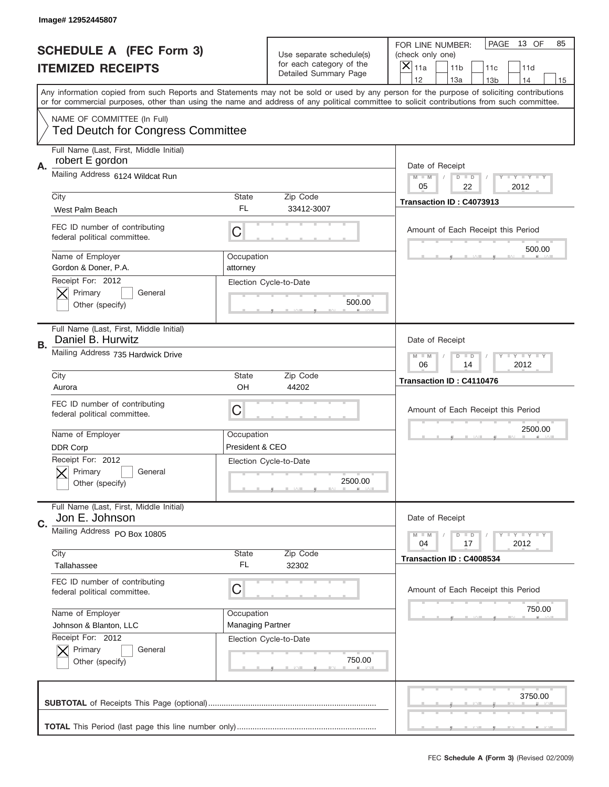|                          | Image# 12952445807                                            |                                                                   |                                                   |                                                                                                                                                                                                                                                                                                                                     |
|--------------------------|---------------------------------------------------------------|-------------------------------------------------------------------|---------------------------------------------------|-------------------------------------------------------------------------------------------------------------------------------------------------------------------------------------------------------------------------------------------------------------------------------------------------------------------------------------|
|                          | <b>SCHEDULE A (FEC Form 3)</b>                                |                                                                   | Use separate schedule(s)                          | PAGE<br>13 OF<br>85<br>FOR LINE NUMBER:<br>(check only one)                                                                                                                                                                                                                                                                         |
| <b>ITEMIZED RECEIPTS</b> |                                                               |                                                                   | for each category of the<br>Detailed Summary Page | ×<br>11a<br>11 <sub>b</sub><br>11c<br>11d                                                                                                                                                                                                                                                                                           |
|                          |                                                               |                                                                   |                                                   | 12<br>13a<br>14<br>13 <sub>b</sub><br>15<br>Any information copied from such Reports and Statements may not be sold or used by any person for the purpose of soliciting contributions<br>or for commercial purposes, other than using the name and address of any political committee to solicit contributions from such committee. |
|                          | NAME OF COMMITTEE (In Full)                                   |                                                                   |                                                   |                                                                                                                                                                                                                                                                                                                                     |
|                          | <b>Ted Deutch for Congress Committee</b>                      |                                                                   |                                                   |                                                                                                                                                                                                                                                                                                                                     |
| А.                       | Full Name (Last, First, Middle Initial)<br>robert E gordon    |                                                                   |                                                   | Date of Receipt                                                                                                                                                                                                                                                                                                                     |
|                          | Mailing Address 6124 Wildcat Run                              |                                                                   |                                                   | Y TY TY TY<br>$M$ $M$<br>$D$ $D$<br>05<br>22<br>2012                                                                                                                                                                                                                                                                                |
|                          | City                                                          | State                                                             | Zip Code                                          | Transaction ID: C4073913                                                                                                                                                                                                                                                                                                            |
|                          | West Palm Beach                                               | FL                                                                | 33412-3007                                        |                                                                                                                                                                                                                                                                                                                                     |
|                          | FEC ID number of contributing<br>federal political committee. | C                                                                 |                                                   | Amount of Each Receipt this Period                                                                                                                                                                                                                                                                                                  |
|                          | Name of Employer<br>Gordon & Doner, P.A.                      | Occupation<br>attorney                                            |                                                   | 500.00                                                                                                                                                                                                                                                                                                                              |
|                          | Receipt For: 2012<br>Primary<br>General                       |                                                                   | Election Cycle-to-Date                            |                                                                                                                                                                                                                                                                                                                                     |
|                          | Other (specify)                                               |                                                                   | 500.00                                            |                                                                                                                                                                                                                                                                                                                                     |
| В.                       | Full Name (Last, First, Middle Initial)<br>Daniel B. Hurwitz  |                                                                   |                                                   | Date of Receipt                                                                                                                                                                                                                                                                                                                     |
|                          | Mailing Address 735 Hardwick Drive                            | $T$ $Y$ $T$ $Y$ $T$ $Y$<br>$M$ $M$<br>$D$ $D$<br>06<br>14<br>2012 |                                                   |                                                                                                                                                                                                                                                                                                                                     |
|                          | City                                                          | State                                                             | Zip Code                                          | Transaction ID: C4110476                                                                                                                                                                                                                                                                                                            |
|                          | Aurora                                                        | OH                                                                | 44202                                             |                                                                                                                                                                                                                                                                                                                                     |
|                          | FEC ID number of contributing<br>federal political committee. | C                                                                 |                                                   | Amount of Each Receipt this Period                                                                                                                                                                                                                                                                                                  |
|                          | Name of Employer                                              | Occupation                                                        |                                                   | 2500.00                                                                                                                                                                                                                                                                                                                             |
|                          | <b>DDR Corp</b>                                               | President & CEO                                                   |                                                   |                                                                                                                                                                                                                                                                                                                                     |
|                          | Receipt For: 2012<br>General<br>Primary<br>Other (specify)    |                                                                   | Election Cycle-to-Date<br>2500.00                 |                                                                                                                                                                                                                                                                                                                                     |
|                          | Full Name (Last, First, Middle Initial)<br>Jon E. Johnson     |                                                                   |                                                   | Date of Receipt                                                                                                                                                                                                                                                                                                                     |
| C.                       | Mailing Address PO Box 10805                                  |                                                                   |                                                   | $T + Y = Y + Y$<br>$M - M$<br>$D$ $D$<br>04<br>2012<br>17                                                                                                                                                                                                                                                                           |
|                          | City                                                          | State                                                             | Zip Code                                          | Transaction ID: C4008534                                                                                                                                                                                                                                                                                                            |
|                          | Tallahassee                                                   | FL                                                                | 32302                                             |                                                                                                                                                                                                                                                                                                                                     |
|                          | FEC ID number of contributing<br>federal political committee. | C                                                                 |                                                   | Amount of Each Receipt this Period                                                                                                                                                                                                                                                                                                  |
|                          | Name of Employer                                              | Occupation                                                        |                                                   | 750.00                                                                                                                                                                                                                                                                                                                              |
|                          | Johnson & Blanton, LLC                                        | <b>Managing Partner</b>                                           |                                                   |                                                                                                                                                                                                                                                                                                                                     |
|                          | Receipt For: 2012                                             |                                                                   | Election Cycle-to-Date                            |                                                                                                                                                                                                                                                                                                                                     |
|                          | Primary<br>General<br>Other (specify)                         |                                                                   | 750.00                                            |                                                                                                                                                                                                                                                                                                                                     |
|                          |                                                               |                                                                   |                                                   | 3750.00                                                                                                                                                                                                                                                                                                                             |
|                          |                                                               |                                                                   |                                                   |                                                                                                                                                                                                                                                                                                                                     |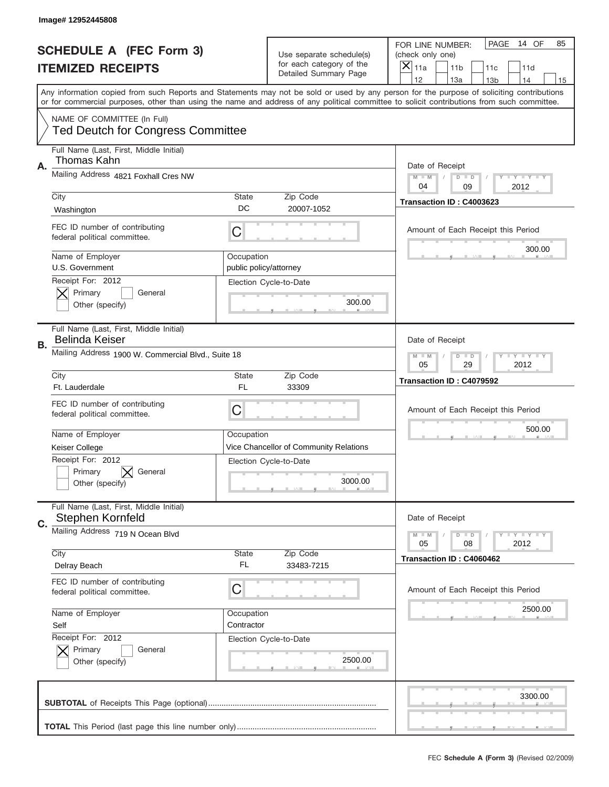|                          | Image# 12952445808                                                                                                                        |                                       |                                                   |                                                                                                                                            |
|--------------------------|-------------------------------------------------------------------------------------------------------------------------------------------|---------------------------------------|---------------------------------------------------|--------------------------------------------------------------------------------------------------------------------------------------------|
|                          | <b>SCHEDULE A (FEC Form 3)</b>                                                                                                            |                                       | Use separate schedule(s)                          | PAGE<br>14 OF<br>85<br>FOR LINE NUMBER:<br>(check only one)                                                                                |
| <b>ITEMIZED RECEIPTS</b> |                                                                                                                                           |                                       | for each category of the<br>Detailed Summary Page | ×<br>11a<br>11 <sub>b</sub><br>11c<br>11d                                                                                                  |
|                          | Any information copied from such Reports and Statements may not be sold or used by any person for the purpose of soliciting contributions |                                       |                                                   | 12<br>13a<br>14<br>13 <sub>b</sub><br>15                                                                                                   |
|                          |                                                                                                                                           |                                       |                                                   | or for commercial purposes, other than using the name and address of any political committee to solicit contributions from such committee. |
|                          | NAME OF COMMITTEE (In Full)<br><b>Ted Deutch for Congress Committee</b>                                                                   |                                       |                                                   |                                                                                                                                            |
| Α.                       | Full Name (Last, First, Middle Initial)<br>Thomas Kahn                                                                                    |                                       |                                                   | Date of Receipt                                                                                                                            |
|                          | Mailing Address 4821 Foxhall Cres NW                                                                                                      |                                       |                                                   | $T$ $Y$ $Y$ $Y$ $Y$<br>$M - M$<br>$D$ $D$<br>04<br>2012<br>09                                                                              |
|                          | City                                                                                                                                      | State                                 | Zip Code                                          | Transaction ID: C4003623                                                                                                                   |
|                          | Washington                                                                                                                                | DC                                    | 20007-1052                                        |                                                                                                                                            |
|                          | FEC ID number of contributing<br>federal political committee.                                                                             | C                                     |                                                   | Amount of Each Receipt this Period<br>300.00                                                                                               |
|                          | Name of Employer<br>U.S. Government                                                                                                       | Occupation<br>public policy/attorney  |                                                   |                                                                                                                                            |
|                          | Receipt For: 2012                                                                                                                         |                                       | Election Cycle-to-Date                            |                                                                                                                                            |
|                          | Primary<br>General                                                                                                                        |                                       | 300.00                                            |                                                                                                                                            |
|                          | Other (specify)                                                                                                                           |                                       |                                                   |                                                                                                                                            |
| В.                       | Full Name (Last, First, Middle Initial)<br><b>Belinda Keiser</b>                                                                          |                                       |                                                   | Date of Receipt                                                                                                                            |
|                          | Mailing Address 1900 W. Commercial Blvd., Suite 18                                                                                        | <b>LY LY LY</b><br>$M - M$<br>$D$ $D$ |                                                   |                                                                                                                                            |
|                          | City                                                                                                                                      | State                                 | Zip Code                                          | 05<br>29<br>2012                                                                                                                           |
|                          |                                                                                                                                           |                                       |                                                   | Transaction ID: C4079592                                                                                                                   |
|                          | Ft. Lauderdale                                                                                                                            | <b>FL</b>                             | 33309                                             |                                                                                                                                            |
|                          | FEC ID number of contributing<br>federal political committee.                                                                             | C                                     |                                                   | Amount of Each Receipt this Period                                                                                                         |
|                          |                                                                                                                                           | Occupation                            |                                                   | 500.00                                                                                                                                     |
|                          | Name of Employer<br>Keiser College                                                                                                        |                                       | Vice Chancellor of Community Relations            |                                                                                                                                            |
|                          | Receipt For: 2012                                                                                                                         |                                       | Election Cycle-to-Date                            |                                                                                                                                            |
|                          | General<br>Primary                                                                                                                        |                                       |                                                   |                                                                                                                                            |
|                          | Other (specify)                                                                                                                           |                                       | 3000.00                                           |                                                                                                                                            |
|                          | Full Name (Last, First, Middle Initial)<br>Stephen Kornfeld                                                                               |                                       |                                                   | Date of Receipt                                                                                                                            |
| C.                       | Mailing Address 719 N Ocean Blvd                                                                                                          |                                       |                                                   | <b>LY LY LY</b><br>$M - M$<br>$D$ $D$                                                                                                      |
|                          |                                                                                                                                           |                                       |                                                   | 05<br>2012<br>08                                                                                                                           |
|                          | City                                                                                                                                      | State<br>FL                           | Zip Code                                          | Transaction ID: C4060462                                                                                                                   |
|                          | Delray Beach                                                                                                                              |                                       | 33483-7215                                        |                                                                                                                                            |
|                          | FEC ID number of contributing<br>federal political committee.                                                                             | C                                     |                                                   | Amount of Each Receipt this Period                                                                                                         |
|                          | Name of Employer                                                                                                                          | Occupation                            |                                                   | 2500.00                                                                                                                                    |
|                          | Self                                                                                                                                      | Contractor                            |                                                   |                                                                                                                                            |
|                          | Receipt For: 2012                                                                                                                         |                                       | Election Cycle-to-Date                            |                                                                                                                                            |
|                          | Primary<br>General                                                                                                                        |                                       |                                                   |                                                                                                                                            |
|                          | Other (specify)                                                                                                                           |                                       | 2500.00                                           |                                                                                                                                            |
|                          |                                                                                                                                           |                                       |                                                   | 3300.00                                                                                                                                    |
|                          |                                                                                                                                           |                                       |                                                   |                                                                                                                                            |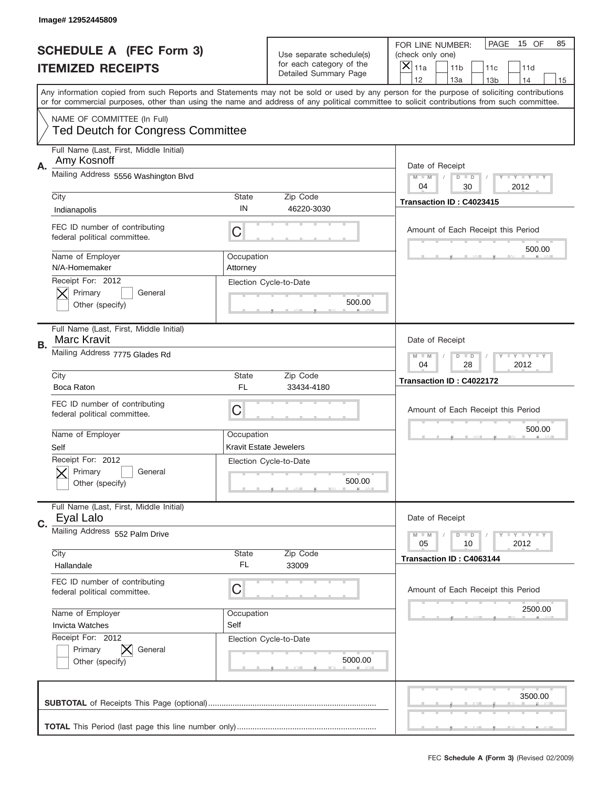|                          | Image# 12952445809                                                      |                                                           |                                                   |                                                                                                                                                                                       |
|--------------------------|-------------------------------------------------------------------------|-----------------------------------------------------------|---------------------------------------------------|---------------------------------------------------------------------------------------------------------------------------------------------------------------------------------------|
|                          | <b>SCHEDULE A (FEC Form 3)</b>                                          |                                                           | Use separate schedule(s)                          | PAGE<br>15 OF<br>85<br>FOR LINE NUMBER:<br>(check only one)                                                                                                                           |
| <b>ITEMIZED RECEIPTS</b> |                                                                         |                                                           | for each category of the<br>Detailed Summary Page | ×<br>11a<br>11 <sub>b</sub><br>11c<br>11d                                                                                                                                             |
|                          |                                                                         |                                                           |                                                   | 12<br>13a<br>14<br>13 <sub>b</sub><br>15<br>Any information copied from such Reports and Statements may not be sold or used by any person for the purpose of soliciting contributions |
|                          |                                                                         |                                                           |                                                   | or for commercial purposes, other than using the name and address of any political committee to solicit contributions from such committee.                                            |
|                          | NAME OF COMMITTEE (In Full)<br><b>Ted Deutch for Congress Committee</b> |                                                           |                                                   |                                                                                                                                                                                       |
| А.                       | Full Name (Last, First, Middle Initial)<br>Amy Kosnoff                  |                                                           |                                                   | Date of Receipt                                                                                                                                                                       |
|                          | Mailing Address 5556 Washington Blvd                                    |                                                           |                                                   | $M - M$<br>Y I Y I Y I Y<br>$D$ $D$<br>2012<br>04<br>30                                                                                                                               |
|                          | City<br>Indianapolis                                                    | State<br>IN                                               | Zip Code<br>46220-3030                            | Transaction ID: C4023415                                                                                                                                                              |
|                          | FEC ID number of contributing<br>federal political committee.           | C                                                         |                                                   | Amount of Each Receipt this Period                                                                                                                                                    |
|                          | Name of Employer<br>N/A-Homemaker                                       | Occupation<br>Attorney                                    |                                                   | 500.00                                                                                                                                                                                |
|                          | Receipt For: 2012<br>Primary<br>General<br>Other (specify)              |                                                           | Election Cycle-to-Date<br>500.00                  |                                                                                                                                                                                       |
| В.                       | Full Name (Last, First, Middle Initial)<br><b>Marc Kravit</b>           |                                                           |                                                   | Date of Receipt                                                                                                                                                                       |
|                          | Mailing Address 7775 Glades Rd                                          | <b>LY LY LY</b><br>$M - M$<br>$D$ $D$<br>04<br>28<br>2012 |                                                   |                                                                                                                                                                                       |
|                          | City<br>Boca Raton                                                      | State<br><b>FL</b>                                        | Zip Code<br>33434-4180                            | Transaction ID: C4022172                                                                                                                                                              |
|                          | FEC ID number of contributing<br>federal political committee.           | $\mathsf C$                                               |                                                   | Amount of Each Receipt this Period                                                                                                                                                    |
|                          | Name of Employer<br>Self                                                | Occupation<br>Kravit Estate Jewelers                      |                                                   | 500.00                                                                                                                                                                                |
|                          | Receipt For: 2012<br>General<br>Primary<br>Other (specify)              |                                                           | Election Cycle-to-Date<br>500.00                  |                                                                                                                                                                                       |
| C.                       | Full Name (Last, First, Middle Initial)<br>Eyal Lalo                    |                                                           |                                                   | Date of Receipt                                                                                                                                                                       |
|                          | Mailing Address 552 Palm Drive                                          |                                                           |                                                   | Y FY FY FY<br>$M - M$<br>$D$ $D$<br>05<br>2012<br>10                                                                                                                                  |
|                          | City<br>Hallandale                                                      | State<br>FL                                               | Zip Code<br>33009                                 | Transaction ID: C4063144                                                                                                                                                              |
|                          | FEC ID number of contributing<br>federal political committee.           | C                                                         |                                                   | Amount of Each Receipt this Period                                                                                                                                                    |
|                          | Name of Employer<br><b>Invicta Watches</b>                              | Occupation<br>Self                                        |                                                   | 2500.00                                                                                                                                                                               |
|                          | Receipt For: 2012<br>Primary<br>General<br>Other (specify)              |                                                           | Election Cycle-to-Date<br>5000.00                 |                                                                                                                                                                                       |
|                          |                                                                         |                                                           |                                                   | 3500.00                                                                                                                                                                               |
|                          |                                                                         |                                                           |                                                   |                                                                                                                                                                                       |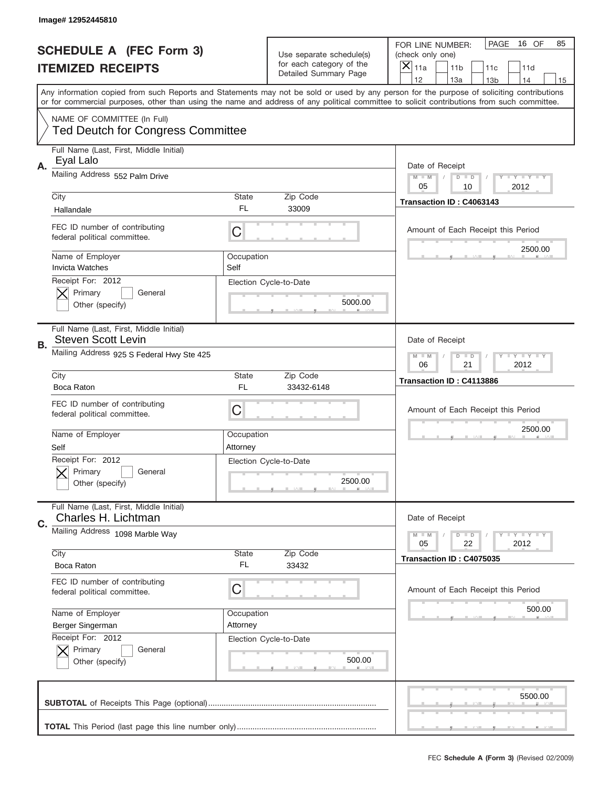|                          | Image# 12952445810                                                      |                                                           |                                                   |                                                                                                                                                                                       |
|--------------------------|-------------------------------------------------------------------------|-----------------------------------------------------------|---------------------------------------------------|---------------------------------------------------------------------------------------------------------------------------------------------------------------------------------------|
|                          | <b>SCHEDULE A (FEC Form 3)</b>                                          |                                                           | Use separate schedule(s)                          | PAGE<br>16 OF<br>85<br>FOR LINE NUMBER:<br>(check only one)                                                                                                                           |
| <b>ITEMIZED RECEIPTS</b> |                                                                         |                                                           | for each category of the<br>Detailed Summary Page | $\boldsymbol{\times}$<br>11a<br>11 <sub>b</sub><br>11c<br>11d                                                                                                                         |
|                          |                                                                         |                                                           |                                                   | 12<br>13a<br>14<br>13 <sub>b</sub><br>15<br>Any information copied from such Reports and Statements may not be sold or used by any person for the purpose of soliciting contributions |
|                          |                                                                         |                                                           |                                                   | or for commercial purposes, other than using the name and address of any political committee to solicit contributions from such committee.                                            |
|                          | NAME OF COMMITTEE (In Full)<br><b>Ted Deutch for Congress Committee</b> |                                                           |                                                   |                                                                                                                                                                                       |
| Α.                       | Full Name (Last, First, Middle Initial)<br>Eyal Lalo                    |                                                           |                                                   | Date of Receipt                                                                                                                                                                       |
|                          | Mailing Address 552 Palm Drive                                          |                                                           |                                                   | <b>LEY LEY LEY</b><br>$M - M$<br>$D$ $D$<br>05<br>10<br>2012                                                                                                                          |
|                          | City                                                                    | <b>State</b>                                              | Zip Code                                          | Transaction ID: C4063143                                                                                                                                                              |
|                          | Hallandale                                                              | FL.                                                       | 33009                                             |                                                                                                                                                                                       |
|                          | FEC ID number of contributing<br>federal political committee.           | C                                                         |                                                   | Amount of Each Receipt this Period                                                                                                                                                    |
|                          | Name of Employer<br><b>Invicta Watches</b>                              | Occupation<br>Self                                        |                                                   | 2500.00                                                                                                                                                                               |
|                          | Receipt For: 2012<br>Primary<br>General<br>Other (specify)              |                                                           | Election Cycle-to-Date<br>5000.00                 |                                                                                                                                                                                       |
| В.                       | Full Name (Last, First, Middle Initial)<br><b>Steven Scott Levin</b>    |                                                           |                                                   | Date of Receipt                                                                                                                                                                       |
|                          | Mailing Address 925 S Federal Hwy Ste 425                               | <b>LY LY LY</b><br>$M - M$<br>$D$ $D$<br>06<br>21<br>2012 |                                                   |                                                                                                                                                                                       |
|                          | City                                                                    | State                                                     | Zip Code                                          | Transaction ID: C4113886                                                                                                                                                              |
|                          | Boca Raton                                                              | FL.                                                       | 33432-6148                                        |                                                                                                                                                                                       |
|                          | FEC ID number of contributing<br>federal political committee.           | C                                                         |                                                   | Amount of Each Receipt this Period                                                                                                                                                    |
|                          | Name of Employer<br>Self                                                | Occupation<br>Attorney                                    |                                                   | 2500.00                                                                                                                                                                               |
|                          | Receipt For: 2012<br>General<br>Primary<br>Other (specify)              |                                                           | Election Cycle-to-Date<br>2500.00                 |                                                                                                                                                                                       |
| C.                       | Full Name (Last, First, Middle Initial)<br>Charles H. Lichtman          |                                                           |                                                   | Date of Receipt                                                                                                                                                                       |
|                          | Mailing Address 1098 Marble Way<br>City                                 | <b>State</b>                                              | Zip Code                                          | <b>LY LY LY</b><br>$M - M$<br>$D$ $D$<br>05<br>22<br>2012                                                                                                                             |
|                          | Boca Raton                                                              | FL.                                                       | 33432                                             | Transaction ID: C4075035                                                                                                                                                              |
|                          | FEC ID number of contributing<br>federal political committee.           | С                                                         |                                                   | Amount of Each Receipt this Period                                                                                                                                                    |
|                          | Name of Employer                                                        | Occupation                                                |                                                   | 500.00                                                                                                                                                                                |
|                          | Berger Singerman                                                        | Attorney                                                  |                                                   |                                                                                                                                                                                       |
|                          | Receipt For: 2012<br>Primary<br>General<br>Other (specify)              |                                                           | Election Cycle-to-Date<br>500.00                  |                                                                                                                                                                                       |
|                          |                                                                         |                                                           |                                                   | 5500.00                                                                                                                                                                               |
|                          |                                                                         |                                                           |                                                   |                                                                                                                                                                                       |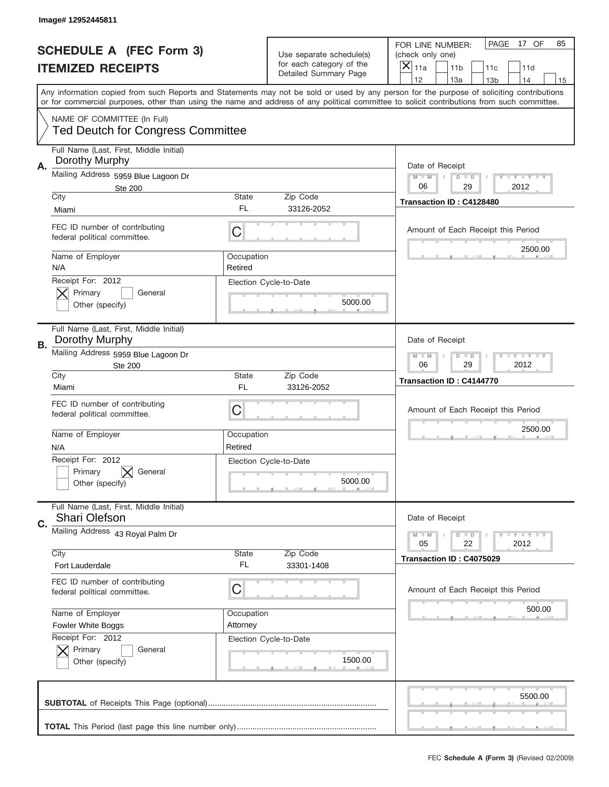| Image# 12952445811                                                      |                        |                                                                               |                                                                                                                                                                                                                                                                                         |
|-------------------------------------------------------------------------|------------------------|-------------------------------------------------------------------------------|-----------------------------------------------------------------------------------------------------------------------------------------------------------------------------------------------------------------------------------------------------------------------------------------|
| <b>SCHEDULE A (FEC Form 3)</b><br><b>ITEMIZED RECEIPTS</b>              |                        | Use separate schedule(s)<br>for each category of the<br>Detailed Summary Page | PAGE<br>17 OF<br>85<br>FOR LINE NUMBER:<br>(check only one)<br>×<br>11a<br>11 <sub>b</sub><br>11c<br>11d<br>12<br>13a<br>13 <sub>b</sub><br>14<br>15                                                                                                                                    |
|                                                                         |                        |                                                                               | Any information copied from such Reports and Statements may not be sold or used by any person for the purpose of soliciting contributions<br>or for commercial purposes, other than using the name and address of any political committee to solicit contributions from such committee. |
| NAME OF COMMITTEE (In Full)<br><b>Ted Deutch for Congress Committee</b> |                        |                                                                               |                                                                                                                                                                                                                                                                                         |
| Full Name (Last, First, Middle Initial)<br>Dorothy Murphy<br>Α.         |                        |                                                                               | Date of Receipt                                                                                                                                                                                                                                                                         |
| Mailing Address 5959 Blue Lagoon Dr<br><b>Ste 200</b>                   |                        |                                                                               | $M$ M<br><b>LEY LEY LEY</b><br>$D$ $D$<br>06<br>29<br>2012                                                                                                                                                                                                                              |
| City<br>Miami                                                           | State<br>FL.           | Zip Code<br>33126-2052                                                        | Transaction ID: C4128480                                                                                                                                                                                                                                                                |
| FEC ID number of contributing<br>federal political committee.           | C                      |                                                                               | Amount of Each Receipt this Period                                                                                                                                                                                                                                                      |
| Name of Employer<br>N/A                                                 | Occupation<br>Retired  |                                                                               | 2500.00                                                                                                                                                                                                                                                                                 |
| Receipt For: 2012<br>Primary<br>General<br>Other (specify)              |                        | Election Cycle-to-Date<br>5000.00                                             |                                                                                                                                                                                                                                                                                         |
| Full Name (Last, First, Middle Initial)<br>Dorothy Murphy<br>В.         |                        |                                                                               | Date of Receipt                                                                                                                                                                                                                                                                         |
| Mailing Address 5959 Blue Lagoon Dr<br><b>Ste 200</b>                   |                        |                                                                               | $M - M$<br><b>LEYTEY LEY</b><br>$D$ $D$<br>06<br>29<br>2012                                                                                                                                                                                                                             |
| City<br>Miami                                                           | State<br>FL            | Zip Code<br>33126-2052                                                        | Transaction ID: C4144770                                                                                                                                                                                                                                                                |
| FEC ID number of contributing<br>federal political committee.           | C                      |                                                                               | Amount of Each Receipt this Period                                                                                                                                                                                                                                                      |
| Name of Employer<br>N/A                                                 | Occupation<br>Retired  |                                                                               | 2500.00                                                                                                                                                                                                                                                                                 |
| Receipt For: 2012<br>General<br>Primary<br>Other (specify)              |                        | Election Cycle-to-Date<br>5000.00                                             |                                                                                                                                                                                                                                                                                         |
| Full Name (Last, First, Middle Initial)<br><b>Shari Olefson</b><br>C.   |                        |                                                                               | Date of Receipt                                                                                                                                                                                                                                                                         |
| Mailing Address 43 Royal Palm Dr<br>City                                | State                  | Zip Code                                                                      | <b>LYLYLY</b><br>$M - M$<br>$D$ $D$<br>05<br>22<br>2012                                                                                                                                                                                                                                 |
| Fort Lauderdale                                                         | FL                     | 33301-1408                                                                    | Transaction ID: C4075029                                                                                                                                                                                                                                                                |
| FEC ID number of contributing<br>federal political committee.           | C                      |                                                                               | Amount of Each Receipt this Period                                                                                                                                                                                                                                                      |
| Name of Employer<br><b>Fowler White Boggs</b>                           | Occupation<br>Attorney |                                                                               | 500.00                                                                                                                                                                                                                                                                                  |
|                                                                         |                        | Election Cycle-to-Date                                                        |                                                                                                                                                                                                                                                                                         |
| Receipt For: 2012<br>Primary<br>General<br>Other (specify)              |                        | 1500.00                                                                       |                                                                                                                                                                                                                                                                                         |
|                                                                         |                        |                                                                               | 5500.00                                                                                                                                                                                                                                                                                 |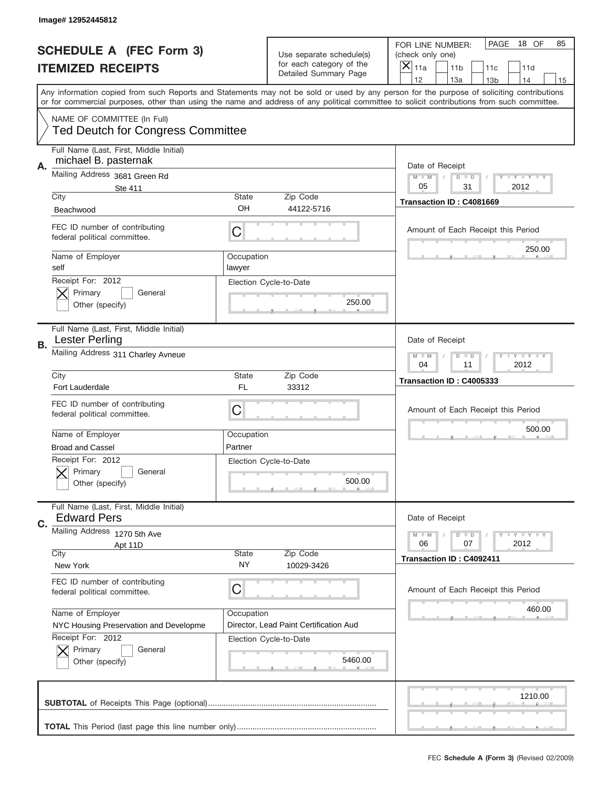|    | Image# 12952445812                                                                    |                                                         |                                                   |                                                                                                                                                                                                                                                                                                                                     |
|----|---------------------------------------------------------------------------------------|---------------------------------------------------------|---------------------------------------------------|-------------------------------------------------------------------------------------------------------------------------------------------------------------------------------------------------------------------------------------------------------------------------------------------------------------------------------------|
|    | <b>SCHEDULE A (FEC Form 3)</b>                                                        |                                                         | Use separate schedule(s)                          | PAGE<br>18 OF<br>85<br>FOR LINE NUMBER:<br>(check only one)                                                                                                                                                                                                                                                                         |
|    | <b>ITEMIZED RECEIPTS</b>                                                              |                                                         | for each category of the<br>Detailed Summary Page | ×<br>11a<br>11 <sub>b</sub><br>11c<br>11d                                                                                                                                                                                                                                                                                           |
|    |                                                                                       |                                                         |                                                   | 12<br>13a<br>14<br>13 <sub>b</sub><br>15<br>Any information copied from such Reports and Statements may not be sold or used by any person for the purpose of soliciting contributions<br>or for commercial purposes, other than using the name and address of any political committee to solicit contributions from such committee. |
|    | NAME OF COMMITTEE (In Full)<br><b>Ted Deutch for Congress Committee</b>               |                                                         |                                                   |                                                                                                                                                                                                                                                                                                                                     |
| Α. | Full Name (Last, First, Middle Initial)<br>michael B. pasternak                       |                                                         |                                                   | Date of Receipt                                                                                                                                                                                                                                                                                                                     |
|    | Mailing Address 3681 Green Rd<br>Ste 411<br>City                                      | State                                                   | Zip Code                                          | $M - M$<br><b>LEY LEY LEY</b><br>$D$ $D$<br>05<br>31<br>2012                                                                                                                                                                                                                                                                        |
|    | Beachwood                                                                             | OH                                                      | 44122-5716                                        | Transaction ID: C4081669                                                                                                                                                                                                                                                                                                            |
|    | FEC ID number of contributing<br>federal political committee.                         | C                                                       |                                                   | Amount of Each Receipt this Period                                                                                                                                                                                                                                                                                                  |
|    | Name of Employer<br>self                                                              | Occupation<br>lawyer                                    |                                                   | 250.00                                                                                                                                                                                                                                                                                                                              |
|    | Receipt For: 2012<br>Primary<br>General<br>Other (specify)                            |                                                         | Election Cycle-to-Date<br>250.00                  |                                                                                                                                                                                                                                                                                                                                     |
| В. | Full Name (Last, First, Middle Initial)<br><b>Lester Perling</b>                      |                                                         |                                                   | Date of Receipt                                                                                                                                                                                                                                                                                                                     |
|    | Mailing Address 311 Charley Avneue                                                    | <b>LYLYLY</b><br>$M - M$<br>$D$ $D$<br>04<br>11<br>2012 |                                                   |                                                                                                                                                                                                                                                                                                                                     |
|    | City<br>Fort Lauderdale                                                               | State<br>FL                                             | Zip Code<br>33312                                 | Transaction ID: C4005333                                                                                                                                                                                                                                                                                                            |
|    | FEC ID number of contributing<br>federal political committee.                         | C                                                       |                                                   | Amount of Each Receipt this Period                                                                                                                                                                                                                                                                                                  |
|    |                                                                                       |                                                         |                                                   | 500.00                                                                                                                                                                                                                                                                                                                              |
|    | Name of Employer                                                                      | Occupation                                              |                                                   |                                                                                                                                                                                                                                                                                                                                     |
|    | <b>Broad and Cassel</b><br>Receipt For: 2012<br>General<br>Primary<br>Other (specify) | Partner                                                 | Election Cycle-to-Date<br>500.00                  |                                                                                                                                                                                                                                                                                                                                     |
|    | Full Name (Last, First, Middle Initial)<br><b>Edward Pers</b>                         |                                                         |                                                   | Date of Receipt                                                                                                                                                                                                                                                                                                                     |
| C. | Mailing Address 1270 5th Ave                                                          |                                                         |                                                   | $I - Y - I - Y - I - Y$<br>$M - M$<br>$D$ $D$<br>2012<br>06<br>07                                                                                                                                                                                                                                                                   |
|    | Apt 11D<br>City<br>New York                                                           | State<br>NY.                                            | Zip Code<br>10029-3426                            | Transaction ID: C4092411                                                                                                                                                                                                                                                                                                            |
|    | FEC ID number of contributing<br>federal political committee.                         | C                                                       |                                                   | Amount of Each Receipt this Period                                                                                                                                                                                                                                                                                                  |
|    | Name of Employer<br>NYC Housing Preservation and Developme                            | Occupation                                              | Director, Lead Paint Certification Aud            | 460.00                                                                                                                                                                                                                                                                                                                              |
|    | Receipt For: 2012<br>Primary<br>General<br>Other (specify)                            |                                                         | Election Cycle-to-Date<br>5460.00                 |                                                                                                                                                                                                                                                                                                                                     |
|    |                                                                                       |                                                         |                                                   | 1210.00                                                                                                                                                                                                                                                                                                                             |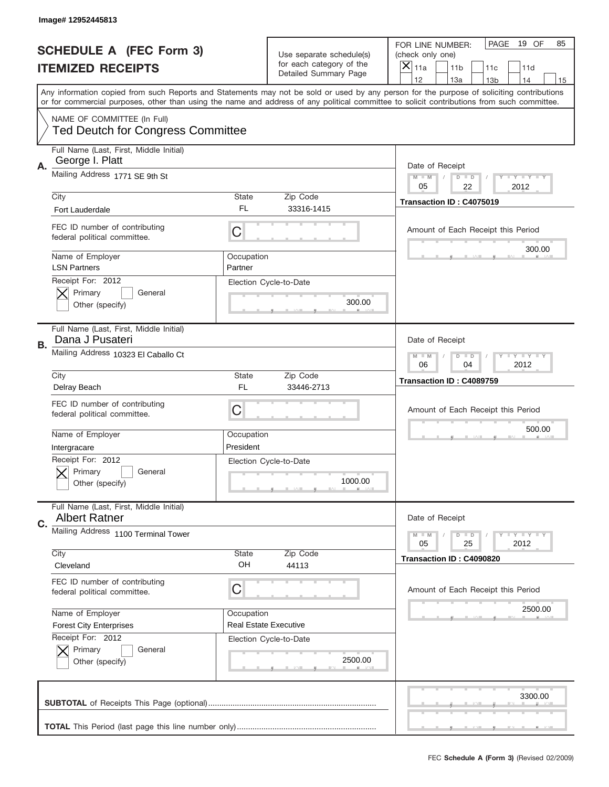|                          | Image# 12952445813                                                            |                                                           |                                                   |                                                                                                                                                                                       |
|--------------------------|-------------------------------------------------------------------------------|-----------------------------------------------------------|---------------------------------------------------|---------------------------------------------------------------------------------------------------------------------------------------------------------------------------------------|
|                          | <b>SCHEDULE A (FEC Form 3)</b>                                                |                                                           | Use separate schedule(s)                          | PAGE<br>19 OF<br>85<br>FOR LINE NUMBER:<br>(check only one)                                                                                                                           |
| <b>ITEMIZED RECEIPTS</b> |                                                                               |                                                           | for each category of the<br>Detailed Summary Page | ×<br>11a<br>11 <sub>b</sub><br>11c<br>11d                                                                                                                                             |
|                          |                                                                               |                                                           |                                                   | 12<br>13a<br>14<br>13 <sub>b</sub><br>15<br>Any information copied from such Reports and Statements may not be sold or used by any person for the purpose of soliciting contributions |
|                          |                                                                               |                                                           |                                                   | or for commercial purposes, other than using the name and address of any political committee to solicit contributions from such committee.                                            |
|                          | NAME OF COMMITTEE (In Full)<br><b>Ted Deutch for Congress Committee</b>       |                                                           |                                                   |                                                                                                                                                                                       |
| А.                       | Full Name (Last, First, Middle Initial)<br>George I. Platt                    |                                                           |                                                   | Date of Receipt                                                                                                                                                                       |
|                          | Mailing Address 1771 SE 9th St                                                |                                                           |                                                   | Y TY TY TY<br>$M$ $M$<br>$D$ $D$<br>05<br>22<br>2012                                                                                                                                  |
|                          | City<br><b>Fort Lauderdale</b>                                                | State<br>FL                                               | Zip Code<br>33316-1415                            | Transaction ID: C4075019                                                                                                                                                              |
|                          | FEC ID number of contributing<br>federal political committee.                 | C                                                         |                                                   | Amount of Each Receipt this Period                                                                                                                                                    |
|                          | Name of Employer<br><b>LSN Partners</b>                                       | Occupation<br>Partner                                     |                                                   | 300.00                                                                                                                                                                                |
|                          | Receipt For: 2012<br>Primary<br>General<br>Other (specify)                    |                                                           | Election Cycle-to-Date<br>300.00                  |                                                                                                                                                                                       |
| В.                       | Full Name (Last, First, Middle Initial)<br>Dana J Pusateri                    |                                                           |                                                   | Date of Receipt                                                                                                                                                                       |
|                          | Mailing Address 10323 El Caballo Ct                                           | <b>LY LY LY</b><br>$M$ $M$<br>$D$ $D$<br>06<br>04<br>2012 |                                                   |                                                                                                                                                                                       |
|                          | City                                                                          | State<br><b>FL</b>                                        | Zip Code<br>33446-2713                            | Transaction ID: C4089759                                                                                                                                                              |
|                          | Delray Beach<br>FEC ID number of contributing<br>federal political committee. | C                                                         |                                                   | Amount of Each Receipt this Period                                                                                                                                                    |
|                          | Name of Employer                                                              | Occupation<br>President                                   |                                                   | 500.00                                                                                                                                                                                |
|                          | Intergracare<br>Receipt For: 2012                                             |                                                           | Election Cycle-to-Date                            |                                                                                                                                                                                       |
|                          | Primary<br>General<br>Other (specify)                                         |                                                           | 1000.00                                           |                                                                                                                                                                                       |
| C.                       | Full Name (Last, First, Middle Initial)<br><b>Albert Ratner</b>               |                                                           |                                                   | Date of Receipt                                                                                                                                                                       |
|                          | Mailing Address 1100 Terminal Tower                                           |                                                           |                                                   | <b>LY LY LY</b><br>$M - M$<br>$D$ $D$<br>05<br>25<br>2012                                                                                                                             |
|                          | City<br>Cleveland                                                             | State<br>OH                                               | Zip Code<br>44113                                 | Transaction ID: C4090820                                                                                                                                                              |
|                          | FEC ID number of contributing<br>federal political committee.                 | C                                                         |                                                   | Amount of Each Receipt this Period                                                                                                                                                    |
|                          | Name of Employer                                                              | Occupation                                                |                                                   | 2500.00                                                                                                                                                                               |
|                          | <b>Forest City Enterprises</b><br>Receipt For: 2012                           | <b>Real Estate Executive</b>                              |                                                   |                                                                                                                                                                                       |
|                          | Primary<br>General<br>Other (specify)                                         |                                                           | Election Cycle-to-Date<br>2500.00                 |                                                                                                                                                                                       |
|                          |                                                                               |                                                           |                                                   | 3300.00                                                                                                                                                                               |
|                          |                                                                               |                                                           |                                                   |                                                                                                                                                                                       |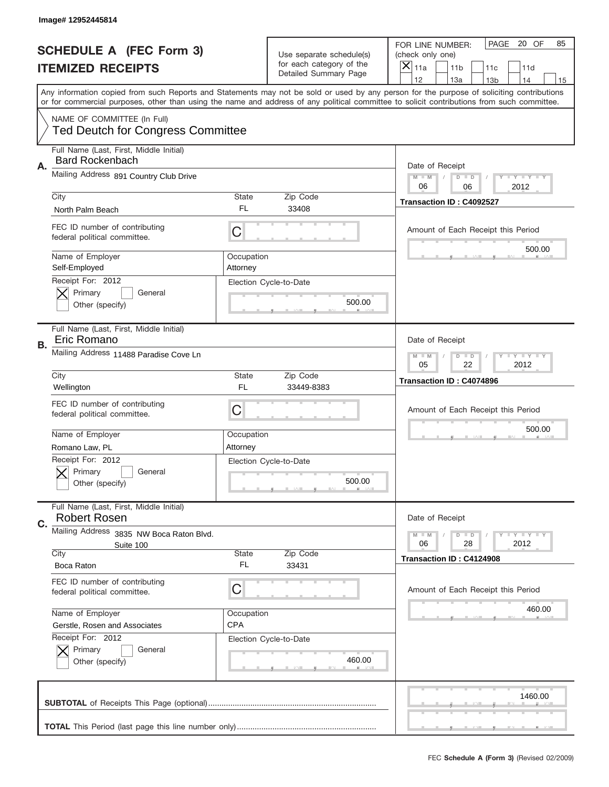|                          | Image# 12952445814                                                      |                                                                   |                                                   |                                                                                                                                                                                       |
|--------------------------|-------------------------------------------------------------------------|-------------------------------------------------------------------|---------------------------------------------------|---------------------------------------------------------------------------------------------------------------------------------------------------------------------------------------|
|                          | <b>SCHEDULE A (FEC Form 3)</b>                                          |                                                                   | Use separate schedule(s)                          | PAGE<br>20 OF<br>85<br>FOR LINE NUMBER:<br>(check only one)                                                                                                                           |
| <b>ITEMIZED RECEIPTS</b> |                                                                         |                                                                   | for each category of the<br>Detailed Summary Page | ×<br>11a<br>11 <sub>b</sub><br>11c<br>11d                                                                                                                                             |
|                          |                                                                         |                                                                   |                                                   | 12<br>13a<br>14<br>13 <sub>b</sub><br>15<br>Any information copied from such Reports and Statements may not be sold or used by any person for the purpose of soliciting contributions |
|                          |                                                                         |                                                                   |                                                   | or for commercial purposes, other than using the name and address of any political committee to solicit contributions from such committee.                                            |
|                          | NAME OF COMMITTEE (In Full)<br><b>Ted Deutch for Congress Committee</b> |                                                                   |                                                   |                                                                                                                                                                                       |
| Α.                       | Full Name (Last, First, Middle Initial)<br><b>Bard Rockenbach</b>       |                                                                   |                                                   | Date of Receipt                                                                                                                                                                       |
|                          | Mailing Address 891 Country Club Drive                                  |                                                                   |                                                   | Y TY TY TY<br>$M - M$<br>$D$ $D$<br>06<br>2012<br>06                                                                                                                                  |
|                          | City                                                                    | State                                                             | Zip Code                                          | Transaction ID: C4092527                                                                                                                                                              |
|                          | North Palm Beach                                                        | FL                                                                | 33408                                             |                                                                                                                                                                                       |
|                          | FEC ID number of contributing<br>federal political committee.           | C                                                                 |                                                   | Amount of Each Receipt this Period<br>500.00                                                                                                                                          |
|                          | Name of Employer<br>Self-Employed                                       | Occupation<br>Attorney                                            |                                                   |                                                                                                                                                                                       |
|                          | Receipt For: 2012                                                       |                                                                   | Election Cycle-to-Date                            |                                                                                                                                                                                       |
|                          | Primary<br>General<br>Other (specify)                                   |                                                                   | 500.00                                            |                                                                                                                                                                                       |
| В.                       | Full Name (Last, First, Middle Initial)<br>Eric Romano                  |                                                                   |                                                   | Date of Receipt                                                                                                                                                                       |
|                          | Mailing Address 11488 Paradise Cove Ln                                  | $T$ $Y$ $T$ $Y$ $T$ $Y$<br>$M - M$<br>$D$ $D$<br>05<br>22<br>2012 |                                                   |                                                                                                                                                                                       |
|                          | City                                                                    | State                                                             | Zip Code                                          | Transaction ID: C4074896                                                                                                                                                              |
|                          | Wellington                                                              | <b>FL</b>                                                         | 33449-8383                                        |                                                                                                                                                                                       |
|                          | FEC ID number of contributing<br>federal political committee.           | C                                                                 |                                                   | Amount of Each Receipt this Period                                                                                                                                                    |
|                          | Name of Employer                                                        | Occupation                                                        |                                                   | 500.00                                                                                                                                                                                |
|                          | Romano Law, PL                                                          | Attorney                                                          |                                                   |                                                                                                                                                                                       |
|                          |                                                                         |                                                                   | Election Cycle-to-Date                            |                                                                                                                                                                                       |
|                          | Receipt For: 2012<br>General<br>Primary<br>Other (specify)              |                                                                   | 500.00                                            |                                                                                                                                                                                       |
|                          | Full Name (Last, First, Middle Initial)<br><b>Robert Rosen</b>          |                                                                   |                                                   | Date of Receipt                                                                                                                                                                       |
| C.                       | Mailing Address 3835 NW Boca Raton Blvd.                                |                                                                   |                                                   | <b>LYLYLY</b><br>$M - M$<br>$D$ $D$                                                                                                                                                   |
|                          | Suite 100                                                               |                                                                   |                                                   | 28<br>2012<br>06                                                                                                                                                                      |
|                          | City<br>Boca Raton                                                      | State<br>FL                                                       | Zip Code<br>33431                                 | Transaction ID: C4124908                                                                                                                                                              |
|                          |                                                                         |                                                                   |                                                   |                                                                                                                                                                                       |
|                          | FEC ID number of contributing<br>federal political committee.           | C                                                                 |                                                   | Amount of Each Receipt this Period                                                                                                                                                    |
|                          | Name of Employer                                                        | Occupation                                                        |                                                   | 460.00                                                                                                                                                                                |
|                          | Gerstle, Rosen and Associates                                           | <b>CPA</b>                                                        |                                                   |                                                                                                                                                                                       |
|                          | Receipt For: 2012                                                       |                                                                   | Election Cycle-to-Date                            |                                                                                                                                                                                       |
|                          | Primary<br>General<br>Other (specify)                                   |                                                                   | 460.00                                            |                                                                                                                                                                                       |
|                          |                                                                         |                                                                   |                                                   | 1460.00                                                                                                                                                                               |
|                          |                                                                         |                                                                   |                                                   |                                                                                                                                                                                       |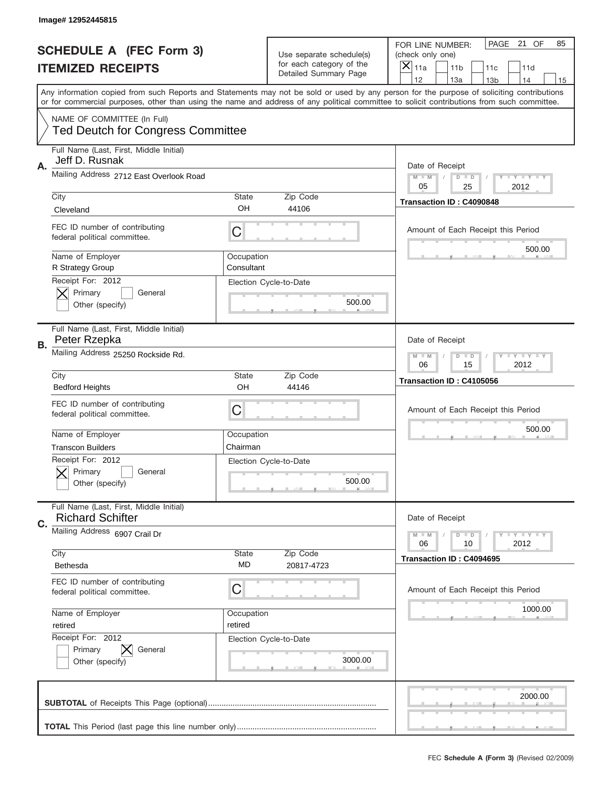|                          | Image# 12952445815                                                      |                                                                   |                                                   |                                                                                                                                                                                                                                                                                         |
|--------------------------|-------------------------------------------------------------------------|-------------------------------------------------------------------|---------------------------------------------------|-----------------------------------------------------------------------------------------------------------------------------------------------------------------------------------------------------------------------------------------------------------------------------------------|
|                          | <b>SCHEDULE A (FEC Form 3)</b>                                          |                                                                   | Use separate schedule(s)                          | PAGE<br>21 OF<br>85<br>FOR LINE NUMBER:<br>(check only one)                                                                                                                                                                                                                             |
| <b>ITEMIZED RECEIPTS</b> |                                                                         |                                                                   | for each category of the<br>Detailed Summary Page | ×<br>11a<br>11 <sub>b</sub><br>11c<br>11d                                                                                                                                                                                                                                               |
|                          |                                                                         |                                                                   |                                                   | 12<br>13a<br>14<br>13 <sub>b</sub><br>15                                                                                                                                                                                                                                                |
|                          |                                                                         |                                                                   |                                                   | Any information copied from such Reports and Statements may not be sold or used by any person for the purpose of soliciting contributions<br>or for commercial purposes, other than using the name and address of any political committee to solicit contributions from such committee. |
|                          | NAME OF COMMITTEE (In Full)<br><b>Ted Deutch for Congress Committee</b> |                                                                   |                                                   |                                                                                                                                                                                                                                                                                         |
| Α.                       | Full Name (Last, First, Middle Initial)<br>Jeff D. Rusnak               |                                                                   |                                                   | Date of Receipt                                                                                                                                                                                                                                                                         |
|                          | Mailing Address 2712 East Overlook Road                                 |                                                                   |                                                   | Y TY TY TY<br>$M$ $M$<br>$D$ $D$<br>05<br>2012<br>25                                                                                                                                                                                                                                    |
|                          | City                                                                    | State                                                             | Zip Code                                          | Transaction ID: C4090848                                                                                                                                                                                                                                                                |
|                          | Cleveland                                                               | OH                                                                | 44106                                             |                                                                                                                                                                                                                                                                                         |
|                          | FEC ID number of contributing<br>federal political committee.           | C                                                                 |                                                   | Amount of Each Receipt this Period<br>500.00                                                                                                                                                                                                                                            |
|                          | Name of Employer<br>R Strategy Group                                    | Occupation<br>Consultant                                          |                                                   |                                                                                                                                                                                                                                                                                         |
|                          | Receipt For: 2012<br>Primary<br>General<br>Other (specify)              |                                                                   | Election Cycle-to-Date<br>500.00                  |                                                                                                                                                                                                                                                                                         |
|                          | Full Name (Last, First, Middle Initial)<br>Peter Rzepka                 |                                                                   |                                                   | Date of Receipt                                                                                                                                                                                                                                                                         |
| В.                       | Mailing Address 25250 Rockside Rd.                                      | $T$ $Y$ $T$ $Y$ $T$ $Y$<br>$M$ $M$<br>$D$ $D$<br>06<br>15<br>2012 |                                                   |                                                                                                                                                                                                                                                                                         |
|                          | City                                                                    | State                                                             | Zip Code                                          | Transaction ID: C4105056                                                                                                                                                                                                                                                                |
|                          | <b>Bedford Heights</b>                                                  | OH                                                                | 44146                                             |                                                                                                                                                                                                                                                                                         |
|                          | FEC ID number of contributing<br>federal political committee.           | C                                                                 |                                                   | Amount of Each Receipt this Period                                                                                                                                                                                                                                                      |
|                          | Name of Employer                                                        | Occupation                                                        |                                                   | 500.00                                                                                                                                                                                                                                                                                  |
|                          | <b>Transcon Builders</b>                                                | Chairman                                                          |                                                   |                                                                                                                                                                                                                                                                                         |
|                          | Receipt For: 2012<br>Primary<br>General<br>Other (specify)              |                                                                   | Election Cycle-to-Date<br>500.00                  |                                                                                                                                                                                                                                                                                         |
| C.                       | Full Name (Last, First, Middle Initial)<br><b>Richard Schifter</b>      |                                                                   |                                                   | Date of Receipt                                                                                                                                                                                                                                                                         |
|                          | Mailing Address 6907 Crail Dr                                           |                                                                   |                                                   | Y FY FY FY<br>$M - M$<br>$D$ $D$<br>2012<br>06<br>10                                                                                                                                                                                                                                    |
|                          | City<br>Bethesda                                                        | State<br>MD                                                       | Zip Code<br>20817-4723                            | Transaction ID: C4094695                                                                                                                                                                                                                                                                |
|                          | FEC ID number of contributing<br>federal political committee.           | C                                                                 |                                                   | Amount of Each Receipt this Period                                                                                                                                                                                                                                                      |
|                          | Name of Employer                                                        | Occupation                                                        |                                                   | 1000.00                                                                                                                                                                                                                                                                                 |
|                          | retired                                                                 | retired                                                           |                                                   |                                                                                                                                                                                                                                                                                         |
|                          | Receipt For: 2012<br>Primary<br>General<br>Other (specify)              |                                                                   | Election Cycle-to-Date<br>3000.00                 |                                                                                                                                                                                                                                                                                         |
|                          |                                                                         |                                                                   |                                                   |                                                                                                                                                                                                                                                                                         |
|                          |                                                                         |                                                                   |                                                   | 2000.00                                                                                                                                                                                                                                                                                 |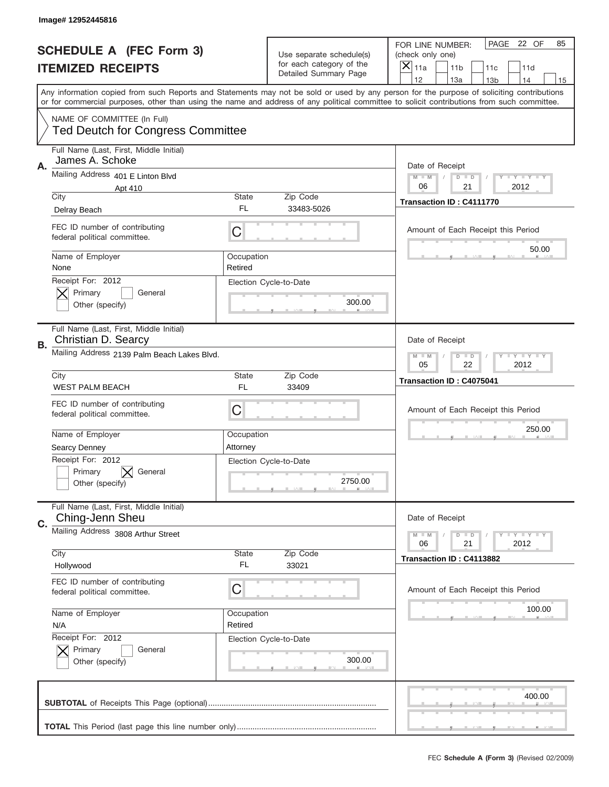|                          | Image#12952445816                                                                  |                                                           |                                                           |                                                                                                                                                                                                                                                                                                                  |
|--------------------------|------------------------------------------------------------------------------------|-----------------------------------------------------------|-----------------------------------------------------------|------------------------------------------------------------------------------------------------------------------------------------------------------------------------------------------------------------------------------------------------------------------------------------------------------------------|
|                          | <b>SCHEDULE A (FEC Form 3)</b>                                                     |                                                           | Use separate schedule(s)                                  | PAGE 22 OF<br>85<br>FOR LINE NUMBER:<br>(check only one)                                                                                                                                                                                                                                                         |
| <b>ITEMIZED RECEIPTS</b> |                                                                                    |                                                           | for each category of the<br>Detailed Summary Page         | $\overline{X} _{11a}$<br>11 <sub>b</sub><br>11c<br>11d<br>12<br>13a<br>14                                                                                                                                                                                                                                        |
|                          |                                                                                    |                                                           |                                                           | 13 <sub>b</sub><br>15<br>Any information copied from such Reports and Statements may not be sold or used by any person for the purpose of soliciting contributions<br>or for commercial purposes, other than using the name and address of any political committee to solicit contributions from such committee. |
|                          | NAME OF COMMITTEE (In Full)<br><b>Ted Deutch for Congress Committee</b>            |                                                           |                                                           |                                                                                                                                                                                                                                                                                                                  |
| A.                       | Full Name (Last, First, Middle Initial)<br>James A. Schoke                         |                                                           |                                                           | Date of Receipt                                                                                                                                                                                                                                                                                                  |
|                          | Mailing Address 401 E Linton Blvd<br>Apt 410<br>City                               | State                                                     | Zip Code                                                  | <b>LYLYLY</b><br>$M - M$<br>$D$ $D$<br>06<br>21<br>2012                                                                                                                                                                                                                                                          |
|                          | Delray Beach                                                                       | FL.                                                       | 33483-5026                                                | Transaction ID: C4111770                                                                                                                                                                                                                                                                                         |
|                          | FEC ID number of contributing<br>federal political committee.                      | C                                                         |                                                           | Amount of Each Receipt this Period                                                                                                                                                                                                                                                                               |
|                          | Name of Employer<br>None                                                           | Occupation<br>Retired                                     |                                                           | 50.00                                                                                                                                                                                                                                                                                                            |
|                          | Receipt For: 2012<br>Primary<br>General<br>Other (specify)                         |                                                           | Election Cycle-to-Date<br>300.00                          |                                                                                                                                                                                                                                                                                                                  |
| В.                       | Full Name (Last, First, Middle Initial)<br>Christian D. Searcy                     |                                                           |                                                           | Date of Receipt                                                                                                                                                                                                                                                                                                  |
|                          | Mailing Address 2139 Palm Beach Lakes Blvd.                                        | <b>LY LY LY</b><br>$M - M$<br>$D$ $D$<br>05<br>22<br>2012 |                                                           |                                                                                                                                                                                                                                                                                                                  |
|                          | City<br><b>WEST PALM BEACH</b>                                                     | State<br>FL.                                              | Zip Code<br>33409                                         | Transaction ID: C4075041                                                                                                                                                                                                                                                                                         |
|                          | FEC ID number of contributing<br>federal political committee.                      | C                                                         |                                                           | Amount of Each Receipt this Period                                                                                                                                                                                                                                                                               |
|                          | Name of Employer                                                                   | Occupation<br>Attorney                                    |                                                           | 250.00                                                                                                                                                                                                                                                                                                           |
|                          | <b>Searcy Denney</b><br>Receipt For: 2012<br>Primary<br>General<br>Other (specify) |                                                           | Election Cycle-to-Date<br>2750.00                         |                                                                                                                                                                                                                                                                                                                  |
| C.                       | Full Name (Last, First, Middle Initial)<br>Ching-Jenn Sheu                         |                                                           |                                                           | Date of Receipt                                                                                                                                                                                                                                                                                                  |
|                          | Mailing Address 3808 Arthur Street                                                 |                                                           | <b>LY LY LY</b><br>$M - M$<br>$D$ $D$<br>21<br>2012<br>06 |                                                                                                                                                                                                                                                                                                                  |
|                          |                                                                                    | <b>State</b>                                              | Zip Code                                                  |                                                                                                                                                                                                                                                                                                                  |
|                          | City<br>Hollywood                                                                  | FL.                                                       | 33021                                                     | Transaction ID: C4113882                                                                                                                                                                                                                                                                                         |
|                          | FEC ID number of contributing<br>federal political committee.                      | С                                                         |                                                           | Amount of Each Receipt this Period                                                                                                                                                                                                                                                                               |
|                          | Name of Employer<br>N/A                                                            | Occupation<br>Retired                                     |                                                           | 100.00                                                                                                                                                                                                                                                                                                           |
|                          | Receipt For: 2012<br>Primary<br>General<br>Other (specify)                         |                                                           | Election Cycle-to-Date<br>300.00                          |                                                                                                                                                                                                                                                                                                                  |
|                          |                                                                                    |                                                           |                                                           | 400.00                                                                                                                                                                                                                                                                                                           |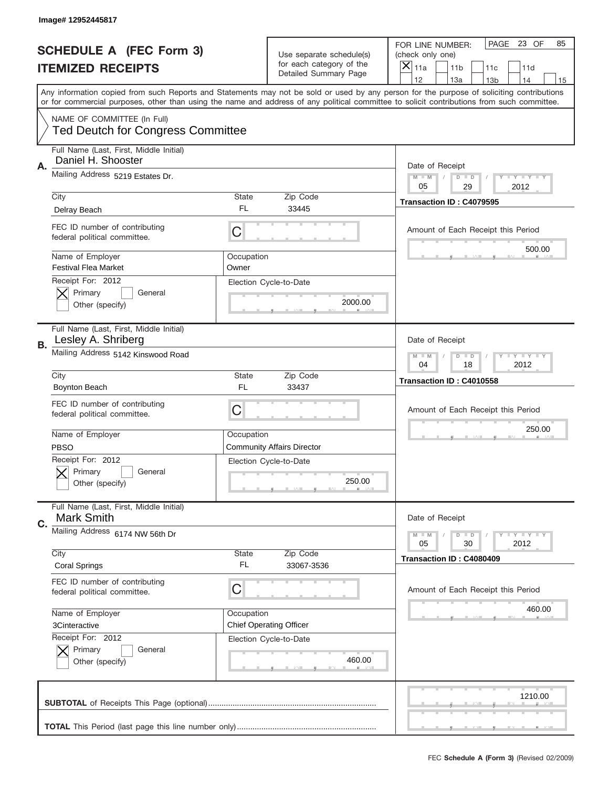|                          | Image# 12952445817                                                      |                                                           |                                                   |                                                                                                                                                                                       |
|--------------------------|-------------------------------------------------------------------------|-----------------------------------------------------------|---------------------------------------------------|---------------------------------------------------------------------------------------------------------------------------------------------------------------------------------------|
|                          | <b>SCHEDULE A (FEC Form 3)</b>                                          |                                                           | Use separate schedule(s)                          | PAGE 23 OF<br>85<br>FOR LINE NUMBER:<br>(check only one)                                                                                                                              |
| <b>ITEMIZED RECEIPTS</b> |                                                                         |                                                           | for each category of the<br>Detailed Summary Page | $\boldsymbol{\times}$<br>11a<br>11 <sub>b</sub><br>11c<br>11d                                                                                                                         |
|                          |                                                                         |                                                           |                                                   | 12<br>13a<br>14<br>13 <sub>b</sub><br>15<br>Any information copied from such Reports and Statements may not be sold or used by any person for the purpose of soliciting contributions |
|                          |                                                                         |                                                           |                                                   | or for commercial purposes, other than using the name and address of any political committee to solicit contributions from such committee.                                            |
|                          | NAME OF COMMITTEE (In Full)<br><b>Ted Deutch for Congress Committee</b> |                                                           |                                                   |                                                                                                                                                                                       |
| Α.                       | Full Name (Last, First, Middle Initial)<br>Daniel H. Shooster           |                                                           |                                                   | Date of Receipt                                                                                                                                                                       |
|                          | Mailing Address 5219 Estates Dr.                                        |                                                           |                                                   | <b>LY LY LY</b><br>$M - M$<br>$D$ $D$<br>05<br>29<br>2012                                                                                                                             |
|                          | City                                                                    | <b>State</b>                                              | Zip Code                                          | Transaction ID: C4079595                                                                                                                                                              |
|                          | Delray Beach                                                            | FL.                                                       | 33445                                             |                                                                                                                                                                                       |
|                          | FEC ID number of contributing<br>federal political committee.           | C                                                         |                                                   | Amount of Each Receipt this Period                                                                                                                                                    |
|                          | Name of Employer<br><b>Festival Flea Market</b>                         | Occupation<br>Owner                                       |                                                   | 500.00                                                                                                                                                                                |
|                          | Receipt For: 2012<br>Primary<br>General<br>Other (specify)              |                                                           | Election Cycle-to-Date<br>2000.00                 |                                                                                                                                                                                       |
| В.                       | Full Name (Last, First, Middle Initial)<br>Lesley A. Shriberg           |                                                           |                                                   | Date of Receipt                                                                                                                                                                       |
|                          | Mailing Address 5142 Kinswood Road                                      | <b>LY LY LY</b><br>$D$ $D$<br>$M - M$<br>04<br>18<br>2012 |                                                   |                                                                                                                                                                                       |
|                          | City                                                                    | <b>State</b>                                              | Zip Code                                          | Transaction ID: C4010558                                                                                                                                                              |
|                          | <b>Boynton Beach</b>                                                    | FL.                                                       | 33437                                             |                                                                                                                                                                                       |
|                          | FEC ID number of contributing<br>federal political committee.           | C                                                         |                                                   | Amount of Each Receipt this Period                                                                                                                                                    |
|                          |                                                                         |                                                           |                                                   | 250.00                                                                                                                                                                                |
|                          | Name of Employer<br><b>PBSO</b>                                         | Occupation                                                | <b>Community Affairs Director</b>                 |                                                                                                                                                                                       |
|                          | Receipt For: 2012                                                       |                                                           | Election Cycle-to-Date                            |                                                                                                                                                                                       |
|                          | General<br>Primary<br>Other (specify)                                   |                                                           | 250.00                                            |                                                                                                                                                                                       |
|                          | Full Name (Last, First, Middle Initial)<br><b>Mark Smith</b>            |                                                           |                                                   | Date of Receipt                                                                                                                                                                       |
| C.                       | Mailing Address 6174 NW 56th Dr                                         |                                                           |                                                   | <b>LYLYLY</b><br>$M - M$<br>$D$ $D$<br>05<br>2012<br>30                                                                                                                               |
|                          | City<br><b>Coral Springs</b>                                            | <b>State</b><br>FL.                                       | Zip Code<br>33067-3536                            | Transaction ID: C4080409                                                                                                                                                              |
|                          | FEC ID number of contributing<br>federal political committee.           | С                                                         |                                                   | Amount of Each Receipt this Period                                                                                                                                                    |
|                          | Name of Employer                                                        | Occupation                                                |                                                   | 460.00                                                                                                                                                                                |
|                          | 3Cinteractive                                                           |                                                           | <b>Chief Operating Officer</b>                    |                                                                                                                                                                                       |
|                          | Receipt For: 2012<br>Primary<br>General<br>Other (specify)              |                                                           | Election Cycle-to-Date<br>460.00                  |                                                                                                                                                                                       |
|                          |                                                                         |                                                           |                                                   | 1210.00                                                                                                                                                                               |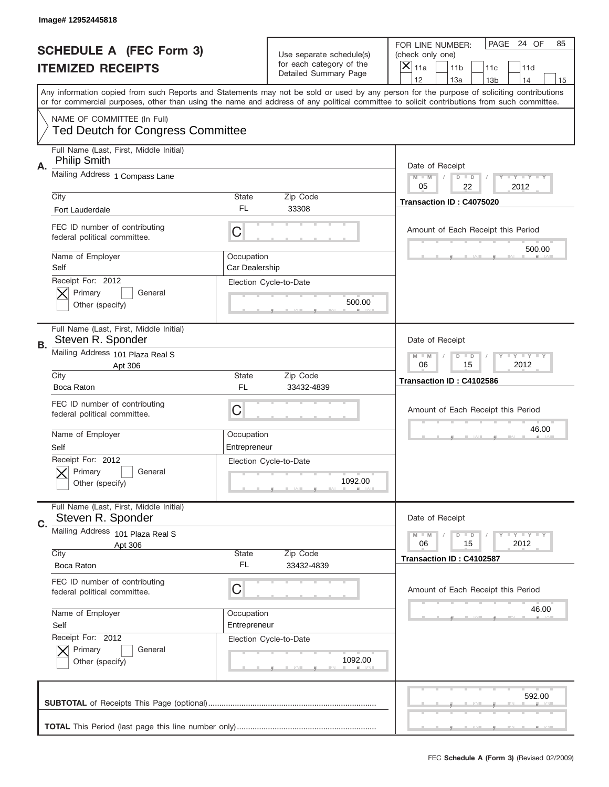|                          | Image# 12952445818                                                      |                                                           |                                                   |                                                                                                                                                                                                                                                                                         |
|--------------------------|-------------------------------------------------------------------------|-----------------------------------------------------------|---------------------------------------------------|-----------------------------------------------------------------------------------------------------------------------------------------------------------------------------------------------------------------------------------------------------------------------------------------|
|                          | <b>SCHEDULE A (FEC Form 3)</b>                                          |                                                           | Use separate schedule(s)                          | PAGE<br>24 OF<br>85<br>FOR LINE NUMBER:<br>(check only one)                                                                                                                                                                                                                             |
| <b>ITEMIZED RECEIPTS</b> |                                                                         |                                                           | for each category of the<br>Detailed Summary Page | ×<br>11a<br>11 <sub>b</sub><br>11c<br>11d                                                                                                                                                                                                                                               |
|                          |                                                                         |                                                           |                                                   | 12<br>13a<br>14<br>13 <sub>b</sub><br>15                                                                                                                                                                                                                                                |
|                          |                                                                         |                                                           |                                                   | Any information copied from such Reports and Statements may not be sold or used by any person for the purpose of soliciting contributions<br>or for commercial purposes, other than using the name and address of any political committee to solicit contributions from such committee. |
|                          | NAME OF COMMITTEE (In Full)<br><b>Ted Deutch for Congress Committee</b> |                                                           |                                                   |                                                                                                                                                                                                                                                                                         |
|                          | Full Name (Last, First, Middle Initial)<br><b>Philip Smith</b>          |                                                           |                                                   |                                                                                                                                                                                                                                                                                         |
| Α.                       | Mailing Address 1 Compass Lane                                          |                                                           |                                                   | Date of Receipt<br>Y TY TY TY<br>$M - M$<br>$D$ $D$<br>22<br>2012<br>05                                                                                                                                                                                                                 |
|                          | City                                                                    | <b>State</b><br>FL.                                       | Zip Code<br>33308                                 | Transaction ID: C4075020                                                                                                                                                                                                                                                                |
|                          | Fort Lauderdale                                                         |                                                           |                                                   |                                                                                                                                                                                                                                                                                         |
|                          | FEC ID number of contributing<br>federal political committee.           | C                                                         |                                                   | Amount of Each Receipt this Period<br>500.00                                                                                                                                                                                                                                            |
|                          | Name of Employer<br>Self                                                | Occupation<br>Car Dealership                              |                                                   |                                                                                                                                                                                                                                                                                         |
|                          | Receipt For: 2012<br>Primary<br>General<br>Other (specify)              |                                                           | Election Cycle-to-Date<br>500.00                  |                                                                                                                                                                                                                                                                                         |
| В.                       | Full Name (Last, First, Middle Initial)<br>Steven R. Sponder            |                                                           |                                                   | Date of Receipt                                                                                                                                                                                                                                                                         |
|                          | Mailing Address 101 Plaza Real S<br>Apt 306                             | <b>LY LY LY</b><br>$M - M$<br>$D$ $D$<br>06<br>15<br>2012 |                                                   |                                                                                                                                                                                                                                                                                         |
|                          | City<br>Boca Raton                                                      | <b>State</b><br>FL                                        | Zip Code<br>33432-4839                            | Transaction ID: C4102586                                                                                                                                                                                                                                                                |
|                          | FEC ID number of contributing<br>federal political committee.           | C                                                         |                                                   | Amount of Each Receipt this Period                                                                                                                                                                                                                                                      |
|                          | Name of Employer<br>Self                                                | Occupation<br>Entrepreneur                                |                                                   | 46.00                                                                                                                                                                                                                                                                                   |
|                          | Receipt For: 2012                                                       |                                                           | Election Cycle-to-Date                            |                                                                                                                                                                                                                                                                                         |
|                          | General<br>Primary<br>Other (specify)                                   |                                                           | 1092.00                                           |                                                                                                                                                                                                                                                                                         |
| C.                       | Full Name (Last, First, Middle Initial)<br>Steven R. Sponder            |                                                           |                                                   | Date of Receipt                                                                                                                                                                                                                                                                         |
|                          | Mailing Address<br>101 Plaza Real S                                     |                                                           |                                                   | <b>LYLYLY</b><br>$M - M$<br>$D$ $D$                                                                                                                                                                                                                                                     |
|                          | Apt 306<br>City                                                         | <b>State</b>                                              | Zip Code                                          | 2012<br>06<br>15                                                                                                                                                                                                                                                                        |
|                          | Boca Raton                                                              | FL.                                                       | 33432-4839                                        | Transaction ID: C4102587                                                                                                                                                                                                                                                                |
|                          | FEC ID number of contributing<br>federal political committee.           | C                                                         |                                                   | Amount of Each Receipt this Period                                                                                                                                                                                                                                                      |
|                          | Name of Employer                                                        | Occupation                                                |                                                   | 46.00                                                                                                                                                                                                                                                                                   |
|                          | Self                                                                    | Entrepreneur                                              |                                                   |                                                                                                                                                                                                                                                                                         |
|                          | Receipt For: 2012<br>Primary<br>General<br>Other (specify)              |                                                           | Election Cycle-to-Date<br>1092.00                 |                                                                                                                                                                                                                                                                                         |
|                          |                                                                         |                                                           |                                                   | 592.00                                                                                                                                                                                                                                                                                  |
|                          |                                                                         |                                                           |                                                   |                                                                                                                                                                                                                                                                                         |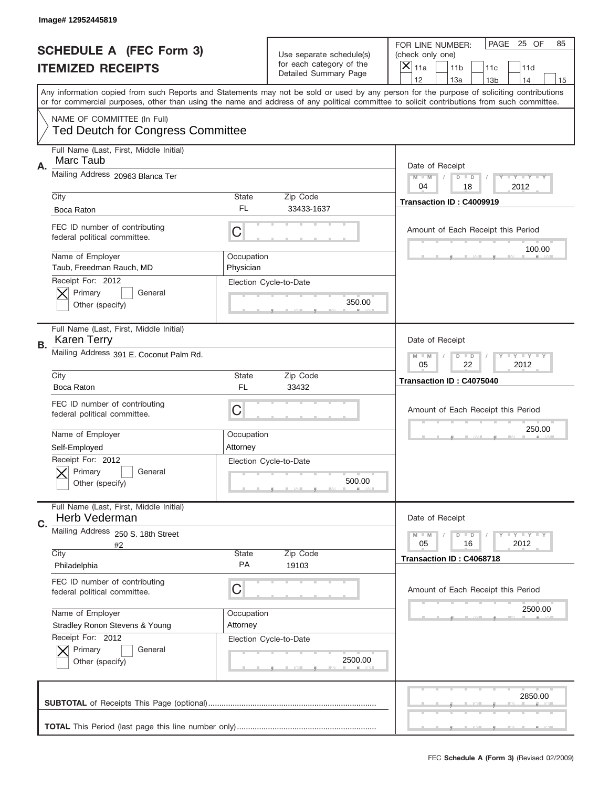|    | Image# 12952445819                                                      |                         |                                                   |                                                                                                                                                                                       |
|----|-------------------------------------------------------------------------|-------------------------|---------------------------------------------------|---------------------------------------------------------------------------------------------------------------------------------------------------------------------------------------|
|    | <b>SCHEDULE A (FEC Form 3)</b>                                          |                         | Use separate schedule(s)                          | PAGE<br>25 OF<br>85<br>FOR LINE NUMBER:<br>(check only one)                                                                                                                           |
|    | <b>ITEMIZED RECEIPTS</b>                                                |                         | for each category of the<br>Detailed Summary Page | ×<br>11a<br>11 <sub>b</sub><br>11c<br>11d                                                                                                                                             |
|    |                                                                         |                         |                                                   | 12<br>13a<br>14<br>13 <sub>b</sub><br>15<br>Any information copied from such Reports and Statements may not be sold or used by any person for the purpose of soliciting contributions |
|    |                                                                         |                         |                                                   | or for commercial purposes, other than using the name and address of any political committee to solicit contributions from such committee.                                            |
|    | NAME OF COMMITTEE (In Full)<br><b>Ted Deutch for Congress Committee</b> |                         |                                                   |                                                                                                                                                                                       |
| Α. | Full Name (Last, First, Middle Initial)<br>Marc Taub                    |                         |                                                   | Date of Receipt                                                                                                                                                                       |
|    | Mailing Address 20963 Blanca Ter                                        |                         |                                                   | Y TY TY TY<br>$M$ $M$<br>$D$ $D$<br>2012<br>04<br>18                                                                                                                                  |
|    | City                                                                    | State                   | Zip Code                                          | Transaction ID: C4009919                                                                                                                                                              |
|    | Boca Raton                                                              | FL                      | 33433-1637                                        |                                                                                                                                                                                       |
|    | FEC ID number of contributing<br>federal political committee.           | C                       |                                                   | Amount of Each Receipt this Period<br>100.00                                                                                                                                          |
|    | Name of Employer<br>Taub, Freedman Rauch, MD                            | Occupation<br>Physician |                                                   |                                                                                                                                                                                       |
|    | Receipt For: 2012<br>Primary<br>General                                 |                         | Election Cycle-to-Date                            |                                                                                                                                                                                       |
|    | Other (specify)                                                         |                         | 350.00                                            |                                                                                                                                                                                       |
| В. | Full Name (Last, First, Middle Initial)<br><b>Karen Terry</b>           |                         |                                                   | Date of Receipt                                                                                                                                                                       |
|    | Mailing Address 391 E. Coconut Palm Rd.                                 |                         |                                                   | $T$ $Y$ $T$ $Y$ $T$ $Y$<br>$M$ M<br>$D$ $D$<br>05<br>22<br>2012                                                                                                                       |
|    | City                                                                    | State                   | Zip Code                                          | Transaction ID: C4075040                                                                                                                                                              |
|    | Boca Raton                                                              | <b>FL</b>               | 33432                                             |                                                                                                                                                                                       |
|    | FEC ID number of contributing<br>federal political committee.           | C                       |                                                   | Amount of Each Receipt this Period                                                                                                                                                    |
|    | Name of Employer                                                        | Occupation              |                                                   | 250.00                                                                                                                                                                                |
|    | Self-Employed                                                           | Attorney                |                                                   |                                                                                                                                                                                       |
|    | Receipt For: 2012<br>General<br>Primary<br>Other (specify)              |                         | Election Cycle-to-Date<br>500.00                  |                                                                                                                                                                                       |
|    | Full Name (Last, First, Middle Initial)<br>Herb Vederman                |                         |                                                   | Date of Receipt                                                                                                                                                                       |
| C. | Mailing Address 250 S. 18th Street<br>#2                                |                         |                                                   | <b>LY LY LY</b><br>$M - M$<br>$D$ $D$<br>05<br>2012<br>16                                                                                                                             |
|    | City                                                                    | State                   | Zip Code                                          | Transaction ID: C4068718                                                                                                                                                              |
|    | Philadelphia                                                            | PA                      | 19103                                             |                                                                                                                                                                                       |
|    | FEC ID number of contributing<br>federal political committee.           | C                       |                                                   | Amount of Each Receipt this Period                                                                                                                                                    |
|    | Name of Employer                                                        | Occupation              |                                                   | 2500.00                                                                                                                                                                               |
|    | Stradley Ronon Stevens & Young                                          | Attorney                |                                                   |                                                                                                                                                                                       |
|    | Receipt For: 2012                                                       |                         | Election Cycle-to-Date                            |                                                                                                                                                                                       |
|    | Primary<br>General<br>Other (specify)                                   |                         | 2500.00                                           |                                                                                                                                                                                       |
|    |                                                                         |                         |                                                   |                                                                                                                                                                                       |
|    |                                                                         |                         |                                                   | 2850.00                                                                                                                                                                               |
|    |                                                                         |                         |                                                   |                                                                                                                                                                                       |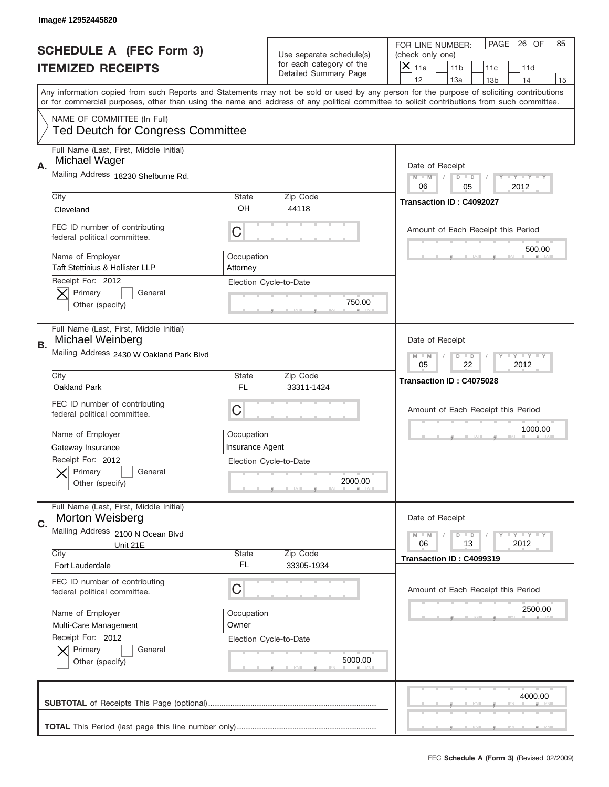|    | Image# 12952445820                                                      |                        |                                                   |                                                                                                                                                                                       |
|----|-------------------------------------------------------------------------|------------------------|---------------------------------------------------|---------------------------------------------------------------------------------------------------------------------------------------------------------------------------------------|
|    | <b>SCHEDULE A (FEC Form 3)</b>                                          |                        | Use separate schedule(s)                          | PAGE<br>26 OF<br>85<br>FOR LINE NUMBER:<br>(check only one)                                                                                                                           |
|    | <b>ITEMIZED RECEIPTS</b>                                                |                        | for each category of the<br>Detailed Summary Page | ×<br>11a<br>11 <sub>b</sub><br>11c<br>11d                                                                                                                                             |
|    |                                                                         |                        |                                                   | 12<br>13a<br>14<br>13 <sub>b</sub><br>15<br>Any information copied from such Reports and Statements may not be sold or used by any person for the purpose of soliciting contributions |
|    |                                                                         |                        |                                                   | or for commercial purposes, other than using the name and address of any political committee to solicit contributions from such committee.                                            |
|    | NAME OF COMMITTEE (In Full)<br><b>Ted Deutch for Congress Committee</b> |                        |                                                   |                                                                                                                                                                                       |
| А. | Full Name (Last, First, Middle Initial)<br>Michael Wager                |                        |                                                   | Date of Receipt                                                                                                                                                                       |
|    | Mailing Address 18230 Shelburne Rd.                                     |                        |                                                   | Y TY TY TY<br>$M$ $M$<br>$D$ $D$<br>06<br>2012<br>05                                                                                                                                  |
|    | City                                                                    | State                  | Zip Code                                          | Transaction ID: C4092027                                                                                                                                                              |
|    | Cleveland                                                               | OH                     | 44118                                             |                                                                                                                                                                                       |
|    | FEC ID number of contributing<br>federal political committee.           | C                      |                                                   | Amount of Each Receipt this Period<br>500.00                                                                                                                                          |
|    | Name of Employer<br><b>Taft Stettinius &amp; Hollister LLP</b>          | Occupation<br>Attorney |                                                   |                                                                                                                                                                                       |
|    | Receipt For: 2012<br>Primary<br>General                                 |                        | Election Cycle-to-Date                            |                                                                                                                                                                                       |
|    | Other (specify)                                                         |                        | 750.00                                            |                                                                                                                                                                                       |
| В. | Full Name (Last, First, Middle Initial)<br>Michael Weinberg             |                        |                                                   | Date of Receipt                                                                                                                                                                       |
|    | Mailing Address 2430 W Oakland Park Blvd                                |                        |                                                   | $T$ $Y$ $T$ $Y$ $T$ $Y$<br>$M$ M<br>$D$ $D$<br>05<br>22<br>2012                                                                                                                       |
|    | City                                                                    | State                  | Zip Code                                          | Transaction ID: C4075028                                                                                                                                                              |
|    |                                                                         |                        |                                                   |                                                                                                                                                                                       |
|    | Oakland Park                                                            | FL                     | 33311-1424                                        |                                                                                                                                                                                       |
|    | FEC ID number of contributing<br>federal political committee.           | C                      |                                                   | Amount of Each Receipt this Period                                                                                                                                                    |
|    | Name of Employer                                                        | Occupation             |                                                   | 1000.00                                                                                                                                                                               |
|    | Gateway Insurance                                                       | <b>Insurance Agent</b> |                                                   |                                                                                                                                                                                       |
|    | Receipt For: 2012<br>General<br>Primary                                 |                        | Election Cycle-to-Date                            |                                                                                                                                                                                       |
|    | Other (specify)                                                         |                        | 2000.00                                           |                                                                                                                                                                                       |
| C. | Full Name (Last, First, Middle Initial)<br>Morton Weisberg              |                        |                                                   | Date of Receipt                                                                                                                                                                       |
|    | Mailing Address 2100 N Ocean Blvd                                       |                        |                                                   | <b>LY LY LY</b><br>$M - M$<br>$D$ $D$                                                                                                                                                 |
|    | Unit 21E                                                                | State                  |                                                   | 2012<br>06<br>13                                                                                                                                                                      |
|    | City<br>Fort Lauderdale                                                 | FL                     | Zip Code<br>33305-1934                            | Transaction ID: C4099319                                                                                                                                                              |
|    | FEC ID number of contributing<br>federal political committee.           | C                      |                                                   | Amount of Each Receipt this Period                                                                                                                                                    |
|    | Name of Employer                                                        | Occupation             |                                                   | 2500.00                                                                                                                                                                               |
|    | Multi-Care Management                                                   | Owner                  |                                                   |                                                                                                                                                                                       |
|    | Receipt For: 2012                                                       |                        | Election Cycle-to-Date                            |                                                                                                                                                                                       |
|    | Primary<br>General<br>Other (specify)                                   |                        | 5000.00                                           |                                                                                                                                                                                       |
|    |                                                                         |                        |                                                   | 4000.00                                                                                                                                                                               |
|    |                                                                         |                        |                                                   |                                                                                                                                                                                       |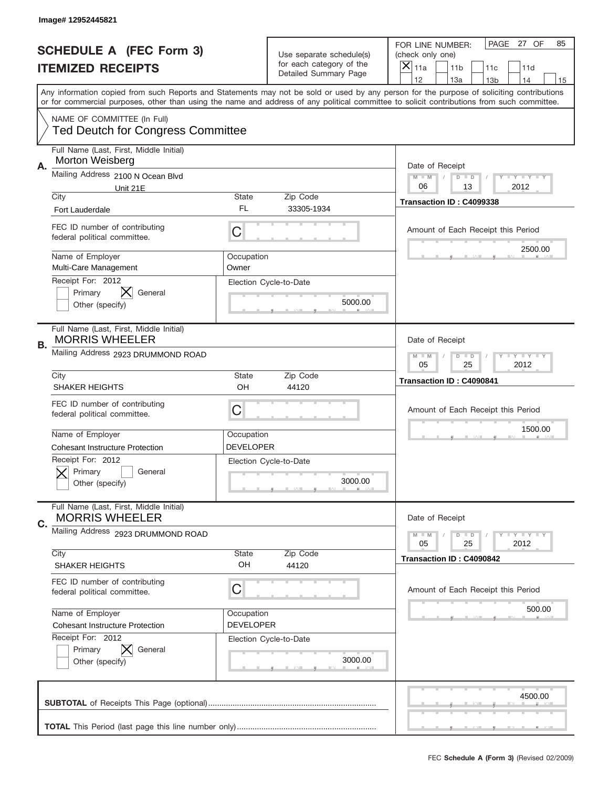|    | Image# 12952445821                                                      |                                |                                                   |                                                                                                                                                                                                                                                                                                                                     |
|----|-------------------------------------------------------------------------|--------------------------------|---------------------------------------------------|-------------------------------------------------------------------------------------------------------------------------------------------------------------------------------------------------------------------------------------------------------------------------------------------------------------------------------------|
|    | <b>SCHEDULE A (FEC Form 3)</b>                                          |                                | Use separate schedule(s)                          | PAGE<br>27 OF<br>85<br>FOR LINE NUMBER:<br>(check only one)                                                                                                                                                                                                                                                                         |
|    | <b>ITEMIZED RECEIPTS</b>                                                |                                | for each category of the<br>Detailed Summary Page | ×<br>11a<br>11 <sub>b</sub><br>11c<br>11d                                                                                                                                                                                                                                                                                           |
|    |                                                                         |                                |                                                   | 12<br>13a<br>14<br>13 <sub>b</sub><br>15<br>Any information copied from such Reports and Statements may not be sold or used by any person for the purpose of soliciting contributions<br>or for commercial purposes, other than using the name and address of any political committee to solicit contributions from such committee. |
|    | NAME OF COMMITTEE (In Full)<br><b>Ted Deutch for Congress Committee</b> |                                |                                                   |                                                                                                                                                                                                                                                                                                                                     |
| А. | Full Name (Last, First, Middle Initial)<br>Morton Weisberg              |                                |                                                   | Date of Receipt                                                                                                                                                                                                                                                                                                                     |
|    | Mailing Address 2100 N Ocean Blvd<br>Unit 21E                           |                                |                                                   | Y TY TY TY<br>$M - M$<br>$D$ $D$<br>06<br>2012<br>13                                                                                                                                                                                                                                                                                |
|    | City<br><b>Fort Lauderdale</b>                                          | State<br>FL                    | Zip Code<br>33305-1934                            | Transaction ID: C4099338                                                                                                                                                                                                                                                                                                            |
|    | FEC ID number of contributing<br>federal political committee.           | C                              |                                                   | Amount of Each Receipt this Period<br>2500.00                                                                                                                                                                                                                                                                                       |
|    | Name of Employer<br>Multi-Care Management                               | Occupation<br>Owner            |                                                   |                                                                                                                                                                                                                                                                                                                                     |
|    | Receipt For: 2012<br>Primary<br>General<br>Other (specify)              |                                | Election Cycle-to-Date<br>5000.00                 |                                                                                                                                                                                                                                                                                                                                     |
| В. | Full Name (Last, First, Middle Initial)<br><b>MORRIS WHEELER</b>        |                                |                                                   | Date of Receipt                                                                                                                                                                                                                                                                                                                     |
|    | Mailing Address 2923 DRUMMOND ROAD                                      |                                |                                                   | <b>LY LY LY</b><br>$M$ $M$<br>$D$ $D$<br>05<br>25<br>2012                                                                                                                                                                                                                                                                           |
|    | City<br><b>SHAKER HEIGHTS</b>                                           | State<br>OH                    | Zip Code<br>44120                                 | Transaction ID: C4090841                                                                                                                                                                                                                                                                                                            |
|    | FEC ID number of contributing<br>federal political committee.           | C                              |                                                   | Amount of Each Receipt this Period                                                                                                                                                                                                                                                                                                  |
|    |                                                                         |                                |                                                   | 1500.00                                                                                                                                                                                                                                                                                                                             |
|    | Name of Employer<br><b>Cohesant Instructure Protection</b>              | Occupation<br>DEVELOPER        |                                                   |                                                                                                                                                                                                                                                                                                                                     |
|    | Receipt For: 2012<br>Primary<br>General<br>Other (specify)              |                                | Election Cycle-to-Date<br>3000.00                 |                                                                                                                                                                                                                                                                                                                                     |
|    | Full Name (Last, First, Middle Initial)<br><b>MORRIS WHEELER</b>        |                                |                                                   | Date of Receipt                                                                                                                                                                                                                                                                                                                     |
| C. | Mailing Address 2923 DRUMMOND ROAD                                      |                                |                                                   | $T + Y = Y + Y$<br>$M - M$<br>$D$ $D$<br>05<br>25<br>2012                                                                                                                                                                                                                                                                           |
|    | City<br><b>SHAKER HEIGHTS</b>                                           | State<br>OH                    | Zip Code<br>44120                                 | Transaction ID: C4090842                                                                                                                                                                                                                                                                                                            |
|    | FEC ID number of contributing<br>federal political committee.           | C                              |                                                   | Amount of Each Receipt this Period                                                                                                                                                                                                                                                                                                  |
|    | Name of Employer<br><b>Cohesant Instructure Protection</b>              | Occupation<br><b>DEVELOPER</b> |                                                   | 500.00                                                                                                                                                                                                                                                                                                                              |
|    | Receipt For: 2012<br>Primary<br>General<br>Other (specify)              |                                | Election Cycle-to-Date<br>3000.00                 |                                                                                                                                                                                                                                                                                                                                     |
|    |                                                                         |                                |                                                   | 4500.00                                                                                                                                                                                                                                                                                                                             |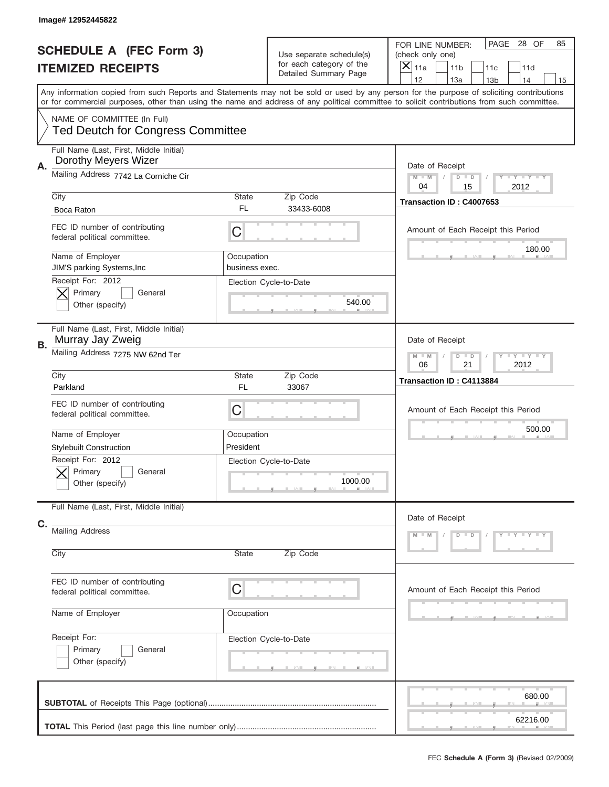|    | Image# 12952445822                                                      |                              |                                                                               |                                                                                                                                                                                                                                                                                         |
|----|-------------------------------------------------------------------------|------------------------------|-------------------------------------------------------------------------------|-----------------------------------------------------------------------------------------------------------------------------------------------------------------------------------------------------------------------------------------------------------------------------------------|
|    | <b>SCHEDULE A (FEC Form 3)</b><br><b>ITEMIZED RECEIPTS</b>              |                              | Use separate schedule(s)<br>for each category of the<br>Detailed Summary Page | PAGE<br>28 OF<br>85<br>FOR LINE NUMBER:<br>(check only one)<br>$\times$<br>11a<br>11 <sub>b</sub><br>11c<br>11d<br>12<br>13a<br>14<br>13 <sub>b</sub><br>15                                                                                                                             |
|    |                                                                         |                              |                                                                               | Any information copied from such Reports and Statements may not be sold or used by any person for the purpose of soliciting contributions<br>or for commercial purposes, other than using the name and address of any political committee to solicit contributions from such committee. |
|    | NAME OF COMMITTEE (In Full)<br><b>Ted Deutch for Congress Committee</b> |                              |                                                                               |                                                                                                                                                                                                                                                                                         |
| Α. | Full Name (Last, First, Middle Initial)<br>Dorothy Meyers Wizer         |                              |                                                                               | Date of Receipt                                                                                                                                                                                                                                                                         |
|    | Mailing Address 7742 La Corniche Cir                                    |                              |                                                                               | Y TY TY TY<br>$M$ M<br>$D$ $D$<br>04<br>15<br>2012                                                                                                                                                                                                                                      |
|    | City<br>Boca Raton                                                      | State<br>FL                  | Zip Code<br>33433-6008                                                        | Transaction ID: C4007653                                                                                                                                                                                                                                                                |
|    | FEC ID number of contributing<br>federal political committee.           | C                            |                                                                               | Amount of Each Receipt this Period                                                                                                                                                                                                                                                      |
|    | Name of Employer<br>JIM'S parking Systems, Inc<br>Receipt For: 2012     | Occupation<br>business exec. |                                                                               | 180.00                                                                                                                                                                                                                                                                                  |
|    | Primary<br>General<br>Other (specify)                                   |                              | Election Cycle-to-Date<br>540.00                                              |                                                                                                                                                                                                                                                                                         |
| В. | Full Name (Last, First, Middle Initial)<br>Murray Jay Zweig             |                              |                                                                               | Date of Receipt                                                                                                                                                                                                                                                                         |
|    | Mailing Address 7275 NW 62nd Ter                                        |                              |                                                                               | Y TY TY TY<br>$M - M$<br>$D$ $D$<br>06<br>21<br>2012                                                                                                                                                                                                                                    |
|    | City<br>Parkland                                                        | State<br><b>FL</b>           | Zip Code<br>33067                                                             | Transaction ID: C4113884                                                                                                                                                                                                                                                                |
|    | FEC ID number of contributing<br>federal political committee.           | C                            |                                                                               | Amount of Each Receipt this Period                                                                                                                                                                                                                                                      |
|    | Name of Employer<br><b>Stylebuilt Construction</b>                      | Occupation<br>President      |                                                                               | 500.00                                                                                                                                                                                                                                                                                  |
|    | Receipt For: 2012<br>General<br>Primary<br>Other (specify)              |                              | Election Cycle-to-Date<br>1000.00                                             |                                                                                                                                                                                                                                                                                         |
|    | Full Name (Last, First, Middle Initial)                                 |                              |                                                                               | Date of Receipt                                                                                                                                                                                                                                                                         |
| C. | <b>Mailing Address</b><br>City                                          | State                        | Zip Code                                                                      | Y LY LY LY<br>$M - M$<br>$D$ $D$                                                                                                                                                                                                                                                        |
|    | FEC ID number of contributing<br>federal political committee.           | C                            |                                                                               | Amount of Each Receipt this Period                                                                                                                                                                                                                                                      |
|    | Name of Employer                                                        | Occupation                   |                                                                               |                                                                                                                                                                                                                                                                                         |
|    | Receipt For:<br>Primary<br>General<br>Other (specify)                   |                              | Election Cycle-to-Date                                                        |                                                                                                                                                                                                                                                                                         |
|    |                                                                         |                              |                                                                               | 680.00<br>62216.00                                                                                                                                                                                                                                                                      |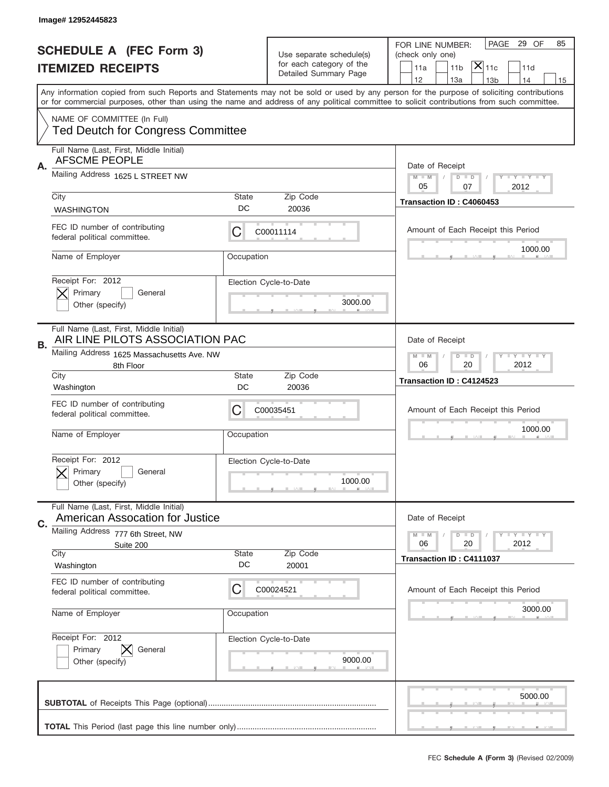|    | Image# 12952445823                                                                                                                         |             |                          |                                                                                                                                           |
|----|--------------------------------------------------------------------------------------------------------------------------------------------|-------------|--------------------------|-------------------------------------------------------------------------------------------------------------------------------------------|
|    | <b>SCHEDULE A (FEC Form 3)</b>                                                                                                             |             | Use separate schedule(s) | PAGE 29 OF<br>85<br>FOR LINE NUMBER:<br>(check only one)                                                                                  |
|    | <b>ITEMIZED RECEIPTS</b>                                                                                                                   |             | for each category of the | $ \overline{\mathsf{X}} _{\mathsf{11c}}$<br>11a<br>11 <sub>b</sub><br>11d                                                                 |
|    |                                                                                                                                            |             | Detailed Summary Page    | 12<br>13a<br>14<br>13 <sub>b</sub><br>15                                                                                                  |
|    | or for commercial purposes, other than using the name and address of any political committee to solicit contributions from such committee. |             |                          | Any information copied from such Reports and Statements may not be sold or used by any person for the purpose of soliciting contributions |
|    | NAME OF COMMITTEE (In Full)<br><b>Ted Deutch for Congress Committee</b>                                                                    |             |                          |                                                                                                                                           |
| Α. | Full Name (Last, First, Middle Initial)<br><b>AFSCME PEOPLE</b>                                                                            |             |                          | Date of Receipt                                                                                                                           |
|    | Mailing Address 1625 L STREET NW                                                                                                           |             |                          | $M - M$<br><b>LY LY LY</b><br>$D$ $D$<br>05<br>07<br>2012                                                                                 |
|    | City                                                                                                                                       | State       | Zip Code                 | Transaction ID: C4060453                                                                                                                  |
|    | <b>WASHINGTON</b>                                                                                                                          | DC          | 20036                    |                                                                                                                                           |
|    | FEC ID number of contributing<br>federal political committee.                                                                              | C           | C00011114                | Amount of Each Receipt this Period                                                                                                        |
|    | Name of Employer                                                                                                                           | Occupation  |                          | 1000.00                                                                                                                                   |
|    | Receipt For: 2012                                                                                                                          |             | Election Cycle-to-Date   |                                                                                                                                           |
|    | Primary<br>General<br>Other (specify)                                                                                                      |             | 3000.00                  |                                                                                                                                           |
|    |                                                                                                                                            |             |                          |                                                                                                                                           |
| В. | Full Name (Last, First, Middle Initial)<br>AIR LINE PILOTS ASSOCIATION PAC                                                                 |             |                          | Date of Receipt                                                                                                                           |
|    | Mailing Address 1625 Massachusetts Ave. NW<br>8th Floor                                                                                    |             |                          | $M - M$<br>$D$ $D$<br><b>LEYTEY LEY</b><br>06<br>20<br>2012                                                                               |
|    | City<br>Washington                                                                                                                         | State<br>DC | Zip Code<br>20036        | Transaction ID: C4124523                                                                                                                  |
|    | FEC ID number of contributing<br>federal political committee.                                                                              | C           | C00035451                | Amount of Each Receipt this Period                                                                                                        |
|    | Name of Employer                                                                                                                           | Occupation  |                          | 1000.00                                                                                                                                   |
|    |                                                                                                                                            |             |                          |                                                                                                                                           |
|    | Receipt For: 2012                                                                                                                          |             | Election Cycle-to-Date   |                                                                                                                                           |
|    | General<br>Primary<br>Other (specify)                                                                                                      |             | 1000.00                  |                                                                                                                                           |
|    | Full Name (Last, First, Middle Initial)<br>American Assocation for Justice                                                                 |             |                          | Date of Receipt                                                                                                                           |
| C. | Mailing Address 777 6th Street, NW                                                                                                         |             |                          | $I - Y - I - Y - I - Y$<br>$M - M$<br>$D$ $D$                                                                                             |
|    | Suite 200<br>City                                                                                                                          | State       | Zip Code                 | 06<br>2012<br>20                                                                                                                          |
|    | Washington                                                                                                                                 | DC          | 20001                    | Transaction ID: C4111037                                                                                                                  |
|    | FEC ID number of contributing<br>federal political committee.                                                                              | C           | C00024521                | Amount of Each Receipt this Period                                                                                                        |
|    | Name of Employer                                                                                                                           | Occupation  |                          | 3000.00                                                                                                                                   |
|    | Receipt For: 2012                                                                                                                          |             | Election Cycle-to-Date   |                                                                                                                                           |
|    | Primary<br>General<br>Other (specify)                                                                                                      |             | 9000.00                  |                                                                                                                                           |
|    |                                                                                                                                            |             |                          |                                                                                                                                           |
|    |                                                                                                                                            |             |                          | 5000.00                                                                                                                                   |
|    |                                                                                                                                            |             |                          |                                                                                                                                           |
|    |                                                                                                                                            |             |                          |                                                                                                                                           |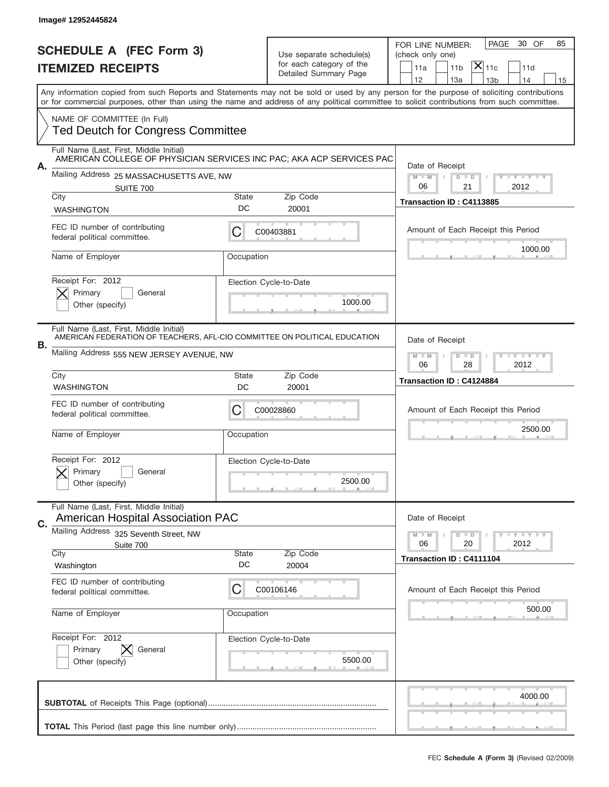|      | Image# 12952445824                                                                                                                                                |                    |                                                                               |                                                                                                                                                                                                                                                                                         |
|------|-------------------------------------------------------------------------------------------------------------------------------------------------------------------|--------------------|-------------------------------------------------------------------------------|-----------------------------------------------------------------------------------------------------------------------------------------------------------------------------------------------------------------------------------------------------------------------------------------|
|      | <b>SCHEDULE A (FEC Form 3)</b><br><b>ITEMIZED RECEIPTS</b>                                                                                                        |                    | Use separate schedule(s)<br>for each category of the<br>Detailed Summary Page | 30 OF<br>PAGE<br>85<br>FOR LINE NUMBER:<br>(check only one)<br>$\mathsf{X} _{\mathsf{11c}}$<br>11a<br>11 <sub>b</sub><br>11d<br>12<br>13a<br>13 <sub>b</sub><br>14<br>15                                                                                                                |
|      |                                                                                                                                                                   |                    |                                                                               | Any information copied from such Reports and Statements may not be sold or used by any person for the purpose of soliciting contributions<br>or for commercial purposes, other than using the name and address of any political committee to solicit contributions from such committee. |
|      | NAME OF COMMITTEE (In Full)<br><b>Ted Deutch for Congress Committee</b>                                                                                           |                    |                                                                               |                                                                                                                                                                                                                                                                                         |
| А.   | Full Name (Last, First, Middle Initial)<br>AMERICAN COLLEGE OF PHYSICIAN SERVICES INC PAC; AKA ACP SERVICES PAC                                                   |                    |                                                                               | Date of Receipt                                                                                                                                                                                                                                                                         |
|      | Mailing Address 25 MASSACHUSETTS AVE, NW<br><b>SUITE 700</b>                                                                                                      |                    |                                                                               | $M$ M<br><b>LYLYLY</b><br>$D$ $D$<br>06<br>21<br>2012                                                                                                                                                                                                                                   |
| City | <b>WASHINGTON</b>                                                                                                                                                 | State<br>DC        | Zip Code<br>20001                                                             | Transaction ID: C4113885                                                                                                                                                                                                                                                                |
|      | FEC ID number of contributing<br>federal political committee.                                                                                                     | C                  | C00403881                                                                     | Amount of Each Receipt this Period                                                                                                                                                                                                                                                      |
|      | Name of Employer                                                                                                                                                  | Occupation         |                                                                               | 1000.00                                                                                                                                                                                                                                                                                 |
|      | Receipt For: 2012<br>Primary<br>General<br>Other (specify)                                                                                                        |                    | Election Cycle-to-Date<br>1000.00                                             |                                                                                                                                                                                                                                                                                         |
| В.   | Full Name (Last, First, Middle Initial)<br>AMERICAN FEDERATION OF TEACHERS, AFL-CIO COMMITTEE ON POLITICAL EDUCATION<br>Mailing Address 555 NEW JERSEY AVENUE, NW |                    |                                                                               | Date of Receipt<br>$M - M$<br>$D$ $D$<br><b>LEY LEY LEY</b>                                                                                                                                                                                                                             |
| City | <b>WASHINGTON</b>                                                                                                                                                 | State<br>DC        | Zip Code<br>20001                                                             | 06<br>28<br>2012<br>Transaction ID: C4124884                                                                                                                                                                                                                                            |
|      |                                                                                                                                                                   |                    |                                                                               |                                                                                                                                                                                                                                                                                         |
|      | FEC ID number of contributing<br>federal political committee.                                                                                                     | C                  | C00028860                                                                     | Amount of Each Receipt this Period                                                                                                                                                                                                                                                      |
|      | Name of Employer                                                                                                                                                  | Occupation         |                                                                               | 2500.00                                                                                                                                                                                                                                                                                 |
|      | Receipt For: 2012<br>General<br>Primary<br>Other (specify)                                                                                                        |                    | Election Cycle-to-Date<br>2500.00                                             |                                                                                                                                                                                                                                                                                         |
|      | Full Name (Last, First, Middle Initial)<br><b>American Hospital Association PAC</b>                                                                               |                    |                                                                               | Date of Receipt                                                                                                                                                                                                                                                                         |
| C.   | <b>Mailing Address</b><br>325 Seventh Street, NW<br>Suite 700                                                                                                     |                    |                                                                               | $I - Y - I - Y - I - Y$<br>$M - M$<br>$\overline{D}$<br>$\Box$<br>06<br>2012<br>20                                                                                                                                                                                                      |
| City | Washington                                                                                                                                                        | <b>State</b><br>DC | Zip Code<br>20004                                                             | Transaction ID: C4111104                                                                                                                                                                                                                                                                |
|      | FEC ID number of contributing<br>federal political committee.                                                                                                     | C                  | C00106146                                                                     | Amount of Each Receipt this Period                                                                                                                                                                                                                                                      |
|      | Name of Employer                                                                                                                                                  | Occupation         |                                                                               | 500.00                                                                                                                                                                                                                                                                                  |
|      | Receipt For: 2012<br>Primary<br>General<br>Other (specify)                                                                                                        |                    | Election Cycle-to-Date<br>5500.00                                             |                                                                                                                                                                                                                                                                                         |
|      |                                                                                                                                                                   |                    |                                                                               | 4000.00                                                                                                                                                                                                                                                                                 |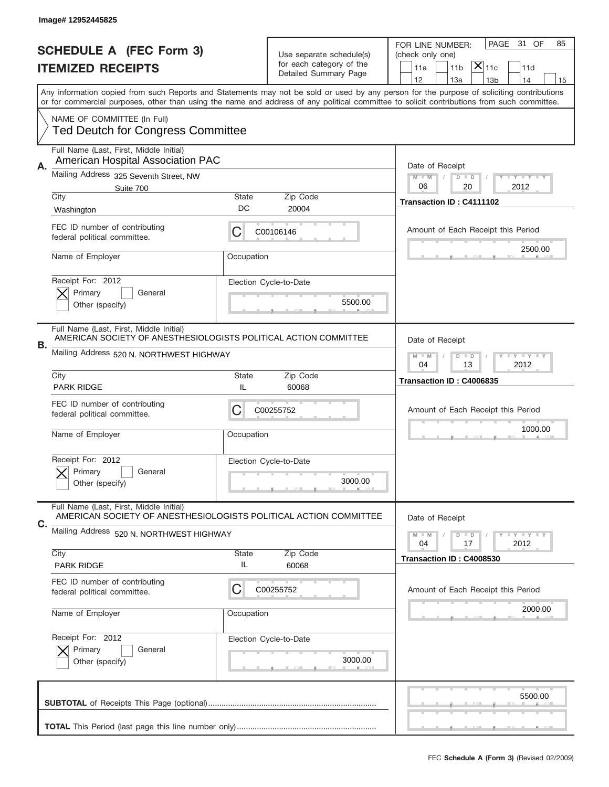|    | Image# 12952445825                                                                                          |                    |                                                      |                                                                                                                                                                                                                                                                                         |
|----|-------------------------------------------------------------------------------------------------------------|--------------------|------------------------------------------------------|-----------------------------------------------------------------------------------------------------------------------------------------------------------------------------------------------------------------------------------------------------------------------------------------|
|    |                                                                                                             |                    |                                                      | PAGE<br>31 OF<br>85<br>FOR LINE NUMBER:                                                                                                                                                                                                                                                 |
|    | <b>SCHEDULE A (FEC Form 3)</b>                                                                              |                    | Use separate schedule(s)<br>for each category of the | (check only one)                                                                                                                                                                                                                                                                        |
|    | <b>ITEMIZED RECEIPTS</b>                                                                                    |                    | Detailed Summary Page                                | $ \overline{\mathsf{X}} _{\mathsf{11c}}$<br>11 <sub>b</sub><br>11a<br>11d<br>12<br>13a<br>14<br>13 <sub>b</sub><br>15                                                                                                                                                                   |
|    |                                                                                                             |                    |                                                      | Any information copied from such Reports and Statements may not be sold or used by any person for the purpose of soliciting contributions<br>or for commercial purposes, other than using the name and address of any political committee to solicit contributions from such committee. |
|    | NAME OF COMMITTEE (In Full)<br><b>Ted Deutch for Congress Committee</b>                                     |                    |                                                      |                                                                                                                                                                                                                                                                                         |
| Α. | Full Name (Last, First, Middle Initial)<br>American Hospital Association PAC                                |                    |                                                      | Date of Receipt                                                                                                                                                                                                                                                                         |
|    | Mailing Address 325 Seventh Street, NW<br>Suite 700                                                         |                    |                                                      | <b>LEY LEY LEY</b><br>$M - M$<br>$D$ $D$<br>06<br>20<br>2012                                                                                                                                                                                                                            |
|    | City                                                                                                        | <b>State</b>       | Zip Code                                             | Transaction ID: C4111102                                                                                                                                                                                                                                                                |
|    | Washington                                                                                                  | DC                 | 20004                                                |                                                                                                                                                                                                                                                                                         |
|    | FEC ID number of contributing<br>federal political committee.                                               | С                  | C00106146                                            | Amount of Each Receipt this Period<br>2500.00                                                                                                                                                                                                                                           |
|    | Name of Employer                                                                                            | Occupation         |                                                      |                                                                                                                                                                                                                                                                                         |
|    | Receipt For: 2012<br>Primary<br>General                                                                     |                    | Election Cycle-to-Date                               |                                                                                                                                                                                                                                                                                         |
|    | Other (specify)                                                                                             |                    | 5500.00                                              |                                                                                                                                                                                                                                                                                         |
| В. | Full Name (Last, First, Middle Initial)<br>AMERICAN SOCIETY OF ANESTHESIOLOGISTS POLITICAL ACTION COMMITTEE |                    |                                                      | Date of Receipt                                                                                                                                                                                                                                                                         |
|    | Mailing Address 520 N. NORTHWEST HIGHWAY                                                                    |                    |                                                      | <b>LEY LEY LEY</b><br>$M$ $M$<br>$D$ $D$<br>04<br>13<br>2012                                                                                                                                                                                                                            |
|    | City                                                                                                        | <b>State</b>       | Zip Code                                             | Transaction ID: C4006835                                                                                                                                                                                                                                                                |
|    | <b>PARK RIDGE</b>                                                                                           | IL                 | 60068                                                |                                                                                                                                                                                                                                                                                         |
|    |                                                                                                             |                    |                                                      |                                                                                                                                                                                                                                                                                         |
|    | FEC ID number of contributing<br>federal political committee.                                               | С                  | C00255752                                            | Amount of Each Receipt this Period                                                                                                                                                                                                                                                      |
|    | Name of Employer                                                                                            | Occupation         |                                                      | 1000.00                                                                                                                                                                                                                                                                                 |
|    | Receipt For: 2012                                                                                           |                    | Election Cycle-to-Date                               |                                                                                                                                                                                                                                                                                         |
|    | Primary<br>General<br>Other (specify)                                                                       |                    | 3000.00                                              |                                                                                                                                                                                                                                                                                         |
|    | Full Name (Last, First, Middle Initial)<br>AMERICAN SOCIETY OF ANESTHESIOLOGISTS POLITICAL ACTION COMMITTEE |                    |                                                      | Date of Receipt                                                                                                                                                                                                                                                                         |
| С. | Mailing Address 520 N. NORTHWEST HIGHWAY                                                                    |                    |                                                      | <b>LY LY LY</b><br>$M - M$<br>$D$ $D$<br>2012<br>04<br>17                                                                                                                                                                                                                               |
|    | City<br><b>PARK RIDGE</b>                                                                                   | <b>State</b><br>IL | Zip Code<br>60068                                    | Transaction ID: C4008530                                                                                                                                                                                                                                                                |
|    | FEC ID number of contributing<br>federal political committee.                                               | С                  | C00255752                                            | Amount of Each Receipt this Period                                                                                                                                                                                                                                                      |
|    | Name of Employer                                                                                            | Occupation         |                                                      | 2000.00                                                                                                                                                                                                                                                                                 |
|    | Receipt For: 2012                                                                                           |                    | Election Cycle-to-Date                               |                                                                                                                                                                                                                                                                                         |
|    | Primary<br>General<br>Other (specify)                                                                       |                    | 3000.00                                              |                                                                                                                                                                                                                                                                                         |
|    |                                                                                                             |                    |                                                      | 5500.00                                                                                                                                                                                                                                                                                 |
|    |                                                                                                             |                    |                                                      |                                                                                                                                                                                                                                                                                         |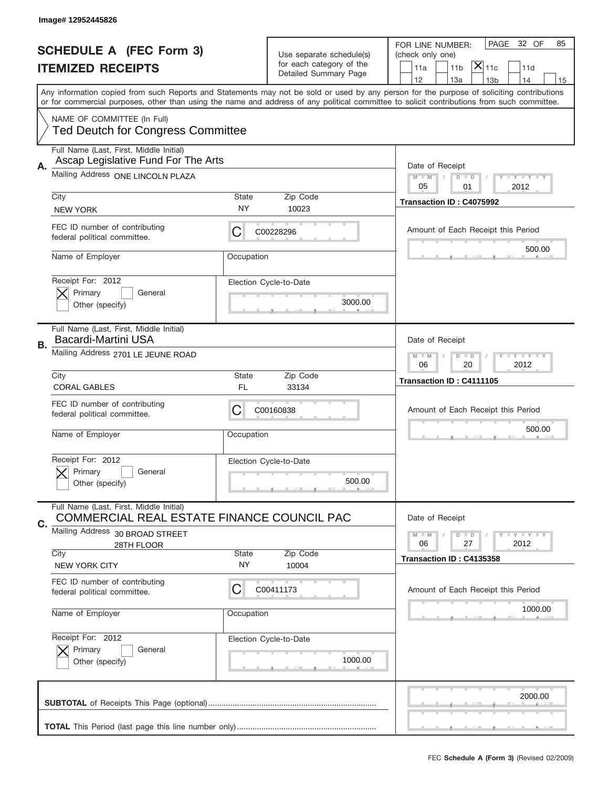|    | Image# 12952445826                                                                    |                    |                                                      |                                                                                                                                                                                                                                                                                         |
|----|---------------------------------------------------------------------------------------|--------------------|------------------------------------------------------|-----------------------------------------------------------------------------------------------------------------------------------------------------------------------------------------------------------------------------------------------------------------------------------------|
|    | <b>SCHEDULE A (FEC Form 3)</b><br><b>ITEMIZED RECEIPTS</b>                            |                    | Use separate schedule(s)<br>for each category of the | PAGE<br>32 OF<br>85<br>FOR LINE NUMBER:<br>(check only one)<br>$ \mathsf{\overline{X}} _{\mathsf{11c}}$<br>11a<br>11 <sub>b</sub><br>11d                                                                                                                                                |
|    |                                                                                       |                    | Detailed Summary Page                                | 12<br>13a<br>14<br>13 <sub>b</sub><br>15                                                                                                                                                                                                                                                |
|    |                                                                                       |                    |                                                      | Any information copied from such Reports and Statements may not be sold or used by any person for the purpose of soliciting contributions<br>or for commercial purposes, other than using the name and address of any political committee to solicit contributions from such committee. |
|    | NAME OF COMMITTEE (In Full)<br><b>Ted Deutch for Congress Committee</b>               |                    |                                                      |                                                                                                                                                                                                                                                                                         |
| Α. | Full Name (Last, First, Middle Initial)<br>Ascap Legislative Fund For The Arts        |                    |                                                      | Date of Receipt                                                                                                                                                                                                                                                                         |
|    | Mailing Address ONE LINCOLN PLAZA                                                     |                    |                                                      | <b>LY LY LY</b><br>$M - M$<br>$D$ $D$<br>05<br>01<br>2012                                                                                                                                                                                                                               |
|    | City<br><b>NEW YORK</b>                                                               | State<br><b>NY</b> | Zip Code<br>10023                                    | Transaction ID: C4075992                                                                                                                                                                                                                                                                |
|    | FEC ID number of contributing<br>federal political committee.                         | C                  | C00228296                                            | Amount of Each Receipt this Period                                                                                                                                                                                                                                                      |
|    | Name of Employer                                                                      | Occupation         |                                                      | 500.00                                                                                                                                                                                                                                                                                  |
|    | Receipt For: 2012<br>Primary<br>General<br>Other (specify)                            |                    | Election Cycle-to-Date<br>3000.00                    |                                                                                                                                                                                                                                                                                         |
| В. | Full Name (Last, First, Middle Initial)<br><b>Bacardi-Martini USA</b>                 |                    |                                                      | Date of Receipt                                                                                                                                                                                                                                                                         |
|    | Mailing Address 2701 LE JEUNE ROAD                                                    |                    |                                                      | <b>LYLYLY</b><br>$M$ M<br>$D$ $D$<br>2012<br>06<br>20                                                                                                                                                                                                                                   |
|    | City<br><b>CORAL GABLES</b>                                                           | State<br><b>FL</b> | Zip Code<br>33134                                    | Transaction ID: C4111105                                                                                                                                                                                                                                                                |
|    |                                                                                       |                    |                                                      |                                                                                                                                                                                                                                                                                         |
|    | FEC ID number of contributing<br>federal political committee.                         | C                  | C00160838                                            | Amount of Each Receipt this Period                                                                                                                                                                                                                                                      |
|    | Name of Employer                                                                      | Occupation         |                                                      | 500.00                                                                                                                                                                                                                                                                                  |
|    | Receipt For: 2012<br>General<br>Primary<br>Other (specify)                            |                    | Election Cycle-to-Date<br>500.00                     |                                                                                                                                                                                                                                                                                         |
|    | Full Name (Last, First, Middle Initial)<br>COMMERCIAL REAL ESTATE FINANCE COUNCIL PAC |                    |                                                      | Date of Receipt                                                                                                                                                                                                                                                                         |
| C. | Mailing Address 30 BROAD STREET<br>28TH FLOOR                                         |                    |                                                      | <b>LY LY LY</b><br>$M - M$<br>$D$ $D$<br>2012<br>06<br>27                                                                                                                                                                                                                               |
|    | City<br><b>NEW YORK CITY</b>                                                          | State<br>NY.       | Zip Code<br>10004                                    | Transaction ID: C4135358                                                                                                                                                                                                                                                                |
|    | FEC ID number of contributing<br>federal political committee.                         | C                  | C00411173                                            | Amount of Each Receipt this Period                                                                                                                                                                                                                                                      |
|    | Name of Employer                                                                      | Occupation         |                                                      | 1000.00                                                                                                                                                                                                                                                                                 |
|    | Receipt For: 2012<br>Primary<br>General<br>Other (specify)                            |                    | Election Cycle-to-Date<br>1000.00                    |                                                                                                                                                                                                                                                                                         |
|    |                                                                                       |                    |                                                      | 2000.00                                                                                                                                                                                                                                                                                 |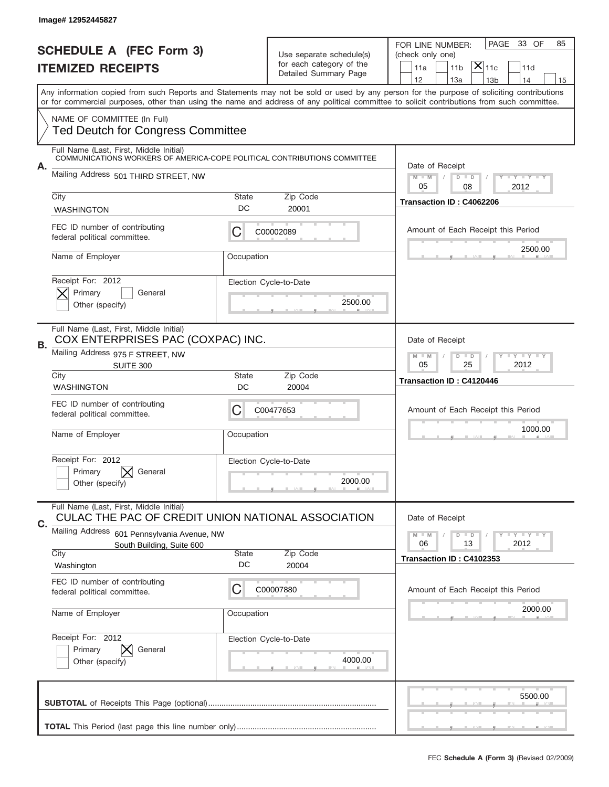|    | Image# 12952445827                                                                                                  |                    |                                                                               |                                                                                                                                                                                                                                                                                                                                     |
|----|---------------------------------------------------------------------------------------------------------------------|--------------------|-------------------------------------------------------------------------------|-------------------------------------------------------------------------------------------------------------------------------------------------------------------------------------------------------------------------------------------------------------------------------------------------------------------------------------|
|    | <b>SCHEDULE A (FEC Form 3)</b><br><b>ITEMIZED RECEIPTS</b>                                                          |                    | Use separate schedule(s)<br>for each category of the<br>Detailed Summary Page | 33 OF<br>PAGE<br>85<br>FOR LINE NUMBER:<br>(check only one)<br>$ \mathsf{X} _{\mathsf{11c}}$<br>11a<br>11 <sub>b</sub><br>11d                                                                                                                                                                                                       |
|    |                                                                                                                     |                    |                                                                               | 12<br>13a<br>14<br>13 <sub>b</sub><br>15<br>Any information copied from such Reports and Statements may not be sold or used by any person for the purpose of soliciting contributions<br>or for commercial purposes, other than using the name and address of any political committee to solicit contributions from such committee. |
|    | NAME OF COMMITTEE (In Full)<br><b>Ted Deutch for Congress Committee</b>                                             |                    |                                                                               |                                                                                                                                                                                                                                                                                                                                     |
|    | Full Name (Last, First, Middle Initial)<br>COMMUNICATIONS WORKERS OF AMERICA-COPE POLITICAL CONTRIBUTIONS COMMITTEE |                    |                                                                               |                                                                                                                                                                                                                                                                                                                                     |
| А. | Mailing Address 501 THIRD STREET, NW                                                                                |                    |                                                                               | Date of Receipt<br>$M - M$<br><b>LEY LEY LEY</b><br>$D$ $D$<br>05<br>08<br>2012                                                                                                                                                                                                                                                     |
|    | City<br><b>WASHINGTON</b>                                                                                           | <b>State</b><br>DC | Zip Code<br>20001                                                             | Transaction ID: C4062206                                                                                                                                                                                                                                                                                                            |
|    | FEC ID number of contributing<br>federal political committee.                                                       | С                  | C00002089                                                                     | Amount of Each Receipt this Period                                                                                                                                                                                                                                                                                                  |
|    | Name of Employer                                                                                                    | Occupation         |                                                                               | 2500.00                                                                                                                                                                                                                                                                                                                             |
|    | Receipt For: 2012<br>Primary<br>General<br>Other (specify)                                                          |                    | Election Cycle-to-Date<br>2500.00                                             |                                                                                                                                                                                                                                                                                                                                     |
| В. | Full Name (Last, First, Middle Initial)<br>COX ENTERPRISES PAC (COXPAC) INC.                                        |                    |                                                                               | Date of Receipt                                                                                                                                                                                                                                                                                                                     |
|    | Mailing Address 975 F STREET, NW<br><b>SUITE 300</b>                                                                |                    |                                                                               | <b>LY LY LY</b><br>$M - M$<br>$D$ $D$<br>05<br>25<br>2012                                                                                                                                                                                                                                                                           |
|    | City<br><b>WASHINGTON</b>                                                                                           | <b>State</b><br>DC | Zip Code<br>20004                                                             | Transaction ID: C4120446                                                                                                                                                                                                                                                                                                            |
|    | FEC ID number of contributing<br>federal political committee.                                                       | C                  | C00477653                                                                     | Amount of Each Receipt this Period                                                                                                                                                                                                                                                                                                  |
|    | Name of Employer                                                                                                    | Occupation         |                                                                               | 1000.00                                                                                                                                                                                                                                                                                                                             |
|    | Receipt For: 2012<br>General<br>Primary<br>Other (specify)                                                          |                    | Election Cycle-to-Date<br>2000.00                                             |                                                                                                                                                                                                                                                                                                                                     |
| C. | Full Name (Last, First, Middle Initial)<br>CULAC THE PAC OF CREDIT UNION NATIONAL ASSOCIATION                       |                    |                                                                               | Date of Receipt                                                                                                                                                                                                                                                                                                                     |
|    | Mailing Address<br>601 Pennsylvania Avenue, NW<br>South Building, Suite 600<br>City                                 | <b>State</b>       | Zip Code                                                                      | $D$ $D$<br><b>LY LY LY</b><br>$M - M$<br>06<br>13<br>2012                                                                                                                                                                                                                                                                           |
|    | Washington                                                                                                          | DC                 | 20004                                                                         | Transaction ID: C4102353                                                                                                                                                                                                                                                                                                            |
|    | FEC ID number of contributing<br>federal political committee.                                                       | C                  | C00007880                                                                     | Amount of Each Receipt this Period                                                                                                                                                                                                                                                                                                  |
|    | Name of Employer                                                                                                    | Occupation         |                                                                               | 2000.00                                                                                                                                                                                                                                                                                                                             |
|    | Receipt For: 2012<br>Primary<br>General                                                                             |                    | Election Cycle-to-Date                                                        |                                                                                                                                                                                                                                                                                                                                     |
|    | Other (specify)                                                                                                     |                    | 4000.00                                                                       |                                                                                                                                                                                                                                                                                                                                     |
|    |                                                                                                                     |                    |                                                                               | 5500.00                                                                                                                                                                                                                                                                                                                             |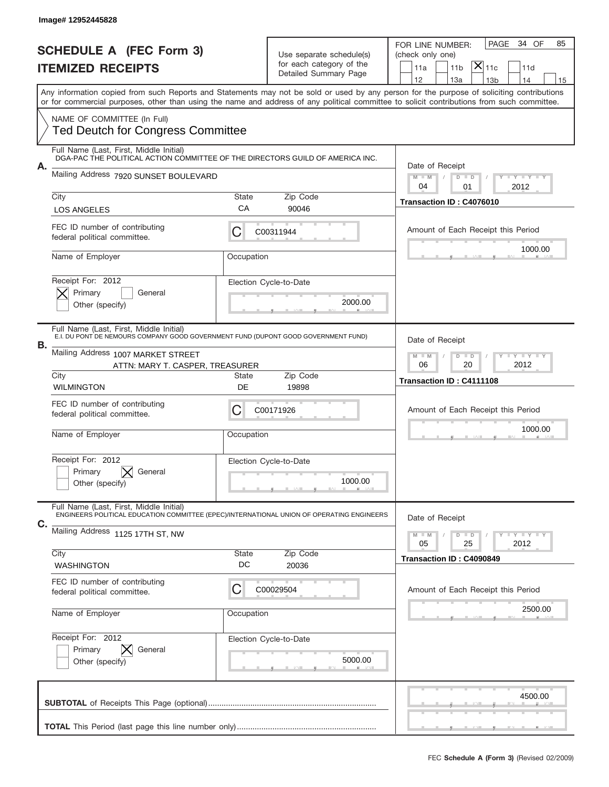|    | Image# 12952445828                                                                                                                   |             |                                                   |                                                                                                                                                                                       |
|----|--------------------------------------------------------------------------------------------------------------------------------------|-------------|---------------------------------------------------|---------------------------------------------------------------------------------------------------------------------------------------------------------------------------------------|
|    | <b>SCHEDULE A (FEC Form 3)</b>                                                                                                       |             | Use separate schedule(s)                          | 34 OF<br>PAGE<br>85<br>FOR LINE NUMBER:<br>(check only one)                                                                                                                           |
|    | <b>ITEMIZED RECEIPTS</b>                                                                                                             |             | for each category of the<br>Detailed Summary Page | $ \mathsf{X} _{\mathsf{11c}}$<br>11a<br>11 <sub>b</sub><br>11d                                                                                                                        |
|    |                                                                                                                                      |             |                                                   | 12<br>13a<br>13 <sub>b</sub><br>14<br>15<br>Any information copied from such Reports and Statements may not be sold or used by any person for the purpose of soliciting contributions |
|    |                                                                                                                                      |             |                                                   | or for commercial purposes, other than using the name and address of any political committee to solicit contributions from such committee.                                            |
|    | NAME OF COMMITTEE (In Full)<br><b>Ted Deutch for Congress Committee</b>                                                              |             |                                                   |                                                                                                                                                                                       |
|    | Full Name (Last, First, Middle Initial)<br>DGA-PAC THE POLITICAL ACTION COMMITTEE OF THE DIRECTORS GUILD OF AMERICA INC.             |             |                                                   |                                                                                                                                                                                       |
| Α. | Mailing Address 7920 SUNSET BOULEVARD                                                                                                |             |                                                   | Date of Receipt<br>$M - M$<br><b>LYLYLY</b><br>$D$ $D$<br>04<br>01<br>2012                                                                                                            |
|    | City                                                                                                                                 | State       | Zip Code                                          | Transaction ID: C4076010                                                                                                                                                              |
|    | <b>LOS ANGELES</b>                                                                                                                   | СA          | 90046                                             |                                                                                                                                                                                       |
|    | FEC ID number of contributing<br>federal political committee.                                                                        | C           | C00311944                                         | Amount of Each Receipt this Period                                                                                                                                                    |
|    | Name of Employer                                                                                                                     | Occupation  |                                                   | 1000.00                                                                                                                                                                               |
|    | Receipt For: 2012<br>Primary<br>General                                                                                              |             | Election Cycle-to-Date                            |                                                                                                                                                                                       |
|    | Other (specify)                                                                                                                      |             | 2000.00                                           |                                                                                                                                                                                       |
| В. | Full Name (Last, First, Middle Initial)<br>E.I. DU PONT DE NÉMOURS COMPANY GOÓD GOVERNMENT FUND (DUPONT GOOD GOVERNMENT FUND)        |             |                                                   | Date of Receipt                                                                                                                                                                       |
|    | Mailing Address 1007 MARKET STREET<br>ATTN: MARY T. CASPER, TREASURER                                                                |             |                                                   | $M - M$<br>$D$ $D$<br><b>LYLYLY</b><br>06<br>20<br>2012                                                                                                                               |
|    | City<br><b>WILMINGTON</b>                                                                                                            | State<br>DE | Zip Code<br>19898                                 | Transaction ID: C4111108                                                                                                                                                              |
|    | FEC ID number of contributing<br>federal political committee.                                                                        | C           | C00171926                                         | Amount of Each Receipt this Period                                                                                                                                                    |
|    | Name of Employer                                                                                                                     | Occupation  |                                                   | 1000.00                                                                                                                                                                               |
|    | Receipt For: 2012                                                                                                                    |             | Election Cycle-to-Date                            |                                                                                                                                                                                       |
|    | Primary<br>General<br>Other (specify)                                                                                                |             | 1000.00                                           |                                                                                                                                                                                       |
|    | Full Name (Last, First, Middle Initial)<br>ENGINEERS POLITICAL EDUCATION COMMITTEE (EPEC)/INTERNATIONAL UNION OF OPERATING ENGINEERS |             |                                                   | Date of Receipt                                                                                                                                                                       |
|    |                                                                                                                                      |             |                                                   |                                                                                                                                                                                       |
| С. | Mailing Address 1125 17TH ST, NW                                                                                                     |             |                                                   | <b>LYLYLY</b><br>$M - M$<br>$D$ $D$<br>05<br>25<br>2012                                                                                                                               |
|    | City<br><b>WASHINGTON</b>                                                                                                            | State<br>DC | Zip Code<br>20036                                 | Transaction ID: C4090849                                                                                                                                                              |
|    | FEC ID number of contributing<br>federal political committee.                                                                        | C           | C00029504                                         | Amount of Each Receipt this Period                                                                                                                                                    |
|    | Name of Employer                                                                                                                     | Occupation  |                                                   | 2500.00                                                                                                                                                                               |
|    | Receipt For: 2012                                                                                                                    |             | Election Cycle-to-Date                            |                                                                                                                                                                                       |
|    | Primary<br>General<br>Other (specify)                                                                                                |             | 5000.00                                           |                                                                                                                                                                                       |
|    |                                                                                                                                      |             |                                                   | 4500.00                                                                                                                                                                               |
|    |                                                                                                                                      |             |                                                   |                                                                                                                                                                                       |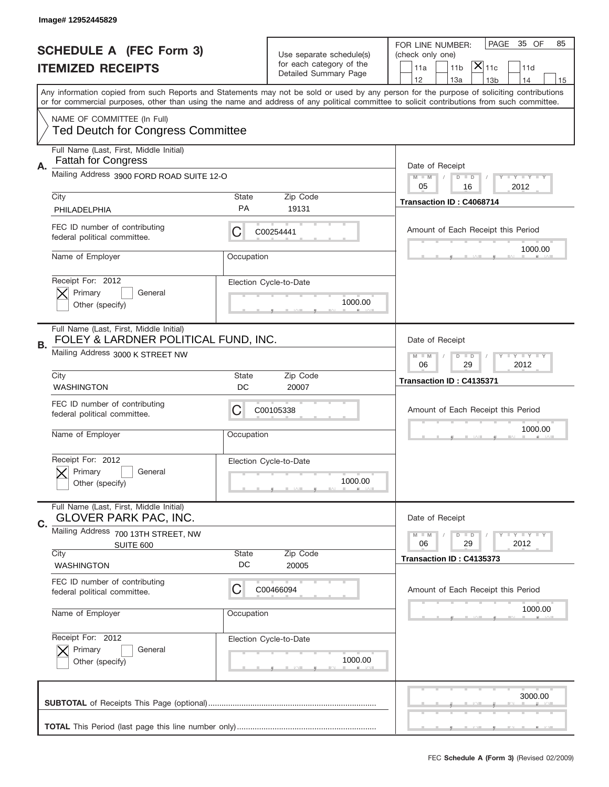|    | Image# 12952445829                                                              |                    |                                                      |                                                                                                                                                                                                                                                                                         |
|----|---------------------------------------------------------------------------------|--------------------|------------------------------------------------------|-----------------------------------------------------------------------------------------------------------------------------------------------------------------------------------------------------------------------------------------------------------------------------------------|
|    | <b>SCHEDULE A (FEC Form 3)</b>                                                  |                    | Use separate schedule(s)<br>for each category of the | PAGE<br>35 OF<br>85<br>FOR LINE NUMBER:<br>(check only one)<br>$ \mathsf{\overline{X}} _{\mathsf{11c}}$                                                                                                                                                                                 |
|    | <b>ITEMIZED RECEIPTS</b>                                                        |                    | Detailed Summary Page                                | 11a<br>11 <sub>b</sub><br>11d<br>12<br>13a<br>13 <sub>b</sub><br>14<br>15                                                                                                                                                                                                               |
|    |                                                                                 |                    |                                                      | Any information copied from such Reports and Statements may not be sold or used by any person for the purpose of soliciting contributions<br>or for commercial purposes, other than using the name and address of any political committee to solicit contributions from such committee. |
|    | NAME OF COMMITTEE (In Full)<br><b>Ted Deutch for Congress Committee</b>         |                    |                                                      |                                                                                                                                                                                                                                                                                         |
| А. | Full Name (Last, First, Middle Initial)<br><b>Fattah for Congress</b>           |                    |                                                      | Date of Receipt                                                                                                                                                                                                                                                                         |
|    | Mailing Address 3900 FORD ROAD SUITE 12-O                                       |                    |                                                      | <b>LY LY LY</b><br>$M - M$<br>$D$ $D$<br>05<br>16<br>2012                                                                                                                                                                                                                               |
|    | City<br>PHILADELPHIA                                                            | State<br><b>PA</b> | Zip Code<br>19131                                    | Transaction ID: C4068714                                                                                                                                                                                                                                                                |
|    | FEC ID number of contributing<br>federal political committee.                   | C                  | C00254441                                            | Amount of Each Receipt this Period                                                                                                                                                                                                                                                      |
|    | Name of Employer                                                                | Occupation         |                                                      | 1000.00                                                                                                                                                                                                                                                                                 |
|    | Receipt For: 2012<br>Primary<br>General<br>Other (specify)                      |                    | Election Cycle-to-Date<br>1000.00                    |                                                                                                                                                                                                                                                                                         |
| В. | Full Name (Last, First, Middle Initial)<br>FOLEY & LARDNER POLITICAL FUND, INC. |                    |                                                      | Date of Receipt                                                                                                                                                                                                                                                                         |
|    | Mailing Address 3000 K STREET NW                                                |                    |                                                      | $D$ $D$<br><b>LYLYLY</b><br>$M$ M<br>06<br>29<br>2012                                                                                                                                                                                                                                   |
|    | City<br><b>WASHINGTON</b>                                                       | State<br>DC        | Zip Code<br>20007                                    | Transaction ID: C4135371                                                                                                                                                                                                                                                                |
|    |                                                                                 |                    |                                                      |                                                                                                                                                                                                                                                                                         |
|    | FEC ID number of contributing<br>federal political committee.                   | C                  | C00105338                                            | Amount of Each Receipt this Period                                                                                                                                                                                                                                                      |
|    | Name of Employer                                                                | Occupation         |                                                      | 1000.00                                                                                                                                                                                                                                                                                 |
|    | Receipt For: 2012<br>Primary<br>General<br>Other (specify)                      |                    | Election Cycle-to-Date<br>1000.00                    |                                                                                                                                                                                                                                                                                         |
|    | Full Name (Last, First, Middle Initial)<br><b>GLOVER PARK PAC, INC.</b>         |                    |                                                      | Date of Receipt                                                                                                                                                                                                                                                                         |
| C. | Mailing Address 700 13TH STREET, NW<br>SUITE 600                                |                    |                                                      | <b>LYLYLY</b><br>$M$ M<br>$D$ $D$<br>29<br>2012<br>06                                                                                                                                                                                                                                   |
|    | City<br><b>WASHINGTON</b>                                                       | State<br>DC        | Zip Code<br>20005                                    | Transaction ID: C4135373                                                                                                                                                                                                                                                                |
|    | FEC ID number of contributing<br>federal political committee.                   | C                  | C00466094                                            | Amount of Each Receipt this Period                                                                                                                                                                                                                                                      |
|    | Name of Employer                                                                | Occupation         |                                                      | 1000.00                                                                                                                                                                                                                                                                                 |
|    | Receipt For: 2012<br>Primary<br>General<br>Other (specify)                      |                    | Election Cycle-to-Date<br>1000.00                    |                                                                                                                                                                                                                                                                                         |
|    |                                                                                 |                    |                                                      | 3000.00                                                                                                                                                                                                                                                                                 |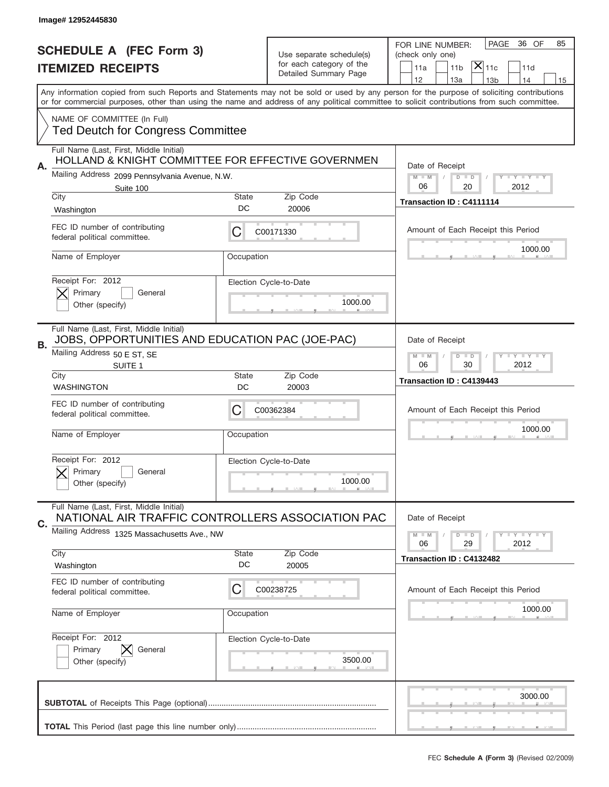|    | Image# 12952445830                                                                                                                              |             |                                                                               |                                                                                                                                                                                                                                                                                         |
|----|-------------------------------------------------------------------------------------------------------------------------------------------------|-------------|-------------------------------------------------------------------------------|-----------------------------------------------------------------------------------------------------------------------------------------------------------------------------------------------------------------------------------------------------------------------------------------|
|    | <b>SCHEDULE A (FEC Form 3)</b><br><b>ITEMIZED RECEIPTS</b>                                                                                      |             | Use separate schedule(s)<br>for each category of the<br>Detailed Summary Page | PAGE<br>36 OF<br>85<br>FOR LINE NUMBER:<br>(check only one)<br>$ \mathsf{X} _{\mathsf{11c}}$<br>11 <sub>b</sub><br>11d<br>11a<br>12<br>13a<br>14<br>13 <sub>b</sub><br>15                                                                                                               |
|    |                                                                                                                                                 |             |                                                                               | Any information copied from such Reports and Statements may not be sold or used by any person for the purpose of soliciting contributions<br>or for commercial purposes, other than using the name and address of any political committee to solicit contributions from such committee. |
|    | NAME OF COMMITTEE (In Full)<br><b>Ted Deutch for Congress Committee</b>                                                                         |             |                                                                               |                                                                                                                                                                                                                                                                                         |
| Α. | Full Name (Last, First, Middle Initial)<br>HOLLAND & KNIGHT COMMITTEE FOR EFFECTIVE GOVERNMEN                                                   |             |                                                                               | Date of Receipt                                                                                                                                                                                                                                                                         |
|    | Mailing Address 2099 Pennsylvania Avenue, N.W.<br>Suite 100<br>City                                                                             | State       | Zip Code                                                                      | $M$ M<br><b>LYLYLY</b><br>$D$ $D$<br>06<br>20<br>2012                                                                                                                                                                                                                                   |
|    | Washington                                                                                                                                      | DC          | 20006                                                                         | Transaction ID: C4111114                                                                                                                                                                                                                                                                |
|    | FEC ID number of contributing<br>federal political committee.                                                                                   | С           | C00171330                                                                     | Amount of Each Receipt this Period                                                                                                                                                                                                                                                      |
|    | Name of Employer                                                                                                                                | Occupation  |                                                                               | 1000.00                                                                                                                                                                                                                                                                                 |
|    | Receipt For: 2012<br>Primary<br>General<br>Other (specify)                                                                                      |             | Election Cycle-to-Date<br>1000.00                                             |                                                                                                                                                                                                                                                                                         |
| В. | Full Name (Last, First, Middle Initial)<br>JOBS, OPPORTUNITIES AND EDUCATION PAC (JOE-PAC)<br>Mailing Address 50 E ST, SE<br>SUITE <sub>1</sub> |             |                                                                               | Date of Receipt<br><b>LEYTEY LEY</b><br>$M - M$<br>$D$ $D$<br>06<br>2012<br>30                                                                                                                                                                                                          |
|    | City<br><b>WASHINGTON</b>                                                                                                                       | State<br>DC | Zip Code<br>20003                                                             | Transaction ID: C4139443                                                                                                                                                                                                                                                                |
|    |                                                                                                                                                 |             |                                                                               |                                                                                                                                                                                                                                                                                         |
|    | FEC ID number of contributing<br>federal political committee.                                                                                   | C           | C00362384                                                                     | Amount of Each Receipt this Period                                                                                                                                                                                                                                                      |
|    | Name of Employer                                                                                                                                | Occupation  |                                                                               | 1000.00                                                                                                                                                                                                                                                                                 |
|    | Receipt For: 2012<br>Primary<br>General<br>Other (specify)                                                                                      |             | Election Cycle-to-Date<br>1000.00                                             |                                                                                                                                                                                                                                                                                         |
|    | Full Name (Last, First, Middle Initial)<br>NATIONAL AIR TRAFFIC CONTROLLERS ASSOCIATION PAC                                                     |             |                                                                               | Date of Receipt                                                                                                                                                                                                                                                                         |
| C. | Mailing Address 1325 Massachusetts Ave., NW                                                                                                     |             |                                                                               | <b>LYLYLY</b><br>$M - M$<br>$D$ $D$<br>2012<br>06<br>29                                                                                                                                                                                                                                 |
|    | City<br>Washington                                                                                                                              | State<br>DC | Zip Code<br>20005                                                             | Transaction ID: C4132482                                                                                                                                                                                                                                                                |
|    | FEC ID number of contributing<br>federal political committee.                                                                                   | С           | C00238725                                                                     | Amount of Each Receipt this Period                                                                                                                                                                                                                                                      |
|    | Name of Employer                                                                                                                                | Occupation  |                                                                               | 1000.00                                                                                                                                                                                                                                                                                 |
|    | Receipt For: 2012<br>Primary<br>General<br>Other (specify)                                                                                      |             | Election Cycle-to-Date<br>3500.00                                             |                                                                                                                                                                                                                                                                                         |
|    |                                                                                                                                                 |             |                                                                               | 3000.00                                                                                                                                                                                                                                                                                 |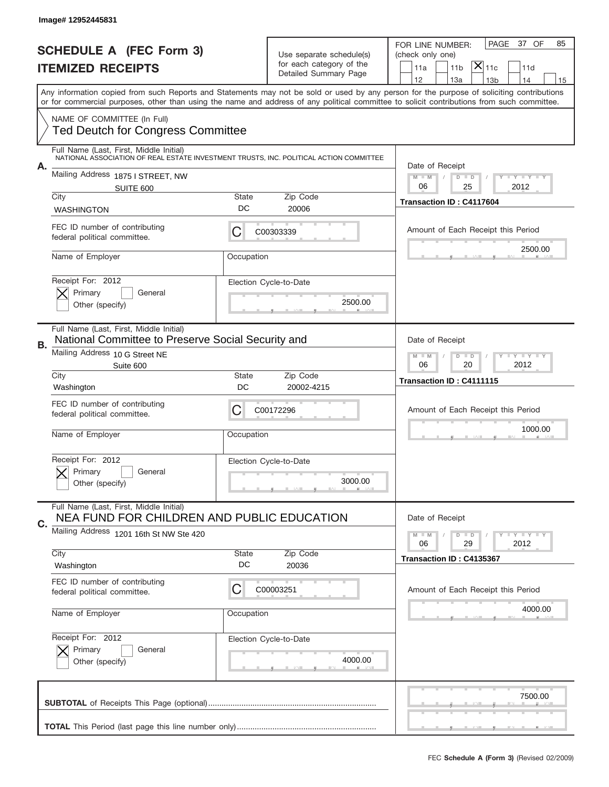|                          | Image# 12952445831                                                                                                                |                    |                                                   |                                                                                                                                                                                                                                                                                                                                     |
|--------------------------|-----------------------------------------------------------------------------------------------------------------------------------|--------------------|---------------------------------------------------|-------------------------------------------------------------------------------------------------------------------------------------------------------------------------------------------------------------------------------------------------------------------------------------------------------------------------------------|
|                          | <b>SCHEDULE A (FEC Form 3)</b>                                                                                                    |                    | Use separate schedule(s)                          | PAGE<br>37 OF<br>85<br>FOR LINE NUMBER:<br>(check only one)                                                                                                                                                                                                                                                                         |
| <b>ITEMIZED RECEIPTS</b> |                                                                                                                                   |                    | for each category of the<br>Detailed Summary Page | $ \mathsf{X} _{\mathsf{11c}}$<br>11a<br>11 <sub>b</sub><br>11d                                                                                                                                                                                                                                                                      |
|                          |                                                                                                                                   |                    |                                                   | 12<br>13a<br>13 <sub>b</sub><br>14<br>15<br>Any information copied from such Reports and Statements may not be sold or used by any person for the purpose of soliciting contributions<br>or for commercial purposes, other than using the name and address of any political committee to solicit contributions from such committee. |
|                          | NAME OF COMMITTEE (In Full)<br><b>Ted Deutch for Congress Committee</b>                                                           |                    |                                                   |                                                                                                                                                                                                                                                                                                                                     |
|                          | Full Name (Last, First, Middle Initial)<br>NATIONAL ASSOCIATION OF REAL ESTATE INVESTMENT TRUSTS, INC. POLITICAL ACTION COMMITTEE |                    |                                                   |                                                                                                                                                                                                                                                                                                                                     |
| А.                       | Mailing Address 1875   STREET, NW<br>SUITE 600                                                                                    |                    |                                                   | Date of Receipt<br>$M - M$<br><b>LYLYLY</b><br>$D$ $D$<br>06<br>25<br>2012                                                                                                                                                                                                                                                          |
|                          | City<br><b>WASHINGTON</b>                                                                                                         | State<br>DC        | Zip Code<br>20006                                 | Transaction ID: C4117604                                                                                                                                                                                                                                                                                                            |
|                          | FEC ID number of contributing<br>federal political committee.                                                                     | С                  | C00303339                                         | Amount of Each Receipt this Period                                                                                                                                                                                                                                                                                                  |
|                          | Name of Employer                                                                                                                  | Occupation         |                                                   | 2500.00                                                                                                                                                                                                                                                                                                                             |
|                          | Receipt For: 2012<br>Primary<br>General<br>Other (specify)                                                                        |                    | Election Cycle-to-Date<br>2500.00                 |                                                                                                                                                                                                                                                                                                                                     |
| В.                       | Full Name (Last, First, Middle Initial)<br>National Committee to Preserve Social Security and                                     |                    |                                                   | Date of Receipt                                                                                                                                                                                                                                                                                                                     |
|                          | Mailing Address 10 G Street NE<br>Suite 600                                                                                       |                    |                                                   | $M - M$<br><b>LYLYLY</b><br>$D$ $D$<br>06<br>20<br>2012                                                                                                                                                                                                                                                                             |
|                          | City<br>Washington                                                                                                                | State<br>DC        | Zip Code<br>20002-4215                            | Transaction ID: C4111115                                                                                                                                                                                                                                                                                                            |
|                          | FEC ID number of contributing<br>federal political committee.                                                                     | C                  | C00172296                                         | Amount of Each Receipt this Period                                                                                                                                                                                                                                                                                                  |
|                          | Name of Employer                                                                                                                  | Occupation         |                                                   | 1000.00                                                                                                                                                                                                                                                                                                                             |
|                          | Receipt For: 2012<br>General<br>Primary<br>Other (specify)                                                                        |                    | Election Cycle-to-Date<br>3000.00                 |                                                                                                                                                                                                                                                                                                                                     |
| C.                       | Full Name (Last, First, Middle Initial)<br>NEA FUND FOR CHILDREN AND PUBLIC EDUCATION                                             |                    |                                                   | Date of Receipt                                                                                                                                                                                                                                                                                                                     |
|                          | Mailing Address 1201 16th St NW Ste 420                                                                                           |                    |                                                   | <b>LYLYLY</b><br>$M - M$<br>$D$ $D$<br>06<br>29<br>2012                                                                                                                                                                                                                                                                             |
|                          | City<br>Washington                                                                                                                | <b>State</b><br>DC | Zip Code<br>20036                                 | Transaction ID: C4135367                                                                                                                                                                                                                                                                                                            |
|                          | FEC ID number of contributing<br>federal political committee.                                                                     | C                  | C00003251                                         | Amount of Each Receipt this Period                                                                                                                                                                                                                                                                                                  |
|                          | Name of Employer                                                                                                                  | Occupation         |                                                   | 4000.00                                                                                                                                                                                                                                                                                                                             |
|                          | Receipt For: 2012<br>Primary<br>General<br>Other (specify)                                                                        |                    | Election Cycle-to-Date<br>4000.00                 |                                                                                                                                                                                                                                                                                                                                     |
|                          |                                                                                                                                   |                    |                                                   | 7500.00                                                                                                                                                                                                                                                                                                                             |
|                          |                                                                                                                                   |                    |                                                   |                                                                                                                                                                                                                                                                                                                                     |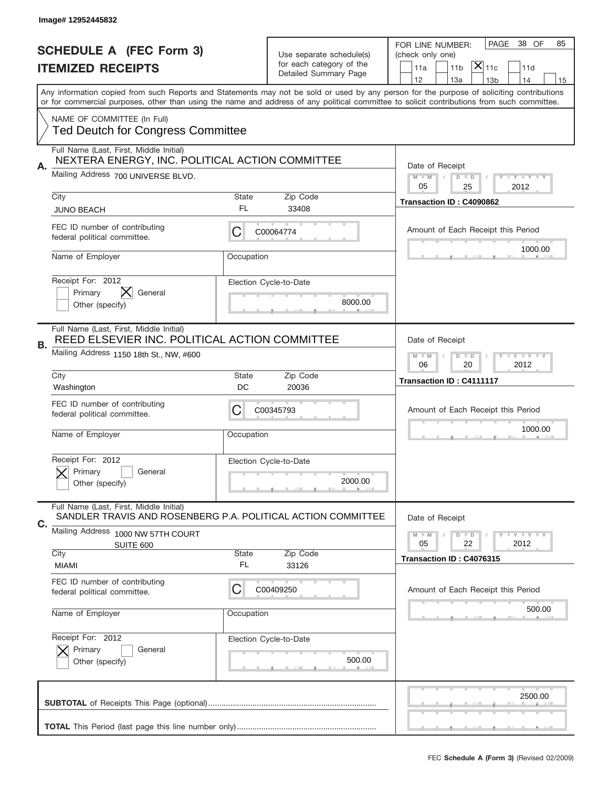|                          | Image# 12952445832                                                                                      |            |                                                      |                                                                                                                                                                                                                                                                                         |
|--------------------------|---------------------------------------------------------------------------------------------------------|------------|------------------------------------------------------|-----------------------------------------------------------------------------------------------------------------------------------------------------------------------------------------------------------------------------------------------------------------------------------------|
|                          | <b>SCHEDULE A (FEC Form 3)</b>                                                                          |            |                                                      | PAGE<br>38 OF<br>85<br>FOR LINE NUMBER:                                                                                                                                                                                                                                                 |
| <b>ITEMIZED RECEIPTS</b> |                                                                                                         |            | Use separate schedule(s)<br>for each category of the | (check only one)<br>$\overline{ {\mathsf X} }_{\text{11c}}$<br>11a<br>11 <sub>b</sub><br>11d                                                                                                                                                                                            |
|                          |                                                                                                         |            | Detailed Summary Page                                | 12<br>13a<br>14<br>13 <sub>b</sub><br>15                                                                                                                                                                                                                                                |
|                          |                                                                                                         |            |                                                      | Any information copied from such Reports and Statements may not be sold or used by any person for the purpose of soliciting contributions<br>or for commercial purposes, other than using the name and address of any political committee to solicit contributions from such committee. |
|                          | NAME OF COMMITTEE (In Full)                                                                             |            |                                                      |                                                                                                                                                                                                                                                                                         |
|                          | <b>Ted Deutch for Congress Committee</b>                                                                |            |                                                      |                                                                                                                                                                                                                                                                                         |
|                          | Full Name (Last, First, Middle Initial)<br>NEXTERA ENERGY, INC. POLITICAL ACTION COMMITTEE              |            |                                                      |                                                                                                                                                                                                                                                                                         |
| А.                       | Mailing Address 700 UNIVERSE BLVD.                                                                      |            |                                                      | Date of Receipt<br>$M - M$<br><b>LY LY LY</b><br>$D$ $D$                                                                                                                                                                                                                                |
|                          | City                                                                                                    | State      | Zip Code                                             | 05<br>25<br>2012                                                                                                                                                                                                                                                                        |
|                          | <b>JUNO BEACH</b>                                                                                       | FL.        | 33408                                                | Transaction ID: C4090862                                                                                                                                                                                                                                                                |
|                          | FEC ID number of contributing<br>federal political committee.                                           | С          | C00064774                                            | Amount of Each Receipt this Period                                                                                                                                                                                                                                                      |
|                          | Name of Employer                                                                                        | Occupation |                                                      | 1000.00                                                                                                                                                                                                                                                                                 |
|                          | Receipt For: 2012                                                                                       |            | Election Cycle-to-Date                               |                                                                                                                                                                                                                                                                                         |
|                          | General<br>Primary                                                                                      |            | 8000.00                                              |                                                                                                                                                                                                                                                                                         |
|                          | Other (specify)                                                                                         |            |                                                      |                                                                                                                                                                                                                                                                                         |
| В.                       | Full Name (Last, First, Middle Initial)<br>REED ELSEVIER INC. POLITICAL ACTION COMMITTEE                |            |                                                      | Date of Receipt                                                                                                                                                                                                                                                                         |
|                          | Mailing Address 1150 18th St., NW, #600                                                                 |            |                                                      | $D$ $D$<br><b>LEYTEY LEY</b><br>$M - M$                                                                                                                                                                                                                                                 |
|                          | City                                                                                                    | State      | Zip Code                                             | 06<br>2012<br>20                                                                                                                                                                                                                                                                        |
|                          | Washington                                                                                              | DC         | 20036                                                | Transaction ID: C4111117                                                                                                                                                                                                                                                                |
|                          | FEC ID number of contributing<br>federal political committee.                                           | C          | C00345793                                            | Amount of Each Receipt this Period                                                                                                                                                                                                                                                      |
|                          |                                                                                                         |            |                                                      |                                                                                                                                                                                                                                                                                         |
|                          |                                                                                                         |            |                                                      | 1000.00                                                                                                                                                                                                                                                                                 |
|                          | Name of Employer                                                                                        | Occupation |                                                      |                                                                                                                                                                                                                                                                                         |
|                          | Receipt For: 2012                                                                                       |            | Election Cycle-to-Date                               |                                                                                                                                                                                                                                                                                         |
|                          | Primary<br>General                                                                                      |            | 2000.00                                              |                                                                                                                                                                                                                                                                                         |
|                          | Other (specify)                                                                                         |            |                                                      |                                                                                                                                                                                                                                                                                         |
| С.                       | Full Name (Last, First, Middle Initial)<br>SANDLER TRAVIS AND ROSENBERG P.A. POLITICAL ACTION COMMITTEE |            |                                                      | Date of Receipt                                                                                                                                                                                                                                                                         |
|                          | Mailing Address 1000 NW 57TH COURT                                                                      |            |                                                      | $I - Y - I - Y - I - Y$<br>$M - M$<br>$D$ $D$                                                                                                                                                                                                                                           |
|                          | SUITE 600<br>City                                                                                       | State      | Zip Code                                             | 2012<br>05<br>22<br>Transaction ID: C4076315                                                                                                                                                                                                                                            |
|                          | <b>MIAMI</b>                                                                                            | FL.        | 33126                                                |                                                                                                                                                                                                                                                                                         |
|                          | FEC ID number of contributing<br>federal political committee.                                           | С          | C00409250                                            | Amount of Each Receipt this Period                                                                                                                                                                                                                                                      |
|                          |                                                                                                         |            |                                                      | 500.00                                                                                                                                                                                                                                                                                  |
|                          | Name of Employer                                                                                        | Occupation |                                                      |                                                                                                                                                                                                                                                                                         |
|                          | Receipt For: 2012                                                                                       |            | Election Cycle-to-Date                               |                                                                                                                                                                                                                                                                                         |
|                          | Primary<br>General<br>Other (specify)                                                                   |            | 500.00                                               |                                                                                                                                                                                                                                                                                         |
|                          |                                                                                                         |            |                                                      |                                                                                                                                                                                                                                                                                         |
|                          |                                                                                                         |            |                                                      | 2500.00                                                                                                                                                                                                                                                                                 |
|                          |                                                                                                         |            |                                                      |                                                                                                                                                                                                                                                                                         |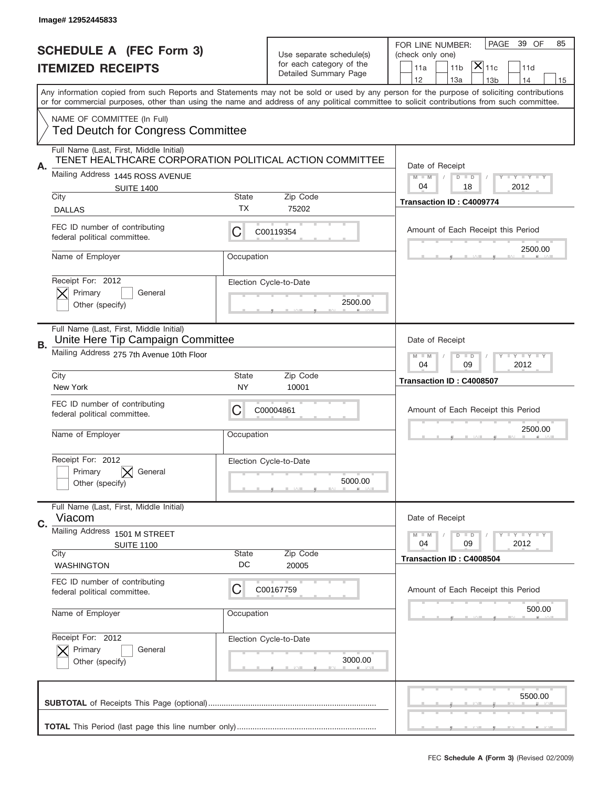|             | Image# 12952445833                                                                                 |                                   |                                                                               |                                                                                                                                                                                                                                                                                         |
|-------------|----------------------------------------------------------------------------------------------------|-----------------------------------|-------------------------------------------------------------------------------|-----------------------------------------------------------------------------------------------------------------------------------------------------------------------------------------------------------------------------------------------------------------------------------------|
|             | <b>SCHEDULE A (FEC Form 3)</b><br><b>ITEMIZED RECEIPTS</b>                                         |                                   | Use separate schedule(s)<br>for each category of the<br>Detailed Summary Page | 39 OF<br>PAGE<br>85<br>FOR LINE NUMBER:<br>(check only one)<br>$ \mathsf{X} _{\mathsf{11c}}$<br>11 <sub>b</sub><br>11d<br>11a<br>12<br>13a<br>14<br>13 <sub>b</sub><br>15                                                                                                               |
|             |                                                                                                    |                                   |                                                                               | Any information copied from such Reports and Statements may not be sold or used by any person for the purpose of soliciting contributions<br>or for commercial purposes, other than using the name and address of any political committee to solicit contributions from such committee. |
|             | NAME OF COMMITTEE (In Full)<br><b>Ted Deutch for Congress Committee</b>                            |                                   |                                                                               |                                                                                                                                                                                                                                                                                         |
| Α.          | Full Name (Last, First, Middle Initial)<br>TENET HEALTHCARE CORPORATION POLITICAL ACTION COMMITTEE |                                   |                                                                               | Date of Receipt                                                                                                                                                                                                                                                                         |
|             | Mailing Address 1445 ROSS AVENUE<br><b>SUITE 1400</b>                                              |                                   |                                                                               | $M$ $M$<br><b>TEY LY LY</b><br>$D$ $D$<br>04<br>18<br>2012                                                                                                                                                                                                                              |
|             | City<br><b>DALLAS</b>                                                                              | State<br>ТX                       | Zip Code<br>75202                                                             | Transaction ID: C4009774                                                                                                                                                                                                                                                                |
|             | FEC ID number of contributing<br>federal political committee.                                      | C                                 | C00119354                                                                     | Amount of Each Receipt this Period                                                                                                                                                                                                                                                      |
|             | Name of Employer                                                                                   | Occupation                        |                                                                               | 2500.00                                                                                                                                                                                                                                                                                 |
|             | Receipt For: 2012<br>Primary<br>General<br>Other (specify)                                         |                                   | Election Cycle-to-Date<br>2500.00                                             |                                                                                                                                                                                                                                                                                         |
| В.          | Full Name (Last, First, Middle Initial)<br>Unite Here Tip Campaign Committee                       |                                   |                                                                               | Date of Receipt                                                                                                                                                                                                                                                                         |
|             | Mailing Address 275 7th Avenue 10th Floor                                                          |                                   |                                                                               | <b>LY LY LY</b><br>$M - M$<br>$D$ $D$<br>04<br>09<br>2012                                                                                                                                                                                                                               |
|             | City<br><b>State</b><br>Zip Code<br>New York<br>10001<br>NY                                        |                                   | Transaction ID: C4008507                                                      |                                                                                                                                                                                                                                                                                         |
|             | FEC ID number of contributing<br>federal political committee.                                      | C                                 | C00004861                                                                     | Amount of Each Receipt this Period                                                                                                                                                                                                                                                      |
|             | Name of Employer                                                                                   | Occupation                        |                                                                               | 2500.00                                                                                                                                                                                                                                                                                 |
|             | Receipt For: 2012<br>Primary<br>General<br>Other (specify)                                         | Election Cycle-to-Date<br>5000.00 |                                                                               |                                                                                                                                                                                                                                                                                         |
| $C_{\cdot}$ | Full Name (Last, First, Middle Initial)<br>Viacom                                                  |                                   |                                                                               | Date of Receipt                                                                                                                                                                                                                                                                         |
|             | Mailing Address 1501 M STREET<br><b>SUITE 1100</b>                                                 |                                   |                                                                               | $I - Y - I - Y - I - Y$<br>$M - M$<br>$D$ $D$<br>04<br>09<br>2012                                                                                                                                                                                                                       |
|             | City<br><b>WASHINGTON</b>                                                                          | State<br>DC                       | Zip Code<br>20005                                                             | Transaction ID: C4008504                                                                                                                                                                                                                                                                |
|             | FEC ID number of contributing<br>federal political committee.                                      | C                                 | C00167759                                                                     | Amount of Each Receipt this Period                                                                                                                                                                                                                                                      |
|             | Name of Employer                                                                                   | Occupation                        |                                                                               | 500.00                                                                                                                                                                                                                                                                                  |
|             | Receipt For: 2012<br>Primary<br>General<br>Other (specify)                                         |                                   | Election Cycle-to-Date<br>3000.00                                             |                                                                                                                                                                                                                                                                                         |
|             |                                                                                                    |                                   |                                                                               | 5500.00                                                                                                                                                                                                                                                                                 |
|             |                                                                                                    |                                   |                                                                               |                                                                                                                                                                                                                                                                                         |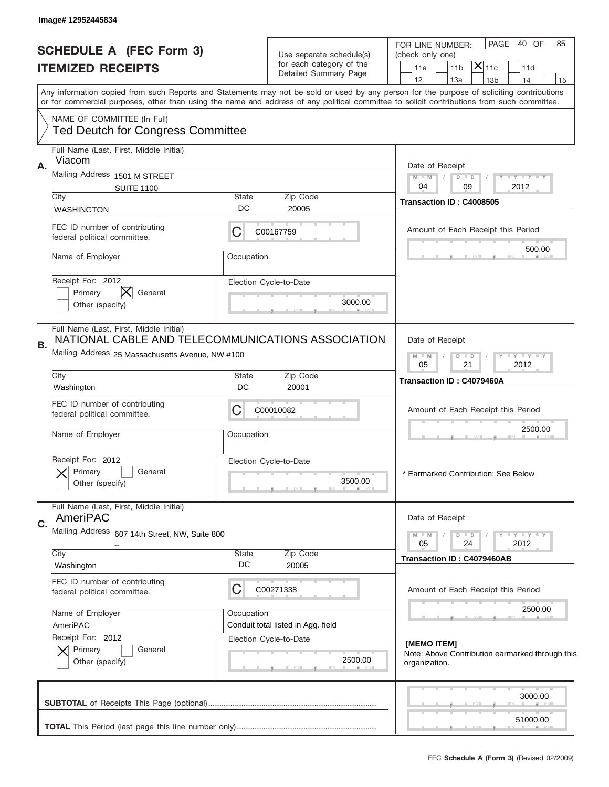|    | Image# 12952445834                                                                           |                                                                                                                                                                                                                                                                                         |                                                      |                                                                                    |  |
|----|----------------------------------------------------------------------------------------------|-----------------------------------------------------------------------------------------------------------------------------------------------------------------------------------------------------------------------------------------------------------------------------------------|------------------------------------------------------|------------------------------------------------------------------------------------|--|
|    | <b>SCHEDULE A (FEC Form 3)</b>                                                               |                                                                                                                                                                                                                                                                                         |                                                      | PAGE<br>40 OF<br>85<br>FOR LINE NUMBER:                                            |  |
|    | <b>ITEMIZED RECEIPTS</b>                                                                     |                                                                                                                                                                                                                                                                                         | Use separate schedule(s)<br>for each category of the | (check only one)<br>$ \mathsf{X} _{\mathsf{11c}}$<br>11a<br>11 <sub>b</sub><br>11d |  |
|    |                                                                                              |                                                                                                                                                                                                                                                                                         | Detailed Summary Page                                | 12<br>13a<br>14<br>13 <sub>b</sub><br>15                                           |  |
|    |                                                                                              | Any information copied from such Reports and Statements may not be sold or used by any person for the purpose of soliciting contributions<br>or for commercial purposes, other than using the name and address of any political committee to solicit contributions from such committee. |                                                      |                                                                                    |  |
|    | NAME OF COMMITTEE (In Full)<br><b>Ted Deutch for Congress Committee</b>                      |                                                                                                                                                                                                                                                                                         |                                                      |                                                                                    |  |
|    | Full Name (Last, First, Middle Initial)                                                      |                                                                                                                                                                                                                                                                                         |                                                      |                                                                                    |  |
| Α. | Viacom<br>Mailing Address 1501 M STREET                                                      |                                                                                                                                                                                                                                                                                         |                                                      | Date of Receipt                                                                    |  |
|    | <b>SUITE 1100</b>                                                                            |                                                                                                                                                                                                                                                                                         |                                                      | $M$ $M$<br>$D$ $D$<br>Y FY FY FY<br>04<br>09<br>2012                               |  |
|    | City                                                                                         | <b>State</b>                                                                                                                                                                                                                                                                            | Zip Code                                             | Transaction ID: C4008505                                                           |  |
|    | <b>WASHINGTON</b>                                                                            | DC                                                                                                                                                                                                                                                                                      | 20005                                                |                                                                                    |  |
|    | FEC ID number of contributing<br>federal political committee.                                | С                                                                                                                                                                                                                                                                                       | C00167759                                            | Amount of Each Receipt this Period<br>500.00                                       |  |
|    | Name of Employer                                                                             | Occupation                                                                                                                                                                                                                                                                              |                                                      |                                                                                    |  |
|    | Receipt For: 2012                                                                            |                                                                                                                                                                                                                                                                                         | Election Cycle-to-Date                               |                                                                                    |  |
|    | Primary<br>General                                                                           |                                                                                                                                                                                                                                                                                         | 3000.00                                              |                                                                                    |  |
|    | Other (specify)                                                                              |                                                                                                                                                                                                                                                                                         |                                                      |                                                                                    |  |
| В. | Full Name (Last, First, Middle Initial)<br>NATIONAL CABLE AND TELECOMMUNICATIONS ASSOCIATION |                                                                                                                                                                                                                                                                                         |                                                      | Date of Receipt                                                                    |  |
|    | Mailing Address 25 Massachusetts Avenue, NW #100                                             |                                                                                                                                                                                                                                                                                         |                                                      | $M$ M<br>$D$ $D$<br><b>TEY TEY TEY</b><br>05<br>21<br>2012                         |  |
|    | City                                                                                         | <b>State</b>                                                                                                                                                                                                                                                                            | Zip Code                                             | Transaction ID: C4079460A                                                          |  |
|    | DC<br>20001<br>Washington                                                                    |                                                                                                                                                                                                                                                                                         |                                                      |                                                                                    |  |
|    | FEC ID number of contributing<br>federal political committee.                                | C                                                                                                                                                                                                                                                                                       | C00010082                                            | Amount of Each Receipt this Period                                                 |  |
|    | Name of Employer                                                                             | Occupation                                                                                                                                                                                                                                                                              |                                                      | 2500.00                                                                            |  |
|    | Receipt For: 2012                                                                            |                                                                                                                                                                                                                                                                                         | Election Cycle-to-Date                               |                                                                                    |  |
|    | Primary<br>General                                                                           |                                                                                                                                                                                                                                                                                         |                                                      | * Earmarked Contribution: See Below                                                |  |
|    | Other (specify)                                                                              |                                                                                                                                                                                                                                                                                         | 3500.00                                              |                                                                                    |  |
|    | Full Name (Last, First, Middle Initial)                                                      |                                                                                                                                                                                                                                                                                         |                                                      |                                                                                    |  |
| C. | AmeriPAC                                                                                     |                                                                                                                                                                                                                                                                                         |                                                      | Date of Receipt                                                                    |  |
|    | <b>Mailing Address</b><br>607 14th Street, NW, Suite 800                                     |                                                                                                                                                                                                                                                                                         |                                                      | $D$ $D$<br><b>LY LY LY</b><br>$M - M$<br>05<br>24<br>2012                          |  |
|    | City                                                                                         | <b>State</b>                                                                                                                                                                                                                                                                            | Zip Code                                             | Transaction ID: C4079460AB                                                         |  |
|    | Washington                                                                                   | DC                                                                                                                                                                                                                                                                                      | 20005                                                |                                                                                    |  |
|    | FEC ID number of contributing<br>federal political committee.                                | С                                                                                                                                                                                                                                                                                       | C00271338                                            | Amount of Each Receipt this Period                                                 |  |
|    |                                                                                              |                                                                                                                                                                                                                                                                                         |                                                      | 2500.00                                                                            |  |
|    | Name of Employer<br>AmeriPAC                                                                 | Occupation                                                                                                                                                                                                                                                                              | Conduit total listed in Agg. field                   |                                                                                    |  |
|    | Receipt For: 2012                                                                            |                                                                                                                                                                                                                                                                                         | Election Cycle-to-Date                               |                                                                                    |  |
|    | Primary<br>General<br>Other (specify)                                                        |                                                                                                                                                                                                                                                                                         | 2500.00                                              | [MEMO ITEM]<br>Note: Above Contribution earmarked through this<br>organization.    |  |
|    |                                                                                              |                                                                                                                                                                                                                                                                                         |                                                      | 3000.00                                                                            |  |
|    |                                                                                              |                                                                                                                                                                                                                                                                                         |                                                      |                                                                                    |  |
|    |                                                                                              |                                                                                                                                                                                                                                                                                         |                                                      | 51000.00                                                                           |  |
|    |                                                                                              |                                                                                                                                                                                                                                                                                         |                                                      | FEC Schedule A (Form 3) (Revised 02/2009)                                          |  |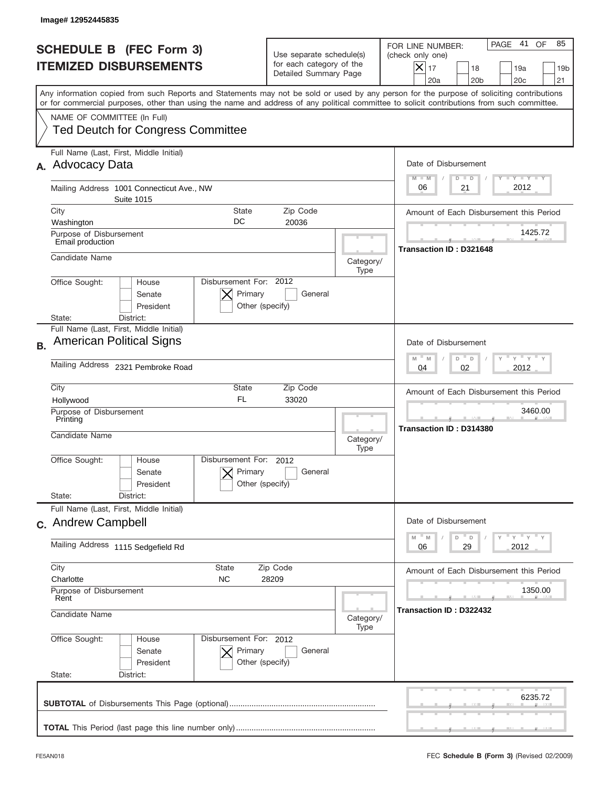| Image# 12952445835                                                                                                                                                                                                                                                                      |                                                                               |                                                                                                                                                                                    |
|-----------------------------------------------------------------------------------------------------------------------------------------------------------------------------------------------------------------------------------------------------------------------------------------|-------------------------------------------------------------------------------|------------------------------------------------------------------------------------------------------------------------------------------------------------------------------------|
| <b>SCHEDULE B (FEC Form 3)</b><br><b>ITEMIZED DISBURSEMENTS</b>                                                                                                                                                                                                                         | Use separate schedule(s)<br>for each category of the<br>Detailed Summary Page | 41<br>85<br>PAGE<br>OF<br>FOR LINE NUMBER:<br>(check only one)<br>$ \boldsymbol{\times} $<br>17<br>18<br>19a<br>19 <sub>b</sub><br>20a<br>20 <sub>b</sub><br>20 <sub>c</sub><br>21 |
| Any information copied from such Reports and Statements may not be sold or used by any person for the purpose of soliciting contributions<br>or for commercial purposes, other than using the name and address of any political committee to solicit contributions from such committee. |                                                                               |                                                                                                                                                                                    |
| NAME OF COMMITTEE (In Full)<br><b>Ted Deutch for Congress Committee</b>                                                                                                                                                                                                                 |                                                                               |                                                                                                                                                                                    |
| Full Name (Last, First, Middle Initial)<br><b>Advocacy Data</b><br>А.                                                                                                                                                                                                                   |                                                                               | Date of Disbursement                                                                                                                                                               |
| Mailing Address 1001 Connecticut Ave., NW<br><b>Suite 1015</b>                                                                                                                                                                                                                          |                                                                               | Y TY TY TY<br>$M - M$<br>$D$ $D$<br>2012<br>21<br>06                                                                                                                               |
| City<br>State                                                                                                                                                                                                                                                                           | Zip Code                                                                      | Amount of Each Disbursement this Period                                                                                                                                            |
| DC<br>Washington<br>Purpose of Disbursement<br>Email production                                                                                                                                                                                                                         | 20036                                                                         | 1425.72                                                                                                                                                                            |
| Candidate Name                                                                                                                                                                                                                                                                          | Category/<br>Type                                                             | <b>Transaction ID: D321648</b>                                                                                                                                                     |
| Disbursement For: 2012<br>Office Sought:<br>House<br>Primary<br>Senate<br>President<br>Other (specify)                                                                                                                                                                                  | General                                                                       |                                                                                                                                                                                    |
| District:<br>State:<br>Full Name (Last, First, Middle Initial)                                                                                                                                                                                                                          |                                                                               |                                                                                                                                                                                    |
| <b>American Political Signs</b><br><b>B.</b>                                                                                                                                                                                                                                            |                                                                               | Date of Disbursement<br>γ " γ " γ " γ<br>$M - M$<br>D<br>D                                                                                                                         |
| Mailing Address 2321 Pembroke Road                                                                                                                                                                                                                                                      | 2012<br>04<br>02                                                              |                                                                                                                                                                                    |
| City<br>State<br>FL.<br>Hollywood<br>Purpose of Disbursement                                                                                                                                                                                                                            | Zip Code<br>33020                                                             | Amount of Each Disbursement this Period<br>3460.00                                                                                                                                 |
| Printing<br>Candidate Name                                                                                                                                                                                                                                                              | Category/<br>Type                                                             | Transaction ID: D314380                                                                                                                                                            |
| Disbursement For:<br>Office Sought:<br>House<br>Primary<br>Senate<br>Other (specify)<br>President                                                                                                                                                                                       | 2012<br>General                                                               |                                                                                                                                                                                    |
| State:<br>District:                                                                                                                                                                                                                                                                     |                                                                               |                                                                                                                                                                                    |
| Full Name (Last, First, Middle Initial)<br>c. Andrew Campbell                                                                                                                                                                                                                           |                                                                               | Date of Disbursement                                                                                                                                                               |
| Mailing Address 1115 Sedgefield Rd                                                                                                                                                                                                                                                      |                                                                               | $\gamma$ $\gamma$ $\gamma$ $\gamma$ $\gamma$<br>M<br>${\mathbb M}$<br>D<br>$\mathsf D$<br>2012<br>06<br>29                                                                         |
| City<br><b>State</b>                                                                                                                                                                                                                                                                    | Zip Code                                                                      | Amount of Each Disbursement this Period                                                                                                                                            |
| Charlotte<br>NС<br>Purpose of Disbursement<br>Rent                                                                                                                                                                                                                                      | 28209                                                                         | 1350.00                                                                                                                                                                            |
| Candidate Name                                                                                                                                                                                                                                                                          | Category/<br>Type                                                             | Transaction ID : D322432                                                                                                                                                           |
| Office Sought:<br>Disbursement For: 2012<br>House<br>Primary<br>Senate<br>President<br>Other (specify)<br>State:<br>District:                                                                                                                                                           | General                                                                       |                                                                                                                                                                                    |
|                                                                                                                                                                                                                                                                                         |                                                                               | 6235.72                                                                                                                                                                            |
|                                                                                                                                                                                                                                                                                         |                                                                               |                                                                                                                                                                                    |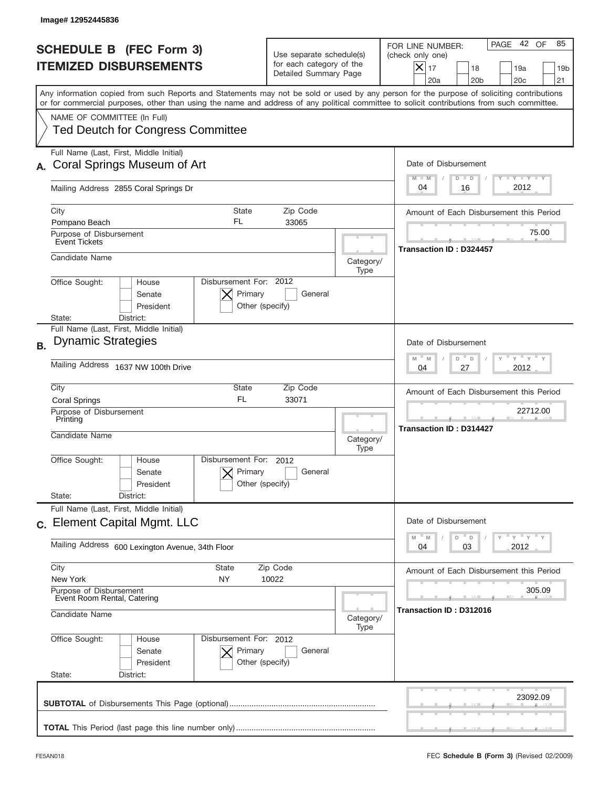| Image# 12952445836                                                                                                                                                                                                                                                                      |                                                                               |                                                                                                                                              |
|-----------------------------------------------------------------------------------------------------------------------------------------------------------------------------------------------------------------------------------------------------------------------------------------|-------------------------------------------------------------------------------|----------------------------------------------------------------------------------------------------------------------------------------------|
| <b>SCHEDULE B (FEC Form 3)</b><br><b>ITEMIZED DISBURSEMENTS</b>                                                                                                                                                                                                                         | Use separate schedule(s)<br>for each category of the<br>Detailed Summary Page | PAGE 42 OF<br>85<br>FOR LINE NUMBER:<br>(check only one)<br>$X _{17}$<br>18<br>19a<br>19 <sub>b</sub><br>20a<br>20 <sub>b</sub><br>20c<br>21 |
| Any information copied from such Reports and Statements may not be sold or used by any person for the purpose of soliciting contributions<br>or for commercial purposes, other than using the name and address of any political committee to solicit contributions from such committee. |                                                                               |                                                                                                                                              |
| NAME OF COMMITTEE (In Full)<br><b>Ted Deutch for Congress Committee</b>                                                                                                                                                                                                                 |                                                                               |                                                                                                                                              |
| Full Name (Last, First, Middle Initial)<br>Coral Springs Museum of Art                                                                                                                                                                                                                  |                                                                               | Date of Disbursement<br>Y FY FY FY                                                                                                           |
| Mailing Address 2855 Coral Springs Dr                                                                                                                                                                                                                                                   |                                                                               | $M - M$<br>$D$ $D$<br>2012<br>04<br>16                                                                                                       |
| City<br><b>State</b><br>FL<br>Pompano Beach                                                                                                                                                                                                                                             | Zip Code<br>33065                                                             | Amount of Each Disbursement this Period                                                                                                      |
| Purpose of Disbursement<br><b>Event Tickets</b>                                                                                                                                                                                                                                         |                                                                               | 75.00<br>Transaction ID: D324457                                                                                                             |
| Candidate Name                                                                                                                                                                                                                                                                          | Category/<br>Type                                                             |                                                                                                                                              |
| Disbursement For: 2012<br>Office Sought:<br>House<br>Primary<br>Senate<br>President<br>Other (specify)                                                                                                                                                                                  | General                                                                       |                                                                                                                                              |
| District:<br>State:<br>Full Name (Last, First, Middle Initial)                                                                                                                                                                                                                          |                                                                               |                                                                                                                                              |
| <b>Dynamic Strategies</b><br><b>B.</b>                                                                                                                                                                                                                                                  |                                                                               | Date of Disbursement<br>$\cdots$ $\gamma$ $\cdots$ $\gamma$ $\cdots$ $\gamma$<br>$M - M$<br>D<br>$\mathsf D$                                 |
| Mailing Address 1637 NW 100th Drive                                                                                                                                                                                                                                                     |                                                                               | 27<br>2012<br>04                                                                                                                             |
| City<br>State<br>FL.<br><b>Coral Springs</b>                                                                                                                                                                                                                                            | Zip Code<br>33071                                                             | Amount of Each Disbursement this Period                                                                                                      |
| Purpose of Disbursement<br>Printing<br>Candidate Name                                                                                                                                                                                                                                   | Category/<br>Type                                                             | 22712.00<br><b>Transaction ID: D314427</b>                                                                                                   |
| Disbursement For:<br>Office Sought:<br>House<br>Primary<br>Senate<br>Other (specify)<br>President                                                                                                                                                                                       | 2012<br>General                                                               |                                                                                                                                              |
| State:<br>District:<br>Full Name (Last, First, Middle Initial)                                                                                                                                                                                                                          |                                                                               |                                                                                                                                              |
| c. Element Capital Mgmt. LLC                                                                                                                                                                                                                                                            |                                                                               | Date of Disbursement<br>$=\frac{1}{\gamma}+\frac{1}{\gamma}+\frac{1}{\gamma}+\frac{1}{\gamma}$<br>M<br>D<br>M<br>D                           |
| Mailing Address 600 Lexington Avenue, 34th Floor                                                                                                                                                                                                                                        |                                                                               | 03<br>2012<br>04                                                                                                                             |
| City<br><b>State</b><br>New York<br>NY.                                                                                                                                                                                                                                                 | Zip Code<br>10022                                                             | Amount of Each Disbursement this Period                                                                                                      |
| Purpose of Disbursement<br>Event Room Rental, Catering<br>Candidate Name                                                                                                                                                                                                                | Category/                                                                     | 305.09<br>Transaction ID: D312016                                                                                                            |
| Office Sought:<br>Disbursement For: 2012<br>House                                                                                                                                                                                                                                       | Type                                                                          |                                                                                                                                              |
| Primary<br>Senate<br>President<br>Other (specify)<br>State:<br>District:                                                                                                                                                                                                                | General                                                                       |                                                                                                                                              |
|                                                                                                                                                                                                                                                                                         |                                                                               | 23092.09                                                                                                                                     |
|                                                                                                                                                                                                                                                                                         |                                                                               |                                                                                                                                              |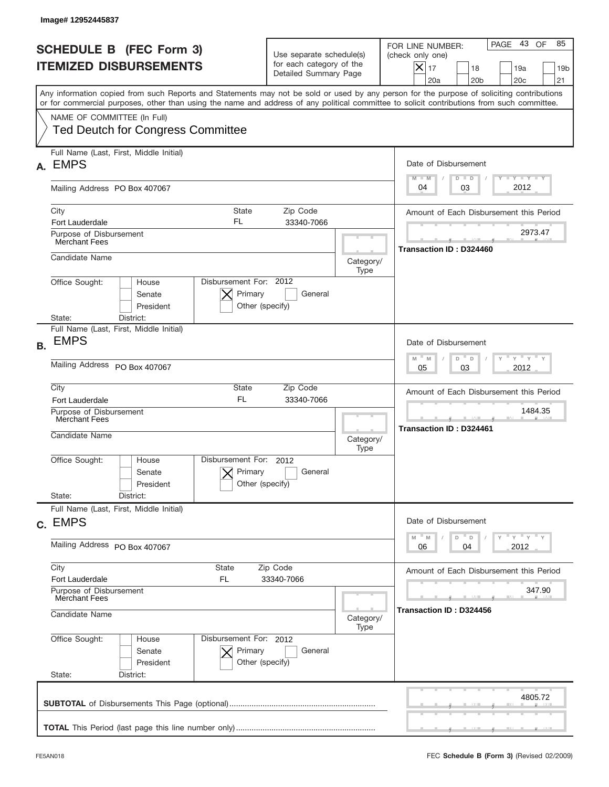|                                                                 | Image# 12952445837                                                                                                                                                                                                                                                                      |                                                                                                     |                   |                                                                                                                                                                  |
|-----------------------------------------------------------------|-----------------------------------------------------------------------------------------------------------------------------------------------------------------------------------------------------------------------------------------------------------------------------------------|-----------------------------------------------------------------------------------------------------|-------------------|------------------------------------------------------------------------------------------------------------------------------------------------------------------|
| <b>SCHEDULE B (FEC Form 3)</b><br><b>ITEMIZED DISBURSEMENTS</b> |                                                                                                                                                                                                                                                                                         | Use separate schedule(s)<br>for each category of the<br>Detailed Summary Page                       |                   | PAGE 43<br>OF<br>85<br>FOR LINE NUMBER:<br>(check only one)<br>$\times$<br>17<br>18<br>19a<br>19 <sub>b</sub><br>21<br>20a<br>20 <sub>b</sub><br>20 <sub>c</sub> |
|                                                                 | Any information copied from such Reports and Statements may not be sold or used by any person for the purpose of soliciting contributions<br>or for commercial purposes, other than using the name and address of any political committee to solicit contributions from such committee. |                                                                                                     |                   |                                                                                                                                                                  |
|                                                                 | NAME OF COMMITTEE (In Full)<br><b>Ted Deutch for Congress Committee</b>                                                                                                                                                                                                                 |                                                                                                     |                   |                                                                                                                                                                  |
| А.                                                              | Full Name (Last, First, Middle Initial)<br><b>EMPS</b>                                                                                                                                                                                                                                  |                                                                                                     |                   | Date of Disbursement<br>$T - Y$ $T - Y$<br>$M - M$<br>$D$ $D$                                                                                                    |
|                                                                 | Mailing Address PO Box 407067                                                                                                                                                                                                                                                           |                                                                                                     |                   | 2012<br>03<br>04                                                                                                                                                 |
|                                                                 | City<br>State<br>FL<br>Fort Lauderdale                                                                                                                                                                                                                                                  | Zip Code<br>33340-7066                                                                              |                   | Amount of Each Disbursement this Period                                                                                                                          |
|                                                                 | Purpose of Disbursement<br>Merchant Fees                                                                                                                                                                                                                                                |                                                                                                     |                   | 2973.47<br>Transaction ID: D324460                                                                                                                               |
|                                                                 | Candidate Name                                                                                                                                                                                                                                                                          |                                                                                                     | Category/<br>Type |                                                                                                                                                                  |
|                                                                 | Disbursement For: 2012<br>Office Sought:<br>House<br>Primary<br>Senate<br>President<br>District:<br>State:                                                                                                                                                                              | General<br>Other (specify)                                                                          |                   |                                                                                                                                                                  |
| <b>B.</b>                                                       | Full Name (Last, First, Middle Initial)<br><b>EMPS</b>                                                                                                                                                                                                                                  |                                                                                                     |                   | Date of Disbursement                                                                                                                                             |
|                                                                 | Mailing Address PO Box 407067                                                                                                                                                                                                                                                           | $\cdots$ $\gamma$ $\cdots$ $\gamma$ $\cdots$ $\gamma$<br>$M - M$<br>D<br>$\Box$<br>2012<br>05<br>03 |                   |                                                                                                                                                                  |
|                                                                 | City<br>State<br><b>FL</b><br><b>Fort Lauderdale</b>                                                                                                                                                                                                                                    | Zip Code<br>33340-7066                                                                              |                   | Amount of Each Disbursement this Period                                                                                                                          |
|                                                                 | Purpose of Disbursement<br>Merchant Fees<br>Candidate Name                                                                                                                                                                                                                              |                                                                                                     |                   | 1484.35<br><b>Transaction ID: D324461</b>                                                                                                                        |
|                                                                 | Disbursement For: 2012<br>Office Sought:<br>House<br>Primary<br>Senate<br>President                                                                                                                                                                                                     | General<br>Other (specify)                                                                          | Type              |                                                                                                                                                                  |
|                                                                 | State:<br>District:<br>Full Name (Last, First, Middle Initial)                                                                                                                                                                                                                          |                                                                                                     |                   |                                                                                                                                                                  |
|                                                                 | c. EMPS<br>Mailing Address PO Box 407067                                                                                                                                                                                                                                                |                                                                                                     |                   | Date of Disbursement<br>$=\frac{1}{\gamma}+\frac{1}{\gamma}+\frac{1}{\gamma}+\frac{1}{\gamma}$<br>$- M$<br>M<br>D<br>D<br>2012<br>06<br>04                       |
|                                                                 | City<br>State                                                                                                                                                                                                                                                                           | Zip Code                                                                                            |                   |                                                                                                                                                                  |
|                                                                 | Fort Lauderdale<br>FL                                                                                                                                                                                                                                                                   | 33340-7066                                                                                          |                   | Amount of Each Disbursement this Period                                                                                                                          |
|                                                                 | Purpose of Disbursement<br>Merchant Fees<br>Candidate Name<br>Category/                                                                                                                                                                                                                 |                                                                                                     |                   | 347.90<br>Transaction ID: D324456                                                                                                                                |
|                                                                 | Office Sought:<br>Disbursement For: 2012<br>House<br>Senate<br>Primary<br>President<br>State:<br>District:                                                                                                                                                                              | General<br>Other (specify)                                                                          | Type              |                                                                                                                                                                  |
|                                                                 |                                                                                                                                                                                                                                                                                         |                                                                                                     |                   | 4805.72                                                                                                                                                          |
|                                                                 |                                                                                                                                                                                                                                                                                         |                                                                                                     |                   |                                                                                                                                                                  |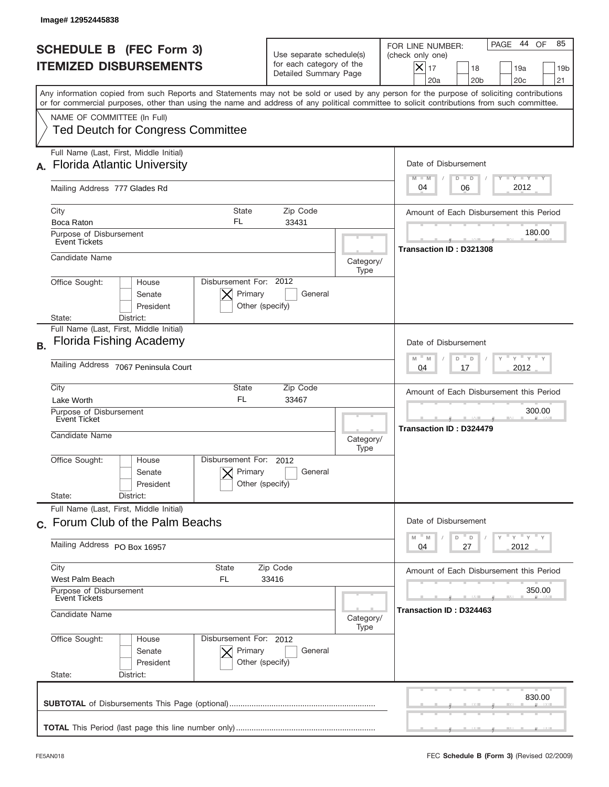|                | Image# 12952445838                                                                                                                                                                                                                                                                      |                                                                               |                   |                                                                                                                                                                  |  |
|----------------|-----------------------------------------------------------------------------------------------------------------------------------------------------------------------------------------------------------------------------------------------------------------------------------------|-------------------------------------------------------------------------------|-------------------|------------------------------------------------------------------------------------------------------------------------------------------------------------------|--|
|                | <b>SCHEDULE B (FEC Form 3)</b><br><b>ITEMIZED DISBURSEMENTS</b>                                                                                                                                                                                                                         | Use separate schedule(s)<br>for each category of the<br>Detailed Summary Page |                   | PAGE 44<br>85<br>OF<br>FOR LINE NUMBER:<br>(check only one)<br>$\times$<br>17<br>18<br>19a<br>19 <sub>b</sub><br>20a<br>20 <sub>b</sub><br>20 <sub>c</sub><br>21 |  |
|                | Any information copied from such Reports and Statements may not be sold or used by any person for the purpose of soliciting contributions<br>or for commercial purposes, other than using the name and address of any political committee to solicit contributions from such committee. |                                                                               |                   |                                                                                                                                                                  |  |
|                | NAME OF COMMITTEE (In Full)<br><b>Ted Deutch for Congress Committee</b>                                                                                                                                                                                                                 |                                                                               |                   |                                                                                                                                                                  |  |
|                | Full Name (Last, First, Middle Initial)<br><b>Florida Atlantic University</b>                                                                                                                                                                                                           |                                                                               |                   | Date of Disbursement<br>$T - Y$ $T - Y$<br>$M - M$<br>$D$ $D$                                                                                                    |  |
|                | Mailing Address 777 Glades Rd                                                                                                                                                                                                                                                           |                                                                               |                   | 2012<br>04<br>06                                                                                                                                                 |  |
|                | City<br><b>State</b><br>FL<br>Boca Raton                                                                                                                                                                                                                                                | Zip Code<br>33431                                                             |                   | Amount of Each Disbursement this Period                                                                                                                          |  |
|                | Purpose of Disbursement<br>Event Tickets                                                                                                                                                                                                                                                |                                                                               |                   | 180.00<br>Transaction ID: D321308                                                                                                                                |  |
|                | Candidate Name                                                                                                                                                                                                                                                                          |                                                                               | Category/<br>Type |                                                                                                                                                                  |  |
|                | Disbursement For: 2012<br>Office Sought:<br>House<br>Primary<br>Senate<br>Other (specify)<br>President<br>District:<br>State:                                                                                                                                                           | General                                                                       |                   |                                                                                                                                                                  |  |
| <b>B.</b>      | Full Name (Last, First, Middle Initial)<br><b>Florida Fishing Academy</b>                                                                                                                                                                                                               |                                                                               |                   | Date of Disbursement                                                                                                                                             |  |
|                | Mailing Address 7067 Peninsula Court                                                                                                                                                                                                                                                    |                                                                               |                   | ≡ γ ≡ γ =<br>$M - M$<br>D<br>$\Box$<br>2012<br>04<br>17                                                                                                          |  |
|                | City<br><b>State</b><br><b>FL</b><br>Lake Worth                                                                                                                                                                                                                                         | Zip Code<br>33467                                                             |                   | Amount of Each Disbursement this Period                                                                                                                          |  |
|                | Purpose of Disbursement<br>Event Ticket<br>Candidate Name                                                                                                                                                                                                                               |                                                                               | Category/<br>Type | 300.00<br><b>Transaction ID: D324479</b>                                                                                                                         |  |
|                | Disbursement For: 2012<br>Office Sought:<br>House<br>Primary<br>Senate<br>Other (specify)<br>President                                                                                                                                                                                  | General                                                                       |                   |                                                                                                                                                                  |  |
|                | State:<br>District:<br>Full Name (Last, First, Middle Initial)                                                                                                                                                                                                                          |                                                                               |                   |                                                                                                                                                                  |  |
|                | c. Forum Club of the Palm Beachs                                                                                                                                                                                                                                                        |                                                                               |                   | Date of Disbursement<br>≡ γ ≡ γ ≡ γ<br>$- M$                                                                                                                     |  |
|                | Mailing Address PO Box 16957                                                                                                                                                                                                                                                            |                                                                               |                   | D<br>M<br>D<br>2012<br>04<br>27                                                                                                                                  |  |
|                | City<br>State<br>Zip Code<br>West Palm Beach<br>FL<br>33416                                                                                                                                                                                                                             |                                                                               |                   | Amount of Each Disbursement this Period                                                                                                                          |  |
|                | Purpose of Disbursement<br><b>Event Tickets</b>                                                                                                                                                                                                                                         |                                                                               |                   | 350.00                                                                                                                                                           |  |
| Candidate Name |                                                                                                                                                                                                                                                                                         |                                                                               | Category/<br>Type | Transaction ID: D324463                                                                                                                                          |  |
|                | Office Sought:<br>Disbursement For: 2012<br>House<br>Primary<br>Senate<br>President<br>Other (specify)<br>State:<br>District:                                                                                                                                                           | General                                                                       |                   |                                                                                                                                                                  |  |
|                |                                                                                                                                                                                                                                                                                         |                                                                               |                   | 830.00                                                                                                                                                           |  |
|                |                                                                                                                                                                                                                                                                                         |                                                                               |                   |                                                                                                                                                                  |  |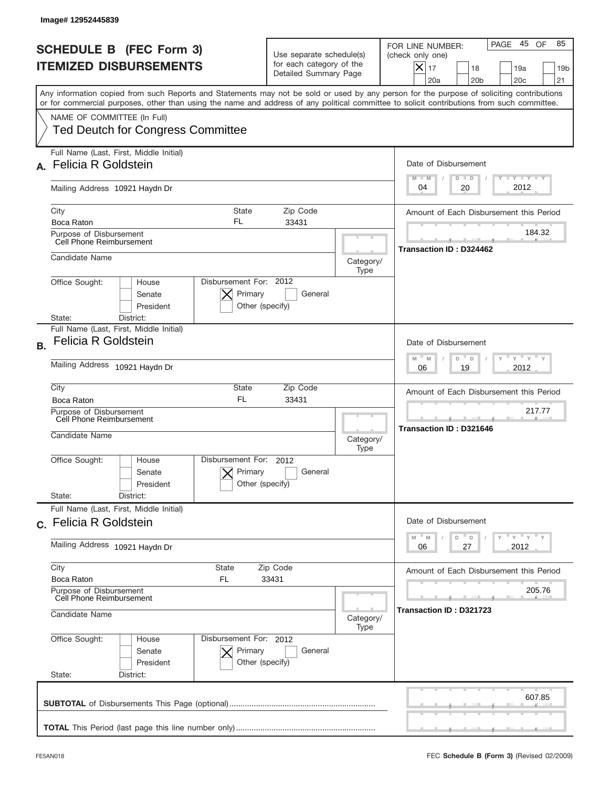|                | Image#12952445839                                                                                                                                                                                                                                                                       |                                                                                       |                   |                                                                                                                                                             |
|----------------|-----------------------------------------------------------------------------------------------------------------------------------------------------------------------------------------------------------------------------------------------------------------------------------------|---------------------------------------------------------------------------------------|-------------------|-------------------------------------------------------------------------------------------------------------------------------------------------------------|
|                | <b>SCHEDULE B (FEC Form 3)</b><br><b>ITEMIZED DISBURSEMENTS</b>                                                                                                                                                                                                                         | Use separate schedule(s)<br>for each category of the<br>Detailed Summary Page         |                   | 45 OF<br>85<br>PAGE<br>FOR LINE NUMBER:<br>(check only one)<br>$X _{17}$<br>18<br>19a<br>19 <sub>b</sub><br>20a<br>20 <sub>b</sub><br>20 <sub>c</sub><br>21 |
|                | Any information copied from such Reports and Statements may not be sold or used by any person for the purpose of soliciting contributions<br>or for commercial purposes, other than using the name and address of any political committee to solicit contributions from such committee. |                                                                                       |                   |                                                                                                                                                             |
|                | NAME OF COMMITTEE (In Full)<br><b>Ted Deutch for Congress Committee</b>                                                                                                                                                                                                                 |                                                                                       |                   |                                                                                                                                                             |
|                | Full Name (Last, First, Middle Initial)<br><b>Felicia R Goldstein</b>                                                                                                                                                                                                                   |                                                                                       |                   | Date of Disbursement                                                                                                                                        |
|                | Mailing Address 10921 Haydn Dr                                                                                                                                                                                                                                                          |                                                                                       |                   | Y TY TY TY<br>$D$ $D$<br>$M - M$<br>2012<br>20<br>04                                                                                                        |
|                | City<br><b>State</b>                                                                                                                                                                                                                                                                    | Zip Code                                                                              |                   | Amount of Each Disbursement this Period                                                                                                                     |
|                | FL<br>Boca Raton<br>Purpose of Disbursement                                                                                                                                                                                                                                             | 33431                                                                                 |                   | 184.32                                                                                                                                                      |
|                | Cell Phone Reimbursement                                                                                                                                                                                                                                                                |                                                                                       |                   | Transaction ID: D324462                                                                                                                                     |
|                | Candidate Name                                                                                                                                                                                                                                                                          |                                                                                       | Category/<br>Type |                                                                                                                                                             |
|                | Disbursement For: 2012<br>Office Sought:<br>House<br>Primary<br>Senate<br>President<br>Other (specify)                                                                                                                                                                                  | General                                                                               |                   |                                                                                                                                                             |
|                | State:<br>District:<br>Full Name (Last, First, Middle Initial)                                                                                                                                                                                                                          |                                                                                       |                   |                                                                                                                                                             |
| <b>B.</b>      | <b>Felicia R Goldstein</b>                                                                                                                                                                                                                                                              |                                                                                       |                   | Date of Disbursement                                                                                                                                        |
|                | Mailing Address 10921 Haydn Dr                                                                                                                                                                                                                                                          | $\cdots$ $\gamma$ $\cdots$ $\gamma$ $\cdots$<br>$M - M$<br>D<br>D<br>2012<br>06<br>19 |                   |                                                                                                                                                             |
|                | City<br>State<br><b>FL</b>                                                                                                                                                                                                                                                              | Zip Code                                                                              |                   | Amount of Each Disbursement this Period                                                                                                                     |
|                | 33431<br>Boca Raton<br>Purpose of Disbursement<br>Cell Phone Reimbursement                                                                                                                                                                                                              |                                                                                       |                   | 217.77                                                                                                                                                      |
|                | Candidate Name                                                                                                                                                                                                                                                                          |                                                                                       | Category/<br>Type | <b>Transaction ID: D321646</b>                                                                                                                              |
|                | Disbursement For:<br>Office Sought:<br>House<br>Primary<br>Senate<br>Other (specify)<br>President                                                                                                                                                                                       | 2012<br>General                                                                       |                   |                                                                                                                                                             |
|                | State:<br>District:<br>Full Name (Last, First, Middle Initial)                                                                                                                                                                                                                          |                                                                                       |                   |                                                                                                                                                             |
|                | c. Felicia R Goldstein                                                                                                                                                                                                                                                                  |                                                                                       |                   | Date of Disbursement                                                                                                                                        |
|                | Mailing Address 10921 Haydn Dr                                                                                                                                                                                                                                                          |                                                                                       |                   | γ <sup>=</sup> γ <sup>=</sup> γ <sup>=</sup> γ<br>$\mathbb M$<br>M<br>D<br>D<br>2012<br>06<br>27                                                            |
|                | City<br>State                                                                                                                                                                                                                                                                           | Zip Code                                                                              |                   | Amount of Each Disbursement this Period                                                                                                                     |
|                | Boca Raton<br>FL<br>Purpose of Disbursement<br>Cell Phone Reimbursement                                                                                                                                                                                                                 | 33431                                                                                 |                   | 205.76                                                                                                                                                      |
| Candidate Name |                                                                                                                                                                                                                                                                                         |                                                                                       | Category/<br>Type | Transaction ID : D321723                                                                                                                                    |
|                | Office Sought:<br>Disbursement For: 2012<br>House<br>Senate<br>Primary<br>President<br>Other (specify)                                                                                                                                                                                  | General                                                                               |                   |                                                                                                                                                             |
|                | State:<br>District:                                                                                                                                                                                                                                                                     |                                                                                       |                   |                                                                                                                                                             |
|                |                                                                                                                                                                                                                                                                                         |                                                                                       |                   | 607.85                                                                                                                                                      |
|                |                                                                                                                                                                                                                                                                                         |                                                                                       |                   |                                                                                                                                                             |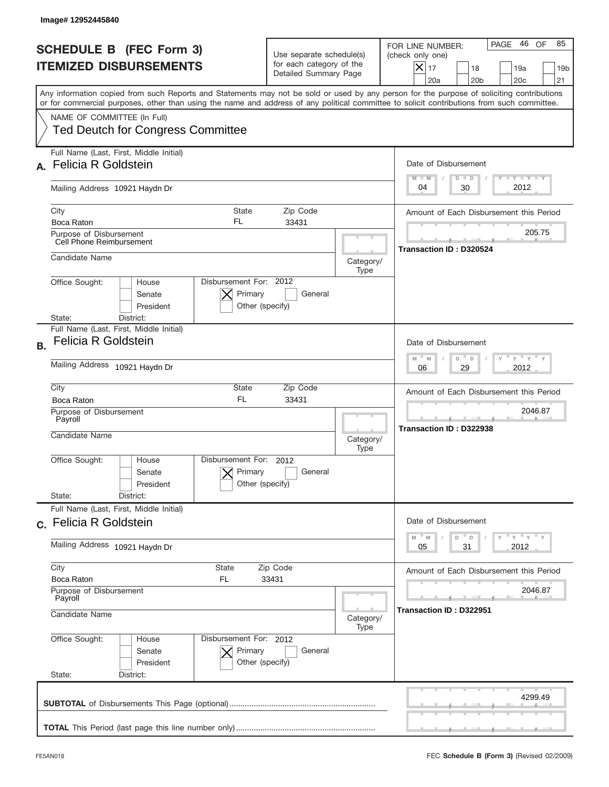|                | Image# 12952445840                                                                                                                                                                                                                                                                      |                                                                               |                   |                                                                                                                                                                     |
|----------------|-----------------------------------------------------------------------------------------------------------------------------------------------------------------------------------------------------------------------------------------------------------------------------------------|-------------------------------------------------------------------------------|-------------------|---------------------------------------------------------------------------------------------------------------------------------------------------------------------|
|                | <b>SCHEDULE B (FEC Form 3)</b><br><b>ITEMIZED DISBURSEMENTS</b>                                                                                                                                                                                                                         | Use separate schedule(s)<br>for each category of the<br>Detailed Summary Page |                   | 46<br>85<br>PAGE<br>OF<br>FOR LINE NUMBER:<br>(check only one)<br>$\times$<br>17<br>18<br>19a<br>19 <sub>b</sub><br>20a<br>20 <sub>b</sub><br>20 <sub>c</sub><br>21 |
|                | Any information copied from such Reports and Statements may not be sold or used by any person for the purpose of soliciting contributions<br>or for commercial purposes, other than using the name and address of any political committee to solicit contributions from such committee. |                                                                               |                   |                                                                                                                                                                     |
|                | NAME OF COMMITTEE (In Full)<br><b>Ted Deutch for Congress Committee</b>                                                                                                                                                                                                                 |                                                                               |                   |                                                                                                                                                                     |
|                | Full Name (Last, First, Middle Initial)<br><b>Felicia R Goldstein</b>                                                                                                                                                                                                                   |                                                                               |                   | Date of Disbursement<br>$T - Y$ $T - Y$<br>$M - M$<br>$D$ $D$                                                                                                       |
|                | Mailing Address 10921 Haydn Dr                                                                                                                                                                                                                                                          |                                                                               |                   | 2012<br>30<br>04                                                                                                                                                    |
|                | City<br><b>State</b><br><b>FL</b><br><b>Boca Raton</b>                                                                                                                                                                                                                                  | Zip Code<br>33431                                                             |                   | Amount of Each Disbursement this Period                                                                                                                             |
|                | Purpose of Disbursement<br>Cell Phone Reimbursement                                                                                                                                                                                                                                     |                                                                               |                   | 205.75                                                                                                                                                              |
|                | Candidate Name                                                                                                                                                                                                                                                                          |                                                                               | Category/<br>Type | <b>Transaction ID: D320524</b>                                                                                                                                      |
|                | Disbursement For: 2012<br>Office Sought:<br>House<br>Primary<br>Senate<br>President<br>Other (specify)                                                                                                                                                                                  | General                                                                       |                   |                                                                                                                                                                     |
|                | State:<br>District:<br>Full Name (Last, First, Middle Initial)                                                                                                                                                                                                                          |                                                                               |                   |                                                                                                                                                                     |
| <b>B.</b>      | <b>Felicia R Goldstein</b>                                                                                                                                                                                                                                                              |                                                                               |                   | Date of Disbursement                                                                                                                                                |
|                | Mailing Address 10921 Haydn Dr                                                                                                                                                                                                                                                          |                                                                               |                   | $M - M$<br>≡ γ ≡ γ ≡<br>D<br>D<br>2012<br>06<br>29                                                                                                                  |
|                | City<br>State<br>FL.<br>Boca Raton                                                                                                                                                                                                                                                      | Zip Code<br>33431                                                             |                   | Amount of Each Disbursement this Period                                                                                                                             |
|                | Purpose of Disbursement<br>Payroll                                                                                                                                                                                                                                                      |                                                                               |                   | 2046.87<br>Transaction ID: D322938                                                                                                                                  |
|                | Candidate Name                                                                                                                                                                                                                                                                          |                                                                               | Category/<br>Type |                                                                                                                                                                     |
|                | Disbursement For: 2012<br>Office Sought:<br>House<br>Primary<br>Senate<br>Other (specify)<br>President                                                                                                                                                                                  | General                                                                       |                   |                                                                                                                                                                     |
|                | State:<br>District:<br>Full Name (Last, First, Middle Initial)                                                                                                                                                                                                                          |                                                                               |                   |                                                                                                                                                                     |
|                | c. Felicia R Goldstein                                                                                                                                                                                                                                                                  |                                                                               |                   | Date of Disbursement                                                                                                                                                |
|                | Mailing Address 10921 Haydn Dr                                                                                                                                                                                                                                                          |                                                                               |                   | $-M$<br>≡ γ ≡ γ ≡ γ<br>M<br>D<br>D<br>2012<br>05<br>31                                                                                                              |
|                | City<br>State<br>Boca Raton<br>FL.                                                                                                                                                                                                                                                      | Zip Code<br>33431                                                             |                   | Amount of Each Disbursement this Period                                                                                                                             |
|                | Purpose of Disbursement<br>Payroll                                                                                                                                                                                                                                                      |                                                                               |                   | 2046.87                                                                                                                                                             |
| Candidate Name |                                                                                                                                                                                                                                                                                         |                                                                               | Category/<br>Type | Transaction ID: D322951                                                                                                                                             |
|                | Office Sought:<br>Disbursement For: 2012<br>House<br>Senate<br>Primary<br>President<br>Other (specify)<br>State:<br>District:                                                                                                                                                           | General                                                                       |                   |                                                                                                                                                                     |
|                |                                                                                                                                                                                                                                                                                         |                                                                               |                   |                                                                                                                                                                     |
|                |                                                                                                                                                                                                                                                                                         |                                                                               |                   | 4299.49                                                                                                                                                             |
|                |                                                                                                                                                                                                                                                                                         |                                                                               |                   |                                                                                                                                                                     |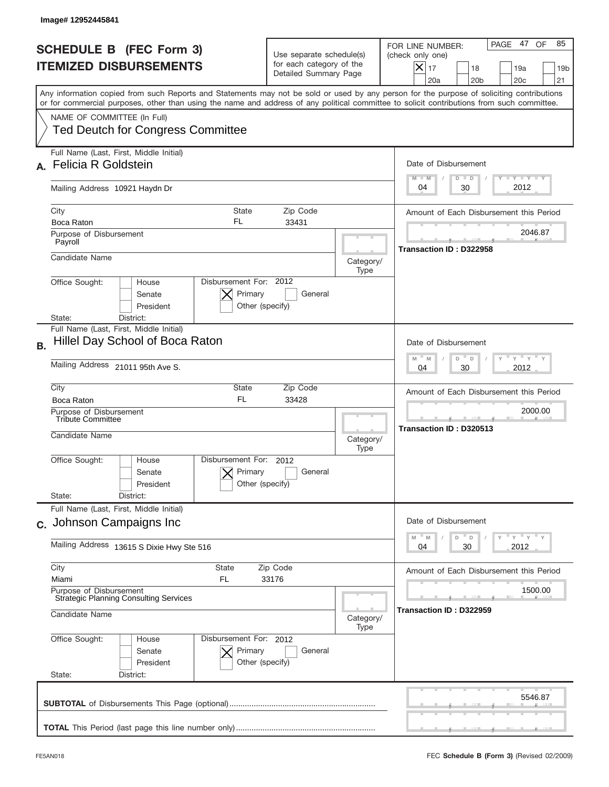|                                                                                            | Image# 12952445841                                                                                                                                                                                                                                                                      |                                                                               |                   |                                                                                                                                                                  |
|--------------------------------------------------------------------------------------------|-----------------------------------------------------------------------------------------------------------------------------------------------------------------------------------------------------------------------------------------------------------------------------------------|-------------------------------------------------------------------------------|-------------------|------------------------------------------------------------------------------------------------------------------------------------------------------------------|
| <b>SCHEDULE B (FEC Form 3)</b><br><b>ITEMIZED DISBURSEMENTS</b>                            |                                                                                                                                                                                                                                                                                         | Use separate schedule(s)<br>for each category of the<br>Detailed Summary Page |                   | PAGE 47<br>OF<br>85<br>FOR LINE NUMBER:<br>(check only one)<br>$\times$<br>17<br>18<br>19a<br>19 <sub>b</sub><br>20a<br>20 <sub>b</sub><br>20 <sub>c</sub><br>21 |
|                                                                                            | Any information copied from such Reports and Statements may not be sold or used by any person for the purpose of soliciting contributions<br>or for commercial purposes, other than using the name and address of any political committee to solicit contributions from such committee. |                                                                               |                   |                                                                                                                                                                  |
|                                                                                            | NAME OF COMMITTEE (In Full)<br><b>Ted Deutch for Congress Committee</b>                                                                                                                                                                                                                 |                                                                               |                   |                                                                                                                                                                  |
|                                                                                            | Full Name (Last, First, Middle Initial)<br><b>Felicia R Goldstein</b>                                                                                                                                                                                                                   |                                                                               |                   | Date of Disbursement<br>$T - Y$ $T - Y$<br>$M - M$<br>$D$ $D$                                                                                                    |
|                                                                                            | Mailing Address 10921 Haydn Dr                                                                                                                                                                                                                                                          |                                                                               |                   | 2012<br>30<br>04                                                                                                                                                 |
|                                                                                            | City<br><b>State</b><br>FL<br>Boca Raton                                                                                                                                                                                                                                                | Zip Code<br>33431                                                             |                   | Amount of Each Disbursement this Period                                                                                                                          |
|                                                                                            | Purpose of Disbursement<br>Payroll                                                                                                                                                                                                                                                      |                                                                               |                   | 2046.87<br>Transaction ID: D322958                                                                                                                               |
|                                                                                            | Candidate Name                                                                                                                                                                                                                                                                          |                                                                               | Category/<br>Type |                                                                                                                                                                  |
|                                                                                            | Disbursement For: 2012<br>Office Sought:<br>House<br>Primary<br>Senate<br>President<br>Other (specify)<br>District:<br>State:                                                                                                                                                           | General                                                                       |                   |                                                                                                                                                                  |
| <b>B.</b>                                                                                  | Full Name (Last, First, Middle Initial)<br>Hillel Day School of Boca Raton                                                                                                                                                                                                              |                                                                               |                   | Date of Disbursement                                                                                                                                             |
|                                                                                            | Mailing Address 21011 95th Ave S.                                                                                                                                                                                                                                                       |                                                                               |                   | $M - M$<br>≡ γ ≡ γ ≡<br>D<br>D<br>2012<br>04<br>30                                                                                                               |
|                                                                                            | City<br>State<br>FL.<br>Boca Raton                                                                                                                                                                                                                                                      | Zip Code<br>33428                                                             |                   | Amount of Each Disbursement this Period                                                                                                                          |
|                                                                                            | Purpose of Disbursement<br>Tribute Committee<br>Candidate Name                                                                                                                                                                                                                          |                                                                               | Category/<br>Type | 2000.00<br>Transaction ID: D320513                                                                                                                               |
|                                                                                            | Disbursement For: 2012<br>Office Sought:<br>House<br>Primary<br>Senate<br>Other (specify)<br>President                                                                                                                                                                                  | General                                                                       |                   |                                                                                                                                                                  |
|                                                                                            | State:<br>District:<br>Full Name (Last, First, Middle Initial)                                                                                                                                                                                                                          |                                                                               |                   |                                                                                                                                                                  |
|                                                                                            | c. Johnson Campaigns Inc                                                                                                                                                                                                                                                                |                                                                               |                   | Date of Disbursement<br>≡ γ ≡ γ ≡ γ<br>$-M$<br>M<br>D<br>D                                                                                                       |
|                                                                                            | Mailing Address 13615 S Dixie Hwy Ste 516                                                                                                                                                                                                                                               |                                                                               |                   | 30<br>2012<br>04                                                                                                                                                 |
|                                                                                            | City<br>State<br>Miami<br>FL.                                                                                                                                                                                                                                                           | Zip Code<br>33176                                                             |                   | Amount of Each Disbursement this Period                                                                                                                          |
| Purpose of Disbursement<br><b>Strategic Planning Consulting Services</b><br>Candidate Name |                                                                                                                                                                                                                                                                                         |                                                                               | Category/         | 1500.00<br>Transaction ID: D322959                                                                                                                               |
|                                                                                            | Office Sought:<br>Disbursement For: 2012<br>House<br>Primary<br>Senate<br>President<br>Other (specify)<br>State:<br>District:                                                                                                                                                           | General                                                                       | Type              |                                                                                                                                                                  |
|                                                                                            |                                                                                                                                                                                                                                                                                         |                                                                               |                   | 5546.87                                                                                                                                                          |
|                                                                                            |                                                                                                                                                                                                                                                                                         |                                                                               |                   |                                                                                                                                                                  |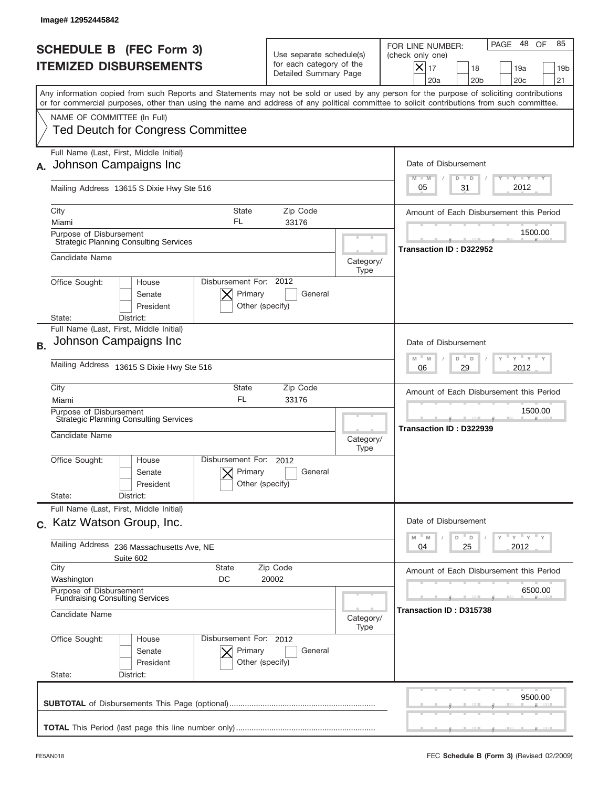| Image# 12952445842                        |                                                                  |                                                      |                                                                                                                                                                                                                                                                                         |                   |                                                                                                                                                                                  |
|-------------------------------------------|------------------------------------------------------------------|------------------------------------------------------|-----------------------------------------------------------------------------------------------------------------------------------------------------------------------------------------------------------------------------------------------------------------------------------------|-------------------|----------------------------------------------------------------------------------------------------------------------------------------------------------------------------------|
|                                           | <b>SCHEDULE B (FEC Form 3)</b><br><b>ITEMIZED DISBURSEMENTS</b>  |                                                      | Use separate schedule(s)<br>for each category of the<br>Detailed Summary Page                                                                                                                                                                                                           |                   | 48<br>85<br>PAGE<br>OF<br>FOR LINE NUMBER:<br>(check only one)<br>$\boldsymbol{\times}$<br>17<br>18<br>19a<br>19 <sub>b</sub><br>20a<br>20 <sub>b</sub><br>20 <sub>c</sub><br>21 |
|                                           |                                                                  |                                                      | Any information copied from such Reports and Statements may not be sold or used by any person for the purpose of soliciting contributions<br>or for commercial purposes, other than using the name and address of any political committee to solicit contributions from such committee. |                   |                                                                                                                                                                                  |
| NAME OF COMMITTEE (In Full)               | <b>Ted Deutch for Congress Committee</b>                         |                                                      |                                                                                                                                                                                                                                                                                         |                   |                                                                                                                                                                                  |
|                                           | Full Name (Last, First, Middle Initial)<br>Johnson Campaigns Inc |                                                      |                                                                                                                                                                                                                                                                                         |                   | Date of Disbursement<br>$\mathbf{I}$ $\mathbf{Y}$ $\mathbf{I}$ $\mathbf{Y}$ $\mathbf{I}$ $\mathbf{Y}$<br>$M - M$<br>$D$ $D$                                                      |
|                                           | Mailing Address 13615 S Dixie Hwy Ste 516                        |                                                      |                                                                                                                                                                                                                                                                                         |                   | 2012<br>31<br>05                                                                                                                                                                 |
| City<br>Miami                             |                                                                  | <b>State</b><br>FL                                   | Zip Code<br>33176                                                                                                                                                                                                                                                                       |                   | Amount of Each Disbursement this Period                                                                                                                                          |
| Purpose of Disbursement                   | <b>Strategic Planning Consulting Services</b>                    |                                                      |                                                                                                                                                                                                                                                                                         |                   | 1500.00                                                                                                                                                                          |
| Candidate Name                            |                                                                  |                                                      |                                                                                                                                                                                                                                                                                         | Category/<br>Type | Transaction ID: D322952                                                                                                                                                          |
| Office Sought:                            | House<br>Senate<br>President                                     | Disbursement For: 2012<br>Primary<br>Other (specify) | General                                                                                                                                                                                                                                                                                 |                   |                                                                                                                                                                                  |
| State:                                    | District:<br>Full Name (Last, First, Middle Initial)             |                                                      |                                                                                                                                                                                                                                                                                         |                   |                                                                                                                                                                                  |
| <b>B.</b>                                 | Johnson Campaigns Inc                                            |                                                      |                                                                                                                                                                                                                                                                                         |                   | Date of Disbursement                                                                                                                                                             |
|                                           | Mailing Address 13615 S Dixie Hwy Ste 516                        |                                                      |                                                                                                                                                                                                                                                                                         |                   | ≡ γ ≡ γ ≡<br>$M$ $-$<br>M<br>D<br>D<br>2012<br>06<br>29                                                                                                                          |
| City<br>Miami                             |                                                                  | State<br>FL                                          | Zip Code<br>33176                                                                                                                                                                                                                                                                       |                   | Amount of Each Disbursement this Period                                                                                                                                          |
| Purpose of Disbursement<br>Candidate Name | <b>Strategic Planning Consulting Services</b>                    |                                                      |                                                                                                                                                                                                                                                                                         | Category/<br>Type | 1500.00<br>Transaction ID: D322939                                                                                                                                               |
| Office Sought:<br>State:                  | House<br>Senate<br>President<br>District:                        | Disbursement For: 2012<br>Primary<br>Other (specify) | General                                                                                                                                                                                                                                                                                 |                   |                                                                                                                                                                                  |
| c. Katz Watson Group, Inc.                | Full Name (Last, First, Middle Initial)                          |                                                      |                                                                                                                                                                                                                                                                                         |                   | Date of Disbursement                                                                                                                                                             |
| <b>Mailing Address</b>                    | 236 Massachusetts Ave, NE                                        |                                                      |                                                                                                                                                                                                                                                                                         |                   | ≡ γ ≡ γ ≡ γ<br>$-M$<br>D<br>M<br>D<br>25<br>2012<br>04                                                                                                                           |
| City                                      | Suite 602                                                        | <b>State</b>                                         | Zip Code                                                                                                                                                                                                                                                                                |                   | Amount of Each Disbursement this Period                                                                                                                                          |
| Washington<br>Purpose of Disbursement     |                                                                  | DC                                                   | 20002                                                                                                                                                                                                                                                                                   |                   | 6500.00                                                                                                                                                                          |
| Candidate Name                            | <b>Fundraising Consulting Services</b>                           |                                                      |                                                                                                                                                                                                                                                                                         | Category/<br>Type | Transaction ID: D315738                                                                                                                                                          |
| Office Sought:<br>State:                  | House<br>Senate<br>President<br>District:                        | Disbursement For: 2012<br>Primary<br>Other (specify) | General                                                                                                                                                                                                                                                                                 |                   |                                                                                                                                                                                  |
|                                           |                                                                  |                                                      |                                                                                                                                                                                                                                                                                         |                   | 9500.00                                                                                                                                                                          |
|                                           |                                                                  |                                                      |                                                                                                                                                                                                                                                                                         |                   |                                                                                                                                                                                  |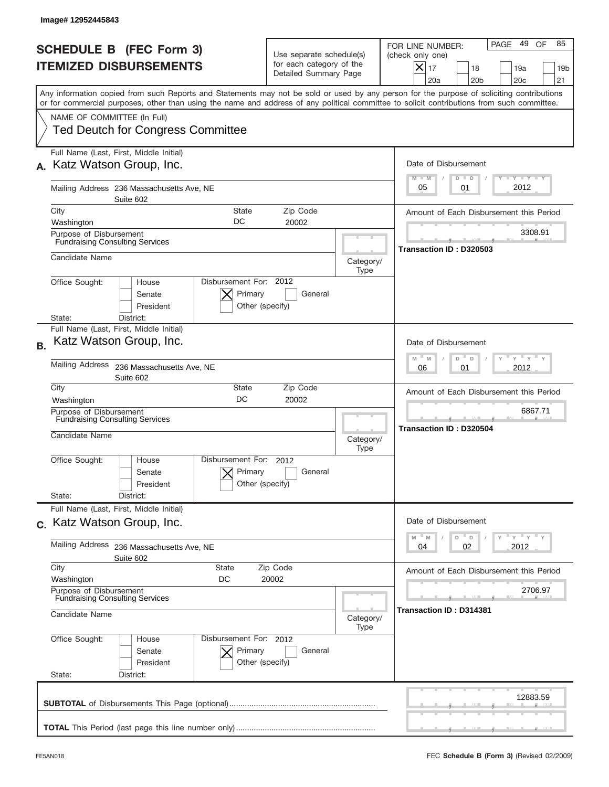| Image# 12952445843                                                                                                                                                                                                                                                                      |                                                                               |                   |                                                                                                                                                                               |
|-----------------------------------------------------------------------------------------------------------------------------------------------------------------------------------------------------------------------------------------------------------------------------------------|-------------------------------------------------------------------------------|-------------------|-------------------------------------------------------------------------------------------------------------------------------------------------------------------------------|
| <b>SCHEDULE B (FEC Form 3)</b><br><b>ITEMIZED DISBURSEMENTS</b>                                                                                                                                                                                                                         | Use separate schedule(s)<br>for each category of the<br>Detailed Summary Page |                   | 49 OF<br>85<br>PAGE<br>FOR LINE NUMBER:<br>(check only one)<br>$\boldsymbol{\times}$<br>17<br>18<br>19a<br>19 <sub>b</sub><br>20a<br>20 <sub>b</sub><br>20 <sub>c</sub><br>21 |
| Any information copied from such Reports and Statements may not be sold or used by any person for the purpose of soliciting contributions<br>or for commercial purposes, other than using the name and address of any political committee to solicit contributions from such committee. |                                                                               |                   |                                                                                                                                                                               |
| NAME OF COMMITTEE (In Full)<br><b>Ted Deutch for Congress Committee</b>                                                                                                                                                                                                                 |                                                                               |                   |                                                                                                                                                                               |
| Full Name (Last, First, Middle Initial)<br>Katz Watson Group, Inc.                                                                                                                                                                                                                      |                                                                               |                   | Date of Disbursement<br>$T - Y$ $T - Y$<br>$M - M$<br>$D$ $D$                                                                                                                 |
| Mailing Address 236 Massachusetts Ave, NE<br>Suite 602                                                                                                                                                                                                                                  |                                                                               |                   | 2012<br>05<br>01                                                                                                                                                              |
| City<br><b>State</b><br>DC<br>Washington                                                                                                                                                                                                                                                | Zip Code<br>20002                                                             |                   | Amount of Each Disbursement this Period                                                                                                                                       |
| Purpose of Disbursement<br><b>Fundraising Consulting Services</b>                                                                                                                                                                                                                       |                                                                               |                   | 3308.91                                                                                                                                                                       |
| Candidate Name                                                                                                                                                                                                                                                                          |                                                                               | Category/         | Transaction ID: D320503                                                                                                                                                       |
| Disbursement For: 2012<br>Office Sought:<br>House<br>Senate<br>President                                                                                                                                                                                                                | Primary<br>General<br>Other (specify)                                         | Type              |                                                                                                                                                                               |
| District:<br>State:<br>Full Name (Last, First, Middle Initial)                                                                                                                                                                                                                          |                                                                               |                   |                                                                                                                                                                               |
| Katz Watson Group, Inc.<br><b>B.</b>                                                                                                                                                                                                                                                    |                                                                               |                   | Date of Disbursement<br>$\cdots$ $\gamma$ $\cdots$ $\gamma$ $\cdots$<br>$M - M$<br>D<br>D                                                                                     |
| Mailing Address<br>236 Massachusetts Ave, NE<br>Suite 602                                                                                                                                                                                                                               |                                                                               |                   |                                                                                                                                                                               |
| City<br>State<br>DC<br>Washington                                                                                                                                                                                                                                                       | Zip Code<br>20002                                                             |                   | Amount of Each Disbursement this Period                                                                                                                                       |
| Purpose of Disbursement<br><b>Fundraising Consulting Services</b><br>Candidate Name                                                                                                                                                                                                     |                                                                               | Category/<br>Type | 6867.71<br>Transaction ID: D320504                                                                                                                                            |
| Disbursement For:<br>Office Sought:<br>House<br>Senate<br>President<br>State:<br>District:                                                                                                                                                                                              | 2012<br>Primary<br>General<br>Other (specify)                                 |                   |                                                                                                                                                                               |
| Full Name (Last, First, Middle Initial)<br>c. Katz Watson Group, Inc.                                                                                                                                                                                                                   |                                                                               |                   | Date of Disbursement                                                                                                                                                          |
| Mailing Address<br>236 Massachusetts Ave, NE<br>Suite 602                                                                                                                                                                                                                               |                                                                               |                   | $\overline{Y}$ $\overline{Y}$ $\overline{Y}$ $\overline{Y}$ $\overline{Y}$<br>D<br>M<br>M<br>D<br>02<br>2012<br>04                                                            |
| City<br>State<br>Washington<br>DC                                                                                                                                                                                                                                                       | Zip Code<br>20002                                                             |                   | Amount of Each Disbursement this Period                                                                                                                                       |
| Purpose of Disbursement<br><b>Fundraising Consulting Services</b>                                                                                                                                                                                                                       |                                                                               |                   | 2706.97                                                                                                                                                                       |
| Candidate Name                                                                                                                                                                                                                                                                          |                                                                               | Category/<br>Type | Transaction ID : D314381                                                                                                                                                      |
| Office Sought:<br>Disbursement For: 2012<br>House<br>Senate<br>President<br>State:<br>District:                                                                                                                                                                                         | Primary<br>General<br>Other (specify)                                         |                   |                                                                                                                                                                               |
|                                                                                                                                                                                                                                                                                         |                                                                               |                   | 12883.59                                                                                                                                                                      |
|                                                                                                                                                                                                                                                                                         |                                                                               |                   |                                                                                                                                                                               |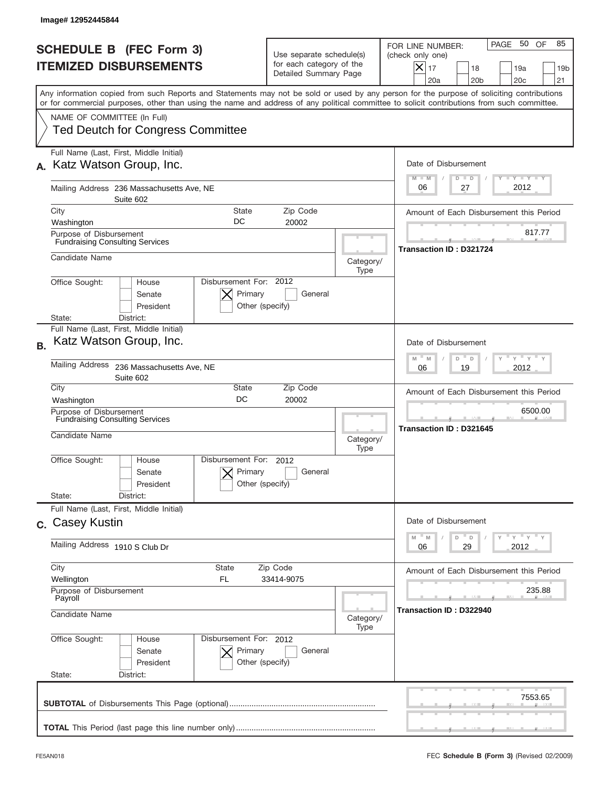|           | Image# 12952445844                                                                                                                                                                                                                                                                      |                                                                               |                   |                                                                                                                                                                       |
|-----------|-----------------------------------------------------------------------------------------------------------------------------------------------------------------------------------------------------------------------------------------------------------------------------------------|-------------------------------------------------------------------------------|-------------------|-----------------------------------------------------------------------------------------------------------------------------------------------------------------------|
|           | <b>SCHEDULE B (FEC Form 3)</b><br><b>ITEMIZED DISBURSEMENTS</b>                                                                                                                                                                                                                         | Use separate schedule(s)<br>for each category of the<br>Detailed Summary Page |                   | 50 OF<br>85<br>PAGE<br>FOR LINE NUMBER:<br>(check only one)<br>$ \mathsf{X} _{17}$<br>18<br>19a<br>19 <sub>b</sub><br>20a<br>20 <sub>b</sub><br>20 <sub>c</sub><br>21 |
|           | Any information copied from such Reports and Statements may not be sold or used by any person for the purpose of soliciting contributions<br>or for commercial purposes, other than using the name and address of any political committee to solicit contributions from such committee. |                                                                               |                   |                                                                                                                                                                       |
|           | NAME OF COMMITTEE (In Full)<br><b>Ted Deutch for Congress Committee</b>                                                                                                                                                                                                                 |                                                                               |                   |                                                                                                                                                                       |
|           | Full Name (Last, First, Middle Initial)<br>Katz Watson Group, Inc.                                                                                                                                                                                                                      |                                                                               |                   | Date of Disbursement<br><b>TANK TANK</b><br>$M - M$<br>$D$ $D$                                                                                                        |
|           | Mailing Address 236 Massachusetts Ave, NE<br>Suite 602                                                                                                                                                                                                                                  |                                                                               |                   | 2012<br>06<br>27                                                                                                                                                      |
|           | City<br><b>State</b><br>DC                                                                                                                                                                                                                                                              | Zip Code<br>20002                                                             |                   | Amount of Each Disbursement this Period                                                                                                                               |
|           | Washington<br>Purpose of Disbursement<br><b>Fundraising Consulting Services</b>                                                                                                                                                                                                         |                                                                               |                   | 817.77<br><b>Transaction ID: D321724</b>                                                                                                                              |
|           | Candidate Name                                                                                                                                                                                                                                                                          |                                                                               | Category/<br>Type |                                                                                                                                                                       |
|           | Disbursement For: 2012<br>Office Sought:<br>House<br>Primary<br>Senate<br>President                                                                                                                                                                                                     | General<br>Other (specify)                                                    |                   |                                                                                                                                                                       |
| <b>B.</b> | District:<br>State:<br>Full Name (Last, First, Middle Initial)<br>Katz Watson Group, Inc.                                                                                                                                                                                               |                                                                               |                   | Date of Disbursement                                                                                                                                                  |
|           | Mailing Address<br>236 Massachusetts Ave, NE<br>Suite 602                                                                                                                                                                                                                               |                                                                               |                   | $\cdots$ $\gamma$ $\cdots$ $\gamma$ $\cdots$<br>$M - M$<br>D<br>D<br>2012<br>06<br>19                                                                                 |
|           | City<br>State<br>DC<br>Washington                                                                                                                                                                                                                                                       | Zip Code<br>20002                                                             |                   | Amount of Each Disbursement this Period                                                                                                                               |
|           | Purpose of Disbursement<br><b>Fundraising Consulting Services</b><br>Candidate Name                                                                                                                                                                                                     |                                                                               | Category/         | 6500.00<br>Transaction ID: D321645                                                                                                                                    |
|           | Disbursement For:<br>Office Sought:<br>House<br>Primary<br>Senate<br>President                                                                                                                                                                                                          | 2012<br>General<br>Other (specify)                                            | Type              |                                                                                                                                                                       |
|           | State:<br>District:<br>Full Name (Last, First, Middle Initial)<br>c. Casey Kustin                                                                                                                                                                                                       |                                                                               |                   | Date of Disbursement                                                                                                                                                  |
|           | Mailing Address 1910 S Club Dr                                                                                                                                                                                                                                                          |                                                                               |                   | ү" ү" ү" ү<br>$\mathbb M$<br>M<br>D<br>D<br>2012<br>06<br>29                                                                                                          |
|           | City<br>State<br><b>FL</b><br>Wellington                                                                                                                                                                                                                                                | Zip Code<br>33414-9075                                                        |                   | Amount of Each Disbursement this Period                                                                                                                               |
|           | Purpose of Disbursement<br>Payroll<br>Candidate Name                                                                                                                                                                                                                                    |                                                                               | Category/<br>Type | 235.88<br>Transaction ID: D322940                                                                                                                                     |
|           | Office Sought:<br>Disbursement For: 2012<br>House<br>Senate<br>Primary<br>President<br>State:<br>District:                                                                                                                                                                              | General<br>Other (specify)                                                    |                   |                                                                                                                                                                       |
|           |                                                                                                                                                                                                                                                                                         |                                                                               |                   | 7553.65                                                                                                                                                               |
|           |                                                                                                                                                                                                                                                                                         |                                                                               |                   |                                                                                                                                                                       |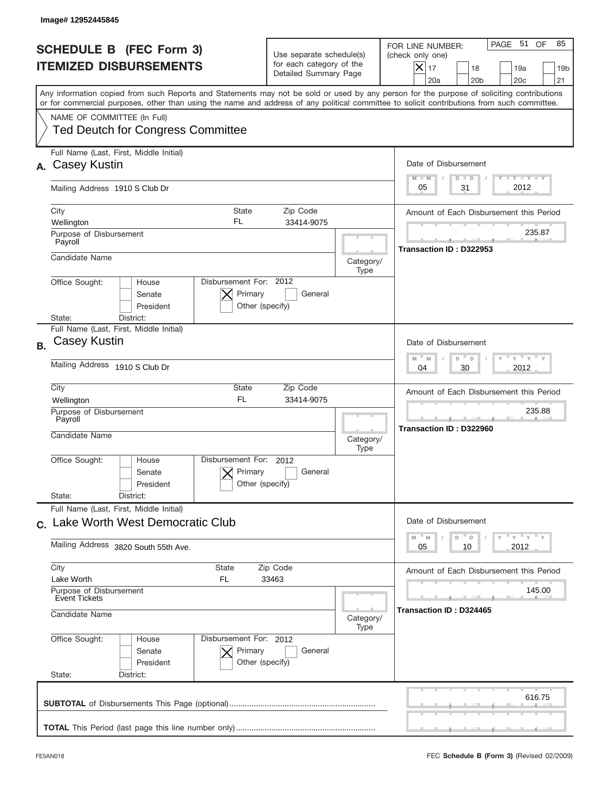|           | Image# 12952445845                                                                                                                                                                                                                                                                      |                                                                               |                   |                                                                                                                                                                    |
|-----------|-----------------------------------------------------------------------------------------------------------------------------------------------------------------------------------------------------------------------------------------------------------------------------------------|-------------------------------------------------------------------------------|-------------------|--------------------------------------------------------------------------------------------------------------------------------------------------------------------|
|           | <b>SCHEDULE B (FEC Form 3)</b><br><b>ITEMIZED DISBURSEMENTS</b>                                                                                                                                                                                                                         | Use separate schedule(s)<br>for each category of the<br>Detailed Summary Page |                   | PAGE 51 OF<br>85<br>FOR LINE NUMBER:<br>(check only one)<br>$ \mathsf{X} _{17}$<br>18<br>19a<br>19 <sub>b</sub><br>20a<br>20 <sub>b</sub><br>20 <sub>c</sub><br>21 |
|           | Any information copied from such Reports and Statements may not be sold or used by any person for the purpose of soliciting contributions<br>or for commercial purposes, other than using the name and address of any political committee to solicit contributions from such committee. |                                                                               |                   |                                                                                                                                                                    |
|           | NAME OF COMMITTEE (In Full)<br><b>Ted Deutch for Congress Committee</b>                                                                                                                                                                                                                 |                                                                               |                   |                                                                                                                                                                    |
| А.        | Full Name (Last, First, Middle Initial)<br><b>Casey Kustin</b>                                                                                                                                                                                                                          |                                                                               |                   | Date of Disbursement<br>Y TY TY TY<br>$M - M$<br>$D$ $D$                                                                                                           |
|           | Mailing Address 1910 S Club Dr                                                                                                                                                                                                                                                          |                                                                               |                   | 2012<br>31<br>05                                                                                                                                                   |
|           | City<br><b>State</b><br>FL<br>Wellington                                                                                                                                                                                                                                                | Zip Code<br>33414-9075                                                        |                   | Amount of Each Disbursement this Period                                                                                                                            |
|           | Purpose of Disbursement<br>Payroll                                                                                                                                                                                                                                                      |                                                                               |                   | 235.87                                                                                                                                                             |
|           | Candidate Name                                                                                                                                                                                                                                                                          |                                                                               | Category/<br>Type | Transaction ID: D322953                                                                                                                                            |
|           | Disbursement For: 2012<br>Office Sought:<br>House<br>Primary<br>Senate<br>President<br>Other (specify)                                                                                                                                                                                  | General                                                                       |                   |                                                                                                                                                                    |
|           | District:<br>State:<br>Full Name (Last, First, Middle Initial)                                                                                                                                                                                                                          |                                                                               |                   |                                                                                                                                                                    |
| <b>B.</b> | <b>Casey Kustin</b>                                                                                                                                                                                                                                                                     |                                                                               |                   | Date of Disbursement<br>γ " γ " γ " γ<br>$M - M$<br>D<br>D                                                                                                         |
|           | Mailing Address 1910 S Club Dr                                                                                                                                                                                                                                                          |                                                                               |                   | 2012<br>04<br>30                                                                                                                                                   |
|           | City<br>State<br><b>FL</b><br>Wellington                                                                                                                                                                                                                                                | Zip Code<br>33414-9075                                                        |                   | Amount of Each Disbursement this Period                                                                                                                            |
|           | Purpose of Disbursement<br>Payroll<br>Candidate Name                                                                                                                                                                                                                                    |                                                                               |                   | 235.88<br>Transaction ID: D322960                                                                                                                                  |
|           |                                                                                                                                                                                                                                                                                         |                                                                               | Category/<br>Type |                                                                                                                                                                    |
|           | Disbursement For:<br>Office Sought:<br>House<br>Primary<br>Senate<br>Other (specify)<br>President                                                                                                                                                                                       | 2012<br>General                                                               |                   |                                                                                                                                                                    |
|           | State:<br>District:<br>Full Name (Last, First, Middle Initial)                                                                                                                                                                                                                          |                                                                               |                   |                                                                                                                                                                    |
|           | c. Lake Worth West Democratic Club                                                                                                                                                                                                                                                      |                                                                               |                   | Date of Disbursement                                                                                                                                               |
|           | Mailing Address 3820 South 55th Ave.                                                                                                                                                                                                                                                    |                                                                               |                   | $\gamma$ = $\gamma$ = $\gamma$ = $\gamma$<br>$\mathbb M$<br>D<br>M<br>D<br>2012<br>05<br>10                                                                        |
|           | City<br>State<br>Lake Worth<br>FL                                                                                                                                                                                                                                                       | Zip Code<br>33463                                                             |                   | Amount of Each Disbursement this Period                                                                                                                            |
|           | Purpose of Disbursement<br><b>Event Tickets</b>                                                                                                                                                                                                                                         |                                                                               |                   | 145.00                                                                                                                                                             |
|           | Candidate Name                                                                                                                                                                                                                                                                          |                                                                               | Category/<br>Type | Transaction ID: D324465                                                                                                                                            |
|           | Office Sought:<br>Disbursement For: 2012<br>House<br>Senate<br>Primary<br>President<br>Other (specify)                                                                                                                                                                                  | General                                                                       |                   |                                                                                                                                                                    |
|           | State:<br>District:                                                                                                                                                                                                                                                                     |                                                                               |                   |                                                                                                                                                                    |
|           |                                                                                                                                                                                                                                                                                         |                                                                               |                   | 616.75                                                                                                                                                             |
|           |                                                                                                                                                                                                                                                                                         |                                                                               |                   |                                                                                                                                                                    |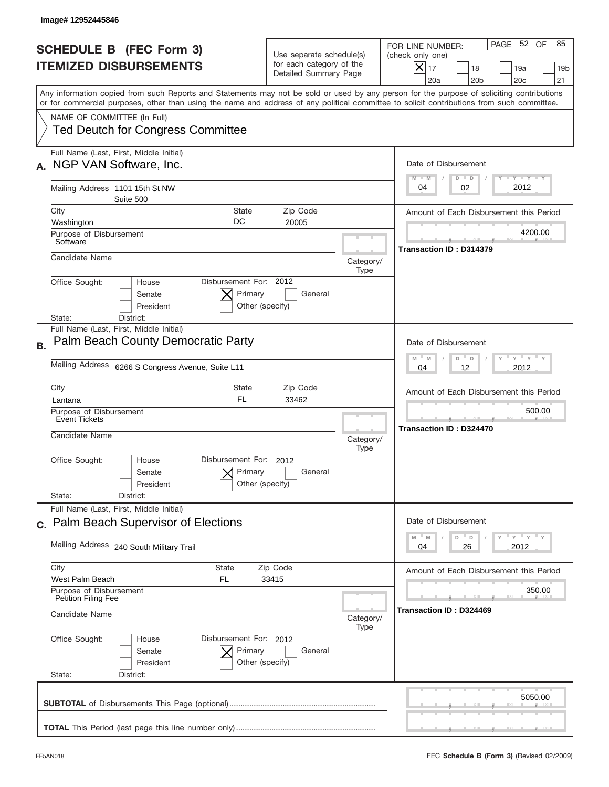|           | Image# 12952445846                                                                                                            |                                                                                                                                                                                                                                                                                         |                                          |                                                                                                                                                                            |  |  |
|-----------|-------------------------------------------------------------------------------------------------------------------------------|-----------------------------------------------------------------------------------------------------------------------------------------------------------------------------------------------------------------------------------------------------------------------------------------|------------------------------------------|----------------------------------------------------------------------------------------------------------------------------------------------------------------------------|--|--|
|           | <b>SCHEDULE B</b> (FEC Form 3)<br><b>ITEMIZED DISBURSEMENTS</b>                                                               | Use separate schedule(s)<br>for each category of the<br>Detailed Summary Page                                                                                                                                                                                                           |                                          | PAGE 52 OF<br>85<br>FOR LINE NUMBER:<br>(check only one)<br>$\boldsymbol{\times}$<br>17<br>18<br>19a<br>19 <sub>b</sub><br>20a<br>20 <sub>b</sub><br>20 <sub>c</sub><br>21 |  |  |
|           |                                                                                                                               | Any information copied from such Reports and Statements may not be sold or used by any person for the purpose of soliciting contributions<br>or for commercial purposes, other than using the name and address of any political committee to solicit contributions from such committee. |                                          |                                                                                                                                                                            |  |  |
|           | NAME OF COMMITTEE (In Full)<br><b>Ted Deutch for Congress Committee</b>                                                       |                                                                                                                                                                                                                                                                                         |                                          |                                                                                                                                                                            |  |  |
|           | Full Name (Last, First, Middle Initial)<br>NGP VAN Software, Inc.                                                             |                                                                                                                                                                                                                                                                                         |                                          | Date of Disbursement<br>$T - Y$ $T - Y$<br>$M - M$<br>$D$ $D$                                                                                                              |  |  |
|           | Mailing Address 1101 15th St NW<br>Suite 500                                                                                  |                                                                                                                                                                                                                                                                                         |                                          | 2012<br>02<br>04                                                                                                                                                           |  |  |
|           | City<br>State<br>DC                                                                                                           | Zip Code                                                                                                                                                                                                                                                                                |                                          | Amount of Each Disbursement this Period                                                                                                                                    |  |  |
|           | Washington<br>Purpose of Disbursement<br>Software                                                                             | 20005                                                                                                                                                                                                                                                                                   |                                          | 4200.00                                                                                                                                                                    |  |  |
|           | Candidate Name                                                                                                                |                                                                                                                                                                                                                                                                                         | Category/<br>Type                        | Transaction ID: D314379                                                                                                                                                    |  |  |
|           | Disbursement For: 2012<br>Office Sought:<br>House<br>Primary<br>Senate<br>President<br>Other (specify)<br>District:<br>State: | General                                                                                                                                                                                                                                                                                 |                                          |                                                                                                                                                                            |  |  |
| <b>B.</b> | Full Name (Last, First, Middle Initial)<br>Palm Beach County Democratic Party                                                 |                                                                                                                                                                                                                                                                                         |                                          | Date of Disbursement<br>≡ γ ≡ γ ≡<br>$M - M$<br>D<br>D                                                                                                                     |  |  |
|           | Mailing Address 6266 S Congress Avenue, Suite L11                                                                             |                                                                                                                                                                                                                                                                                         |                                          |                                                                                                                                                                            |  |  |
|           | City<br>State<br>FL<br>Lantana                                                                                                | Zip Code<br>33462                                                                                                                                                                                                                                                                       |                                          | Amount of Each Disbursement this Period                                                                                                                                    |  |  |
|           | Purpose of Disbursement<br>Event Tickets                                                                                      |                                                                                                                                                                                                                                                                                         | 500.00<br><b>Transaction ID: D324470</b> |                                                                                                                                                                            |  |  |
|           | Candidate Name                                                                                                                |                                                                                                                                                                                                                                                                                         | Category/<br>Type                        |                                                                                                                                                                            |  |  |
|           | Disbursement For: 2012<br>Office Sought:<br>House<br>Primary<br>Senate<br>Other (specify)<br>President                        | General                                                                                                                                                                                                                                                                                 |                                          |                                                                                                                                                                            |  |  |
|           | State:<br>District:<br>Full Name (Last, First, Middle Initial)                                                                |                                                                                                                                                                                                                                                                                         |                                          |                                                                                                                                                                            |  |  |
|           | c. Palm Beach Supervisor of Elections                                                                                         |                                                                                                                                                                                                                                                                                         |                                          | Date of Disbursement                                                                                                                                                       |  |  |
|           | Mailing Address 240 South Military Trail                                                                                      |                                                                                                                                                                                                                                                                                         |                                          | ≡ γ ≡ γ ≡ γ<br>$-M$<br>D<br>M<br>D<br>26<br>2012<br>04                                                                                                                     |  |  |
|           | City<br>State<br>West Palm Beach<br>FL                                                                                        | Zip Code<br>33415                                                                                                                                                                                                                                                                       |                                          | Amount of Each Disbursement this Period                                                                                                                                    |  |  |
|           | Purpose of Disbursement<br>Petition Filing Fee<br>Candidate Name                                                              |                                                                                                                                                                                                                                                                                         | Category/                                | 350.00<br>Transaction ID: D324469                                                                                                                                          |  |  |
|           | Office Sought:<br>Disbursement For: 2012<br>House<br>Primary<br>Senate<br>President<br>Other (specify)<br>State:<br>District: | General                                                                                                                                                                                                                                                                                 | Type                                     |                                                                                                                                                                            |  |  |
|           |                                                                                                                               |                                                                                                                                                                                                                                                                                         |                                          | 5050.00                                                                                                                                                                    |  |  |
|           |                                                                                                                               |                                                                                                                                                                                                                                                                                         |                                          |                                                                                                                                                                            |  |  |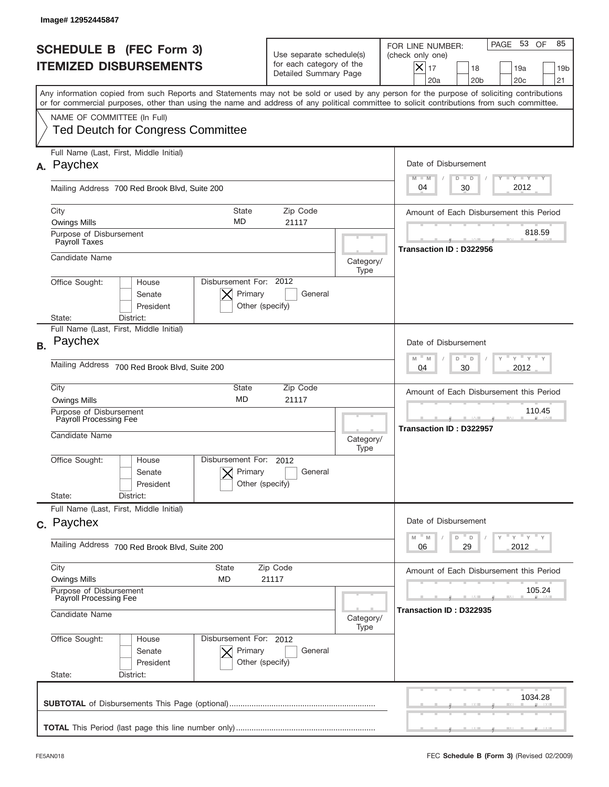|           | Image# 12952445847                                                                                                                                                                                                                                                                      |                                                      |                                                                               |                                                                                      |                                                                                                                                                                                 |
|-----------|-----------------------------------------------------------------------------------------------------------------------------------------------------------------------------------------------------------------------------------------------------------------------------------------|------------------------------------------------------|-------------------------------------------------------------------------------|--------------------------------------------------------------------------------------|---------------------------------------------------------------------------------------------------------------------------------------------------------------------------------|
|           | <b>SCHEDULE B (FEC Form 3)</b><br><b>ITEMIZED DISBURSEMENTS</b>                                                                                                                                                                                                                         |                                                      | Use separate schedule(s)<br>for each category of the<br>Detailed Summary Page |                                                                                      | PAGE 53<br>OF<br>85<br>FOR LINE NUMBER:<br>(check only one)<br>$ \boldsymbol{\times} $<br>17<br>18<br>19a<br>19 <sub>b</sub><br>21<br>20a<br>20 <sub>b</sub><br>20 <sub>c</sub> |
|           | Any information copied from such Reports and Statements may not be sold or used by any person for the purpose of soliciting contributions<br>or for commercial purposes, other than using the name and address of any political committee to solicit contributions from such committee. |                                                      |                                                                               |                                                                                      |                                                                                                                                                                                 |
|           | NAME OF COMMITTEE (In Full)<br><b>Ted Deutch for Congress Committee</b>                                                                                                                                                                                                                 |                                                      |                                                                               |                                                                                      |                                                                                                                                                                                 |
| А.        | Full Name (Last, First, Middle Initial)<br>Paychex                                                                                                                                                                                                                                      |                                                      |                                                                               |                                                                                      | Date of Disbursement                                                                                                                                                            |
|           | Mailing Address 700 Red Brook Blvd, Suite 200                                                                                                                                                                                                                                           |                                                      |                                                                               |                                                                                      | <b>TAYLY LY</b><br>$M - M$<br>$D$ $D$<br>2012<br>04<br>30                                                                                                                       |
|           | City<br><b>Owings Mills</b>                                                                                                                                                                                                                                                             | <b>State</b><br><b>MD</b>                            | Zip Code<br>21117                                                             |                                                                                      | Amount of Each Disbursement this Period                                                                                                                                         |
|           | Purpose of Disbursement<br>Payroll Taxes                                                                                                                                                                                                                                                |                                                      |                                                                               |                                                                                      | 818.59<br>Transaction ID: D322956                                                                                                                                               |
|           | Candidate Name                                                                                                                                                                                                                                                                          |                                                      |                                                                               | Category/<br>Type                                                                    |                                                                                                                                                                                 |
|           | Office Sought:<br>House<br>Senate<br>President<br>District:<br>State:                                                                                                                                                                                                                   | Disbursement For: 2012<br>Primary<br>Other (specify) | General                                                                       |                                                                                      |                                                                                                                                                                                 |
| <b>B.</b> | Full Name (Last, First, Middle Initial)<br>Paychex                                                                                                                                                                                                                                      |                                                      |                                                                               |                                                                                      | Date of Disbursement                                                                                                                                                            |
|           | Mailing Address<br>700 Red Brook Blvd, Suite 200                                                                                                                                                                                                                                        |                                                      |                                                                               | $\cdots$ $\gamma$ $\cdots$ $\gamma$ $\cdots$<br>M<br>D<br>M<br>D<br>2012<br>04<br>30 |                                                                                                                                                                                 |
|           | City<br><b>Owings Mills</b>                                                                                                                                                                                                                                                             | State<br><b>MD</b>                                   | Zip Code<br>21117                                                             |                                                                                      | Amount of Each Disbursement this Period                                                                                                                                         |
|           | Purpose of Disbursement<br>Payroll Processing Fee<br>Candidate Name                                                                                                                                                                                                                     |                                                      |                                                                               | Category/<br>Type                                                                    | 110.45<br>Transaction ID: D322957                                                                                                                                               |
|           | Office Sought:<br>House<br>Senate<br>President                                                                                                                                                                                                                                          | Disbursement For: 2012<br>Primary<br>Other (specify) | General                                                                       |                                                                                      |                                                                                                                                                                                 |
|           | State:<br>District:<br>Full Name (Last, First, Middle Initial)                                                                                                                                                                                                                          |                                                      |                                                                               |                                                                                      |                                                                                                                                                                                 |
|           | c. Paychex                                                                                                                                                                                                                                                                              |                                                      |                                                                               |                                                                                      | Date of Disbursement                                                                                                                                                            |
|           | Mailing Address 700 Red Brook Blvd, Suite 200                                                                                                                                                                                                                                           |                                                      |                                                                               | " ү " ү " ү<br>$M$ $M$<br>D<br>D<br>29<br>2012<br>06                                 |                                                                                                                                                                                 |
|           | City<br><b>State</b><br>Owings Mills<br><b>MD</b>                                                                                                                                                                                                                                       |                                                      | Zip Code<br>21117                                                             |                                                                                      | Amount of Each Disbursement this Period                                                                                                                                         |
|           | Purpose of Disbursement<br>Payroll Processing Fee<br>Candidate Name                                                                                                                                                                                                                     |                                                      | Category/<br>Type                                                             | 105.24<br>Transaction ID: D322935                                                    |                                                                                                                                                                                 |
|           | Office Sought:<br>House<br>Senate<br>President<br>State:<br>District:                                                                                                                                                                                                                   | Disbursement For: 2012<br>Primary<br>Other (specify) | General                                                                       |                                                                                      |                                                                                                                                                                                 |
|           |                                                                                                                                                                                                                                                                                         |                                                      |                                                                               |                                                                                      | 1034.28                                                                                                                                                                         |
|           |                                                                                                                                                                                                                                                                                         |                                                      |                                                                               |                                                                                      |                                                                                                                                                                                 |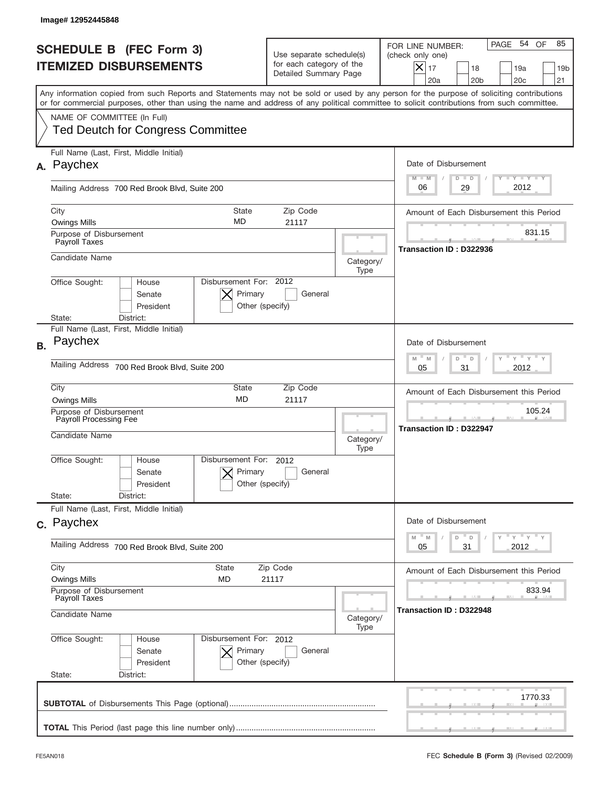|                                                                 | Image# 12952445848                                                                                                                                                                                                                                                                      |                                                                               |                   |                                                                                                                                                          |
|-----------------------------------------------------------------|-----------------------------------------------------------------------------------------------------------------------------------------------------------------------------------------------------------------------------------------------------------------------------------------|-------------------------------------------------------------------------------|-------------------|----------------------------------------------------------------------------------------------------------------------------------------------------------|
| <b>SCHEDULE B (FEC Form 3)</b><br><b>ITEMIZED DISBURSEMENTS</b> |                                                                                                                                                                                                                                                                                         | Use separate schedule(s)<br>for each category of the<br>Detailed Summary Page |                   | PAGE 54 OF<br>85<br>FOR LINE NUMBER:<br>(check only one)<br>$X _{17}$<br>18<br>19a<br>19 <sub>b</sub><br>21<br>20a<br>20 <sub>b</sub><br>20 <sub>c</sub> |
|                                                                 | Any information copied from such Reports and Statements may not be sold or used by any person for the purpose of soliciting contributions<br>or for commercial purposes, other than using the name and address of any political committee to solicit contributions from such committee. |                                                                               |                   |                                                                                                                                                          |
|                                                                 | NAME OF COMMITTEE (In Full)<br><b>Ted Deutch for Congress Committee</b>                                                                                                                                                                                                                 |                                                                               |                   |                                                                                                                                                          |
| А.                                                              | Full Name (Last, First, Middle Initial)<br>Paychex                                                                                                                                                                                                                                      |                                                                               |                   | Date of Disbursement<br>$T - Y$ $T - Y$<br>$M - M$<br>$D$ $D$                                                                                            |
|                                                                 | Mailing Address 700 Red Brook Blvd, Suite 200                                                                                                                                                                                                                                           |                                                                               |                   | 2012<br>29<br>06                                                                                                                                         |
|                                                                 | City<br><b>State</b><br>MD<br><b>Owings Mills</b>                                                                                                                                                                                                                                       | Zip Code<br>21117                                                             |                   | Amount of Each Disbursement this Period                                                                                                                  |
|                                                                 | Purpose of Disbursement<br>Payroll Taxes                                                                                                                                                                                                                                                |                                                                               |                   | 831.15<br>Transaction ID: D322936                                                                                                                        |
|                                                                 | Candidate Name                                                                                                                                                                                                                                                                          |                                                                               | Category/<br>Type |                                                                                                                                                          |
|                                                                 | Disbursement For: 2012<br>Office Sought:<br>House<br>Primary<br>Senate<br>President<br>Other (specify)<br>State:<br>District:                                                                                                                                                           | General                                                                       |                   |                                                                                                                                                          |
| <b>B.</b>                                                       | Full Name (Last, First, Middle Initial)<br>Paychex                                                                                                                                                                                                                                      |                                                                               |                   | Date of Disbursement                                                                                                                                     |
|                                                                 | Mailing Address<br>700 Red Brook Blvd, Suite 200                                                                                                                                                                                                                                        |                                                                               |                   | $\cdots$ $\gamma$ $\cdots$ $\gamma$ $\cdots$<br>$M - M$<br>D<br>D<br>31<br>2012<br>05                                                                    |
|                                                                 | City<br><b>State</b><br><b>MD</b><br><b>Owings Mills</b>                                                                                                                                                                                                                                | Zip Code<br>21117                                                             |                   | Amount of Each Disbursement this Period                                                                                                                  |
|                                                                 | Purpose of Disbursement<br>Payroll Processing Fee<br>Candidate Name                                                                                                                                                                                                                     |                                                                               |                   | 105.24<br><b>Transaction ID: D322947</b>                                                                                                                 |
|                                                                 | Disbursement For: 2012<br>Office Sought:<br>House<br>Primary<br>Senate<br>Other (specify)<br>President                                                                                                                                                                                  | General                                                                       | Type              |                                                                                                                                                          |
|                                                                 | State:<br>District:<br>Full Name (Last, First, Middle Initial)                                                                                                                                                                                                                          |                                                                               |                   |                                                                                                                                                          |
|                                                                 | c. Paychex                                                                                                                                                                                                                                                                              |                                                                               |                   | Date of Disbursement                                                                                                                                     |
|                                                                 | Mailing Address 700 Red Brook Blvd, Suite 200                                                                                                                                                                                                                                           |                                                                               |                   | ≡ γ ≡ γ ≡ γ<br>$-M$<br>M<br>D<br>$\mathsf D$<br>2012<br>05<br>31                                                                                         |
|                                                                 | City<br><b>State</b><br>Zip Code<br><b>Owings Mills</b><br>MD<br>21117                                                                                                                                                                                                                  |                                                                               |                   | Amount of Each Disbursement this Period<br>833.94                                                                                                        |
|                                                                 | Purpose of Disbursement<br>Payroll Taxes<br>Candidate Name                                                                                                                                                                                                                              |                                                                               | Category/<br>Type | Transaction ID: D322948                                                                                                                                  |
|                                                                 | Office Sought:<br>Disbursement For: 2012<br>House<br>Primary<br>Senate<br>President<br>Other (specify)<br>State:<br>District:                                                                                                                                                           | General                                                                       |                   |                                                                                                                                                          |
|                                                                 |                                                                                                                                                                                                                                                                                         |                                                                               |                   | 1770.33                                                                                                                                                  |
|                                                                 |                                                                                                                                                                                                                                                                                         |                                                                               |                   |                                                                                                                                                          |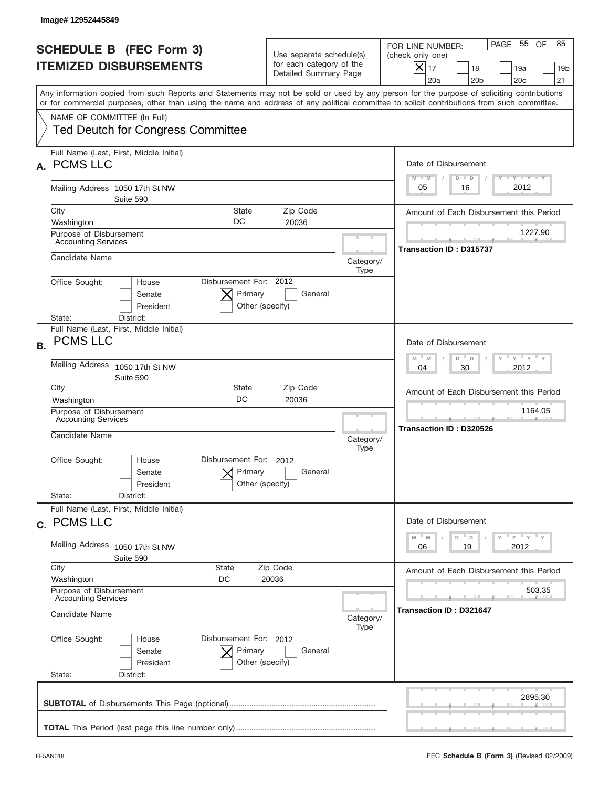|           | Image# 12952445849                                                  |                                                                 |                                                      |                                                                               |                                    |                                                                                                                                                                                                                                                                                         |
|-----------|---------------------------------------------------------------------|-----------------------------------------------------------------|------------------------------------------------------|-------------------------------------------------------------------------------|------------------------------------|-----------------------------------------------------------------------------------------------------------------------------------------------------------------------------------------------------------------------------------------------------------------------------------------|
|           |                                                                     | <b>SCHEDULE B (FEC Form 3)</b><br><b>ITEMIZED DISBURSEMENTS</b> |                                                      | Use separate schedule(s)<br>for each category of the<br>Detailed Summary Page |                                    | PAGE 55 OF<br>85<br>FOR LINE NUMBER:<br>(check only one)<br>$X _{17}$<br>18<br>19a<br>19 <sub>b</sub><br>20a<br>20 <sub>b</sub><br>20 <sub>c</sub><br>21                                                                                                                                |
|           |                                                                     |                                                                 |                                                      |                                                                               |                                    | Any information copied from such Reports and Statements may not be sold or used by any person for the purpose of soliciting contributions<br>or for commercial purposes, other than using the name and address of any political committee to solicit contributions from such committee. |
|           | NAME OF COMMITTEE (In Full)                                         | <b>Ted Deutch for Congress Committee</b>                        |                                                      |                                                                               |                                    |                                                                                                                                                                                                                                                                                         |
| А.        | <b>PCMS LLC</b>                                                     | Full Name (Last, First, Middle Initial)                         |                                                      |                                                                               |                                    | Date of Disbursement<br>Y I Y I Y I Y<br>$M - M$<br>$D$ $D$                                                                                                                                                                                                                             |
|           |                                                                     | Mailing Address 1050 17th St NW<br>Suite 590                    |                                                      |                                                                               |                                    | 2012<br>05<br>16                                                                                                                                                                                                                                                                        |
|           | City                                                                |                                                                 | <b>State</b><br>DC                                   | Zip Code                                                                      |                                    | Amount of Each Disbursement this Period                                                                                                                                                                                                                                                 |
|           | Washington<br>Purpose of Disbursement<br><b>Accounting Services</b> |                                                                 |                                                      | 20036                                                                         |                                    | 1227.90                                                                                                                                                                                                                                                                                 |
|           | Candidate Name                                                      |                                                                 |                                                      |                                                                               | Category/<br>Type                  | Transaction ID: D315737                                                                                                                                                                                                                                                                 |
|           | Office Sought:<br>State:                                            | House<br>Senate<br>President<br>District:                       | Disbursement For: 2012<br>Primary<br>Other (specify) | General                                                                       |                                    |                                                                                                                                                                                                                                                                                         |
| <b>B.</b> | <b>PCMS LLC</b>                                                     | Full Name (Last, First, Middle Initial)                         |                                                      |                                                                               |                                    | Date of Disbursement                                                                                                                                                                                                                                                                    |
|           | <b>Mailing Address</b>                                              | 1050 17th St NW<br>Suite 590                                    |                                                      |                                                                               |                                    | $Y$ $Y$ $Y$ $Y$ $Y$<br>$M - M$<br>D<br>D<br>30<br>2012<br>04                                                                                                                                                                                                                            |
|           | City<br>Washington                                                  |                                                                 | State<br>DC                                          | Zip Code<br>20036                                                             |                                    | Amount of Each Disbursement this Period                                                                                                                                                                                                                                                 |
|           | Purpose of Disbursement<br><b>Accounting Services</b>               |                                                                 |                                                      |                                                                               | 1164.05<br>Transaction ID: D320526 |                                                                                                                                                                                                                                                                                         |
|           | Candidate Name                                                      |                                                                 |                                                      |                                                                               | Category/<br>Type                  |                                                                                                                                                                                                                                                                                         |
|           | Office Sought:                                                      | House<br>Senate<br>President                                    | Disbursement For:<br>Primary<br>Other (specify)      | 2012<br>General                                                               |                                    |                                                                                                                                                                                                                                                                                         |
|           | State:                                                              | District:<br>Full Name (Last, First, Middle Initial)            |                                                      |                                                                               |                                    |                                                                                                                                                                                                                                                                                         |
|           | c. PCMS LLC                                                         |                                                                 |                                                      |                                                                               |                                    | Date of Disbursement<br>$Y$ $Y$ $Y$ $Y$ $Y$<br>M<br>$\mathbb M$<br>D<br>D                                                                                                                                                                                                               |
|           | Mailing Address                                                     | 1050 17th St NW<br>Suite 590                                    |                                                      |                                                                               |                                    | 2012<br>06<br>19                                                                                                                                                                                                                                                                        |
|           | City<br>Washington                                                  |                                                                 | <b>State</b><br>DC                                   | Zip Code<br>20036                                                             |                                    | Amount of Each Disbursement this Period                                                                                                                                                                                                                                                 |
|           | Purpose of Disbursement<br><b>Accounting Services</b>               |                                                                 |                                                      |                                                                               | 503.35                             |                                                                                                                                                                                                                                                                                         |
|           | Candidate Name                                                      |                                                                 |                                                      |                                                                               | Category/<br>Type                  | Transaction ID: D321647                                                                                                                                                                                                                                                                 |
|           | Office Sought:<br>State:                                            | House<br>Senate<br>President<br>District:                       | Disbursement For: 2012<br>Primary<br>Other (specify) | General                                                                       |                                    |                                                                                                                                                                                                                                                                                         |
|           |                                                                     |                                                                 |                                                      |                                                                               |                                    |                                                                                                                                                                                                                                                                                         |
|           |                                                                     |                                                                 |                                                      |                                                                               |                                    | 2895.30                                                                                                                                                                                                                                                                                 |
|           |                                                                     |                                                                 |                                                      |                                                                               |                                    |                                                                                                                                                                                                                                                                                         |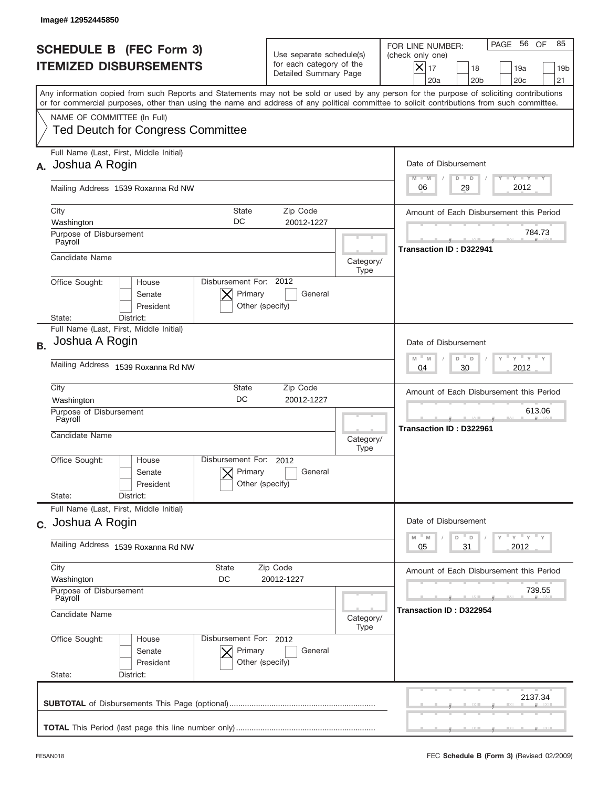|           | Image#12952445850                                                                                                                                                                                                                                                                       |                                                                               |                   |                                                                                                                                                                  |
|-----------|-----------------------------------------------------------------------------------------------------------------------------------------------------------------------------------------------------------------------------------------------------------------------------------------|-------------------------------------------------------------------------------|-------------------|------------------------------------------------------------------------------------------------------------------------------------------------------------------|
|           | <b>SCHEDULE B</b> (FEC Form 3)<br><b>ITEMIZED DISBURSEMENTS</b>                                                                                                                                                                                                                         | Use separate schedule(s)<br>for each category of the<br>Detailed Summary Page |                   | PAGE 56<br>OF<br>85<br>FOR LINE NUMBER:<br>(check only one)<br>$\times$<br>17<br>18<br>19a<br>19 <sub>b</sub><br>20a<br>20 <sub>b</sub><br>20 <sub>c</sub><br>21 |
|           | Any information copied from such Reports and Statements may not be sold or used by any person for the purpose of soliciting contributions<br>or for commercial purposes, other than using the name and address of any political committee to solicit contributions from such committee. |                                                                               |                   |                                                                                                                                                                  |
|           | NAME OF COMMITTEE (In Full)<br><b>Ted Deutch for Congress Committee</b>                                                                                                                                                                                                                 |                                                                               |                   |                                                                                                                                                                  |
| А.        | Full Name (Last, First, Middle Initial)<br>Joshua A Rogin                                                                                                                                                                                                                               |                                                                               |                   | Date of Disbursement<br>$T - Y$ $T - Y$<br>$M - M$<br>$D$ $D$                                                                                                    |
|           | Mailing Address 1539 Roxanna Rd NW                                                                                                                                                                                                                                                      |                                                                               |                   | 2012<br>29<br>06                                                                                                                                                 |
|           | City<br><b>State</b><br>DC<br>Washington                                                                                                                                                                                                                                                | Zip Code<br>20012-1227                                                        |                   | Amount of Each Disbursement this Period                                                                                                                          |
|           | Purpose of Disbursement<br>Payroll                                                                                                                                                                                                                                                      |                                                                               |                   | 784.73                                                                                                                                                           |
|           | Candidate Name                                                                                                                                                                                                                                                                          |                                                                               | Category/<br>Type | <b>Transaction ID: D322941</b>                                                                                                                                   |
|           | Disbursement For: 2012<br>Office Sought:<br>House<br>Primary<br>Senate<br>Other (specify)<br>President<br>State:<br>District:                                                                                                                                                           | General                                                                       |                   |                                                                                                                                                                  |
| <b>B.</b> | Full Name (Last, First, Middle Initial)<br>Joshua A Rogin                                                                                                                                                                                                                               |                                                                               |                   | Date of Disbursement<br>$\cdots$ $\gamma$ $\cdots$ $\gamma$ $\cdots$<br>$M - M$<br>D<br>D                                                                        |
|           | Mailing Address 1539 Roxanna Rd NW                                                                                                                                                                                                                                                      |                                                                               |                   | 30<br>2012<br>04                                                                                                                                                 |
|           | City<br>State<br><b>DC</b><br>Washington<br>Purpose of Disbursement<br>Payroll<br>Candidate Name                                                                                                                                                                                        | Zip Code<br>20012-1227                                                        | Category/<br>Type | Amount of Each Disbursement this Period<br>613.06<br>Transaction ID: D322961                                                                                     |
|           | Disbursement For: 2012<br>Office Sought:<br>House<br>Primary<br>Senate<br>Other (specify)<br>President<br>State:<br>District:                                                                                                                                                           | General                                                                       |                   |                                                                                                                                                                  |
|           | Full Name (Last, First, Middle Initial)<br>c. Joshua A Rogin                                                                                                                                                                                                                            |                                                                               |                   | Date of Disbursement                                                                                                                                             |
|           | Mailing Address 1539 Roxanna Rd NW                                                                                                                                                                                                                                                      |                                                                               |                   | γ <sup>=</sup> γ <sup>=</sup> γ <sup>=</sup> γ<br>$-M$<br>M<br>D<br>D<br>05<br>2012<br>31                                                                        |
|           | City<br>State<br>Washington<br>DC                                                                                                                                                                                                                                                       | Zip Code<br>20012-1227                                                        |                   | Amount of Each Disbursement this Period                                                                                                                          |
|           | Purpose of Disbursement<br>Payroll<br>Candidate Name                                                                                                                                                                                                                                    |                                                                               | Category/<br>Type | 739.55<br>Transaction ID: D322954                                                                                                                                |
|           | Office Sought:<br>Disbursement For: 2012<br>House<br>Primary<br>Senate<br>President<br>Other (specify)<br>State:<br>District:                                                                                                                                                           | General                                                                       |                   |                                                                                                                                                                  |
|           |                                                                                                                                                                                                                                                                                         |                                                                               |                   | 2137.34                                                                                                                                                          |
|           |                                                                                                                                                                                                                                                                                         |                                                                               |                   |                                                                                                                                                                  |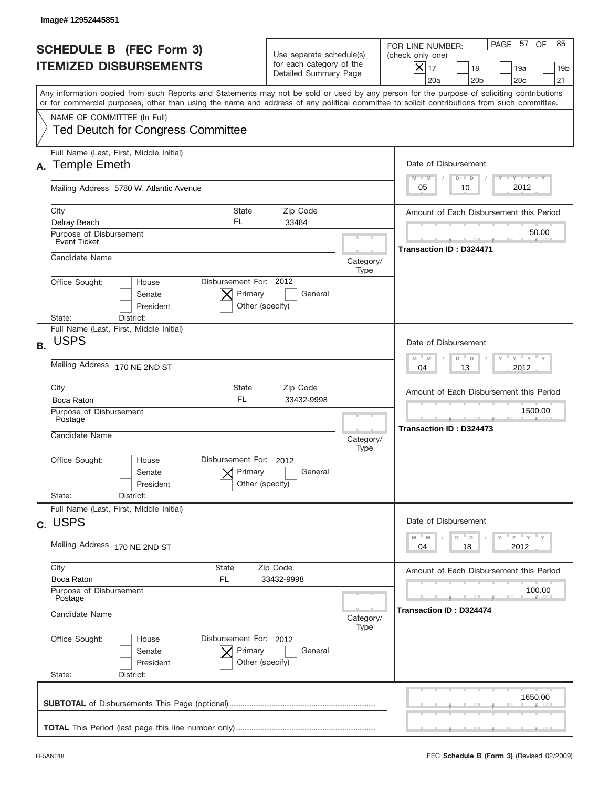|                                                      | Image#12952445851                                                                                                                                                                                                                                                                       |                                                                               |                   |                                                                                                                                                        |
|------------------------------------------------------|-----------------------------------------------------------------------------------------------------------------------------------------------------------------------------------------------------------------------------------------------------------------------------------------|-------------------------------------------------------------------------------|-------------------|--------------------------------------------------------------------------------------------------------------------------------------------------------|
|                                                      | <b>SCHEDULE B (FEC Form 3)</b><br><b>ITEMIZED DISBURSEMENTS</b>                                                                                                                                                                                                                         | Use separate schedule(s)<br>for each category of the<br>Detailed Summary Page |                   | PAGE 57 OF<br>85<br>FOR LINE NUMBER:<br>(check only one)<br>$ \mathsf{X} _{17}$<br>18<br>19a<br>19 <sub>b</sub><br>20a<br>20 <sub>b</sub><br>20c<br>21 |
|                                                      | Any information copied from such Reports and Statements may not be sold or used by any person for the purpose of soliciting contributions<br>or for commercial purposes, other than using the name and address of any political committee to solicit contributions from such committee. |                                                                               |                   |                                                                                                                                                        |
|                                                      | NAME OF COMMITTEE (In Full)<br><b>Ted Deutch for Congress Committee</b>                                                                                                                                                                                                                 |                                                                               |                   |                                                                                                                                                        |
|                                                      | Full Name (Last, First, Middle Initial)<br>A. Temple Emeth                                                                                                                                                                                                                              |                                                                               |                   | Date of Disbursement<br>Y TY TY TY<br>$M - M$<br>$D$ $D$                                                                                               |
|                                                      | Mailing Address 5780 W. Atlantic Avenue                                                                                                                                                                                                                                                 |                                                                               |                   | 2012<br>05<br>10                                                                                                                                       |
|                                                      | City<br><b>State</b><br>FL<br>Delray Beach                                                                                                                                                                                                                                              | Zip Code<br>33484                                                             |                   | Amount of Each Disbursement this Period                                                                                                                |
|                                                      | Purpose of Disbursement<br>Event Ticket                                                                                                                                                                                                                                                 |                                                                               |                   | 50.00<br>Transaction ID: D324471                                                                                                                       |
|                                                      | Candidate Name                                                                                                                                                                                                                                                                          |                                                                               | Category/<br>Type |                                                                                                                                                        |
|                                                      | Disbursement For: 2012<br>Office Sought:<br>House<br>Primary<br>Senate<br>President<br>District:<br>State:                                                                                                                                                                              | General<br>Other (specify)                                                    |                   |                                                                                                                                                        |
| <b>B.</b>                                            | Full Name (Last, First, Middle Initial)<br><b>USPS</b>                                                                                                                                                                                                                                  |                                                                               |                   | Date of Disbursement                                                                                                                                   |
|                                                      | Mailing Address 170 NE 2ND ST                                                                                                                                                                                                                                                           |                                                                               |                   | γ " γ " γ " γ<br>$M - M$<br>D<br>D<br>2012<br>04<br>13                                                                                                 |
|                                                      | City<br>State<br><b>FL</b><br>Boca Raton                                                                                                                                                                                                                                                | Zip Code<br>33432-9998                                                        |                   | Amount of Each Disbursement this Period                                                                                                                |
|                                                      | Purpose of Disbursement<br>Postage<br>Candidate Name                                                                                                                                                                                                                                    |                                                                               |                   | 1500.00<br><b>Transaction ID: D324473</b>                                                                                                              |
|                                                      | Disbursement For:                                                                                                                                                                                                                                                                       |                                                                               | Category/<br>Type |                                                                                                                                                        |
|                                                      | Office Sought:<br>House<br>Primary<br>Senate<br>President                                                                                                                                                                                                                               | 2012<br>General<br>Other (specify)                                            |                   |                                                                                                                                                        |
|                                                      | State:<br>District:<br>Full Name (Last, First, Middle Initial)                                                                                                                                                                                                                          |                                                                               |                   |                                                                                                                                                        |
|                                                      | c. USPS                                                                                                                                                                                                                                                                                 |                                                                               |                   | Date of Disbursement                                                                                                                                   |
|                                                      | Mailing Address 170 NE 2ND ST                                                                                                                                                                                                                                                           |                                                                               |                   | $Y$ $Y$ $Y$ $Y$ $Y$<br>$-M$<br>M<br>D<br>D<br>2012<br>04<br>18                                                                                         |
|                                                      | City<br>State<br><b>FL</b><br>Boca Raton                                                                                                                                                                                                                                                | Zip Code<br>33432-9998                                                        |                   | Amount of Each Disbursement this Period                                                                                                                |
| Purpose of Disbursement<br>Postage<br>Candidate Name |                                                                                                                                                                                                                                                                                         |                                                                               | Category/         | 100.00<br>Transaction ID: D324474                                                                                                                      |
|                                                      | Office Sought:<br>Disbursement For: 2012<br>House                                                                                                                                                                                                                                       |                                                                               | Type              |                                                                                                                                                        |
|                                                      | Senate<br>Primary<br>President                                                                                                                                                                                                                                                          | General<br>Other (specify)                                                    |                   |                                                                                                                                                        |
|                                                      | State:<br>District:                                                                                                                                                                                                                                                                     |                                                                               |                   |                                                                                                                                                        |
|                                                      |                                                                                                                                                                                                                                                                                         |                                                                               |                   | 1650.00                                                                                                                                                |
|                                                      |                                                                                                                                                                                                                                                                                         |                                                                               |                   |                                                                                                                                                        |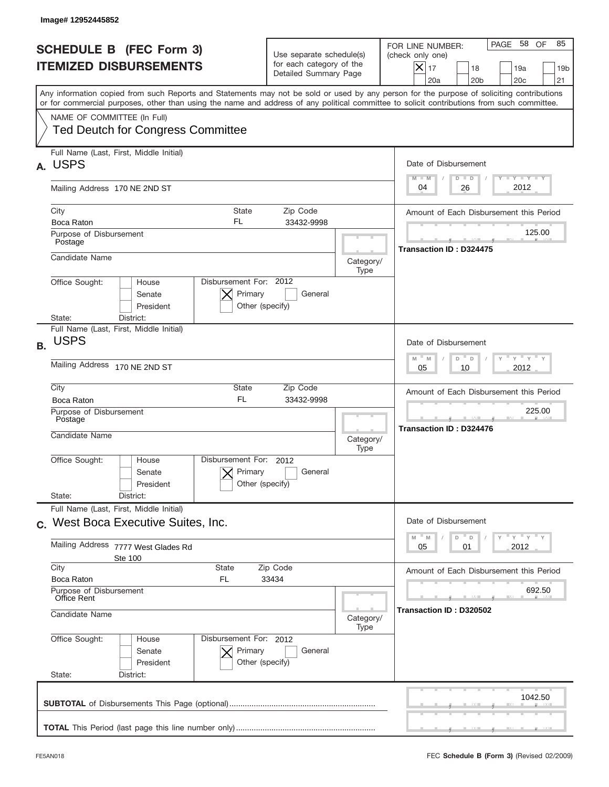|           | Image# 12952445852                                                                                                                                                                                                                                                                      |                                                                               |                   |                                                                                                          |
|-----------|-----------------------------------------------------------------------------------------------------------------------------------------------------------------------------------------------------------------------------------------------------------------------------------------|-------------------------------------------------------------------------------|-------------------|----------------------------------------------------------------------------------------------------------|
|           | <b>SCHEDULE B (FEC Form 3)</b><br><b>ITEMIZED DISBURSEMENTS</b>                                                                                                                                                                                                                         | Use separate schedule(s)<br>for each category of the<br>Detailed Summary Page |                   | PAGE 58<br>OF<br>85<br>FOR LINE NUMBER:<br>(check only one)<br>$X _{17}$<br>18<br>19a<br>19 <sub>b</sub> |
|           | Any information copied from such Reports and Statements may not be sold or used by any person for the purpose of soliciting contributions<br>or for commercial purposes, other than using the name and address of any political committee to solicit contributions from such committee. |                                                                               |                   | 21<br>20a<br>20 <sub>b</sub><br>20 <sub>c</sub>                                                          |
|           | NAME OF COMMITTEE (In Full)<br><b>Ted Deutch for Congress Committee</b>                                                                                                                                                                                                                 |                                                                               |                   |                                                                                                          |
| А.        | Full Name (Last, First, Middle Initial)<br><b>USPS</b>                                                                                                                                                                                                                                  |                                                                               |                   | Date of Disbursement<br><b>TANK TANK</b><br>$M - M$<br>$D$ $D$                                           |
|           | Mailing Address 170 NE 2ND ST                                                                                                                                                                                                                                                           |                                                                               |                   | 2012<br>26<br>04                                                                                         |
|           | City<br><b>State</b><br>FL.<br>Boca Raton                                                                                                                                                                                                                                               | Zip Code<br>33432-9998                                                        |                   | Amount of Each Disbursement this Period                                                                  |
|           | Purpose of Disbursement<br>Postage                                                                                                                                                                                                                                                      |                                                                               |                   | 125.00<br><b>Transaction ID: D324475</b>                                                                 |
|           | Candidate Name                                                                                                                                                                                                                                                                          |                                                                               | Category/<br>Type |                                                                                                          |
|           | Disbursement For: 2012<br>Office Sought:<br>House<br>Primary<br>Senate<br>President<br>State:<br>District:                                                                                                                                                                              | General<br>Other (specify)                                                    |                   |                                                                                                          |
| <b>B.</b> | Full Name (Last, First, Middle Initial)<br><b>USPS</b>                                                                                                                                                                                                                                  |                                                                               |                   | Date of Disbursement                                                                                     |
|           | Mailing Address 170 NE 2ND ST                                                                                                                                                                                                                                                           |                                                                               |                   | $\cdots$ $\gamma$ $\cdots$ $\gamma$ $\cdots$ $\gamma$<br>$M - M$<br>D<br>$\Box$<br>2012<br>05<br>10      |
|           | City<br>State<br><b>FL</b><br>Boca Raton                                                                                                                                                                                                                                                | Zip Code<br>33432-9998                                                        |                   | Amount of Each Disbursement this Period                                                                  |
|           | Purpose of Disbursement<br>Postage<br>Candidate Name                                                                                                                                                                                                                                    |                                                                               | Category/<br>Type | 225.00<br><b>Transaction ID: D324476</b>                                                                 |
|           | Disbursement For: 2012<br>Office Sought:<br>House<br>Primary<br>Senate<br>President                                                                                                                                                                                                     | General<br>Other (specify)                                                    |                   |                                                                                                          |
|           | State:<br>District:<br>Full Name (Last, First, Middle Initial)                                                                                                                                                                                                                          |                                                                               |                   |                                                                                                          |
|           | c. West Boca Executive Suites, Inc.                                                                                                                                                                                                                                                     |                                                                               |                   | Date of Disbursement                                                                                     |
|           | <b>Mailing Address</b><br>7777 West Glades Rd<br>Ste 100                                                                                                                                                                                                                                |                                                                               |                   | ү " ү " ү " ү<br>$-M$<br>M<br>D<br>$\mathsf D$<br>2012<br>05<br>01                                       |
|           | City<br><b>State</b><br>Boca Raton<br>FL                                                                                                                                                                                                                                                | Zip Code<br>33434                                                             |                   | Amount of Each Disbursement this Period                                                                  |
|           | Purpose of Disbursement<br>Office Rent<br>Candidate Name                                                                                                                                                                                                                                |                                                                               | Category/         | 692.50<br>Transaction ID: D320502                                                                        |
|           | Office Sought:<br>Disbursement For: 2012<br>House<br>Primary<br>Senate<br>President<br>State:<br>District:                                                                                                                                                                              | General<br>Other (specify)                                                    | Type              |                                                                                                          |
|           |                                                                                                                                                                                                                                                                                         |                                                                               |                   | 1042.50                                                                                                  |
|           |                                                                                                                                                                                                                                                                                         |                                                                               |                   |                                                                                                          |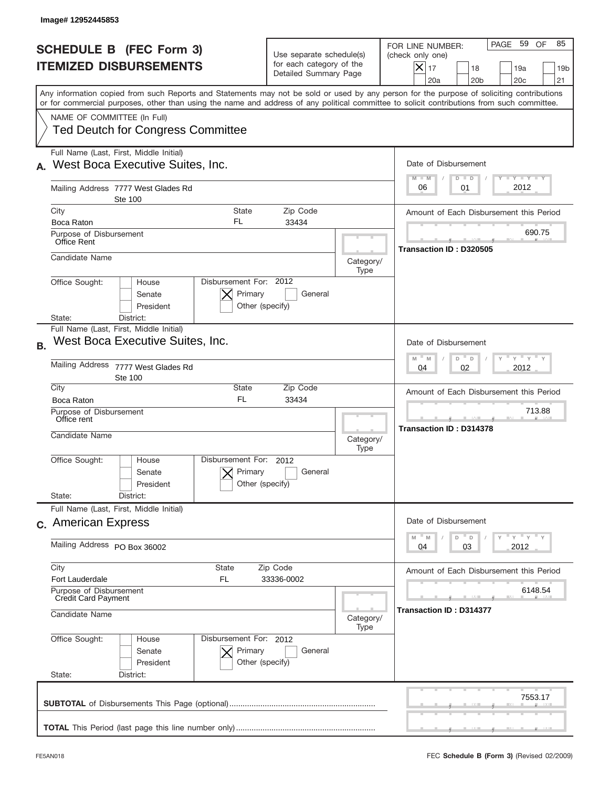| Image# 12952445853                                                                                                                                                                                                                                                                      |                                                                               |                                                                                                                                              |
|-----------------------------------------------------------------------------------------------------------------------------------------------------------------------------------------------------------------------------------------------------------------------------------------|-------------------------------------------------------------------------------|----------------------------------------------------------------------------------------------------------------------------------------------|
| <b>SCHEDULE B (FEC Form 3)</b><br><b>ITEMIZED DISBURSEMENTS</b>                                                                                                                                                                                                                         | Use separate schedule(s)<br>for each category of the<br>Detailed Summary Page | PAGE 59 OF<br>85<br>FOR LINE NUMBER:<br>(check only one)<br>$X _{17}$<br>18<br>19a<br>19 <sub>b</sub><br>20a<br>20 <sub>b</sub><br>20c<br>21 |
| Any information copied from such Reports and Statements may not be sold or used by any person for the purpose of soliciting contributions<br>or for commercial purposes, other than using the name and address of any political committee to solicit contributions from such committee. |                                                                               |                                                                                                                                              |
| NAME OF COMMITTEE (In Full)<br><b>Ted Deutch for Congress Committee</b>                                                                                                                                                                                                                 |                                                                               |                                                                                                                                              |
| Full Name (Last, First, Middle Initial)<br>West Boca Executive Suites, Inc.                                                                                                                                                                                                             |                                                                               | Date of Disbursement<br>Y TY TY TY<br>$M - M$<br>$D$ $D$                                                                                     |
| Mailing Address 7777 West Glades Rd<br><b>Ste 100</b>                                                                                                                                                                                                                                   |                                                                               | 2012<br>06<br>01                                                                                                                             |
| City<br><b>State</b>                                                                                                                                                                                                                                                                    | Zip Code                                                                      | Amount of Each Disbursement this Period                                                                                                      |
| FL.<br>Boca Raton<br>Purpose of Disbursement<br>Office Rent                                                                                                                                                                                                                             | 33434                                                                         | 690.75                                                                                                                                       |
| Candidate Name                                                                                                                                                                                                                                                                          | Category/<br>Type                                                             | Transaction ID: D320505                                                                                                                      |
| Disbursement For: 2012<br>Office Sought:<br>House<br>Primary<br>Senate<br>President                                                                                                                                                                                                     | General<br>Other (specify)                                                    |                                                                                                                                              |
| District:<br>State:                                                                                                                                                                                                                                                                     |                                                                               |                                                                                                                                              |
| Full Name (Last, First, Middle Initial)<br>West Boca Executive Suites, Inc.<br><b>B.</b>                                                                                                                                                                                                |                                                                               | Date of Disbursement                                                                                                                         |
| Mailing Address<br>7777 West Glades Rd<br><b>Ste 100</b>                                                                                                                                                                                                                                |                                                                               | ү " ү " ү " ү<br>$M$ M<br>D<br>$\Box$<br>2012<br>04<br>02                                                                                    |
| City<br><b>State</b><br><b>FL</b><br>Boca Raton                                                                                                                                                                                                                                         | Zip Code<br>33434                                                             | Amount of Each Disbursement this Period                                                                                                      |
| Purpose of Disbursement<br>Office rent                                                                                                                                                                                                                                                  |                                                                               | 713.88<br><b>Transaction ID: D314378</b>                                                                                                     |
| Candidate Name                                                                                                                                                                                                                                                                          | Category/<br>Type                                                             |                                                                                                                                              |
| Disbursement For: 2012<br>Office Sought:<br>House<br>Primary<br>Senate<br>President                                                                                                                                                                                                     | General<br>Other (specify)                                                    |                                                                                                                                              |
| State:<br>District:                                                                                                                                                                                                                                                                     |                                                                               |                                                                                                                                              |
| Full Name (Last, First, Middle Initial)<br>c. American Express                                                                                                                                                                                                                          |                                                                               | Date of Disbursement                                                                                                                         |
| Mailing Address PO Box 36002                                                                                                                                                                                                                                                            |                                                                               | $\gamma$ = $\gamma$ = $\gamma$ = $\gamma$<br>M<br>M<br>D<br>D<br>03<br>2012<br>04                                                            |
| City<br>State<br>Fort Lauderdale<br>FL                                                                                                                                                                                                                                                  | Zip Code<br>33336-0002                                                        | Amount of Each Disbursement this Period                                                                                                      |
| Purpose of Disbursement<br><b>Credit Card Payment</b>                                                                                                                                                                                                                                   |                                                                               | 6148.54                                                                                                                                      |
| Candidate Name                                                                                                                                                                                                                                                                          | Category/<br>Type                                                             | <b>Transaction ID : D314377</b>                                                                                                              |
| Office Sought:<br>Disbursement For: 2012<br>House<br>Primary<br>Senate<br>President<br>State:<br>District:                                                                                                                                                                              | General<br>Other (specify)                                                    |                                                                                                                                              |
|                                                                                                                                                                                                                                                                                         |                                                                               | 7553.17                                                                                                                                      |
|                                                                                                                                                                                                                                                                                         |                                                                               |                                                                                                                                              |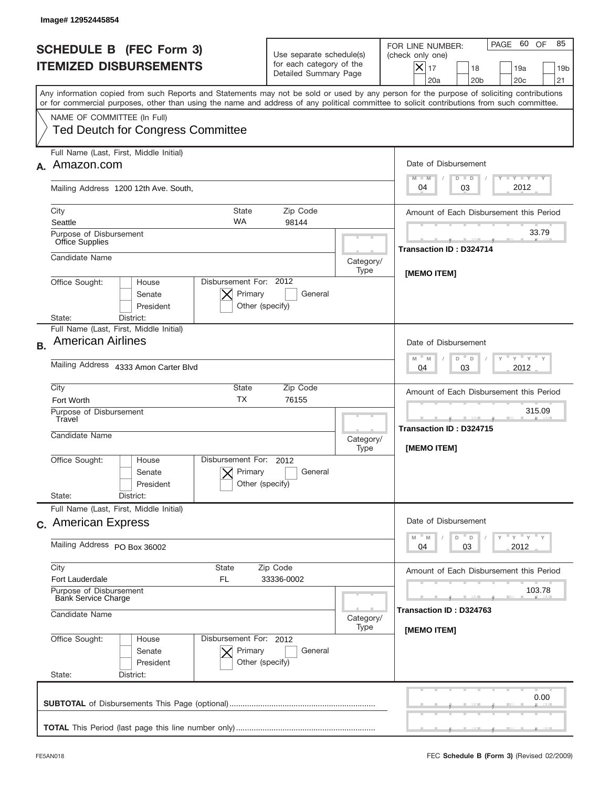|           | Image# 12952445854                                                                                                                                                                                                                                                                      |                                                                               |                   |                                                                                                                                                                    |
|-----------|-----------------------------------------------------------------------------------------------------------------------------------------------------------------------------------------------------------------------------------------------------------------------------------------|-------------------------------------------------------------------------------|-------------------|--------------------------------------------------------------------------------------------------------------------------------------------------------------------|
|           | <b>SCHEDULE B (FEC Form 3)</b><br><b>ITEMIZED DISBURSEMENTS</b>                                                                                                                                                                                                                         | Use separate schedule(s)<br>for each category of the<br>Detailed Summary Page |                   | PAGE 60 OF<br>85<br>FOR LINE NUMBER:<br>(check only one)<br>$ \mathsf{X} _{17}$<br>18<br>19a<br>19 <sub>b</sub><br>20a<br>20 <sub>b</sub><br>20 <sub>c</sub><br>21 |
|           | Any information copied from such Reports and Statements may not be sold or used by any person for the purpose of soliciting contributions<br>or for commercial purposes, other than using the name and address of any political committee to solicit contributions from such committee. |                                                                               |                   |                                                                                                                                                                    |
|           | NAME OF COMMITTEE (In Full)<br><b>Ted Deutch for Congress Committee</b>                                                                                                                                                                                                                 |                                                                               |                   |                                                                                                                                                                    |
|           | Full Name (Last, First, Middle Initial)<br>Amazon.com                                                                                                                                                                                                                                   |                                                                               |                   | Date of Disbursement                                                                                                                                               |
|           | Mailing Address 1200 12th Ave. South,                                                                                                                                                                                                                                                   |                                                                               |                   | Y TY TY TY<br>$M - M$<br>$D$ $D$<br>2012<br>03<br>04                                                                                                               |
|           | City<br><b>State</b><br><b>WA</b><br>Seattle                                                                                                                                                                                                                                            | Zip Code<br>98144                                                             |                   | Amount of Each Disbursement this Period                                                                                                                            |
|           | Purpose of Disbursement<br><b>Office Supplies</b>                                                                                                                                                                                                                                       |                                                                               |                   | 33.79<br>Transaction ID: D324714                                                                                                                                   |
|           | Candidate Name                                                                                                                                                                                                                                                                          |                                                                               | Category/<br>Type | <b>IMEMO ITEM1</b>                                                                                                                                                 |
|           | Disbursement For: 2012<br>Office Sought:<br>House<br>Primary<br>Senate<br>President<br>Other (specify)<br>District:<br>State:                                                                                                                                                           | General                                                                       |                   |                                                                                                                                                                    |
| <b>B.</b> | Full Name (Last, First, Middle Initial)<br><b>American Airlines</b>                                                                                                                                                                                                                     |                                                                               |                   | Date of Disbursement<br>γ " γ " γ " γ<br>$M - M$<br>D<br>D                                                                                                         |
|           | Mailing Address 4333 Amon Carter Blvd                                                                                                                                                                                                                                                   |                                                                               |                   | 2012<br>04<br>03                                                                                                                                                   |
|           | City<br>State<br><b>TX</b><br>Fort Worth                                                                                                                                                                                                                                                | Zip Code<br>76155                                                             |                   | Amount of Each Disbursement this Period                                                                                                                            |
|           | Purpose of Disbursement<br>Travel<br>Candidate Name                                                                                                                                                                                                                                     |                                                                               |                   | 315.09<br><b>Transaction ID: D324715</b><br>[MEMO ITEM]                                                                                                            |
|           | Disbursement For:<br>Office Sought:<br>House<br>Primary<br>Senate<br>Other (specify)<br>President                                                                                                                                                                                       | 2012<br>General                                                               |                   |                                                                                                                                                                    |
|           | State:<br>District:<br>Full Name (Last, First, Middle Initial)<br>c. American Express                                                                                                                                                                                                   |                                                                               |                   | Date of Disbursement                                                                                                                                               |
|           | Mailing Address PO Box 36002                                                                                                                                                                                                                                                            |                                                                               |                   | $\gamma$ = $\gamma$ = $\gamma$ = $\gamma$<br>M<br>D<br>M<br>D<br>03<br>2012<br>04                                                                                  |
|           | City<br>State<br>Fort Lauderdale<br>FL<br>Purpose of Disbursement                                                                                                                                                                                                                       | Zip Code<br>33336-0002                                                        |                   | Amount of Each Disbursement this Period<br>103.78                                                                                                                  |
|           | <b>Bank Service Charge</b><br>Candidate Name                                                                                                                                                                                                                                            |                                                                               |                   | Transaction ID: D324763                                                                                                                                            |
|           | Office Sought:<br>Disbursement For: 2012<br>House<br>Senate<br>Primary<br>President<br>Other (specify)<br>State:<br>District:                                                                                                                                                           | General                                                                       | Type              | [MEMO ITEM]                                                                                                                                                        |
|           |                                                                                                                                                                                                                                                                                         |                                                                               |                   | 0.00                                                                                                                                                               |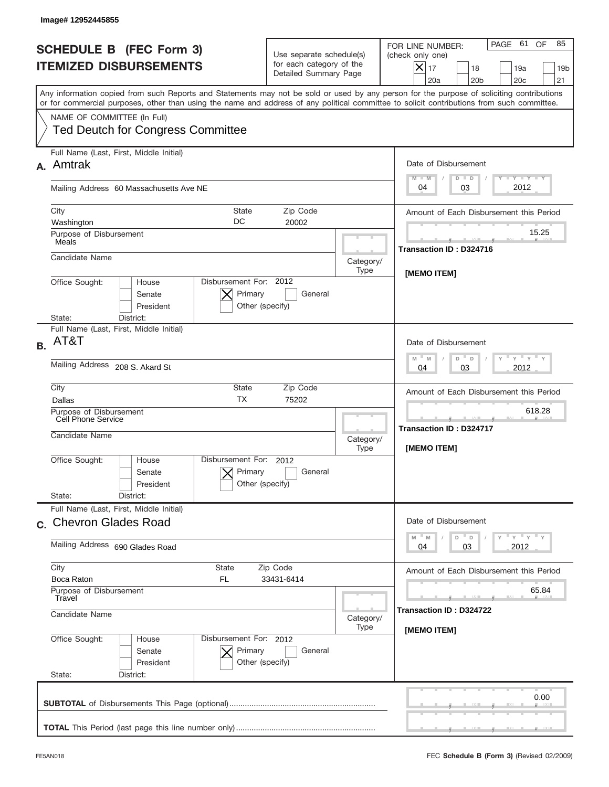|                                                                 | Image# 12952445855                                                                                                                                                                                                                                                                      |                                                                               |                         |                                                                                                                                                                               |  |
|-----------------------------------------------------------------|-----------------------------------------------------------------------------------------------------------------------------------------------------------------------------------------------------------------------------------------------------------------------------------------|-------------------------------------------------------------------------------|-------------------------|-------------------------------------------------------------------------------------------------------------------------------------------------------------------------------|--|
| <b>SCHEDULE B (FEC Form 3)</b><br><b>ITEMIZED DISBURSEMENTS</b> |                                                                                                                                                                                                                                                                                         | Use separate schedule(s)<br>for each category of the<br>Detailed Summary Page |                         | PAGE 61<br>OF<br>85<br>FOR LINE NUMBER:<br>(check only one)<br>$\boldsymbol{\times}$<br>17<br>18<br>19a<br>19 <sub>b</sub><br>21<br>20a<br>20 <sub>b</sub><br>20 <sub>c</sub> |  |
|                                                                 | Any information copied from such Reports and Statements may not be sold or used by any person for the purpose of soliciting contributions<br>or for commercial purposes, other than using the name and address of any political committee to solicit contributions from such committee. |                                                                               |                         |                                                                                                                                                                               |  |
|                                                                 | NAME OF COMMITTEE (In Full)<br><b>Ted Deutch for Congress Committee</b>                                                                                                                                                                                                                 |                                                                               |                         |                                                                                                                                                                               |  |
| А.                                                              | Full Name (Last, First, Middle Initial)<br>Amtrak                                                                                                                                                                                                                                       |                                                                               |                         | Date of Disbursement<br>$T - Y$ $T - Y$<br>$M - M$<br>$D$ $D$                                                                                                                 |  |
|                                                                 | Mailing Address 60 Massachusetts Ave NE                                                                                                                                                                                                                                                 |                                                                               |                         | 2012<br>03<br>04                                                                                                                                                              |  |
|                                                                 | City<br><b>State</b><br>DC<br>Washington                                                                                                                                                                                                                                                | Zip Code<br>20002                                                             |                         | Amount of Each Disbursement this Period                                                                                                                                       |  |
|                                                                 | Purpose of Disbursement<br>Meals                                                                                                                                                                                                                                                        |                                                                               |                         | 15.25<br>Transaction ID: D324716                                                                                                                                              |  |
|                                                                 | Candidate Name                                                                                                                                                                                                                                                                          |                                                                               | Category/<br>Type       |                                                                                                                                                                               |  |
|                                                                 | Disbursement For: 2012<br>Office Sought:<br>House<br>Primary<br>Senate<br>President<br>District:<br>State:                                                                                                                                                                              | General<br>Other (specify)                                                    |                         | [MEMO ITEM]                                                                                                                                                                   |  |
| <b>B.</b>                                                       | Full Name (Last, First, Middle Initial)<br>AT&T                                                                                                                                                                                                                                         |                                                                               |                         | Date of Disbursement                                                                                                                                                          |  |
|                                                                 | Mailing Address 208 S. Akard St                                                                                                                                                                                                                                                         |                                                                               |                         | $\cdots$ $\gamma$ $\cdots$ $\gamma$ $\cdots$ $\gamma$<br>$M - M$<br>D<br>$\Box$<br>2012<br>04<br>03                                                                           |  |
|                                                                 | City<br>State<br>Zip Code<br><b>TX</b><br>75202<br>Dallas                                                                                                                                                                                                                               |                                                                               |                         | Amount of Each Disbursement this Period                                                                                                                                       |  |
|                                                                 | Purpose of Disbursement<br>Cell Phone Service<br>Candidate Name                                                                                                                                                                                                                         |                                                                               | Category/<br>Type       | 618.28<br>المستقبل<br><b>Transaction ID: D324717</b><br>[MEMO ITEM]                                                                                                           |  |
|                                                                 | Disbursement For: 2012<br>Office Sought:<br>House<br>Primary<br>Senate<br>President                                                                                                                                                                                                     | General<br>Other (specify)                                                    |                         |                                                                                                                                                                               |  |
|                                                                 | State:<br>District:<br>Full Name (Last, First, Middle Initial)                                                                                                                                                                                                                          |                                                                               |                         |                                                                                                                                                                               |  |
|                                                                 | c. Chevron Glades Road                                                                                                                                                                                                                                                                  |                                                                               |                         | Date of Disbursement<br>ү" ү" ү" ү<br>$- M$<br>M<br>D<br>D                                                                                                                    |  |
|                                                                 | Mailing Address 690 Glades Road                                                                                                                                                                                                                                                         |                                                                               |                         | 2012<br>03<br>04                                                                                                                                                              |  |
|                                                                 | City<br>State<br>Zip Code<br>Boca Raton<br>FL<br>33431-6414<br>Purpose of Disbursement<br>Travel<br>Candidate Name<br>Category/<br>Type                                                                                                                                                 |                                                                               |                         | Amount of Each Disbursement this Period<br>65.84                                                                                                                              |  |
|                                                                 |                                                                                                                                                                                                                                                                                         |                                                                               | Transaction ID: D324722 |                                                                                                                                                                               |  |
|                                                                 | Office Sought:<br>Disbursement For: 2012<br>House<br>Senate<br>Primary<br>President<br>State:<br>District:                                                                                                                                                                              | General<br>Other (specify)                                                    |                         | [MEMO ITEM]                                                                                                                                                                   |  |
|                                                                 |                                                                                                                                                                                                                                                                                         |                                                                               |                         | 0.00                                                                                                                                                                          |  |
|                                                                 |                                                                                                                                                                                                                                                                                         |                                                                               |                         |                                                                                                                                                                               |  |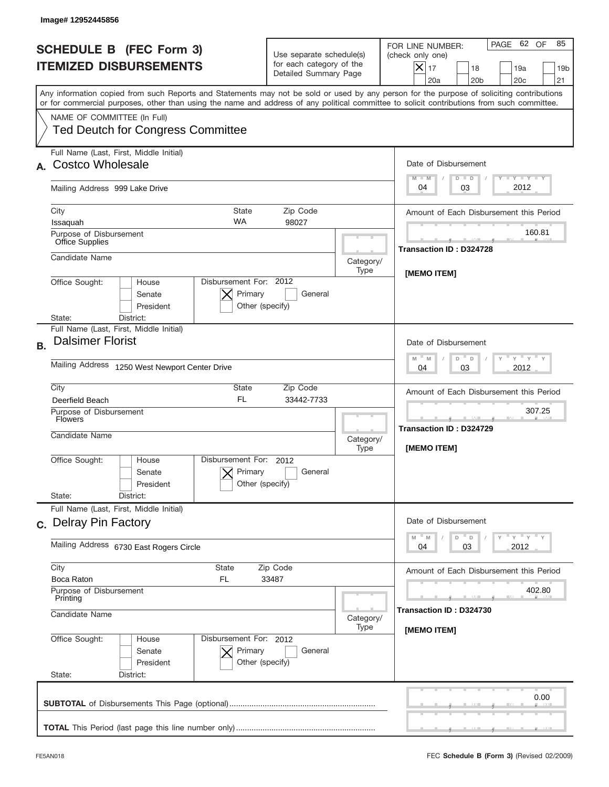|                                                                                   | Image# 12952445856                                                                                                                                                                                                                                                                                                     |                                                                               |                                                   |                                                                                                                                                                    |
|-----------------------------------------------------------------------------------|------------------------------------------------------------------------------------------------------------------------------------------------------------------------------------------------------------------------------------------------------------------------------------------------------------------------|-------------------------------------------------------------------------------|---------------------------------------------------|--------------------------------------------------------------------------------------------------------------------------------------------------------------------|
|                                                                                   | <b>SCHEDULE B (FEC Form 3)</b><br><b>ITEMIZED DISBURSEMENTS</b>                                                                                                                                                                                                                                                        | Use separate schedule(s)<br>for each category of the<br>Detailed Summary Page |                                                   | PAGE 62 OF<br>85<br>FOR LINE NUMBER:<br>(check only one)<br>$ \mathsf{X} _{17}$<br>18<br>19a<br>19 <sub>b</sub><br>20a<br>20 <sub>b</sub><br>20 <sub>c</sub><br>21 |
|                                                                                   | Any information copied from such Reports and Statements may not be sold or used by any person for the purpose of soliciting contributions<br>or for commercial purposes, other than using the name and address of any political committee to solicit contributions from such committee.<br>NAME OF COMMITTEE (In Full) |                                                                               |                                                   |                                                                                                                                                                    |
|                                                                                   | <b>Ted Deutch for Congress Committee</b>                                                                                                                                                                                                                                                                               |                                                                               |                                                   |                                                                                                                                                                    |
|                                                                                   | Full Name (Last, First, Middle Initial)<br><b>Costco Wholesale</b>                                                                                                                                                                                                                                                     |                                                                               |                                                   | Date of Disbursement<br>Y TY TY TY<br>$M - M$<br>$D$ $D$                                                                                                           |
|                                                                                   | Mailing Address 999 Lake Drive                                                                                                                                                                                                                                                                                         |                                                                               |                                                   | 2012<br>03<br>04                                                                                                                                                   |
|                                                                                   | City<br><b>State</b><br><b>WA</b><br>Issaquah                                                                                                                                                                                                                                                                          | Zip Code<br>98027                                                             |                                                   | Amount of Each Disbursement this Period                                                                                                                            |
|                                                                                   | Purpose of Disbursement<br><b>Office Supplies</b>                                                                                                                                                                                                                                                                      |                                                                               |                                                   | 160.81<br>Transaction ID: D324728                                                                                                                                  |
|                                                                                   | Candidate Name                                                                                                                                                                                                                                                                                                         |                                                                               | Category/<br>Type                                 | <b>IMEMO ITEM1</b>                                                                                                                                                 |
|                                                                                   | Disbursement For: 2012<br>Office Sought:<br>House<br>Primary<br>Senate<br>President<br>Other (specify)<br>District:<br>State:                                                                                                                                                                                          | General                                                                       |                                                   |                                                                                                                                                                    |
| <b>B.</b>                                                                         | Full Name (Last, First, Middle Initial)<br><b>Dalsimer Florist</b>                                                                                                                                                                                                                                                     |                                                                               |                                                   | Date of Disbursement<br>γ " γ " γ " γ<br>$M - M$<br>D<br>D                                                                                                         |
|                                                                                   | Mailing Address 1250 West Newport Center Drive                                                                                                                                                                                                                                                                         |                                                                               |                                                   | 2012<br>04<br>03                                                                                                                                                   |
|                                                                                   | City<br>State<br><b>FL</b><br>Deerfield Beach                                                                                                                                                                                                                                                                          | Zip Code<br>33442-7733                                                        |                                                   | Amount of Each Disbursement this Period                                                                                                                            |
|                                                                                   | Purpose of Disbursement<br><b>Flowers</b><br>Candidate Name                                                                                                                                                                                                                                                            |                                                                               | Category/<br>Type                                 | 307.25<br><b>Transaction ID: D324729</b><br>[MEMO ITEM]                                                                                                            |
|                                                                                   | Disbursement For:<br>Office Sought:<br>House<br>Primary<br>Senate<br>Other (specify)<br>President                                                                                                                                                                                                                      | 2012<br>General                                                               |                                                   |                                                                                                                                                                    |
|                                                                                   | State:<br>District:<br>Full Name (Last, First, Middle Initial)<br>c. Delray Pin Factory                                                                                                                                                                                                                                |                                                                               |                                                   | Date of Disbursement                                                                                                                                               |
|                                                                                   | Mailing Address 6730 East Rogers Circle                                                                                                                                                                                                                                                                                |                                                                               |                                                   | $Y$ $Y$ $Y$ $Y$ $Y$<br>M<br>D<br>M<br>D<br>03<br>2012<br>04                                                                                                        |
| City<br>State<br>Zip Code<br>Boca Raton<br>FL<br>33487<br>Purpose of Disbursement |                                                                                                                                                                                                                                                                                                                        |                                                                               | Amount of Each Disbursement this Period<br>402.80 |                                                                                                                                                                    |
|                                                                                   | Printing<br>Candidate Name                                                                                                                                                                                                                                                                                             |                                                                               | Category/                                         | Transaction ID: D324730                                                                                                                                            |
|                                                                                   | Office Sought:<br>Disbursement For: 2012<br>House<br>Senate<br>Primary<br>President<br>Other (specify)<br>State:<br>District:                                                                                                                                                                                          | General                                                                       | Type                                              | [MEMO ITEM]                                                                                                                                                        |
|                                                                                   |                                                                                                                                                                                                                                                                                                                        |                                                                               |                                                   | 0.00                                                                                                                                                               |
|                                                                                   |                                                                                                                                                                                                                                                                                                                        |                                                                               |                                                   |                                                                                                                                                                    |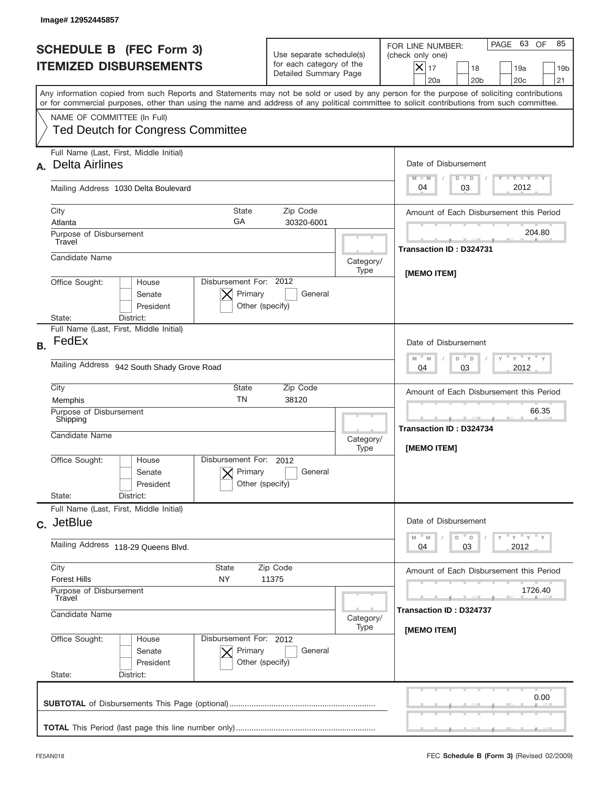|           | Image# 12952445857                                                                                                                                                                                                                                                                      |                                                                               |                   |                                                                                                                                                             |
|-----------|-----------------------------------------------------------------------------------------------------------------------------------------------------------------------------------------------------------------------------------------------------------------------------------------|-------------------------------------------------------------------------------|-------------------|-------------------------------------------------------------------------------------------------------------------------------------------------------------|
|           | <b>SCHEDULE B</b> (FEC Form 3)<br><b>ITEMIZED DISBURSEMENTS</b>                                                                                                                                                                                                                         | Use separate schedule(s)<br>for each category of the<br>Detailed Summary Page |                   | PAGE 63<br>OF<br>85<br>FOR LINE NUMBER:<br>(check only one)<br>$X _{17}$<br>18<br>19a<br>19 <sub>b</sub><br>20a<br>20 <sub>b</sub><br>20 <sub>c</sub><br>21 |
|           | Any information copied from such Reports and Statements may not be sold or used by any person for the purpose of soliciting contributions<br>or for commercial purposes, other than using the name and address of any political committee to solicit contributions from such committee. |                                                                               |                   |                                                                                                                                                             |
|           | NAME OF COMMITTEE (In Full)<br><b>Ted Deutch for Congress Committee</b>                                                                                                                                                                                                                 |                                                                               |                   |                                                                                                                                                             |
| А.        | Full Name (Last, First, Middle Initial)<br><b>Delta Airlines</b>                                                                                                                                                                                                                        |                                                                               |                   | Date of Disbursement<br>$T - Y$ $T - Y$<br>$M - M$<br>$D$ $D$                                                                                               |
|           | Mailing Address 1030 Delta Boulevard                                                                                                                                                                                                                                                    |                                                                               |                   | 2012<br>03<br>04                                                                                                                                            |
|           | City<br><b>State</b><br>GA<br>Atlanta                                                                                                                                                                                                                                                   | Zip Code<br>30320-6001                                                        |                   | Amount of Each Disbursement this Period                                                                                                                     |
|           | Purpose of Disbursement<br>Travel                                                                                                                                                                                                                                                       |                                                                               |                   | 204.80<br><b>Transaction ID: D324731</b>                                                                                                                    |
|           | Candidate Name                                                                                                                                                                                                                                                                          |                                                                               | Category/<br>Type | [MEMO ITEM]                                                                                                                                                 |
|           | Disbursement For: 2012<br>Office Sought:<br>House<br>Senate<br>President<br>District:<br>State:                                                                                                                                                                                         | Primary<br>General<br>Other (specify)                                         |                   |                                                                                                                                                             |
| <b>B.</b> | Full Name (Last, First, Middle Initial)<br>FedEx                                                                                                                                                                                                                                        |                                                                               |                   | Date of Disbursement<br>$-\gamma + \gamma - \gamma$<br>$M - M$<br>D<br>D                                                                                    |
|           | Mailing Address 942 South Shady Grove Road                                                                                                                                                                                                                                              |                                                                               |                   | 2012<br>04<br>03                                                                                                                                            |
|           | City<br>State<br>Zip Code<br><b>TN</b><br>38120<br>Memphis                                                                                                                                                                                                                              |                                                                               |                   | Amount of Each Disbursement this Period                                                                                                                     |
|           | Purpose of Disbursement<br>Shipping<br>Candidate Name                                                                                                                                                                                                                                   |                                                                               |                   | 66.35<br>Transaction ID: D324734<br>[MEMO ITEM]                                                                                                             |
|           | Disbursement For: 2012<br>Office Sought:<br>House<br>Senate<br>President<br>State:<br>District:                                                                                                                                                                                         | Primary<br>General<br>Other (specify)                                         | Type              |                                                                                                                                                             |
|           | Full Name (Last, First, Middle Initial)                                                                                                                                                                                                                                                 |                                                                               |                   |                                                                                                                                                             |
|           | c. JetBlue                                                                                                                                                                                                                                                                              |                                                                               |                   | Date of Disbursement<br>$-\gamma$ $-\gamma$ $-\gamma$<br>$M - M$<br>D<br>D                                                                                  |
|           | Mailing Address 118-29 Queens Blvd.<br>City<br>State<br>Zip Code<br><b>Forest Hills</b><br>NY<br>11375<br>Purpose of Disbursement<br>Travel<br>Candidate Name                                                                                                                           |                                                                               |                   | 03<br>2012<br>04                                                                                                                                            |
|           |                                                                                                                                                                                                                                                                                         |                                                                               |                   | Amount of Each Disbursement this Period                                                                                                                     |
|           |                                                                                                                                                                                                                                                                                         |                                                                               | Category/         | 1726.40<br>Transaction ID: D324737                                                                                                                          |
|           | Office Sought:<br>Disbursement For: 2012<br>House<br>Senate<br>President<br>State:<br>District:                                                                                                                                                                                         | Primary<br>General<br>Other (specify)                                         | Type              | [MEMO ITEM]                                                                                                                                                 |
|           |                                                                                                                                                                                                                                                                                         |                                                                               |                   | 0.00                                                                                                                                                        |
|           |                                                                                                                                                                                                                                                                                         |                                                                               |                   |                                                                                                                                                             |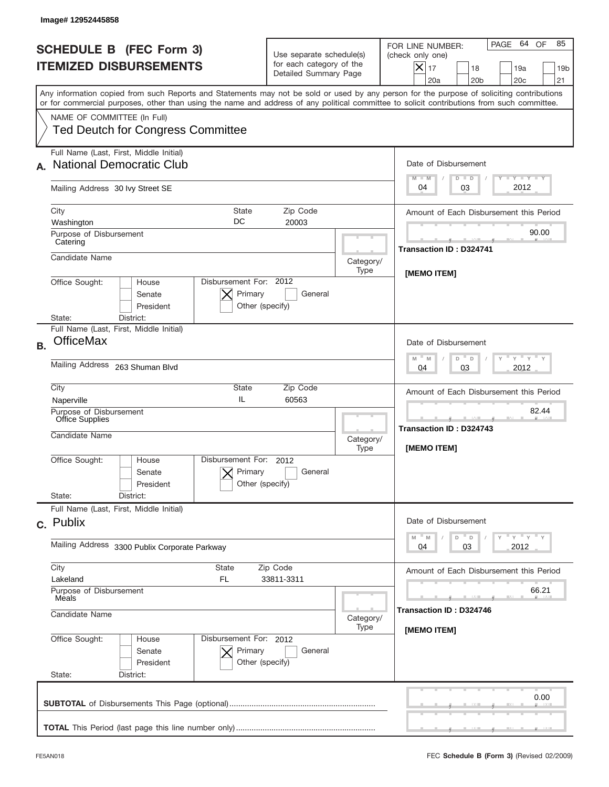|           | Image# 12952445858                                                                                                                                                                                                                                                                      |                                                                               |                   |                                                                                                                                                                     |
|-----------|-----------------------------------------------------------------------------------------------------------------------------------------------------------------------------------------------------------------------------------------------------------------------------------------|-------------------------------------------------------------------------------|-------------------|---------------------------------------------------------------------------------------------------------------------------------------------------------------------|
|           | <b>SCHEDULE B (FEC Form 3)</b><br><b>ITEMIZED DISBURSEMENTS</b>                                                                                                                                                                                                                         | Use separate schedule(s)<br>for each category of the<br>Detailed Summary Page |                   | 64<br>OF<br>85<br>PAGE<br>FOR LINE NUMBER:<br>(check only one)<br>$\times$<br>17<br>18<br>19a<br>19 <sub>b</sub><br>20a<br>20 <sub>b</sub><br>20 <sub>c</sub><br>21 |
|           | Any information copied from such Reports and Statements may not be sold or used by any person for the purpose of soliciting contributions<br>or for commercial purposes, other than using the name and address of any political committee to solicit contributions from such committee. |                                                                               |                   |                                                                                                                                                                     |
|           | NAME OF COMMITTEE (In Full)<br><b>Ted Deutch for Congress Committee</b>                                                                                                                                                                                                                 |                                                                               |                   |                                                                                                                                                                     |
|           | Full Name (Last, First, Middle Initial)<br><b>National Democratic Club</b>                                                                                                                                                                                                              |                                                                               |                   | Date of Disbursement<br>$T - Y$ $T - Y$<br>$M - M$<br>$D$ $D$                                                                                                       |
|           | Mailing Address 30 Ivy Street SE                                                                                                                                                                                                                                                        |                                                                               |                   | 2012<br>03<br>04                                                                                                                                                    |
|           | City<br>State<br>DC<br>Washington                                                                                                                                                                                                                                                       | Zip Code<br>20003                                                             |                   | Amount of Each Disbursement this Period                                                                                                                             |
|           | Purpose of Disbursement<br>Catering                                                                                                                                                                                                                                                     |                                                                               |                   | 90.00<br><b>Transaction ID: D324741</b>                                                                                                                             |
|           | Candidate Name                                                                                                                                                                                                                                                                          |                                                                               | Category/<br>Type |                                                                                                                                                                     |
|           | Disbursement For: 2012<br>Office Sought:<br>House<br>Primary<br>Senate<br>President<br>Other (specify)<br>State:<br>District:                                                                                                                                                           | General                                                                       |                   | [MEMO ITEM]                                                                                                                                                         |
| <b>B.</b> | Full Name (Last, First, Middle Initial)<br><b>OfficeMax</b>                                                                                                                                                                                                                             |                                                                               |                   | Date of Disbursement<br>$M - M$<br>≡ γ ≡ γ ≡<br>D<br>D                                                                                                              |
|           | Mailing Address<br>263 Shuman Blvd                                                                                                                                                                                                                                                      |                                                                               |                   | 2012<br>04<br>03                                                                                                                                                    |
|           | City<br><b>State</b><br>IL<br>Naperville                                                                                                                                                                                                                                                | Zip Code<br>60563                                                             |                   | Amount of Each Disbursement this Period                                                                                                                             |
|           | Purpose of Disbursement<br>Office Supplies<br>Candidate Name<br>Category/                                                                                                                                                                                                               |                                                                               |                   | 82.44<br>__<br>Transaction ID: D324743<br>[MEMO ITEM]                                                                                                               |
|           | Disbursement For: 2012<br>Office Sought:<br>House<br>Primary<br>Senate<br>Other (specify)<br>President                                                                                                                                                                                  | General                                                                       | Type              |                                                                                                                                                                     |
|           | State:<br>District:<br>Full Name (Last, First, Middle Initial)                                                                                                                                                                                                                          |                                                                               |                   |                                                                                                                                                                     |
|           | c. Publix                                                                                                                                                                                                                                                                               |                                                                               |                   | Date of Disbursement                                                                                                                                                |
|           | Mailing Address 3300 Publix Corporate Parkway                                                                                                                                                                                                                                           |                                                                               |                   | ≡ γ ≡ γ ≡ γ<br>M<br>D<br>M<br>D<br>03<br>2012<br>04                                                                                                                 |
|           | City<br><b>State</b><br>Zip Code<br>Lakeland<br>FL.<br>33811-3311                                                                                                                                                                                                                       |                                                                               |                   | Amount of Each Disbursement this Period                                                                                                                             |
|           | Purpose of Disbursement<br>Meals<br>Candidate Name                                                                                                                                                                                                                                      |                                                                               | Category/         | 66.21<br>Transaction ID: D324746                                                                                                                                    |
|           | Office Sought:<br>Disbursement For: 2012<br>House<br>Senate<br>Primary<br>President<br>Other (specify)<br>State:<br>District:                                                                                                                                                           | General                                                                       | Type              | [MEMO ITEM]                                                                                                                                                         |
|           |                                                                                                                                                                                                                                                                                         |                                                                               |                   | 0.00                                                                                                                                                                |
|           |                                                                                                                                                                                                                                                                                         |                                                                               |                   |                                                                                                                                                                     |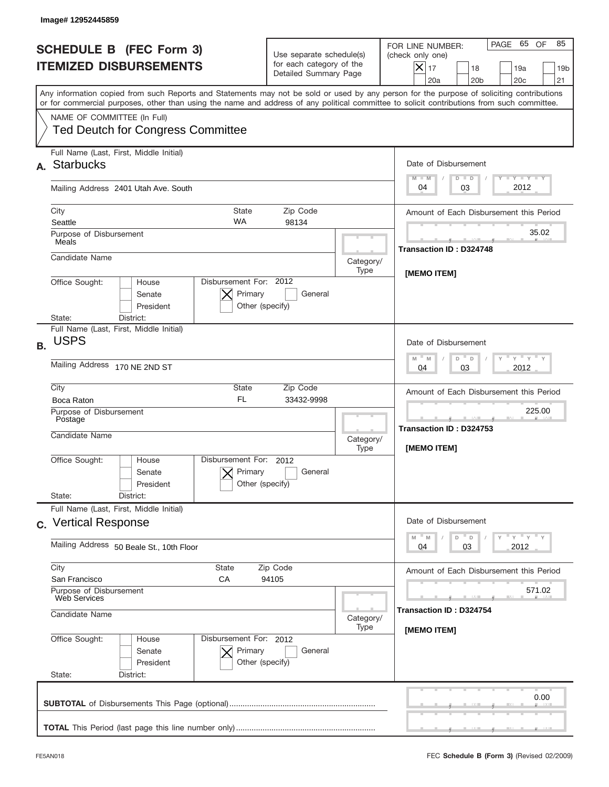|                                                                 | Image# 12952445859                                                                                                                                                                                                                                                                      |                                                                               |                   |                                                                                                                                                               |
|-----------------------------------------------------------------|-----------------------------------------------------------------------------------------------------------------------------------------------------------------------------------------------------------------------------------------------------------------------------------------|-------------------------------------------------------------------------------|-------------------|---------------------------------------------------------------------------------------------------------------------------------------------------------------|
| <b>SCHEDULE B (FEC Form 3)</b><br><b>ITEMIZED DISBURSEMENTS</b> |                                                                                                                                                                                                                                                                                         | Use separate schedule(s)<br>for each category of the<br>Detailed Summary Page |                   | PAGE 65 OF<br>85<br>FOR LINE NUMBER:<br>(check only one)<br>$\times$<br>17<br>18<br>19a<br>19 <sub>b</sub><br>20a<br>20 <sub>b</sub><br>20 <sub>c</sub><br>21 |
|                                                                 | Any information copied from such Reports and Statements may not be sold or used by any person for the purpose of soliciting contributions<br>or for commercial purposes, other than using the name and address of any political committee to solicit contributions from such committee. |                                                                               |                   |                                                                                                                                                               |
|                                                                 | NAME OF COMMITTEE (In Full)<br><b>Ted Deutch for Congress Committee</b>                                                                                                                                                                                                                 |                                                                               |                   |                                                                                                                                                               |
| А.                                                              | Full Name (Last, First, Middle Initial)<br><b>Starbucks</b>                                                                                                                                                                                                                             |                                                                               |                   | Date of Disbursement<br>$T - Y$ $T - Y$<br>$M - M$<br>$D$ $D$                                                                                                 |
|                                                                 | Mailing Address 2401 Utah Ave. South                                                                                                                                                                                                                                                    |                                                                               |                   | 2012<br>03<br>04                                                                                                                                              |
|                                                                 | City<br><b>State</b><br><b>WA</b><br>Seattle                                                                                                                                                                                                                                            | Zip Code<br>98134                                                             |                   | Amount of Each Disbursement this Period                                                                                                                       |
|                                                                 | Purpose of Disbursement<br>Meals                                                                                                                                                                                                                                                        |                                                                               |                   | 35.02<br><b>Transaction ID: D324748</b>                                                                                                                       |
|                                                                 | Candidate Name                                                                                                                                                                                                                                                                          |                                                                               | Category/<br>Type |                                                                                                                                                               |
|                                                                 | Disbursement For: 2012<br>Office Sought:<br>House<br>Primary<br>Senate<br>President<br>Other (specify)<br>District:<br>State:                                                                                                                                                           | General                                                                       |                   | [MEMO ITEM]                                                                                                                                                   |
| <b>B.</b>                                                       | Full Name (Last, First, Middle Initial)<br><b>USPS</b><br>Mailing Address 170 NE 2ND ST                                                                                                                                                                                                 |                                                                               |                   | Date of Disbursement<br>$-\gamma + \gamma - \gamma$<br>$M - M$<br>D<br>$\Box$<br>2012<br>04<br>03                                                             |
|                                                                 | City<br>State<br>Zip Code                                                                                                                                                                                                                                                               |                                                                               |                   |                                                                                                                                                               |
|                                                                 | <b>FL</b><br>33432-9998<br>Boca Raton<br>Purpose of Disbursement<br>Postage<br>Candidate Name<br>Category/<br>Type                                                                                                                                                                      |                                                                               |                   | Amount of Each Disbursement this Period<br>225.00                                                                                                             |
|                                                                 |                                                                                                                                                                                                                                                                                         |                                                                               |                   | Transaction ID: D324753<br>[MEMO ITEM]                                                                                                                        |
|                                                                 | Disbursement For: 2012<br>Office Sought:<br>House<br>Primary<br>Senate<br>Other (specify)<br>President<br>State:<br>District:                                                                                                                                                           | General                                                                       |                   |                                                                                                                                                               |
|                                                                 | Full Name (Last, First, Middle Initial)<br>c. Vertical Response                                                                                                                                                                                                                         |                                                                               |                   | Date of Disbursement                                                                                                                                          |
|                                                                 | Mailing Address 50 Beale St., 10th Floor                                                                                                                                                                                                                                                |                                                                               |                   | ≡ γ ≡ γ ≡ γ<br>M<br>D<br>M<br>D<br>03<br>2012<br>04                                                                                                           |
|                                                                 | City<br><b>State</b><br>Zip Code<br>San Francisco<br>СA<br>94105                                                                                                                                                                                                                        |                                                                               |                   | Amount of Each Disbursement this Period<br>571.02                                                                                                             |
|                                                                 | Purpose of Disbursement<br>Web Services<br>Candidate Name                                                                                                                                                                                                                               |                                                                               | Category/<br>Type | Transaction ID: D324754                                                                                                                                       |
|                                                                 | Office Sought:<br>Disbursement For: 2012<br>House<br>Primary<br>Senate<br>President<br>Other (specify)<br>State:<br>District:                                                                                                                                                           | General                                                                       |                   | [MEMO ITEM]                                                                                                                                                   |
|                                                                 |                                                                                                                                                                                                                                                                                         |                                                                               |                   | 0.00                                                                                                                                                          |
|                                                                 |                                                                                                                                                                                                                                                                                         |                                                                               |                   |                                                                                                                                                               |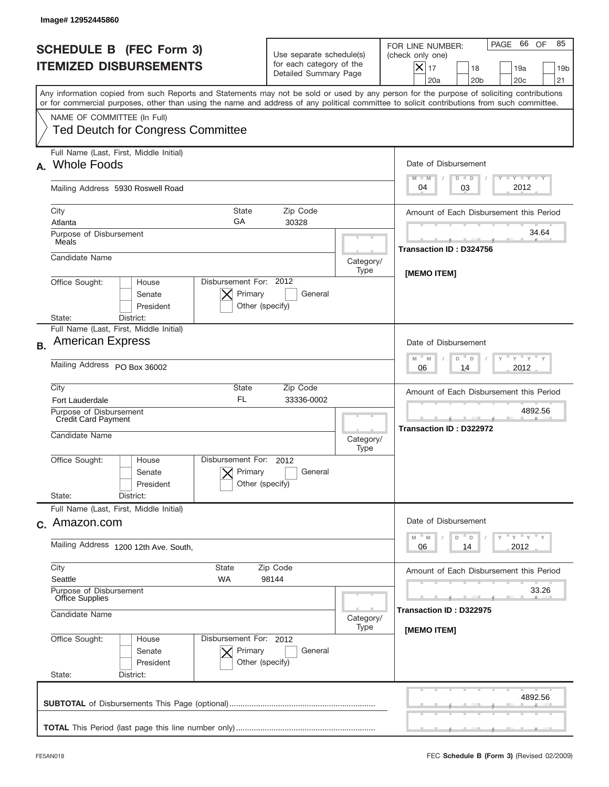| Image# 12952445860                                                                                                                                                                                                                                                                                                     |                                                                               |                   |                                                                                                                                                                       |
|------------------------------------------------------------------------------------------------------------------------------------------------------------------------------------------------------------------------------------------------------------------------------------------------------------------------|-------------------------------------------------------------------------------|-------------------|-----------------------------------------------------------------------------------------------------------------------------------------------------------------------|
| <b>SCHEDULE B (FEC Form 3)</b><br><b>ITEMIZED DISBURSEMENTS</b>                                                                                                                                                                                                                                                        | Use separate schedule(s)<br>for each category of the<br>Detailed Summary Page |                   | 66 OF<br>85<br>PAGE<br>FOR LINE NUMBER:<br>(check only one)<br>$ \mathsf{X} _{17}$<br>18<br>19a<br>19 <sub>b</sub><br>20a<br>20 <sub>b</sub><br>20 <sub>c</sub><br>21 |
| Any information copied from such Reports and Statements may not be sold or used by any person for the purpose of soliciting contributions<br>or for commercial purposes, other than using the name and address of any political committee to solicit contributions from such committee.<br>NAME OF COMMITTEE (In Full) |                                                                               |                   |                                                                                                                                                                       |
| <b>Ted Deutch for Congress Committee</b>                                                                                                                                                                                                                                                                               |                                                                               |                   |                                                                                                                                                                       |
| Full Name (Last, First, Middle Initial)<br><b>Whole Foods</b>                                                                                                                                                                                                                                                          |                                                                               |                   | Date of Disbursement<br>Y TY TY TY<br>$M - M$<br>$D$ $D$                                                                                                              |
| Mailing Address 5930 Roswell Road                                                                                                                                                                                                                                                                                      |                                                                               |                   | 2012<br>04<br>03                                                                                                                                                      |
| City<br><b>State</b><br>GA<br>Atlanta                                                                                                                                                                                                                                                                                  | Zip Code<br>30328                                                             |                   | Amount of Each Disbursement this Period                                                                                                                               |
| Purpose of Disbursement<br>Meals                                                                                                                                                                                                                                                                                       |                                                                               |                   | 34.64<br><b>Transaction ID: D324756</b>                                                                                                                               |
| Candidate Name                                                                                                                                                                                                                                                                                                         |                                                                               | Category/<br>Type | [MEMO ITEM]                                                                                                                                                           |
| Disbursement For: 2012<br>Office Sought:<br>House<br>Primary<br>Senate<br>President<br>District:<br>State:                                                                                                                                                                                                             | General<br>Other (specify)                                                    |                   |                                                                                                                                                                       |
| Full Name (Last, First, Middle Initial)<br><b>American Express</b><br><b>B.</b>                                                                                                                                                                                                                                        |                                                                               |                   | Date of Disbursement<br>$-\gamma + \gamma - \gamma$<br>$M$ M                                                                                                          |
| Mailing Address PO Box 36002                                                                                                                                                                                                                                                                                           |                                                                               |                   | D<br>D<br>2012<br>06<br>14                                                                                                                                            |
| City<br>State<br><b>FL</b><br><b>Fort Lauderdale</b>                                                                                                                                                                                                                                                                   | Zip Code<br>33336-0002                                                        |                   | Amount of Each Disbursement this Period                                                                                                                               |
| Purpose of Disbursement<br>Credit Card Payment<br>Candidate Name                                                                                                                                                                                                                                                       |                                                                               | Category/<br>Type | 4892.56<br>Transaction ID: D322972                                                                                                                                    |
| Disbursement For:<br>Office Sought:<br>House<br>Primary<br>Senate<br>President                                                                                                                                                                                                                                         | 2012<br>General<br>Other (specify)                                            |                   |                                                                                                                                                                       |
| State:<br>District:<br>Full Name (Last, First, Middle Initial)                                                                                                                                                                                                                                                         |                                                                               |                   | Date of Disbursement                                                                                                                                                  |
| c. Amazon.com<br>Mailing Address 1200 12th Ave. South,                                                                                                                                                                                                                                                                 |                                                                               |                   | γ <sup>=</sup> γ <sup>=</sup> γ <sup>=</sup> γ<br>M<br>M<br>D<br>D<br>2012<br>06<br>14                                                                                |
| City<br>State<br>Seattle                                                                                                                                                                                                                                                                                               | Zip Code                                                                      |                   |                                                                                                                                                                       |
| WA<br>98144<br>Purpose of Disbursement<br>Office Supplies                                                                                                                                                                                                                                                              |                                                                               |                   | 33.26<br>Transaction ID : D322975                                                                                                                                     |
| Candidate Name                                                                                                                                                                                                                                                                                                         | Category/<br>Type                                                             |                   |                                                                                                                                                                       |
| Office Sought:<br>Disbursement For: 2012<br>House<br>Senate<br>Primary<br>President<br>State:<br>District:                                                                                                                                                                                                             | General<br>Other (specify)                                                    |                   | [MEMO ITEM]                                                                                                                                                           |
|                                                                                                                                                                                                                                                                                                                        |                                                                               |                   | 4892.56                                                                                                                                                               |
|                                                                                                                                                                                                                                                                                                                        |                                                                               |                   |                                                                                                                                                                       |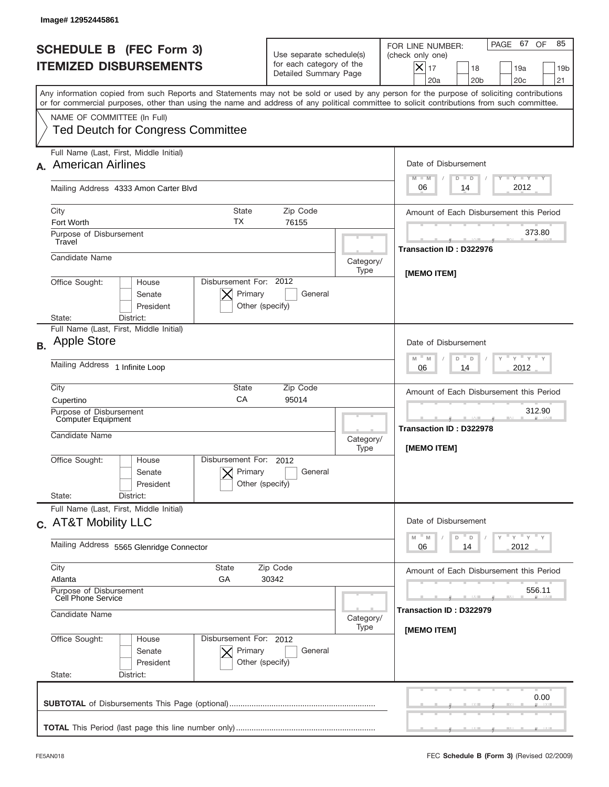|           | Image# 12952445861                                                                                                                                                                                                                                                                      |                                                                               |                                   |                                                                                                                                                                  |
|-----------|-----------------------------------------------------------------------------------------------------------------------------------------------------------------------------------------------------------------------------------------------------------------------------------------|-------------------------------------------------------------------------------|-----------------------------------|------------------------------------------------------------------------------------------------------------------------------------------------------------------|
|           | <b>SCHEDULE B (FEC Form 3)</b><br><b>ITEMIZED DISBURSEMENTS</b>                                                                                                                                                                                                                         | Use separate schedule(s)<br>for each category of the<br>Detailed Summary Page |                                   | PAGE 67<br>OF<br>85<br>FOR LINE NUMBER:<br>(check only one)<br>$\times$<br>17<br>18<br>19a<br>19 <sub>b</sub><br>20a<br>20 <sub>b</sub><br>20 <sub>c</sub><br>21 |
|           | Any information copied from such Reports and Statements may not be sold or used by any person for the purpose of soliciting contributions<br>or for commercial purposes, other than using the name and address of any political committee to solicit contributions from such committee. |                                                                               |                                   |                                                                                                                                                                  |
|           | NAME OF COMMITTEE (In Full)<br><b>Ted Deutch for Congress Committee</b>                                                                                                                                                                                                                 |                                                                               |                                   |                                                                                                                                                                  |
|           | Full Name (Last, First, Middle Initial)<br><b>American Airlines</b>                                                                                                                                                                                                                     |                                                                               |                                   | Date of Disbursement<br>$T - Y$ $T - Y$<br>$M - M$<br>$D$ $D$                                                                                                    |
|           | Mailing Address 4333 Amon Carter Blvd                                                                                                                                                                                                                                                   |                                                                               |                                   | 2012<br>06<br>14                                                                                                                                                 |
|           | City<br><b>State</b><br>ТX<br>Fort Worth                                                                                                                                                                                                                                                | Zip Code<br>76155                                                             |                                   | Amount of Each Disbursement this Period                                                                                                                          |
|           | Purpose of Disbursement<br>Travel                                                                                                                                                                                                                                                       |                                                                               |                                   | 373.80<br>Transaction ID: D322976                                                                                                                                |
|           | Candidate Name                                                                                                                                                                                                                                                                          |                                                                               | Category/<br>Type                 | [MEMO ITEM]                                                                                                                                                      |
|           | Disbursement For: 2012<br>Office Sought:<br>House<br>Primary<br>Senate<br>President<br>Other (specify)<br>District:<br>State:                                                                                                                                                           | General                                                                       |                                   |                                                                                                                                                                  |
| <b>B.</b> | Full Name (Last, First, Middle Initial)<br><b>Apple Store</b>                                                                                                                                                                                                                           |                                                                               |                                   | Date of Disbursement<br>$\cdots$ $\gamma$ $\cdots$ $\gamma$ $\cdots$ $\gamma$<br>$M - M$<br>D<br>D                                                               |
|           | Mailing Address 1 Infinite Loop                                                                                                                                                                                                                                                         |                                                                               |                                   | 2012<br>06<br>14                                                                                                                                                 |
|           | City<br>State<br>CA<br>Cupertino                                                                                                                                                                                                                                                        | Zip Code<br>95014                                                             |                                   | Amount of Each Disbursement this Period                                                                                                                          |
|           | Purpose of Disbursement<br><b>Computer Equipment</b><br>Candidate Name                                                                                                                                                                                                                  |                                                                               | Category/<br>Type                 | 312.90<br>--<br>Transaction ID: D322978<br>[MEMO ITEM]                                                                                                           |
|           | Disbursement For: 2012<br>Office Sought:<br>House<br>Primary<br>Senate<br>Other (specify)<br>President                                                                                                                                                                                  | General                                                                       |                                   |                                                                                                                                                                  |
|           | State:<br>District:<br>Full Name (Last, First, Middle Initial)                                                                                                                                                                                                                          |                                                                               |                                   |                                                                                                                                                                  |
|           | c. AT&T Mobility LLC                                                                                                                                                                                                                                                                    |                                                                               |                                   | Date of Disbursement<br>≡ γ ≡ γ ≡ γ<br>M<br>M<br>D<br>D                                                                                                          |
|           | Mailing Address 5565 Glenridge Connector                                                                                                                                                                                                                                                |                                                                               |                                   | 2012<br>06<br>14                                                                                                                                                 |
|           | City<br>State<br>Zip Code<br>Atlanta<br>GА<br>30342                                                                                                                                                                                                                                     |                                                                               |                                   | Amount of Each Disbursement this Period                                                                                                                          |
|           | Purpose of Disbursement<br>Cell Phone Service<br>Candidate Name<br>Category/                                                                                                                                                                                                            |                                                                               | 556.11<br>Transaction ID: D322979 |                                                                                                                                                                  |
|           | Office Sought:<br>Disbursement For: 2012<br>House<br>Primary<br>Senate<br>President<br>Other (specify)<br>State:<br>District:                                                                                                                                                           | General                                                                       | Type                              | [MEMO ITEM]                                                                                                                                                      |
|           |                                                                                                                                                                                                                                                                                         |                                                                               |                                   | 0.00                                                                                                                                                             |
|           |                                                                                                                                                                                                                                                                                         |                                                                               |                                   |                                                                                                                                                                  |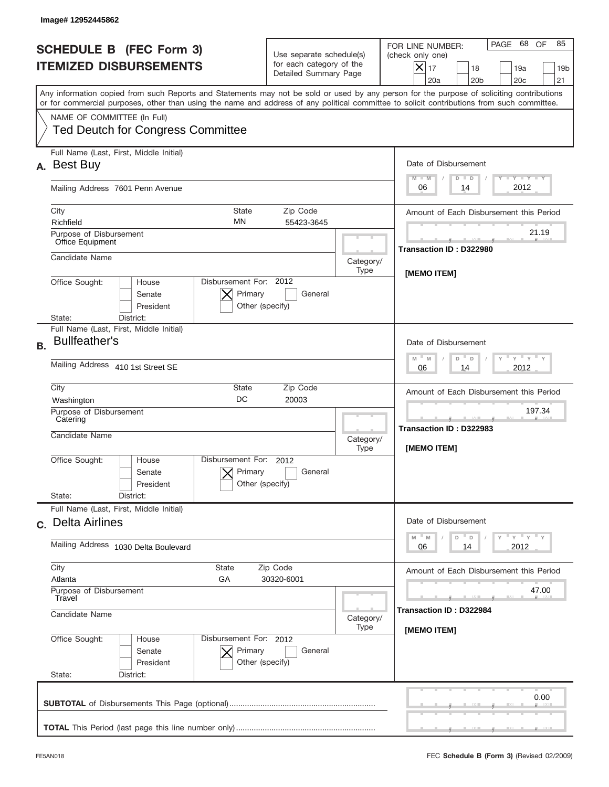|                                   | Image# 12952445862                                                                                                                                                                                                                                                                      |                                                                               |                   |                                                                                                                                                             |
|-----------------------------------|-----------------------------------------------------------------------------------------------------------------------------------------------------------------------------------------------------------------------------------------------------------------------------------------|-------------------------------------------------------------------------------|-------------------|-------------------------------------------------------------------------------------------------------------------------------------------------------------|
|                                   | <b>SCHEDULE B (FEC Form 3)</b><br><b>ITEMIZED DISBURSEMENTS</b>                                                                                                                                                                                                                         | Use separate schedule(s)<br>for each category of the<br>Detailed Summary Page |                   | PAGE 68<br>OF<br>85<br>FOR LINE NUMBER:<br>(check only one)<br>$X _{17}$<br>18<br>19a<br>19 <sub>b</sub><br>21<br>20a<br>20 <sub>b</sub><br>20 <sub>c</sub> |
|                                   | Any information copied from such Reports and Statements may not be sold or used by any person for the purpose of soliciting contributions<br>or for commercial purposes, other than using the name and address of any political committee to solicit contributions from such committee. |                                                                               |                   |                                                                                                                                                             |
|                                   | NAME OF COMMITTEE (In Full)<br><b>Ted Deutch for Congress Committee</b>                                                                                                                                                                                                                 |                                                                               |                   |                                                                                                                                                             |
| А.                                | Full Name (Last, First, Middle Initial)<br><b>Best Buy</b>                                                                                                                                                                                                                              |                                                                               |                   | Date of Disbursement<br>$T - Y$ $T - Y$<br>$M - M$<br>$D$ $D$                                                                                               |
|                                   | Mailing Address 7601 Penn Avenue                                                                                                                                                                                                                                                        |                                                                               |                   | 2012<br>06<br>14                                                                                                                                            |
|                                   | City<br><b>State</b><br><b>MN</b><br>Richfield                                                                                                                                                                                                                                          | Zip Code<br>55423-3645                                                        |                   | Amount of Each Disbursement this Period                                                                                                                     |
|                                   | Purpose of Disbursement<br>Office Equipment                                                                                                                                                                                                                                             |                                                                               |                   | 21.19                                                                                                                                                       |
|                                   | Candidate Name                                                                                                                                                                                                                                                                          |                                                                               | Category/<br>Type | Transaction ID: D322980                                                                                                                                     |
|                                   | Disbursement For: 2012<br>Office Sought:<br>House<br>Primary<br>Senate<br>President<br>District:<br>State:                                                                                                                                                                              | General<br>Other (specify)                                                    |                   | [MEMO ITEM]                                                                                                                                                 |
| <b>B.</b>                         | Full Name (Last, First, Middle Initial)<br><b>Bullfeather's</b>                                                                                                                                                                                                                         |                                                                               |                   | Date of Disbursement<br>$\cdots$ $\gamma$ $\cdots$ $\gamma$ $\cdots$ $\gamma$<br>$M - M$<br>D<br>$\Box$                                                     |
|                                   | Mailing Address 410 1st Street SE                                                                                                                                                                                                                                                       |                                                                               |                   | 2012<br>06<br>14                                                                                                                                            |
|                                   | City<br>State<br>Zip Code<br><b>DC</b><br>20003<br>Washington                                                                                                                                                                                                                           |                                                                               |                   | Amount of Each Disbursement this Period                                                                                                                     |
|                                   | Purpose of Disbursement<br>Catering<br>Candidate Name                                                                                                                                                                                                                                   |                                                                               | Category/<br>Type | 197.34<br>--<br>Transaction ID: D322983<br>[MEMO ITEM]                                                                                                      |
|                                   | Disbursement For: 2012<br>Office Sought:<br>House<br>Primary<br>Senate<br>President                                                                                                                                                                                                     | General<br>Other (specify)                                                    |                   |                                                                                                                                                             |
|                                   | State:<br>District:<br>Full Name (Last, First, Middle Initial)                                                                                                                                                                                                                          |                                                                               |                   |                                                                                                                                                             |
|                                   | c. Delta Airlines                                                                                                                                                                                                                                                                       |                                                                               |                   | Date of Disbursement                                                                                                                                        |
|                                   | Mailing Address 1030 Delta Boulevard<br>City<br>State<br>Zip Code<br>Atlanta<br>GA<br>30320-6001                                                                                                                                                                                        |                                                                               |                   | $Y$ $Y$ $Y$ $Y$ $Y$<br>$- M$<br>M<br>D<br>$\mathsf D$<br>06<br>2012<br>14                                                                                   |
|                                   |                                                                                                                                                                                                                                                                                         |                                                                               |                   | Amount of Each Disbursement this Period                                                                                                                     |
| Purpose of Disbursement<br>Travel |                                                                                                                                                                                                                                                                                         |                                                                               |                   | 47.00                                                                                                                                                       |
|                                   | Candidate Name                                                                                                                                                                                                                                                                          |                                                                               |                   | Transaction ID: D322984<br>[MEMO ITEM]                                                                                                                      |
|                                   | Office Sought:<br>Disbursement For: 2012<br>House<br>Primary<br>Senate<br>President<br>State:<br>District:                                                                                                                                                                              | General<br>Other (specify)                                                    | Type              |                                                                                                                                                             |
|                                   |                                                                                                                                                                                                                                                                                         |                                                                               |                   | 0.00                                                                                                                                                        |
|                                   |                                                                                                                                                                                                                                                                                         |                                                                               |                   |                                                                                                                                                             |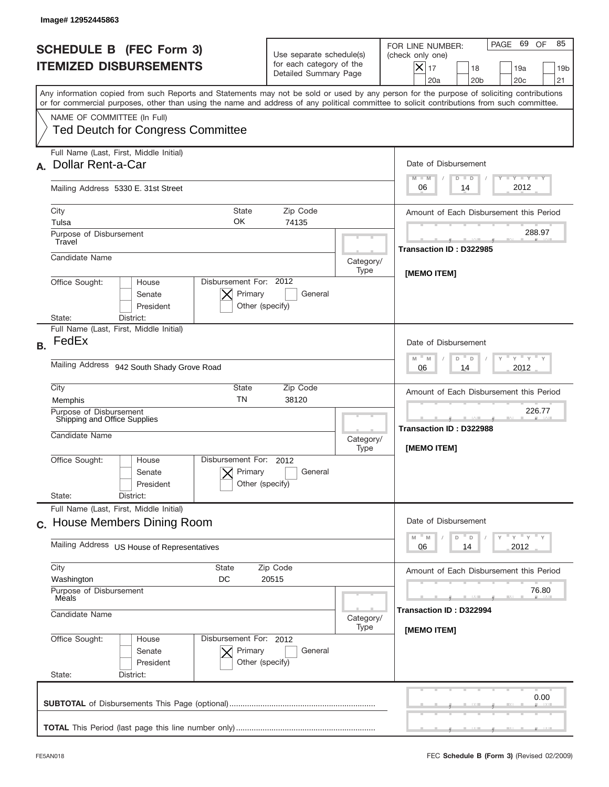|           | Image# 12952445863                                                                                                                                                                                                                                                                      |                                                                               |                   |                                                                                                                                                                       |
|-----------|-----------------------------------------------------------------------------------------------------------------------------------------------------------------------------------------------------------------------------------------------------------------------------------------|-------------------------------------------------------------------------------|-------------------|-----------------------------------------------------------------------------------------------------------------------------------------------------------------------|
|           | <b>SCHEDULE B</b> (FEC Form 3)<br><b>ITEMIZED DISBURSEMENTS</b>                                                                                                                                                                                                                         | Use separate schedule(s)<br>for each category of the<br>Detailed Summary Page |                   | 69 OF<br>85<br>PAGE<br>FOR LINE NUMBER:<br>(check only one)<br>$ \mathsf{X} _{17}$<br>18<br>19a<br>19 <sub>b</sub><br>20a<br>20 <sub>b</sub><br>20 <sub>c</sub><br>21 |
|           | Any information copied from such Reports and Statements may not be sold or used by any person for the purpose of soliciting contributions<br>or for commercial purposes, other than using the name and address of any political committee to solicit contributions from such committee. |                                                                               |                   |                                                                                                                                                                       |
|           | NAME OF COMMITTEE (In Full)<br><b>Ted Deutch for Congress Committee</b>                                                                                                                                                                                                                 |                                                                               |                   |                                                                                                                                                                       |
|           | Full Name (Last, First, Middle Initial)<br><b>Dollar Rent-a-Car</b>                                                                                                                                                                                                                     |                                                                               |                   | Date of Disbursement<br>Y TY TY TY<br>$M - M$                                                                                                                         |
|           | Mailing Address 5330 E. 31st Street                                                                                                                                                                                                                                                     |                                                                               |                   | $D$ $D$<br>2012<br>06<br>14                                                                                                                                           |
|           | City<br><b>State</b><br>OK<br>Tulsa                                                                                                                                                                                                                                                     | Zip Code<br>74135                                                             |                   | Amount of Each Disbursement this Period                                                                                                                               |
|           | Purpose of Disbursement<br>Travel                                                                                                                                                                                                                                                       |                                                                               |                   | 288.97<br>Transaction ID: D322985                                                                                                                                     |
|           | Candidate Name                                                                                                                                                                                                                                                                          |                                                                               | Category/<br>Type | [MEMO ITEM]                                                                                                                                                           |
|           | Disbursement For: 2012<br>Office Sought:<br>House<br>Primary<br>Senate<br>President<br>Other (specify)<br>District:<br>State:                                                                                                                                                           | General                                                                       |                   |                                                                                                                                                                       |
| <b>B.</b> | Full Name (Last, First, Middle Initial)<br>FedEx                                                                                                                                                                                                                                        |                                                                               |                   | Date of Disbursement<br>$-\gamma + \gamma - \gamma$<br>$M$ M<br>D<br>D                                                                                                |
|           | Mailing Address 942 South Shady Grove Road                                                                                                                                                                                                                                              |                                                                               |                   | 2012<br>06<br>14                                                                                                                                                      |
|           | City<br>State<br><b>TN</b><br>Memphis                                                                                                                                                                                                                                                   | Zip Code<br>38120                                                             |                   | Amount of Each Disbursement this Period                                                                                                                               |
|           | Purpose of Disbursement<br>Shipping and Office Supplies<br>Candidate Name                                                                                                                                                                                                               |                                                                               |                   | 226.77<br>Transaction ID: D322988<br>[MEMO ITEM]                                                                                                                      |
|           | Disbursement For:<br>Office Sought:<br>House<br>Primary<br>Senate<br>President<br>Other (specify)                                                                                                                                                                                       | 2012<br>General                                                               | Type              |                                                                                                                                                                       |
|           | State:<br>District:<br>Full Name (Last, First, Middle Initial)                                                                                                                                                                                                                          |                                                                               |                   |                                                                                                                                                                       |
|           | c. House Members Dining Room                                                                                                                                                                                                                                                            |                                                                               |                   | Date of Disbursement<br>γ <sup>=</sup> γ <sup>=</sup> γ <sup>=</sup> γ<br>M<br>M<br>D<br>D                                                                            |
|           | Mailing Address US House of Representatives                                                                                                                                                                                                                                             |                                                                               |                   | 2012<br>06<br>14                                                                                                                                                      |
|           | City<br>State<br>Zip Code<br>Washington<br>DC<br>20515<br>Purpose of Disbursement<br>Meals<br>Candidate Name                                                                                                                                                                            |                                                                               |                   | Amount of Each Disbursement this Period<br>76.80                                                                                                                      |
|           |                                                                                                                                                                                                                                                                                         |                                                                               | Category/<br>Type | Transaction ID : D322994                                                                                                                                              |
|           | Office Sought:<br>Disbursement For: 2012<br>House<br>Senate<br>Primary<br>President<br>Other (specify)<br>State:<br>District:                                                                                                                                                           | General                                                                       |                   | [MEMO ITEM]                                                                                                                                                           |
|           |                                                                                                                                                                                                                                                                                         |                                                                               |                   | 0.00                                                                                                                                                                  |
|           |                                                                                                                                                                                                                                                                                         |                                                                               |                   |                                                                                                                                                                       |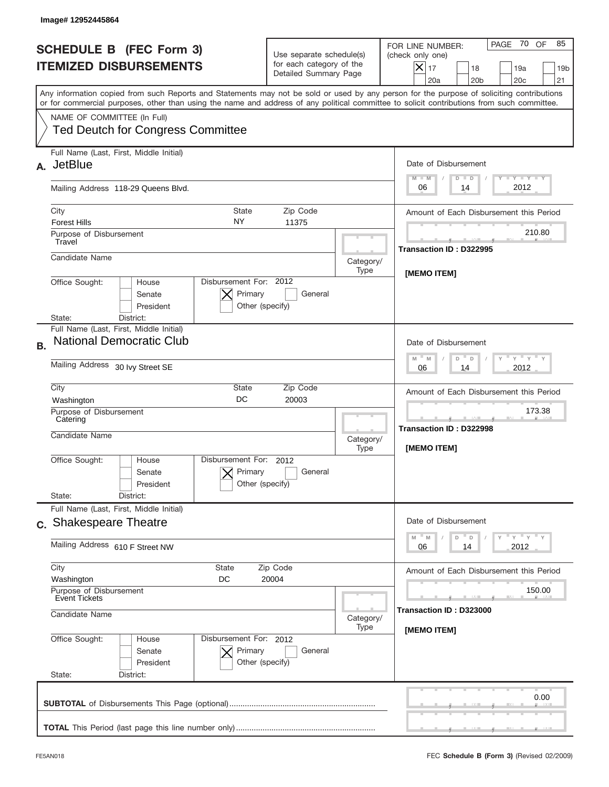|           | Image# 12952445864                                                                                                                                                                                                                                                                      |                                                                               |                                                  |                                                                                                                                                             |
|-----------|-----------------------------------------------------------------------------------------------------------------------------------------------------------------------------------------------------------------------------------------------------------------------------------------|-------------------------------------------------------------------------------|--------------------------------------------------|-------------------------------------------------------------------------------------------------------------------------------------------------------------|
|           | <b>SCHEDULE B (FEC Form 3)</b><br><b>ITEMIZED DISBURSEMENTS</b>                                                                                                                                                                                                                         | Use separate schedule(s)<br>for each category of the<br>Detailed Summary Page |                                                  | PAGE 70<br>OF<br>85<br>FOR LINE NUMBER:<br>(check only one)<br>$X _{17}$<br>18<br>19a<br>19 <sub>b</sub><br>21<br>20a<br>20 <sub>b</sub><br>20 <sub>c</sub> |
|           | Any information copied from such Reports and Statements may not be sold or used by any person for the purpose of soliciting contributions<br>or for commercial purposes, other than using the name and address of any political committee to solicit contributions from such committee. |                                                                               |                                                  |                                                                                                                                                             |
|           | NAME OF COMMITTEE (In Full)<br><b>Ted Deutch for Congress Committee</b>                                                                                                                                                                                                                 |                                                                               |                                                  |                                                                                                                                                             |
| А.        | Full Name (Last, First, Middle Initial)<br><b>JetBlue</b>                                                                                                                                                                                                                               |                                                                               |                                                  | Date of Disbursement<br>$\mathbf{I}$ $\mathbf{Y}$ $\mathbf{I}$ $\mathbf{Y}$ $\mathbf{I}$ $\mathbf{Y}$<br>$M - M$<br>$D$ $D$                                 |
|           | Mailing Address 118-29 Queens Blvd.                                                                                                                                                                                                                                                     |                                                                               |                                                  | 2012<br>06<br>14                                                                                                                                            |
|           | City<br>State<br>NY.<br><b>Forest Hills</b>                                                                                                                                                                                                                                             | Zip Code<br>11375                                                             |                                                  | Amount of Each Disbursement this Period                                                                                                                     |
|           | Purpose of Disbursement<br>Travel                                                                                                                                                                                                                                                       |                                                                               |                                                  | 210.80<br>Transaction ID: D322995                                                                                                                           |
|           | Candidate Name                                                                                                                                                                                                                                                                          |                                                                               | Category/<br>Type                                | [MEMO ITEM]                                                                                                                                                 |
|           | Disbursement For: 2012<br>Office Sought:<br>House<br>Primary<br>Senate<br>Other (specify)<br>President<br>District:<br>State:                                                                                                                                                           | General                                                                       |                                                  |                                                                                                                                                             |
| <b>B.</b> | Full Name (Last, First, Middle Initial)<br><b>National Democratic Club</b>                                                                                                                                                                                                              |                                                                               |                                                  | Date of Disbursement<br>$M - M$<br>D                                                                                                                        |
|           | Mailing Address 30 lvy Street SE                                                                                                                                                                                                                                                        |                                                                               |                                                  | D<br>2012<br>06<br>14                                                                                                                                       |
|           | City<br>State<br>Zip Code<br>DC<br>20003<br>Washington                                                                                                                                                                                                                                  |                                                                               |                                                  | Amount of Each Disbursement this Period                                                                                                                     |
|           | Purpose of Disbursement<br>Catering<br>Candidate Name                                                                                                                                                                                                                                   | Category/                                                                     | 173.38<br>Transaction ID: D322998<br>[MEMO ITEM] |                                                                                                                                                             |
|           | Disbursement For: 2012<br>Office Sought:<br>House<br>Primary<br>Senate<br>Other (specify)<br>President<br>State:<br>District:                                                                                                                                                           | General                                                                       | Type                                             |                                                                                                                                                             |
|           | Full Name (Last, First, Middle Initial)                                                                                                                                                                                                                                                 |                                                                               |                                                  |                                                                                                                                                             |
|           | c. Shakespeare Theatre                                                                                                                                                                                                                                                                  |                                                                               |                                                  | Date of Disbursement<br>$=\frac{1}{\gamma}+\frac{1}{\gamma}+\frac{1}{\gamma}+\frac{1}{\gamma}$<br>$- M$<br>M<br>D<br>$\mathsf D$                            |
|           | Mailing Address 610 F Street NW                                                                                                                                                                                                                                                         |                                                                               |                                                  | 06<br>2012<br>14                                                                                                                                            |
|           | City<br>State<br>Washington<br>DC                                                                                                                                                                                                                                                       | Zip Code<br>20004                                                             |                                                  | Amount of Each Disbursement this Period                                                                                                                     |
|           | Purpose of Disbursement<br><b>Event Tickets</b><br>Candidate Name                                                                                                                                                                                                                       |                                                                               | Category/                                        | 150.00<br>Transaction ID: D323000                                                                                                                           |
|           | Office Sought:<br>Disbursement For: 2012<br>House<br>Primary<br>Senate<br>President<br>Other (specify)<br>State:<br>District:                                                                                                                                                           | General                                                                       | Type                                             | [MEMO ITEM]                                                                                                                                                 |
|           |                                                                                                                                                                                                                                                                                         |                                                                               |                                                  | 0.00                                                                                                                                                        |
|           |                                                                                                                                                                                                                                                                                         |                                                                               |                                                  |                                                                                                                                                             |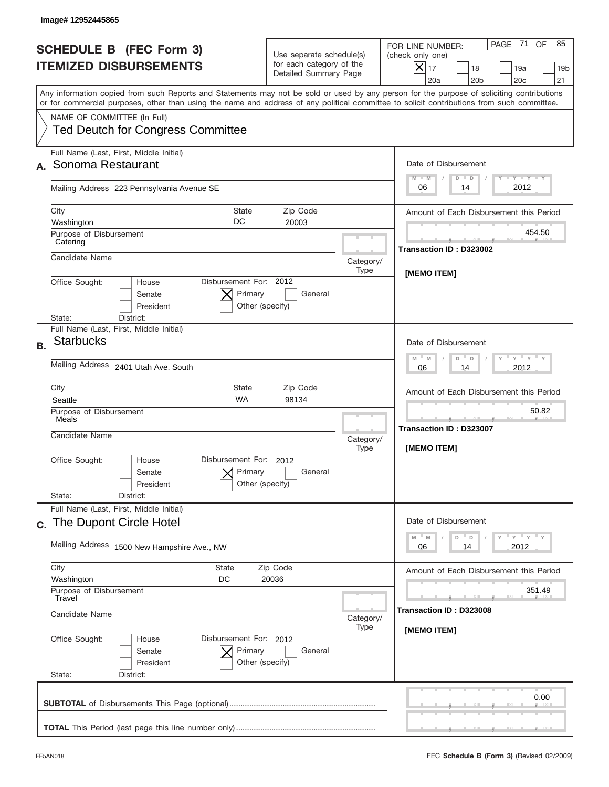|           | Image# 12952445865                                                                                                                                                                                                                                                                      |                                                                               |           |                                                                                                                                                             |
|-----------|-----------------------------------------------------------------------------------------------------------------------------------------------------------------------------------------------------------------------------------------------------------------------------------------|-------------------------------------------------------------------------------|-----------|-------------------------------------------------------------------------------------------------------------------------------------------------------------|
|           | <b>SCHEDULE B (FEC Form 3)</b><br><b>ITEMIZED DISBURSEMENTS</b>                                                                                                                                                                                                                         | Use separate schedule(s)<br>for each category of the<br>Detailed Summary Page |           | PAGE 71<br>OF<br>85<br>FOR LINE NUMBER:<br>(check only one)<br>$X _{17}$<br>18<br>19a<br>19 <sub>b</sub><br>20a<br>20 <sub>b</sub><br>20 <sub>c</sub><br>21 |
|           | Any information copied from such Reports and Statements may not be sold or used by any person for the purpose of soliciting contributions<br>or for commercial purposes, other than using the name and address of any political committee to solicit contributions from such committee. |                                                                               |           |                                                                                                                                                             |
|           | NAME OF COMMITTEE (In Full)<br><b>Ted Deutch for Congress Committee</b>                                                                                                                                                                                                                 |                                                                               |           |                                                                                                                                                             |
|           | Full Name (Last, First, Middle Initial)                                                                                                                                                                                                                                                 |                                                                               |           |                                                                                                                                                             |
|           | Sonoma Restaurant                                                                                                                                                                                                                                                                       |                                                                               |           | Date of Disbursement                                                                                                                                        |
|           | Mailing Address 223 Pennsylvania Avenue SE                                                                                                                                                                                                                                              |                                                                               |           | Y TY TY TY<br>$M - M$<br>$D$ $D$<br>2012<br>06<br>14                                                                                                        |
|           | City<br>State                                                                                                                                                                                                                                                                           | Zip Code                                                                      |           | Amount of Each Disbursement this Period                                                                                                                     |
|           | DC<br>Washington                                                                                                                                                                                                                                                                        | 20003                                                                         |           | 454.50                                                                                                                                                      |
|           | Purpose of Disbursement<br>Catering                                                                                                                                                                                                                                                     |                                                                               |           | Transaction ID: D323002                                                                                                                                     |
|           | Candidate Name                                                                                                                                                                                                                                                                          |                                                                               | Category/ |                                                                                                                                                             |
|           |                                                                                                                                                                                                                                                                                         |                                                                               | Type      | <b>IMEMO ITEMI</b>                                                                                                                                          |
|           | Disbursement For: 2012<br>Office Sought:<br>House<br>Primary<br>Senate<br>President<br>Other (specify)<br>District:<br>State:                                                                                                                                                           | General                                                                       |           |                                                                                                                                                             |
|           | Full Name (Last, First, Middle Initial)                                                                                                                                                                                                                                                 |                                                                               |           |                                                                                                                                                             |
| <b>B.</b> | <b>Starbucks</b>                                                                                                                                                                                                                                                                        |                                                                               |           | Date of Disbursement                                                                                                                                        |
|           | <b>Mailing Address</b><br>2401 Utah Ave. South                                                                                                                                                                                                                                          |                                                                               |           | $-\gamma + \gamma - \gamma$<br>$M - M$<br>D<br>$\Box$<br>2012<br>06<br>14                                                                                   |
|           | City<br><b>State</b>                                                                                                                                                                                                                                                                    | Zip Code                                                                      |           | Amount of Each Disbursement this Period                                                                                                                     |
|           | <b>WA</b><br>98134<br>Seattle<br>Purpose of Disbursement                                                                                                                                                                                                                                |                                                                               |           | 50.82                                                                                                                                                       |
|           | Meals                                                                                                                                                                                                                                                                                   |                                                                               |           | Transaction ID: D323007                                                                                                                                     |
|           | Candidate Name                                                                                                                                                                                                                                                                          | Category/                                                                     |           |                                                                                                                                                             |
|           |                                                                                                                                                                                                                                                                                         | Disbursement For: 2012                                                        |           | [MEMO ITEM]                                                                                                                                                 |
|           | Office Sought:<br>House<br>Primary<br>Senate<br>Other (specify)<br>President                                                                                                                                                                                                            | General                                                                       |           |                                                                                                                                                             |
|           | State:<br>District:                                                                                                                                                                                                                                                                     |                                                                               |           |                                                                                                                                                             |
|           | Full Name (Last, First, Middle Initial)<br>c. The Dupont Circle Hotel                                                                                                                                                                                                                   |                                                                               |           | Date of Disbursement                                                                                                                                        |
|           | Mailing Address 1500 New Hampshire Ave., NW                                                                                                                                                                                                                                             |                                                                               |           | $\gamma$ $\gamma$ $\gamma$ $\gamma$ $\gamma$<br>$-M$<br>M<br>D<br>D<br>2012<br>06<br>14                                                                     |
|           | City<br>State                                                                                                                                                                                                                                                                           | Zip Code                                                                      |           |                                                                                                                                                             |
|           | Washington<br>DC                                                                                                                                                                                                                                                                        | 20036                                                                         |           | Amount of Each Disbursement this Period                                                                                                                     |
|           | Purpose of Disbursement<br>Travel                                                                                                                                                                                                                                                       |                                                                               |           | 351.49                                                                                                                                                      |
|           | Candidate Name                                                                                                                                                                                                                                                                          |                                                                               |           | Transaction ID: D323008<br>[MEMO ITEM]                                                                                                                      |
|           | Office Sought:<br>Disbursement For: 2012<br>House<br>Primary<br>Senate<br>President<br>Other (specify)<br>State:<br>District:                                                                                                                                                           | General                                                                       | Type      |                                                                                                                                                             |
|           |                                                                                                                                                                                                                                                                                         |                                                                               |           | 0.00                                                                                                                                                        |
|           |                                                                                                                                                                                                                                                                                         |                                                                               |           |                                                                                                                                                             |
|           |                                                                                                                                                                                                                                                                                         |                                                                               |           |                                                                                                                                                             |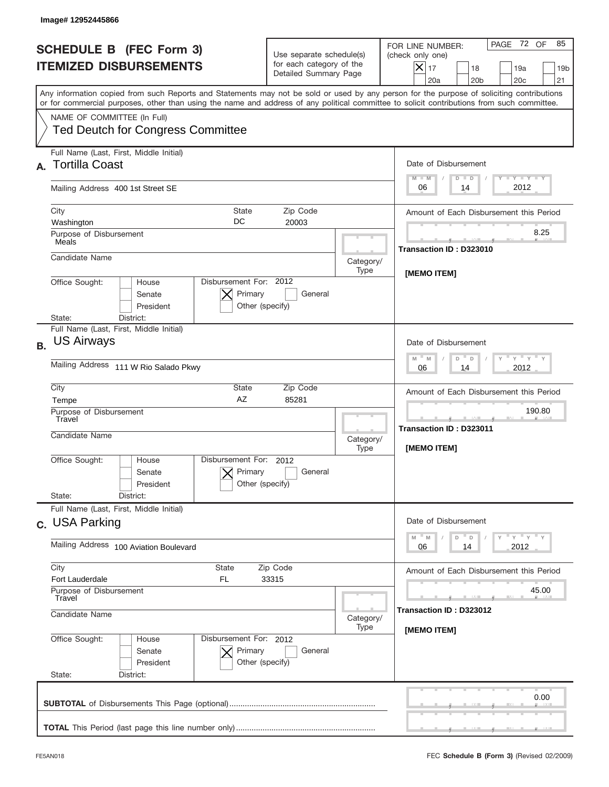| Image# 12952445866                                                                                                                                                                                                                                                                      |                                                                               |                                                                                                                                                               |  |
|-----------------------------------------------------------------------------------------------------------------------------------------------------------------------------------------------------------------------------------------------------------------------------------------|-------------------------------------------------------------------------------|---------------------------------------------------------------------------------------------------------------------------------------------------------------|--|
| <b>SCHEDULE B (FEC Form 3)</b><br><b>ITEMIZED DISBURSEMENTS</b>                                                                                                                                                                                                                         | Use separate schedule(s)<br>for each category of the<br>Detailed Summary Page | PAGE 72 OF<br>85<br>FOR LINE NUMBER:<br>(check only one)<br>$\times$<br>17<br>18<br>19a<br>19 <sub>b</sub><br>20a<br>20 <sub>b</sub><br>20 <sub>c</sub><br>21 |  |
| Any information copied from such Reports and Statements may not be sold or used by any person for the purpose of soliciting contributions<br>or for commercial purposes, other than using the name and address of any political committee to solicit contributions from such committee. |                                                                               |                                                                                                                                                               |  |
| NAME OF COMMITTEE (In Full)<br><b>Ted Deutch for Congress Committee</b>                                                                                                                                                                                                                 |                                                                               |                                                                                                                                                               |  |
| Full Name (Last, First, Middle Initial)<br>A. Tortilla Coast                                                                                                                                                                                                                            |                                                                               | Date of Disbursement                                                                                                                                          |  |
| Mailing Address 400 1st Street SE                                                                                                                                                                                                                                                       |                                                                               | $T - Y$ $T - Y$<br>$M - M$<br>$D$ $D$<br>2012<br>06<br>14                                                                                                     |  |
| City<br>State<br>DC<br>Washington                                                                                                                                                                                                                                                       | Zip Code<br>20003                                                             | Amount of Each Disbursement this Period                                                                                                                       |  |
| Purpose of Disbursement<br>Meals                                                                                                                                                                                                                                                        |                                                                               | 8.25<br>Transaction ID: D323010                                                                                                                               |  |
| Candidate Name                                                                                                                                                                                                                                                                          | Category/<br>Type                                                             |                                                                                                                                                               |  |
| Disbursement For: 2012<br>Office Sought:<br>House<br>Primary<br>Senate<br>President<br>District:<br>State:                                                                                                                                                                              | General<br>Other (specify)                                                    | [MEMO ITEM]                                                                                                                                                   |  |
| Full Name (Last, First, Middle Initial)<br><b>US Airways</b><br><b>B.</b>                                                                                                                                                                                                               |                                                                               | Date of Disbursement<br>$\cdots$ $\gamma$ $\cdots$ $\gamma$ $\cdots$ $\gamma$<br>$M - M$<br>D<br>D                                                            |  |
| Mailing Address 111 W Rio Salado Pkwy                                                                                                                                                                                                                                                   | 2012<br>06<br>14                                                              |                                                                                                                                                               |  |
| City<br>State<br>AZ<br>Tempe                                                                                                                                                                                                                                                            | Amount of Each Disbursement this Period<br>190.80                             |                                                                                                                                                               |  |
| Purpose of Disbursement<br>Travel<br>Candidate Name                                                                                                                                                                                                                                     | Category/<br>Type                                                             | Transaction ID: D323011<br>[MEMO ITEM]                                                                                                                        |  |
| Disbursement For: 2012<br>Office Sought:<br>House<br>Primary<br>Senate<br>President<br>State:<br>District:                                                                                                                                                                              | General<br>Other (specify)                                                    |                                                                                                                                                               |  |
| Full Name (Last, First, Middle Initial)<br>c. USA Parking                                                                                                                                                                                                                               |                                                                               | Date of Disbursement                                                                                                                                          |  |
| Mailing Address 100 Aviation Boulevard                                                                                                                                                                                                                                                  |                                                                               |                                                                                                                                                               |  |
| City<br>State<br>Fort Lauderdale<br>FL.<br>Purpose of Disbursement                                                                                                                                                                                                                      | Amount of Each Disbursement this Period<br>45.00                              |                                                                                                                                                               |  |
| Candidate Name                                                                                                                                                                                                                                                                          | Travel<br>Category/<br>Type                                                   |                                                                                                                                                               |  |
| Office Sought:<br>Disbursement For: 2012<br>House<br>Senate<br>Primary<br>President<br>State:<br>District:                                                                                                                                                                              | General<br>Other (specify)                                                    | [MEMO ITEM]                                                                                                                                                   |  |
|                                                                                                                                                                                                                                                                                         |                                                                               | 0.00                                                                                                                                                          |  |
|                                                                                                                                                                                                                                                                                         |                                                                               |                                                                                                                                                               |  |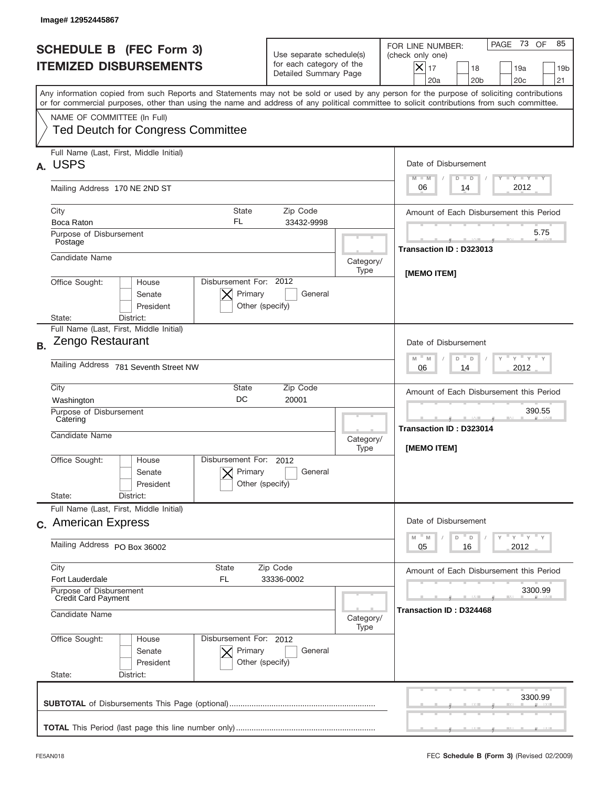|           | Image# 12952445867                                                                                                                                                                                                                                                                      |                                                                               |                   |                                                                                                                                                             |
|-----------|-----------------------------------------------------------------------------------------------------------------------------------------------------------------------------------------------------------------------------------------------------------------------------------------|-------------------------------------------------------------------------------|-------------------|-------------------------------------------------------------------------------------------------------------------------------------------------------------|
|           | <b>SCHEDULE B (FEC Form 3)</b><br><b>ITEMIZED DISBURSEMENTS</b>                                                                                                                                                                                                                         | Use separate schedule(s)<br>for each category of the<br>Detailed Summary Page |                   | PAGE 73<br>OF<br>85<br>FOR LINE NUMBER:<br>(check only one)<br>$X _{17}$<br>18<br>19a<br>19 <sub>b</sub><br>21<br>20a<br>20 <sub>b</sub><br>20 <sub>c</sub> |
|           | Any information copied from such Reports and Statements may not be sold or used by any person for the purpose of soliciting contributions<br>or for commercial purposes, other than using the name and address of any political committee to solicit contributions from such committee. |                                                                               |                   |                                                                                                                                                             |
|           | NAME OF COMMITTEE (In Full)<br><b>Ted Deutch for Congress Committee</b>                                                                                                                                                                                                                 |                                                                               |                   |                                                                                                                                                             |
| А.        | Full Name (Last, First, Middle Initial)<br><b>USPS</b>                                                                                                                                                                                                                                  |                                                                               |                   | Date of Disbursement<br>$T - Y$ $T - Y$<br>$M - M$<br>$D$ $D$                                                                                               |
|           | Mailing Address 170 NE 2ND ST                                                                                                                                                                                                                                                           |                                                                               |                   | 2012<br>06<br>14                                                                                                                                            |
|           | City<br>State<br>FL<br>Boca Raton                                                                                                                                                                                                                                                       | Zip Code<br>33432-9998                                                        |                   | Amount of Each Disbursement this Period                                                                                                                     |
|           | Purpose of Disbursement<br>Postage                                                                                                                                                                                                                                                      |                                                                               |                   | 5.75<br>Transaction ID: D323013                                                                                                                             |
|           | Candidate Name                                                                                                                                                                                                                                                                          |                                                                               | Category/<br>Type |                                                                                                                                                             |
|           | Disbursement For: 2012<br>Office Sought:<br>House<br>Primary<br>Senate<br>Other (specify)<br>President<br>District:<br>State:                                                                                                                                                           | General                                                                       |                   | [MEMO ITEM]                                                                                                                                                 |
| <b>B.</b> | Full Name (Last, First, Middle Initial)<br>Zengo Restaurant<br>Mailing Address 781 Seventh Street NW                                                                                                                                                                                    |                                                                               |                   | Date of Disbursement<br>$\cdots$ $\gamma$ $\cdots$ $\gamma$ $\cdots$ $\gamma$<br>$M - M$<br>D<br>D<br>2012<br>06<br>14                                      |
|           | City<br>State<br>DC<br>Washington                                                                                                                                                                                                                                                       | Zip Code<br>20001                                                             |                   | Amount of Each Disbursement this Period<br>390.55                                                                                                           |
|           | Purpose of Disbursement<br>Catering<br>Candidate Name                                                                                                                                                                                                                                   |                                                                               |                   | --<br>Transaction ID: D323014<br>[MEMO ITEM]                                                                                                                |
|           | Disbursement For: 2012<br>Office Sought:<br>House<br>Primary<br>Senate<br>Other (specify)<br>President                                                                                                                                                                                  | General                                                                       | Type              |                                                                                                                                                             |
|           | State:<br>District:<br>Full Name (Last, First, Middle Initial)                                                                                                                                                                                                                          |                                                                               |                   |                                                                                                                                                             |
|           | c. American Express                                                                                                                                                                                                                                                                     |                                                                               |                   | Date of Disbursement                                                                                                                                        |
|           | Mailing Address PO Box 36002                                                                                                                                                                                                                                                            | $-\gamma + \gamma + \gamma$<br>$-M$<br>M<br>D<br>D<br>05<br>2012<br>16        |                   |                                                                                                                                                             |
|           | City<br><b>State</b><br>Zip Code<br>Fort Lauderdale<br>FL<br>33336-0002<br>Purpose of Disbursement<br><b>Credit Card Payment</b>                                                                                                                                                        | Amount of Each Disbursement this Period<br>3300.99                            |                   |                                                                                                                                                             |
|           | Candidate Name<br>Category/<br>Type                                                                                                                                                                                                                                                     |                                                                               |                   | Transaction ID: D324468                                                                                                                                     |
|           | Office Sought:<br>Disbursement For: 2012<br>House<br>Primary<br>Senate<br>President<br>Other (specify)<br>State:<br>District:                                                                                                                                                           | General                                                                       |                   |                                                                                                                                                             |
|           |                                                                                                                                                                                                                                                                                         |                                                                               |                   | 3300.99                                                                                                                                                     |
|           |                                                                                                                                                                                                                                                                                         |                                                                               |                   |                                                                                                                                                             |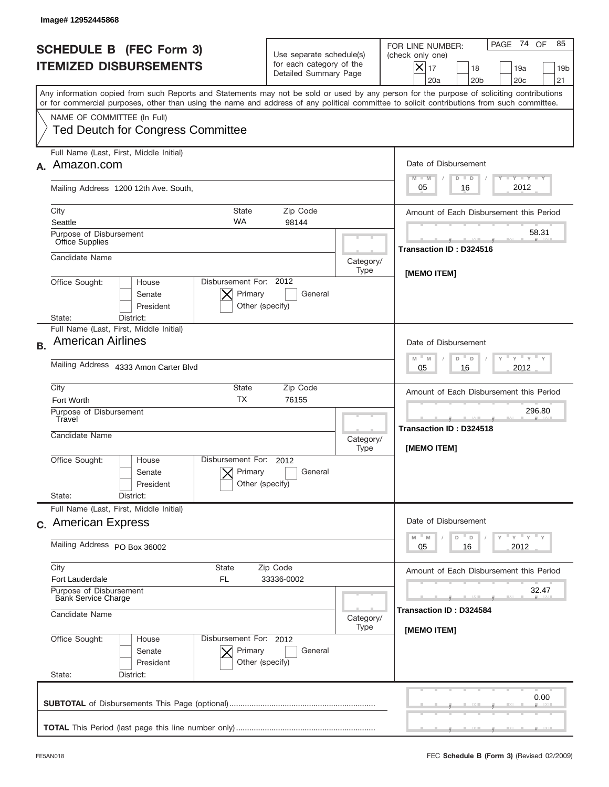|           | Image# 12952445868                                                                                                                                                                                                                                                                      |                                                                               |                   |                                                                                                                                                               |
|-----------|-----------------------------------------------------------------------------------------------------------------------------------------------------------------------------------------------------------------------------------------------------------------------------------------|-------------------------------------------------------------------------------|-------------------|---------------------------------------------------------------------------------------------------------------------------------------------------------------|
|           | <b>SCHEDULE B (FEC Form 3)</b><br><b>ITEMIZED DISBURSEMENTS</b>                                                                                                                                                                                                                         | Use separate schedule(s)<br>for each category of the<br>Detailed Summary Page |                   | PAGE 74 OF<br>85<br>FOR LINE NUMBER:<br>(check only one)<br>$\times$<br>17<br>18<br>19a<br>19 <sub>b</sub><br>20a<br>20 <sub>b</sub><br>20 <sub>c</sub><br>21 |
|           | Any information copied from such Reports and Statements may not be sold or used by any person for the purpose of soliciting contributions<br>or for commercial purposes, other than using the name and address of any political committee to solicit contributions from such committee. |                                                                               |                   |                                                                                                                                                               |
|           | NAME OF COMMITTEE (In Full)<br><b>Ted Deutch for Congress Committee</b>                                                                                                                                                                                                                 |                                                                               |                   |                                                                                                                                                               |
|           | Full Name (Last, First, Middle Initial)<br>Amazon.com                                                                                                                                                                                                                                   |                                                                               |                   | Date of Disbursement<br>$T - Y$ $T - Y$<br>$M - M$<br>$D$ $D$                                                                                                 |
|           | Mailing Address 1200 12th Ave. South,                                                                                                                                                                                                                                                   |                                                                               |                   | 2012<br>05<br>16                                                                                                                                              |
|           | City<br><b>State</b><br><b>WA</b><br>Seattle                                                                                                                                                                                                                                            | Zip Code<br>98144                                                             |                   | Amount of Each Disbursement this Period                                                                                                                       |
|           | Purpose of Disbursement<br><b>Office Supplies</b>                                                                                                                                                                                                                                       |                                                                               |                   | 58.31                                                                                                                                                         |
|           | Candidate Name                                                                                                                                                                                                                                                                          |                                                                               | Category/<br>Type | Transaction ID: D324516                                                                                                                                       |
|           | Disbursement For: 2012<br>Office Sought:<br>House<br>Primary<br>Senate<br>President<br>Other (specify)<br>District:<br>State:                                                                                                                                                           | General                                                                       |                   | [MEMO ITEM]                                                                                                                                                   |
| <b>B.</b> | Full Name (Last, First, Middle Initial)<br><b>American Airlines</b>                                                                                                                                                                                                                     |                                                                               |                   | Date of Disbursement<br>$\cdots$ $\gamma$ $\cdots$ $\gamma$ $\cdots$ $\gamma$<br>$M - M$<br>D<br>D                                                            |
|           | Mailing Address 4333 Amon Carter Blvd                                                                                                                                                                                                                                                   | 2012<br>05<br>16                                                              |                   |                                                                                                                                                               |
|           | City<br><b>State</b><br><b>TX</b><br>Fort Worth                                                                                                                                                                                                                                         | Zip Code<br>76155                                                             |                   | Amount of Each Disbursement this Period                                                                                                                       |
|           | Purpose of Disbursement<br>Travel<br>Candidate Name<br>Category/<br>Type                                                                                                                                                                                                                |                                                                               |                   | 296.80<br><b>Transaction ID: D324518</b><br>[MEMO ITEM]                                                                                                       |
|           | Disbursement For: 2012<br>Office Sought:<br>House<br>Primary<br>Senate<br>Other (specify)<br>President                                                                                                                                                                                  | General                                                                       |                   |                                                                                                                                                               |
|           | State:<br>District:<br>Full Name (Last, First, Middle Initial)                                                                                                                                                                                                                          |                                                                               |                   |                                                                                                                                                               |
|           | c. American Express                                                                                                                                                                                                                                                                     |                                                                               |                   | Date of Disbursement<br>$-$ M<br>≡ γ ≡ γ ≡ γ                                                                                                                  |
|           | Mailing Address PO Box 36002                                                                                                                                                                                                                                                            |                                                                               |                   | M<br>D<br>D<br>2012<br>05<br>16                                                                                                                               |
|           | City<br><b>State</b><br>Fort Lauderdale<br>FL.                                                                                                                                                                                                                                          | Zip Code<br>33336-0002                                                        |                   | Amount of Each Disbursement this Period                                                                                                                       |
|           | Purpose of Disbursement<br><b>Bank Service Charge</b><br>Candidate Name<br>Category/                                                                                                                                                                                                    |                                                                               |                   | 32.47<br>Transaction ID: D324584                                                                                                                              |
|           | Office Sought:<br>Disbursement For: 2012<br>House<br>Primary<br>Senate<br>President<br>Other (specify)<br>State:<br>District:                                                                                                                                                           | General                                                                       | Type              | [MEMO ITEM]                                                                                                                                                   |
|           |                                                                                                                                                                                                                                                                                         |                                                                               |                   | 0.00                                                                                                                                                          |
|           |                                                                                                                                                                                                                                                                                         |                                                                               |                   |                                                                                                                                                               |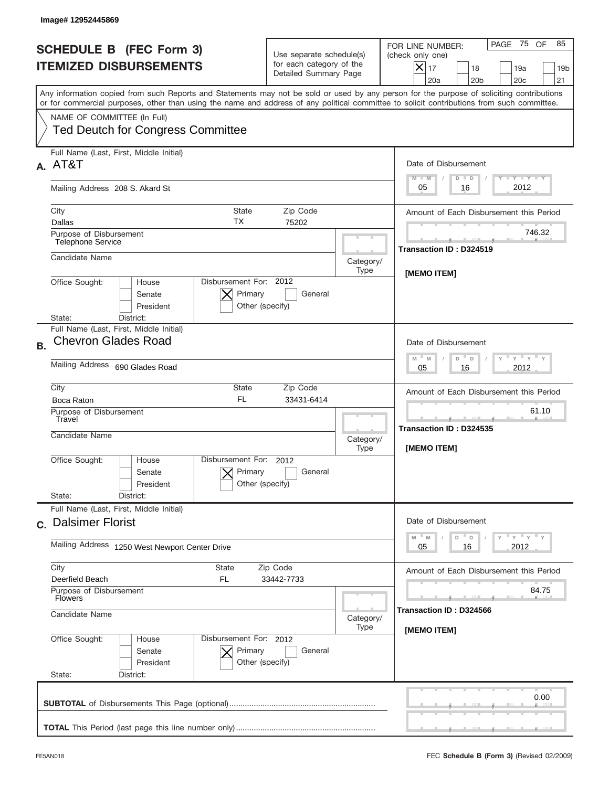|           | Image# 12952445869                                                                                                                                                                                                                                                                      |                                                                               |                                                  |                                                                                                                                                                               |
|-----------|-----------------------------------------------------------------------------------------------------------------------------------------------------------------------------------------------------------------------------------------------------------------------------------------|-------------------------------------------------------------------------------|--------------------------------------------------|-------------------------------------------------------------------------------------------------------------------------------------------------------------------------------|
|           | <b>SCHEDULE B (FEC Form 3)</b><br><b>ITEMIZED DISBURSEMENTS</b>                                                                                                                                                                                                                         | Use separate schedule(s)<br>for each category of the<br>Detailed Summary Page |                                                  | PAGE 75<br>OF<br>85<br>FOR LINE NUMBER:<br>(check only one)<br>$\boldsymbol{\times}$<br>17<br>18<br>19a<br>19 <sub>b</sub><br>21<br>20a<br>20 <sub>b</sub><br>20 <sub>c</sub> |
|           | Any information copied from such Reports and Statements may not be sold or used by any person for the purpose of soliciting contributions<br>or for commercial purposes, other than using the name and address of any political committee to solicit contributions from such committee. |                                                                               |                                                  |                                                                                                                                                                               |
|           | NAME OF COMMITTEE (In Full)<br><b>Ted Deutch for Congress Committee</b>                                                                                                                                                                                                                 |                                                                               |                                                  |                                                                                                                                                                               |
|           | Full Name (Last, First, Middle Initial)<br>A. AT&T                                                                                                                                                                                                                                      |                                                                               |                                                  | Date of Disbursement<br>$T - Y$ $T - Y$<br>$M - M$<br>$D$ $D$                                                                                                                 |
|           | Mailing Address 208 S. Akard St                                                                                                                                                                                                                                                         |                                                                               |                                                  | 2012<br>05<br>16                                                                                                                                                              |
|           | State<br>City<br>ТX<br>Dallas                                                                                                                                                                                                                                                           | Zip Code<br>75202                                                             |                                                  | Amount of Each Disbursement this Period                                                                                                                                       |
|           | Purpose of Disbursement<br>Telephone Service                                                                                                                                                                                                                                            |                                                                               |                                                  | 746.32<br>Transaction ID: D324519                                                                                                                                             |
|           | Candidate Name                                                                                                                                                                                                                                                                          |                                                                               | Category/<br>Type                                | [MEMO ITEM]                                                                                                                                                                   |
|           | Disbursement For: 2012<br>Office Sought:<br>House<br>Primary<br>Senate<br>President<br>Other (specify)<br>District:<br>State:                                                                                                                                                           |                                                                               |                                                  |                                                                                                                                                                               |
| <b>B.</b> | Full Name (Last, First, Middle Initial)<br><b>Chevron Glades Road</b>                                                                                                                                                                                                                   |                                                                               |                                                  | Date of Disbursement<br>$\cdots$ $\gamma$ $\cdots$ $\gamma$ $\cdots$ $\gamma$<br>$M - M$<br>D<br>D                                                                            |
|           | Mailing Address 690 Glades Road                                                                                                                                                                                                                                                         | 2012<br>05<br>16                                                              |                                                  |                                                                                                                                                                               |
|           | City<br>State<br><b>FL</b><br>Boca Raton                                                                                                                                                                                                                                                |                                                                               | Amount of Each Disbursement this Period<br>61.10 |                                                                                                                                                                               |
|           | Purpose of Disbursement<br>Travel<br>Candidate Name                                                                                                                                                                                                                                     |                                                                               |                                                  | ___<br>Transaction ID: D324535<br>[MEMO ITEM]                                                                                                                                 |
|           | Disbursement For: 2012<br>Office Sought:<br>House<br>Primary<br>Senate<br>Other (specify)<br>President                                                                                                                                                                                  | General                                                                       | Type                                             |                                                                                                                                                                               |
|           | State:<br>District:<br>Full Name (Last, First, Middle Initial)                                                                                                                                                                                                                          |                                                                               |                                                  |                                                                                                                                                                               |
|           | c. Dalsimer Florist                                                                                                                                                                                                                                                                     |                                                                               |                                                  | Date of Disbursement<br>$=\frac{1}{\gamma}+\frac{1}{\gamma}+\frac{1}{\gamma}+\frac{1}{\gamma}$<br>M<br>$\mathbb M$<br>D<br>D                                                  |
|           | Mailing Address 1250 West Newport Center Drive                                                                                                                                                                                                                                          | 2012<br>05<br>16                                                              |                                                  |                                                                                                                                                                               |
|           | City<br>State<br>Zip Code<br>Deerfield Beach<br>FL<br>33442-7733                                                                                                                                                                                                                        |                                                                               |                                                  | Amount of Each Disbursement this Period                                                                                                                                       |
|           | Purpose of Disbursement<br><b>Flowers</b>                                                                                                                                                                                                                                               |                                                                               |                                                  | 84.75<br>Transaction ID: D324566                                                                                                                                              |
|           | Candidate Name<br>Category/<br>Type                                                                                                                                                                                                                                                     |                                                                               |                                                  | [MEMO ITEM]                                                                                                                                                                   |
|           | Office Sought:<br>Disbursement For: 2012<br>House<br>Senate<br>Primary<br>President<br>Other (specify)<br>State:<br>District:                                                                                                                                                           | General                                                                       |                                                  |                                                                                                                                                                               |
|           |                                                                                                                                                                                                                                                                                         |                                                                               |                                                  | 0.00                                                                                                                                                                          |
|           |                                                                                                                                                                                                                                                                                         |                                                                               |                                                  |                                                                                                                                                                               |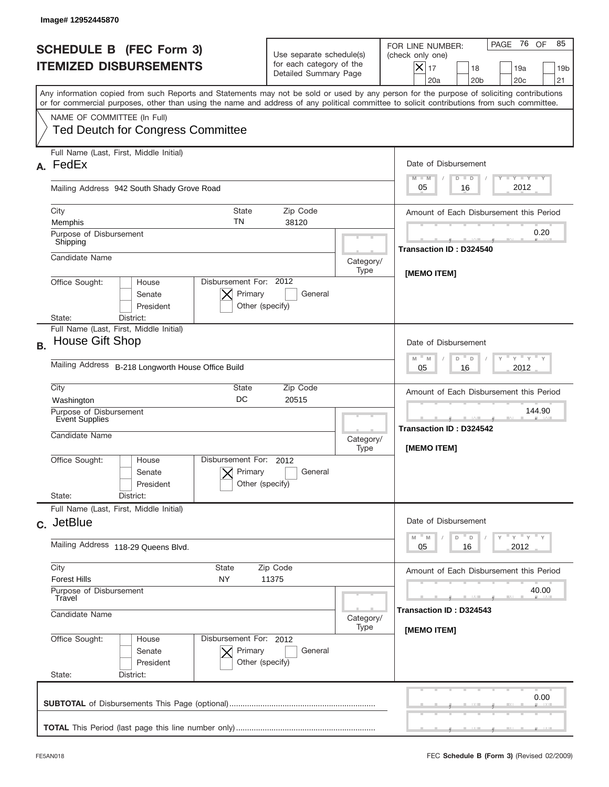|           | Image#12952445870                                                                                                                                                                                                                                                                       |                                                                               |                                                |                                                                                                                                                                  |
|-----------|-----------------------------------------------------------------------------------------------------------------------------------------------------------------------------------------------------------------------------------------------------------------------------------------|-------------------------------------------------------------------------------|------------------------------------------------|------------------------------------------------------------------------------------------------------------------------------------------------------------------|
|           | <b>SCHEDULE B (FEC Form 3)</b><br><b>ITEMIZED DISBURSEMENTS</b>                                                                                                                                                                                                                         | Use separate schedule(s)<br>for each category of the<br>Detailed Summary Page |                                                | PAGE 76<br>OF<br>85<br>FOR LINE NUMBER:<br>(check only one)<br>$\times$<br>17<br>18<br>19a<br>19 <sub>b</sub><br>21<br>20a<br>20 <sub>b</sub><br>20 <sub>c</sub> |
|           | Any information copied from such Reports and Statements may not be sold or used by any person for the purpose of soliciting contributions<br>or for commercial purposes, other than using the name and address of any political committee to solicit contributions from such committee. |                                                                               |                                                |                                                                                                                                                                  |
|           | NAME OF COMMITTEE (In Full)<br><b>Ted Deutch for Congress Committee</b>                                                                                                                                                                                                                 |                                                                               |                                                |                                                                                                                                                                  |
| А.        | Full Name (Last, First, Middle Initial)<br>FedEx                                                                                                                                                                                                                                        |                                                                               |                                                | Date of Disbursement<br>$\mathbf{I}$ $\mathbf{Y}$ $\mathbf{I}$ $\mathbf{Y}$ $\mathbf{I}$ $\mathbf{Y}$<br>$M - M$<br>$D$ $D$                                      |
|           | Mailing Address 942 South Shady Grove Road                                                                                                                                                                                                                                              |                                                                               |                                                | 2012<br>05<br>16                                                                                                                                                 |
|           | City<br><b>State</b><br>TN<br>Memphis                                                                                                                                                                                                                                                   | Zip Code<br>38120                                                             |                                                | Amount of Each Disbursement this Period                                                                                                                          |
|           | Purpose of Disbursement<br>Shipping                                                                                                                                                                                                                                                     |                                                                               |                                                | 0.20<br>Transaction ID: D324540                                                                                                                                  |
|           | Candidate Name                                                                                                                                                                                                                                                                          |                                                                               | Category/<br>Type                              | [MEMO ITEM]                                                                                                                                                      |
|           | Disbursement For: 2012<br>Office Sought:<br>House<br>Primary<br>Senate<br>President<br>District:<br>State:                                                                                                                                                                              | General<br>Other (specify)                                                    |                                                |                                                                                                                                                                  |
| <b>B.</b> | Full Name (Last, First, Middle Initial)<br>House Gift Shop                                                                                                                                                                                                                              |                                                                               |                                                | Date of Disbursement<br>$-\gamma + \gamma -$<br>$M - M$<br>D<br>D                                                                                                |
|           | Mailing Address B-218 Longworth House Office Build                                                                                                                                                                                                                                      | 2012<br>05<br>16                                                              |                                                |                                                                                                                                                                  |
|           | City<br>State<br>DC<br>Washington                                                                                                                                                                                                                                                       |                                                                               | Amount of Each Disbursement this Period        |                                                                                                                                                                  |
|           | Purpose of Disbursement<br>Event Supplies<br>Candidate Name                                                                                                                                                                                                                             | Category/                                                                     | 144.90<br>--<br><b>Transaction ID: D324542</b> |                                                                                                                                                                  |
|           | Disbursement For: 2012<br>Office Sought:<br>House<br>Primary<br>Senate<br>President                                                                                                                                                                                                     | General<br>Other (specify)                                                    | Type                                           | <b>IMEMO ITEMI</b>                                                                                                                                               |
|           | State:<br>District:<br>Full Name (Last, First, Middle Initial)                                                                                                                                                                                                                          |                                                                               |                                                |                                                                                                                                                                  |
|           | c. JetBlue                                                                                                                                                                                                                                                                              |                                                                               |                                                | Date of Disbursement<br>ү" ү" ү" ү<br>M<br>$\mathbb M$<br>D<br>D                                                                                                 |
|           | Mailing Address 118-29 Queens Blvd.                                                                                                                                                                                                                                                     | 2012<br>05<br>16                                                              |                                                |                                                                                                                                                                  |
|           | City<br><b>State</b><br>Zip Code<br><b>Forest Hills</b><br>NY<br>11375                                                                                                                                                                                                                  |                                                                               |                                                | Amount of Each Disbursement this Period                                                                                                                          |
|           | Purpose of Disbursement<br>Travel<br>Candidate Name                                                                                                                                                                                                                                     |                                                                               |                                                | 40.00<br>Transaction ID: D324543                                                                                                                                 |
|           | Category/<br>Type<br>Disbursement For: 2012                                                                                                                                                                                                                                             |                                                                               |                                                | [MEMO ITEM]                                                                                                                                                      |
|           | Office Sought:<br>House<br>Senate<br>Primary<br>President<br>State:<br>District:                                                                                                                                                                                                        | General<br>Other (specify)                                                    |                                                |                                                                                                                                                                  |
|           |                                                                                                                                                                                                                                                                                         |                                                                               |                                                | 0.00                                                                                                                                                             |
|           |                                                                                                                                                                                                                                                                                         |                                                                               |                                                |                                                                                                                                                                  |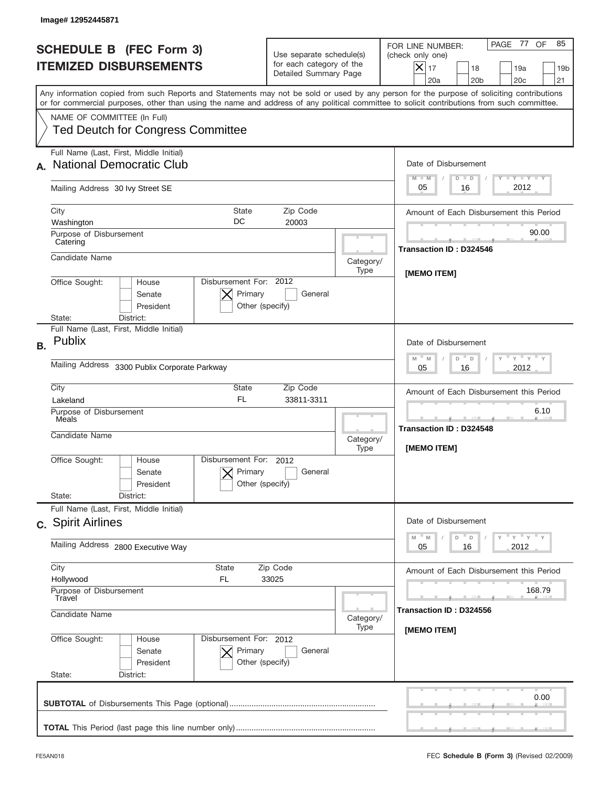|           | Image# 12952445871                                                                                                                                                                                                                                                                      |                                                                               |                   |                                                                                                                                                                  |
|-----------|-----------------------------------------------------------------------------------------------------------------------------------------------------------------------------------------------------------------------------------------------------------------------------------------|-------------------------------------------------------------------------------|-------------------|------------------------------------------------------------------------------------------------------------------------------------------------------------------|
|           | <b>SCHEDULE B (FEC Form 3)</b><br><b>ITEMIZED DISBURSEMENTS</b>                                                                                                                                                                                                                         | Use separate schedule(s)<br>for each category of the<br>Detailed Summary Page |                   | PAGE 77<br>OF<br>85<br>FOR LINE NUMBER:<br>(check only one)<br>$\times$<br>17<br>18<br>19a<br>19 <sub>b</sub><br>20a<br>20 <sub>b</sub><br>20 <sub>c</sub><br>21 |
|           | Any information copied from such Reports and Statements may not be sold or used by any person for the purpose of soliciting contributions<br>or for commercial purposes, other than using the name and address of any political committee to solicit contributions from such committee. |                                                                               |                   |                                                                                                                                                                  |
|           | NAME OF COMMITTEE (In Full)<br><b>Ted Deutch for Congress Committee</b>                                                                                                                                                                                                                 |                                                                               |                   |                                                                                                                                                                  |
|           | Full Name (Last, First, Middle Initial)<br><b>National Democratic Club</b>                                                                                                                                                                                                              |                                                                               |                   | Date of Disbursement<br>$T - Y$ $T - Y$<br>$M - M$<br>$D$ $D$                                                                                                    |
|           | Mailing Address 30 Ivy Street SE                                                                                                                                                                                                                                                        |                                                                               |                   | 2012<br>05<br>16                                                                                                                                                 |
|           | City<br>State<br>DC<br>Washington                                                                                                                                                                                                                                                       | Zip Code<br>20003                                                             |                   | Amount of Each Disbursement this Period                                                                                                                          |
|           | Purpose of Disbursement<br>Catering                                                                                                                                                                                                                                                     |                                                                               |                   | 90.00<br><b>Transaction ID: D324546</b>                                                                                                                          |
|           | Candidate Name                                                                                                                                                                                                                                                                          |                                                                               | Category/<br>Type | [MEMO ITEM]                                                                                                                                                      |
|           | Disbursement For: 2012<br>Office Sought:<br>House<br>Primary<br>Senate<br>President<br>Other (specify)<br>District:<br>State:                                                                                                                                                           |                                                                               |                   |                                                                                                                                                                  |
| <b>B.</b> | Full Name (Last, First, Middle Initial)<br>Publix                                                                                                                                                                                                                                       |                                                                               |                   | Date of Disbursement<br>$\cdots$ $\gamma$ $\cdots$ $\gamma$ $\cdots$<br>$M - M$<br>D<br>D                                                                        |
|           | Mailing Address 3300 Publix Corporate Parkway                                                                                                                                                                                                                                           | 2012<br>05<br>16                                                              |                   |                                                                                                                                                                  |
|           | City<br>State<br>FL.<br>Lakeland                                                                                                                                                                                                                                                        | Zip Code<br>33811-3311                                                        |                   | Amount of Each Disbursement this Period                                                                                                                          |
|           | Purpose of Disbursement<br>Meals<br>Candidate Name                                                                                                                                                                                                                                      |                                                                               |                   | 6.10<br>--<br><b>Transaction ID: D324548</b>                                                                                                                     |
|           | Disbursement For: 2012<br>Office Sought:<br>House<br>Primary<br>Senate<br>Other (specify)<br>President                                                                                                                                                                                  | General                                                                       | Category/<br>Type | [MEMO ITEM]                                                                                                                                                      |
|           | State:<br>District:<br>Full Name (Last, First, Middle Initial)                                                                                                                                                                                                                          |                                                                               |                   |                                                                                                                                                                  |
|           | c. Spirit Airlines                                                                                                                                                                                                                                                                      |                                                                               |                   | Date of Disbursement<br>$-M$<br>≡ү ≡ү ≡ү<br>M<br>D<br>D                                                                                                          |
|           | Mailing Address 2800 Executive Way                                                                                                                                                                                                                                                      | 2012<br>05<br>16                                                              |                   |                                                                                                                                                                  |
|           | City<br>State<br>Zip Code<br>Hollywood<br>FL.<br>33025<br>Purpose of Disbursement<br>Travel                                                                                                                                                                                             |                                                                               |                   | Amount of Each Disbursement this Period<br>168.79                                                                                                                |
|           | Candidate Name<br>Category/<br>Type                                                                                                                                                                                                                                                     |                                                                               |                   | Transaction ID: D324556                                                                                                                                          |
|           | Office Sought:<br>Disbursement For: 2012<br>House<br>Senate<br>Primary<br>President<br>Other (specify)<br>State:<br>District:                                                                                                                                                           | General                                                                       |                   | [MEMO ITEM]                                                                                                                                                      |
|           |                                                                                                                                                                                                                                                                                         |                                                                               |                   | 0.00                                                                                                                                                             |
|           |                                                                                                                                                                                                                                                                                         |                                                                               |                   |                                                                                                                                                                  |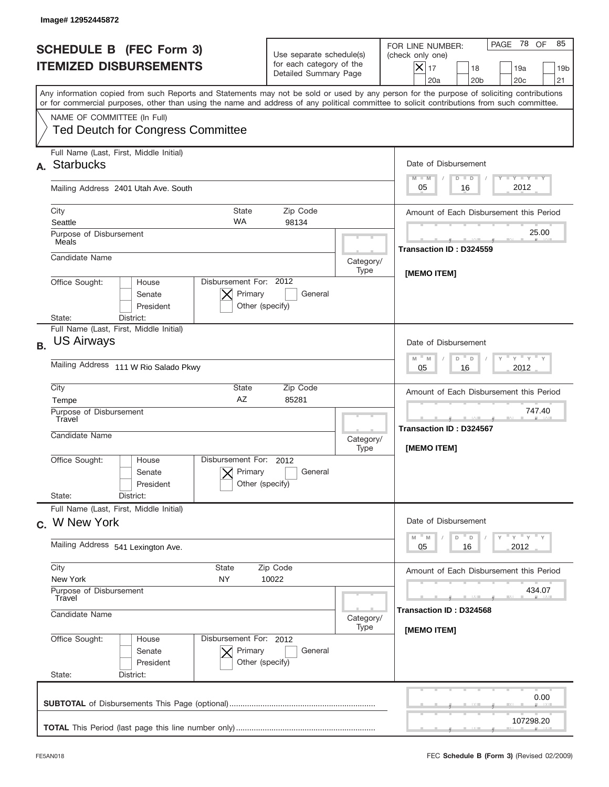| Image# 12952445872                                                                                                                                                                                                                                                                      |                                                                               |                   |                                                                                                                                                               |
|-----------------------------------------------------------------------------------------------------------------------------------------------------------------------------------------------------------------------------------------------------------------------------------------|-------------------------------------------------------------------------------|-------------------|---------------------------------------------------------------------------------------------------------------------------------------------------------------|
| <b>SCHEDULE B (FEC Form 3)</b><br><b>ITEMIZED DISBURSEMENTS</b>                                                                                                                                                                                                                         | Use separate schedule(s)<br>for each category of the<br>Detailed Summary Page |                   | PAGE 78 OF<br>85<br>FOR LINE NUMBER:<br>(check only one)<br>$\times$<br>17<br>18<br>19a<br>19 <sub>b</sub><br>20a<br>20 <sub>b</sub><br>20 <sub>c</sub><br>21 |
| Any information copied from such Reports and Statements may not be sold or used by any person for the purpose of soliciting contributions<br>or for commercial purposes, other than using the name and address of any political committee to solicit contributions from such committee. |                                                                               |                   |                                                                                                                                                               |
| NAME OF COMMITTEE (In Full)<br><b>Ted Deutch for Congress Committee</b>                                                                                                                                                                                                                 |                                                                               |                   |                                                                                                                                                               |
| Full Name (Last, First, Middle Initial)<br><b>Starbucks</b><br>А.                                                                                                                                                                                                                       |                                                                               |                   | Date of Disbursement<br>$T - Y$ $T - Y$<br>$M - M$<br>$D$ $D$                                                                                                 |
| Mailing Address 2401 Utah Ave. South                                                                                                                                                                                                                                                    |                                                                               |                   | 2012<br>05<br>16                                                                                                                                              |
| City<br>Seattle                                                                                                                                                                                                                                                                         | <b>State</b><br>Zip Code<br><b>WA</b><br>98134                                |                   | Amount of Each Disbursement this Period                                                                                                                       |
| Purpose of Disbursement<br>Meals                                                                                                                                                                                                                                                        |                                                                               |                   | 25.00<br>Transaction ID: D324559                                                                                                                              |
| Candidate Name                                                                                                                                                                                                                                                                          |                                                                               | Category/<br>Type |                                                                                                                                                               |
| Office Sought:<br>House<br>Senate<br>President<br>District:<br>State:                                                                                                                                                                                                                   | Disbursement For: 2012<br>Primary<br>General<br>Other (specify)               |                   | [MEMO ITEM]                                                                                                                                                   |
| Full Name (Last, First, Middle Initial)<br><b>US Airways</b><br><b>B.</b><br>Mailing Address 111 W Rio Salado Pkwy                                                                                                                                                                      |                                                                               |                   | Date of Disbursement<br>$\cdots$ $\gamma$ $\cdots$ $\gamma$ $\cdots$ $\gamma$<br>$M - M$<br>D<br>D<br>2012<br>05<br>16                                        |
| City                                                                                                                                                                                                                                                                                    | State<br>Zip Code                                                             |                   | Amount of Each Disbursement this Period                                                                                                                       |
| Tempe<br>Purpose of Disbursement<br>Travel<br>Candidate Name                                                                                                                                                                                                                            | AZ<br>85281                                                                   | Category/<br>Type | 747.40<br>Transaction ID: D324567<br>[MEMO ITEM]                                                                                                              |
| Office Sought:<br>House<br>Senate<br>President<br>State:<br>District:                                                                                                                                                                                                                   | Disbursement For: 2012<br>Primary<br>General<br>Other (specify)               |                   |                                                                                                                                                               |
| Full Name (Last, First, Middle Initial)<br>c. W New York                                                                                                                                                                                                                                |                                                                               |                   | Date of Disbursement<br>$-\gamma$ $-\gamma$ $-\gamma$<br>$-M$<br>M<br>D                                                                                       |
| Mailing Address 541 Lexington Ave.                                                                                                                                                                                                                                                      |                                                                               |                   |                                                                                                                                                               |
| City<br>State<br>New York<br>NY<br>Purpose of Disbursement<br>Travel                                                                                                                                                                                                                    | Zip Code<br>10022                                                             |                   | Amount of Each Disbursement this Period<br>434.07                                                                                                             |
| Candidate Name                                                                                                                                                                                                                                                                          | Category/<br>Type                                                             |                   |                                                                                                                                                               |
| Office Sought:<br>House<br>Senate<br>President<br>State:<br>District:                                                                                                                                                                                                                   | Disbursement For: 2012<br>Primary<br>General<br>Other (specify)               |                   | [MEMO ITEM]                                                                                                                                                   |
|                                                                                                                                                                                                                                                                                         |                                                                               |                   | 0.00                                                                                                                                                          |
|                                                                                                                                                                                                                                                                                         |                                                                               |                   | 107298.20                                                                                                                                                     |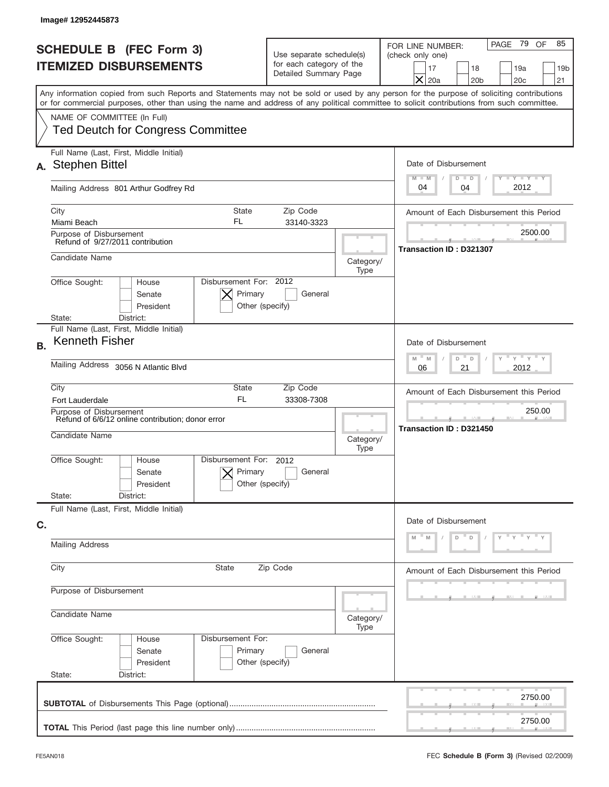|           | Image# 12952445873                                                                             |                                                      |                                                                               |                   |                                                                                                                                                                                                                                                                                         |
|-----------|------------------------------------------------------------------------------------------------|------------------------------------------------------|-------------------------------------------------------------------------------|-------------------|-----------------------------------------------------------------------------------------------------------------------------------------------------------------------------------------------------------------------------------------------------------------------------------------|
|           | <b>SCHEDULE B (FEC Form 3)</b><br><b>ITEMIZED DISBURSEMENTS</b>                                |                                                      | Use separate schedule(s)<br>for each category of the<br>Detailed Summary Page |                   | PAGE 79 OF<br>85<br>FOR LINE NUMBER:<br>(check only one)<br>18<br>19a<br>17<br>19 <sub>b</sub><br>$\times$<br>20a<br>20 <sub>b</sub><br>20 <sub>c</sub><br>21                                                                                                                           |
|           |                                                                                                |                                                      |                                                                               |                   | Any information copied from such Reports and Statements may not be sold or used by any person for the purpose of soliciting contributions<br>or for commercial purposes, other than using the name and address of any political committee to solicit contributions from such committee. |
|           | NAME OF COMMITTEE (In Full)<br><b>Ted Deutch for Congress Committee</b>                        |                                                      |                                                                               |                   |                                                                                                                                                                                                                                                                                         |
| А.        | Full Name (Last, First, Middle Initial)<br><b>Stephen Bittel</b>                               |                                                      |                                                                               |                   | Date of Disbursement<br>Y TY TY TY<br>$M - M$<br>$D$ $D$                                                                                                                                                                                                                                |
|           | Mailing Address 801 Arthur Godfrey Rd                                                          |                                                      |                                                                               |                   | 2012<br>04<br>04                                                                                                                                                                                                                                                                        |
|           | City<br>Miami Beach                                                                            | <b>State</b><br>FL                                   | Zip Code<br>33140-3323                                                        |                   | Amount of Each Disbursement this Period                                                                                                                                                                                                                                                 |
|           | Purpose of Disbursement<br>Refund of 9/27/2011 contribution                                    |                                                      |                                                                               |                   | 2500.00<br>Transaction ID: D321307                                                                                                                                                                                                                                                      |
|           | Candidate Name                                                                                 |                                                      |                                                                               | Category/<br>Type |                                                                                                                                                                                                                                                                                         |
|           | Office Sought:<br>House<br>Senate<br>President<br>State:<br>District:                          | Disbursement For: 2012<br>Primary<br>Other (specify) | General                                                                       |                   |                                                                                                                                                                                                                                                                                         |
| <b>B.</b> | Full Name (Last, First, Middle Initial)<br><b>Kenneth Fisher</b>                               |                                                      |                                                                               |                   | Date of Disbursement                                                                                                                                                                                                                                                                    |
|           | Mailing Address 3056 N Atlantic Blvd                                                           |                                                      |                                                                               |                   | ү " ү " ү " ү<br>$M - M$<br>D<br>D<br>21<br>2012<br>06                                                                                                                                                                                                                                  |
|           | City<br><b>Fort Lauderdale</b>                                                                 | State<br><b>FL</b>                                   | Zip Code<br>33308-7308                                                        |                   | Amount of Each Disbursement this Period                                                                                                                                                                                                                                                 |
|           | Purpose of Disbursement<br>Refund of 6/6/12 online contribution; donor error<br>Candidate Name |                                                      |                                                                               | Category/<br>Type | 250.00<br>Transaction ID: D321450                                                                                                                                                                                                                                                       |
|           | Office Sought:<br>House<br>Senate<br>President                                                 | Disbursement For:<br>Primary<br>Other (specify)      | 2012<br>General                                                               |                   |                                                                                                                                                                                                                                                                                         |
|           | State:<br>District:<br>Full Name (Last, First, Middle Initial)                                 |                                                      |                                                                               |                   |                                                                                                                                                                                                                                                                                         |
| C.        | <b>Mailing Address</b>                                                                         |                                                      |                                                                               |                   | Date of Disbursement<br>$\mathbf{y}$<br>D<br>D                                                                                                                                                                                                                                          |
|           | City<br>State<br>Zip Code                                                                      |                                                      |                                                                               |                   | Amount of Each Disbursement this Period                                                                                                                                                                                                                                                 |
|           | Purpose of Disbursement                                                                        |                                                      |                                                                               |                   |                                                                                                                                                                                                                                                                                         |
|           | Candidate Name                                                                                 |                                                      |                                                                               | Category/<br>Type |                                                                                                                                                                                                                                                                                         |
|           | Office Sought:<br>House<br>Senate<br>President<br>State:<br>District:                          | Disbursement For:<br>Primary<br>Other (specify)      | General                                                                       |                   |                                                                                                                                                                                                                                                                                         |
|           |                                                                                                |                                                      |                                                                               |                   | 2750.00                                                                                                                                                                                                                                                                                 |
|           |                                                                                                |                                                      |                                                                               |                   | 2750.00                                                                                                                                                                                                                                                                                 |
|           |                                                                                                |                                                      |                                                                               |                   |                                                                                                                                                                                                                                                                                         |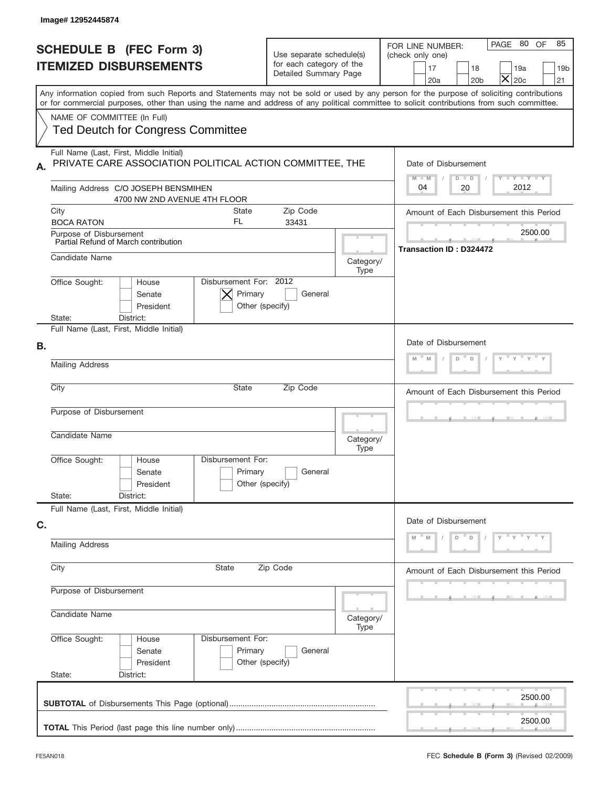| Image# 12952445874                                                                                                                                                                                                                                                                      |                                                                               |                   |                                                                                                                                                                              |  |  |
|-----------------------------------------------------------------------------------------------------------------------------------------------------------------------------------------------------------------------------------------------------------------------------------------|-------------------------------------------------------------------------------|-------------------|------------------------------------------------------------------------------------------------------------------------------------------------------------------------------|--|--|
| <b>SCHEDULE B (FEC Form 3)</b><br><b>ITEMIZED DISBURSEMENTS</b>                                                                                                                                                                                                                         | Use separate schedule(s)<br>for each category of the<br>Detailed Summary Page |                   | PAGE 80 OF<br>85<br>FOR LINE NUMBER:<br>(check only one)<br>17<br>18<br>19a<br>19 <sub>b</sub><br>$\overline{\mathsf{x}}$<br>20 <sub>c</sub><br>20a<br>20 <sub>b</sub><br>21 |  |  |
| Any information copied from such Reports and Statements may not be sold or used by any person for the purpose of soliciting contributions<br>or for commercial purposes, other than using the name and address of any political committee to solicit contributions from such committee. |                                                                               |                   |                                                                                                                                                                              |  |  |
| NAME OF COMMITTEE (In Full)<br><b>Ted Deutch for Congress Committee</b>                                                                                                                                                                                                                 |                                                                               |                   |                                                                                                                                                                              |  |  |
| Full Name (Last, First, Middle Initial)<br>PRIVATE CARE ASSOCIATION POLITICAL ACTION COMMITTEE, THE<br>А.                                                                                                                                                                               |                                                                               |                   | Date of Disbursement<br>Y FY FY FY<br>$M - M$<br>$D$ $D$                                                                                                                     |  |  |
| Mailing Address C/O JOSEPH BENSMIHEN<br>4700 NW 2ND AVENUE 4TH FLOOR                                                                                                                                                                                                                    |                                                                               |                   | 2012<br>04<br>20                                                                                                                                                             |  |  |
| City<br>State<br>FL<br><b>BOCA RATON</b>                                                                                                                                                                                                                                                | Zip Code<br>33431                                                             |                   | Amount of Each Disbursement this Period                                                                                                                                      |  |  |
| Purpose of Disbursement<br>Partial Refund of March contribution                                                                                                                                                                                                                         |                                                                               |                   | 2500.00<br>Transaction ID: D324472                                                                                                                                           |  |  |
| Candidate Name                                                                                                                                                                                                                                                                          |                                                                               | Category/<br>Type |                                                                                                                                                                              |  |  |
| Disbursement For: 2012<br>Office Sought:<br>House<br>Primary<br>Senate<br>President<br>State:<br>District:                                                                                                                                                                              | General<br>Other (specify)                                                    |                   |                                                                                                                                                                              |  |  |
| Full Name (Last, First, Middle Initial)                                                                                                                                                                                                                                                 |                                                                               |                   |                                                                                                                                                                              |  |  |
| В.<br><b>Mailing Address</b>                                                                                                                                                                                                                                                            |                                                                               |                   | Date of Disbursement<br>D<br>D<br>M<br>M                                                                                                                                     |  |  |
|                                                                                                                                                                                                                                                                                         |                                                                               |                   |                                                                                                                                                                              |  |  |
| City<br><b>State</b>                                                                                                                                                                                                                                                                    | Zip Code                                                                      |                   | Amount of Each Disbursement this Period                                                                                                                                      |  |  |
| Purpose of Disbursement                                                                                                                                                                                                                                                                 |                                                                               |                   |                                                                                                                                                                              |  |  |
| Candidate Name<br>Category/<br>Type                                                                                                                                                                                                                                                     |                                                                               |                   |                                                                                                                                                                              |  |  |
| Disbursement For:<br>Office Sought:<br>House<br>Primary<br>Senate<br>President                                                                                                                                                                                                          | General<br>Other (specify)                                                    |                   |                                                                                                                                                                              |  |  |
| State:<br>District:<br>Full Name (Last, First, Middle Initial)                                                                                                                                                                                                                          |                                                                               |                   |                                                                                                                                                                              |  |  |
| C.                                                                                                                                                                                                                                                                                      |                                                                               |                   | Date of Disbursement<br>$Y = Y = Y$<br>D<br>$\mathsf D$<br>M                                                                                                                 |  |  |
| <b>Mailing Address</b>                                                                                                                                                                                                                                                                  |                                                                               |                   |                                                                                                                                                                              |  |  |
| City<br>State                                                                                                                                                                                                                                                                           | Zip Code                                                                      |                   |                                                                                                                                                                              |  |  |
| Purpose of Disbursement                                                                                                                                                                                                                                                                 |                                                                               |                   |                                                                                                                                                                              |  |  |
| Candidate Name                                                                                                                                                                                                                                                                          |                                                                               |                   |                                                                                                                                                                              |  |  |
| Office Sought:<br>Disbursement For:<br>House<br>Primary<br>Senate<br>President<br>State:<br>District:                                                                                                                                                                                   | General<br>Other (specify)                                                    | Type              |                                                                                                                                                                              |  |  |
|                                                                                                                                                                                                                                                                                         |                                                                               |                   | 2500.00                                                                                                                                                                      |  |  |
|                                                                                                                                                                                                                                                                                         |                                                                               |                   | 2500.00                                                                                                                                                                      |  |  |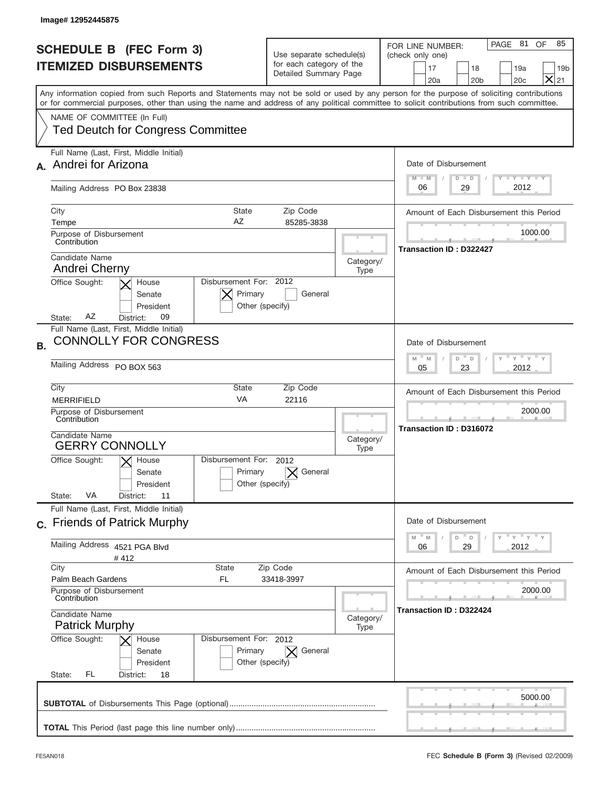| Image# 12952445875                                                                         |                                                                                  |                   |                                                                                                                                                                                                                                                                                         |
|--------------------------------------------------------------------------------------------|----------------------------------------------------------------------------------|-------------------|-----------------------------------------------------------------------------------------------------------------------------------------------------------------------------------------------------------------------------------------------------------------------------------------|
| <b>SCHEDULE B (FEC Form 3)</b><br><b>ITEMIZED DISBURSEMENTS</b>                            | Use separate schedule(s)<br>for each category of the<br>Detailed Summary Page    |                   | PAGE 81<br>OF<br>85<br>FOR LINE NUMBER:<br>(check only one)<br>17<br>18<br>19a<br>19 <sub>b</sub><br>$\times$<br>20a<br>20 <sub>b</sub><br>20 <sub>c</sub><br>21                                                                                                                        |
|                                                                                            |                                                                                  |                   | Any information copied from such Reports and Statements may not be sold or used by any person for the purpose of soliciting contributions<br>or for commercial purposes, other than using the name and address of any political committee to solicit contributions from such committee. |
| NAME OF COMMITTEE (In Full)<br><b>Ted Deutch for Congress Committee</b>                    |                                                                                  |                   |                                                                                                                                                                                                                                                                                         |
| Full Name (Last, First, Middle Initial)<br>Andrei for Arizona                              |                                                                                  |                   | Date of Disbursement<br>Y TY TY TY<br>$M - M$<br>$D$ $D$                                                                                                                                                                                                                                |
| Mailing Address PO Box 23838                                                               |                                                                                  |                   | 2012<br>29<br>06                                                                                                                                                                                                                                                                        |
| City<br>Tempe                                                                              | <b>State</b><br>Zip Code<br>AZ<br>85285-3838                                     |                   | Amount of Each Disbursement this Period                                                                                                                                                                                                                                                 |
| Purpose of Disbursement<br>Contribution                                                    |                                                                                  |                   | 1000.00                                                                                                                                                                                                                                                                                 |
| Candidate Name<br>Andrei Cherny                                                            |                                                                                  | Category/<br>Type | Transaction ID: D322427                                                                                                                                                                                                                                                                 |
| Office Sought:<br>House<br>Senate<br>President<br>AΖ<br>09<br>District:<br>State:          | Disbursement For: 2012<br>Primary<br>General<br>Other (specify)                  |                   |                                                                                                                                                                                                                                                                                         |
| Full Name (Last, First, Middle Initial)<br><b>CONNOLLY FOR CONGRESS</b><br><b>B.</b>       |                                                                                  |                   | Date of Disbursement                                                                                                                                                                                                                                                                    |
| Mailing Address PO BOX 563                                                                 |                                                                                  |                   |                                                                                                                                                                                                                                                                                         |
| City<br><b>MERRIFIELD</b>                                                                  | State<br>Zip Code<br><b>VA</b><br>22116                                          |                   | Amount of Each Disbursement this Period                                                                                                                                                                                                                                                 |
| Purpose of Disbursement<br>Contribution<br>Candidate Name                                  |                                                                                  |                   | 2000.00<br>Transaction ID: D316072                                                                                                                                                                                                                                                      |
| <b>GERRY CONNOLLY</b>                                                                      | Disbursement For: 2012                                                           | Category/<br>Type |                                                                                                                                                                                                                                                                                         |
| Office Sought:<br>$\times$ House<br>Senate<br>President<br>VA<br>11<br>State:<br>District: | General<br>Primary<br>Other (specify)                                            |                   |                                                                                                                                                                                                                                                                                         |
| Full Name (Last, First, Middle Initial)<br>c. Friends of Patrick Murphy                    |                                                                                  |                   | Date of Disbursement<br>$Y$ $Y$ $Y$ $Y$ $Y$<br>D<br>M<br>M<br>D                                                                                                                                                                                                                         |
| Mailing Address 4521 PGA Blvd<br>#412                                                      |                                                                                  |                   |                                                                                                                                                                                                                                                                                         |
| City<br>Palm Beach Gardens                                                                 | <b>State</b><br>Zip Code<br>FL<br>33418-3997                                     |                   | Amount of Each Disbursement this Period                                                                                                                                                                                                                                                 |
| Purpose of Disbursement<br>Contribution                                                    |                                                                                  |                   |                                                                                                                                                                                                                                                                                         |
| Candidate Name<br><b>Patrick Murphy</b>                                                    | Category/<br>Type                                                                |                   |                                                                                                                                                                                                                                                                                         |
| Office Sought:<br>House<br>Senate<br>President<br>State:<br>FL.<br>18<br>District:         | Disbursement For: 2012<br>Primary<br>$\bm{\times}$<br>General<br>Other (specify) |                   |                                                                                                                                                                                                                                                                                         |
|                                                                                            |                                                                                  |                   | 5000.00                                                                                                                                                                                                                                                                                 |
|                                                                                            |                                                                                  |                   |                                                                                                                                                                                                                                                                                         |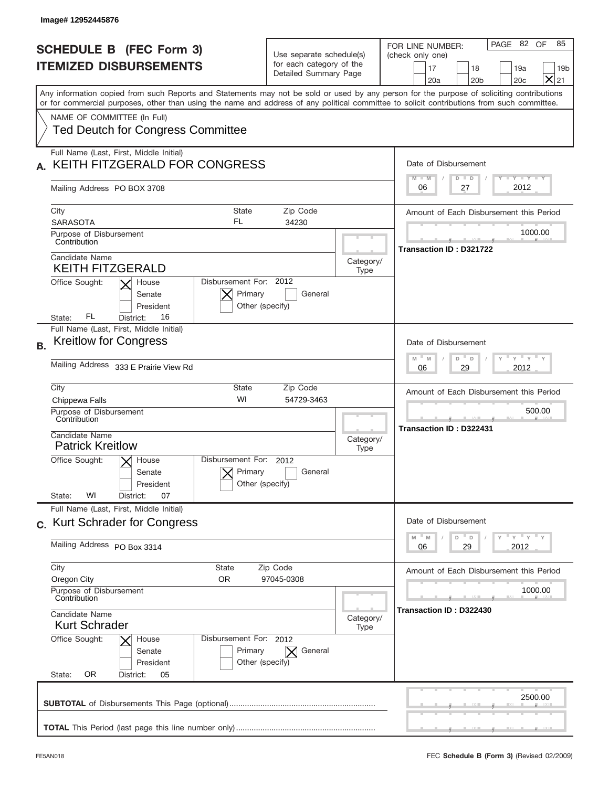| Image# 12952445876                                                                                                                                                                                                                                                                      |                                                                               |                                                                                                                                                   |
|-----------------------------------------------------------------------------------------------------------------------------------------------------------------------------------------------------------------------------------------------------------------------------------------|-------------------------------------------------------------------------------|---------------------------------------------------------------------------------------------------------------------------------------------------|
| <b>SCHEDULE B (FEC Form 3)</b><br><b>ITEMIZED DISBURSEMENTS</b>                                                                                                                                                                                                                         | Use separate schedule(s)<br>for each category of the<br>Detailed Summary Page | PAGE 82 OF<br>85<br>FOR LINE NUMBER:<br>(check only one)<br>17<br>18<br>19a<br>19 <sub>b</sub><br>$\times$<br>20a<br>20 <sub>b</sub><br>20c<br>21 |
| Any information copied from such Reports and Statements may not be sold or used by any person for the purpose of soliciting contributions<br>or for commercial purposes, other than using the name and address of any political committee to solicit contributions from such committee. |                                                                               |                                                                                                                                                   |
| NAME OF COMMITTEE (In Full)<br><b>Ted Deutch for Congress Committee</b>                                                                                                                                                                                                                 |                                                                               |                                                                                                                                                   |
| Full Name (Last, First, Middle Initial)<br>KEITH FITZGERALD FOR CONGRESS                                                                                                                                                                                                                |                                                                               | Date of Disbursement<br>Y FY FY FY<br>$M - M$<br>$D$ $D$                                                                                          |
| Mailing Address PO BOX 3708                                                                                                                                                                                                                                                             |                                                                               | 2012<br>27<br>06                                                                                                                                  |
| <b>State</b><br>City<br>FL.<br><b>SARASOTA</b>                                                                                                                                                                                                                                          | Zip Code<br>34230                                                             | Amount of Each Disbursement this Period                                                                                                           |
| Purpose of Disbursement<br>Contribution                                                                                                                                                                                                                                                 |                                                                               | 1000.00<br>Transaction ID: D321722                                                                                                                |
| Candidate Name<br><b>KEITH FITZGERALD</b>                                                                                                                                                                                                                                               | Category/<br>Type                                                             |                                                                                                                                                   |
| Disbursement For: 2012<br>Office Sought:<br>House<br>Primary<br>Senate<br>Other (specify)<br>President<br>FL<br>16<br>State:<br>District:                                                                                                                                               | General                                                                       |                                                                                                                                                   |
| Full Name (Last, First, Middle Initial)<br><b>Kreitlow for Congress</b><br><b>B.</b>                                                                                                                                                                                                    |                                                                               | Date of Disbursement<br>$\cdots$ $\gamma$ $\cdots$ $\gamma$ $\cdots$ $\gamma$                                                                     |
| Mailing Address 333 E Prairie View Rd                                                                                                                                                                                                                                                   | $M - M$<br>D<br>D<br>2012<br>06<br>29                                         |                                                                                                                                                   |
| City<br>State<br>WI<br>Chippewa Falls                                                                                                                                                                                                                                                   | Zip Code<br>54729-3463                                                        | Amount of Each Disbursement this Period                                                                                                           |
| Purpose of Disbursement<br>Contribution                                                                                                                                                                                                                                                 |                                                                               | 500.00<br>Transaction ID: D322431                                                                                                                 |
| Candidate Name<br><b>Patrick Kreitlow</b>                                                                                                                                                                                                                                               | Category/<br>Type                                                             |                                                                                                                                                   |
| Disbursement For: 2012<br>Office Sought:<br>$\times$ House<br>Primary<br>Senate<br>Other (specify)<br>President<br>WI<br>State:<br>07<br>District:                                                                                                                                      | General                                                                       |                                                                                                                                                   |
| Full Name (Last, First, Middle Initial)<br>c. Kurt Schrader for Congress                                                                                                                                                                                                                |                                                                               | Date of Disbursement                                                                                                                              |
| Mailing Address PO Box 3314                                                                                                                                                                                                                                                             | ү "ү "ү "ү<br>M<br>$\mathbb M$<br>D<br>D<br>2012<br>06<br>29                  |                                                                                                                                                   |
| City<br><b>State</b><br>Oregon City<br>OR.                                                                                                                                                                                                                                              | Zip Code<br>97045-0308                                                        | Amount of Each Disbursement this Period                                                                                                           |
| Purpose of Disbursement<br>Contribution                                                                                                                                                                                                                                                 |                                                                               | 1000.00                                                                                                                                           |
| Candidate Name<br><b>Kurt Schrader</b>                                                                                                                                                                                                                                                  | Category/<br>Type                                                             | Transaction ID: D322430                                                                                                                           |
| Office Sought:<br>Disbursement For: 2012<br>House<br>Primary<br>Senate<br>Other (specify)<br>President<br>0R<br>State:<br>05<br>District:                                                                                                                                               | $\bm{\times}$<br>General                                                      |                                                                                                                                                   |
|                                                                                                                                                                                                                                                                                         |                                                                               | 2500.00                                                                                                                                           |
|                                                                                                                                                                                                                                                                                         |                                                                               |                                                                                                                                                   |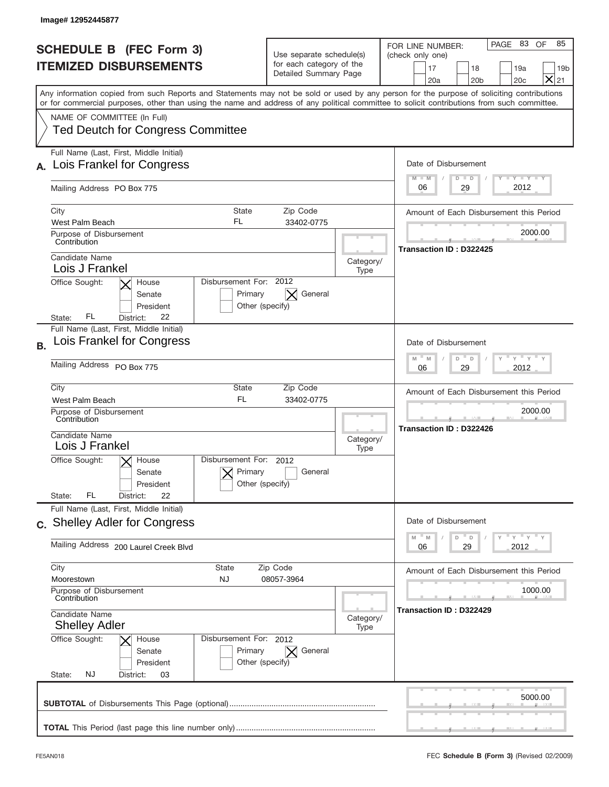| Image# 12952445877                                                                                                                                                                                                                                                                      |                                                                                       |                                                                                                                                                                   |  |
|-----------------------------------------------------------------------------------------------------------------------------------------------------------------------------------------------------------------------------------------------------------------------------------------|---------------------------------------------------------------------------------------|-------------------------------------------------------------------------------------------------------------------------------------------------------------------|--|
| <b>SCHEDULE B (FEC Form 3)</b><br><b>ITEMIZED DISBURSEMENTS</b>                                                                                                                                                                                                                         | Use separate schedule(s)<br>for each category of the<br>Detailed Summary Page         | PAGE 83<br>85<br>OF<br>FOR LINE NUMBER:<br>(check only one)<br>17<br>18<br>19a<br>19 <sub>b</sub><br>$\boldsymbol{\times}$<br>20a<br>20 <sub>b</sub><br>20c<br>21 |  |
| Any information copied from such Reports and Statements may not be sold or used by any person for the purpose of soliciting contributions<br>or for commercial purposes, other than using the name and address of any political committee to solicit contributions from such committee. |                                                                                       |                                                                                                                                                                   |  |
| NAME OF COMMITTEE (In Full)<br><b>Ted Deutch for Congress Committee</b>                                                                                                                                                                                                                 |                                                                                       |                                                                                                                                                                   |  |
| Full Name (Last, First, Middle Initial)<br>Lois Frankel for Congress                                                                                                                                                                                                                    |                                                                                       | Date of Disbursement<br>$T - Y$ $T - Y$<br>$M - M$<br>$D$ $D$                                                                                                     |  |
| Mailing Address PO Box 775                                                                                                                                                                                                                                                              |                                                                                       | 2012<br>29<br>06                                                                                                                                                  |  |
| <b>State</b><br>City<br>FL<br>West Palm Beach                                                                                                                                                                                                                                           | Zip Code<br>33402-0775                                                                | Amount of Each Disbursement this Period                                                                                                                           |  |
| Purpose of Disbursement<br>Contribution                                                                                                                                                                                                                                                 |                                                                                       | 2000.00<br>Transaction ID: D322425                                                                                                                                |  |
| Candidate Name<br>Lois J Frankel                                                                                                                                                                                                                                                        |                                                                                       | Category/<br>Type                                                                                                                                                 |  |
| Disbursement For: 2012<br>Office Sought:<br>House<br>Primary<br>Senate<br>President<br>Other (specify)<br>FL<br>22<br>District:<br>State:                                                                                                                                               | General                                                                               |                                                                                                                                                                   |  |
| Full Name (Last, First, Middle Initial)<br>Lois Frankel for Congress<br><b>B.</b>                                                                                                                                                                                                       |                                                                                       | Date of Disbursement                                                                                                                                              |  |
| Mailing Address PO Box 775                                                                                                                                                                                                                                                              | $\cdots$ $\gamma$ $\cdots$ $\gamma$ $\cdots$<br>$M - M$<br>D<br>D<br>2012<br>06<br>29 |                                                                                                                                                                   |  |
| City<br><b>State</b><br>FL<br>West Palm Beach<br>Purpose of Disbursement<br>Contribution                                                                                                                                                                                                | Zip Code<br>33402-0775                                                                |                                                                                                                                                                   |  |
| Candidate Name<br>Lois J Frankel                                                                                                                                                                                                                                                        |                                                                                       | Transaction ID: D322426<br>Category/<br>Type                                                                                                                      |  |
| Disbursement For: 2012<br>Office Sought:<br>$\times$ House<br>Primary<br>Senate<br>Other (specify)<br>President<br>FL<br>22<br>State:<br>District:                                                                                                                                      | General                                                                               |                                                                                                                                                                   |  |
| Full Name (Last, First, Middle Initial)<br>c. Shelley Adler for Congress                                                                                                                                                                                                                |                                                                                       | Date of Disbursement                                                                                                                                              |  |
| Mailing Address 200 Laurel Creek Blvd                                                                                                                                                                                                                                                   |                                                                                       | ү " ү " ү " ү<br>$-M$<br>D<br>M<br>$\Box$<br>29<br>2012<br>06                                                                                                     |  |
| City<br><b>State</b><br>NJ<br>Moorestown                                                                                                                                                                                                                                                | Zip Code<br>08057-3964                                                                |                                                                                                                                                                   |  |
| Purpose of Disbursement<br>Contribution                                                                                                                                                                                                                                                 |                                                                                       |                                                                                                                                                                   |  |
| Candidate Name<br><b>Shelley Adler</b>                                                                                                                                                                                                                                                  |                                                                                       | Transaction ID: D322429<br>Category/<br>Type                                                                                                                      |  |
| Office Sought:<br>Disbursement For: 2012<br>House<br>Primary<br>Senate<br>President<br>Other (specify)<br>NJ<br>State:<br>District:<br>03                                                                                                                                               | $\bm{\times}$<br>General                                                              |                                                                                                                                                                   |  |
|                                                                                                                                                                                                                                                                                         |                                                                                       | 5000.00                                                                                                                                                           |  |
|                                                                                                                                                                                                                                                                                         |                                                                                       |                                                                                                                                                                   |  |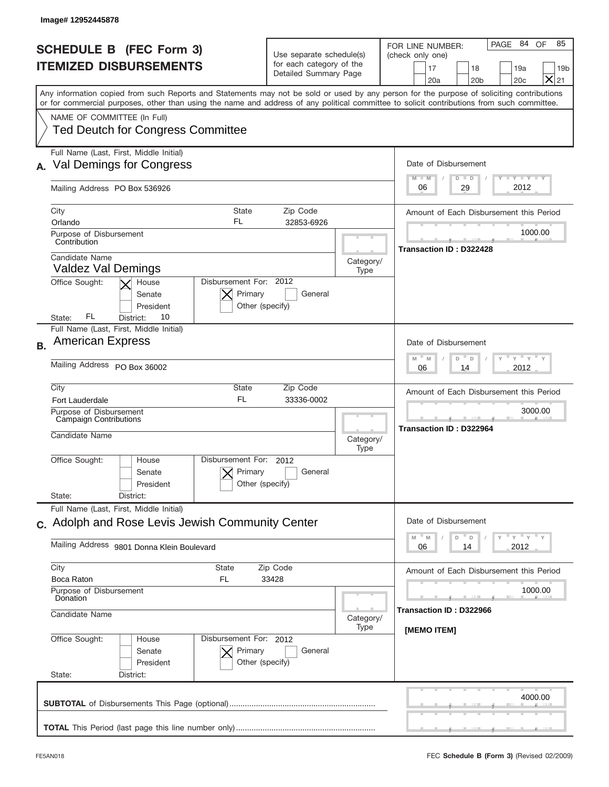| Image# 12952445878             |                                                                         |                                                      |                                                                               |                                                      |                                                                                                                                                                                                                                                                                         |
|--------------------------------|-------------------------------------------------------------------------|------------------------------------------------------|-------------------------------------------------------------------------------|------------------------------------------------------|-----------------------------------------------------------------------------------------------------------------------------------------------------------------------------------------------------------------------------------------------------------------------------------------|
|                                | <b>SCHEDULE B (FEC Form 3)</b><br><b>ITEMIZED DISBURSEMENTS</b>         |                                                      | Use separate schedule(s)<br>for each category of the<br>Detailed Summary Page |                                                      | PAGE 84 OF<br>85<br>FOR LINE NUMBER:<br>(check only one)<br>17<br>18<br>19a<br>19 <sub>b</sub><br>$\times$<br>21<br>20a<br>20 <sub>b</sub><br>20c                                                                                                                                       |
|                                |                                                                         |                                                      |                                                                               |                                                      | Any information copied from such Reports and Statements may not be sold or used by any person for the purpose of soliciting contributions<br>or for commercial purposes, other than using the name and address of any political committee to solicit contributions from such committee. |
|                                | NAME OF COMMITTEE (In Full)<br><b>Ted Deutch for Congress Committee</b> |                                                      |                                                                               |                                                      |                                                                                                                                                                                                                                                                                         |
|                                | Full Name (Last, First, Middle Initial)<br>Val Demings for Congress     |                                                      |                                                                               |                                                      | Date of Disbursement<br>Y TY TY TY<br>$D$ $D$<br>$M - M$                                                                                                                                                                                                                                |
|                                | Mailing Address PO Box 536926                                           |                                                      |                                                                               |                                                      | 2012<br>29<br>06                                                                                                                                                                                                                                                                        |
| City<br>Orlando                |                                                                         | <b>State</b><br>FL                                   | Zip Code<br>32853-6926                                                        |                                                      | Amount of Each Disbursement this Period                                                                                                                                                                                                                                                 |
| Contribution                   | Purpose of Disbursement                                                 |                                                      |                                                                               |                                                      | 1000.00<br>Transaction ID: D322428                                                                                                                                                                                                                                                      |
|                                | Candidate Name<br><b>Valdez Val Demings</b>                             |                                                      |                                                                               | Category/<br>Type                                    |                                                                                                                                                                                                                                                                                         |
| Office Sought:<br>State:       | House<br>Senate<br>President<br>FL.<br>10<br>District:                  | Disbursement For: 2012<br>Primary<br>Other (specify) | General                                                                       |                                                      |                                                                                                                                                                                                                                                                                         |
| <b>B.</b>                      | Full Name (Last, First, Middle Initial)<br><b>American Express</b>      |                                                      |                                                                               |                                                      | Date of Disbursement                                                                                                                                                                                                                                                                    |
|                                | Mailing Address PO Box 36002                                            |                                                      |                                                                               | ү " ү " ү " ү<br>$M$ M<br>D<br>D<br>2012<br>06<br>14 |                                                                                                                                                                                                                                                                                         |
| City<br><b>Fort Lauderdale</b> |                                                                         | State<br>FL                                          | Zip Code<br>33336-0002                                                        |                                                      | Amount of Each Disbursement this Period                                                                                                                                                                                                                                                 |
|                                | Purpose of Disbursement<br>Campaign Contributions<br>Candidate Name     |                                                      |                                                                               | Category/<br>Type                                    | 3000.00<br>Transaction ID: D322964                                                                                                                                                                                                                                                      |
| Office Sought:                 | House<br>Senate<br>President                                            | Disbursement For: 2012<br>Primary<br>Other (specify) | General                                                                       |                                                      |                                                                                                                                                                                                                                                                                         |
| State:                         | District:<br>Full Name (Last, First, Middle Initial)                    |                                                      |                                                                               |                                                      |                                                                                                                                                                                                                                                                                         |
|                                | c. Adolph and Rose Levis Jewish Community Center                        |                                                      |                                                                               |                                                      | Date of Disbursement<br>$\gamma$ = $\gamma$ = $\gamma$ = $\gamma$<br>$-M$<br>D<br>M<br>D                                                                                                                                                                                                |
|                                | Mailing Address 9801 Donna Klein Boulevard                              |                                                      |                                                                               |                                                      | 2012<br>06<br>14                                                                                                                                                                                                                                                                        |
| City<br>Boca Raton             | Purpose of Disbursement                                                 | <b>State</b><br>FL                                   | Zip Code<br>33428                                                             |                                                      | Amount of Each Disbursement this Period<br>1000.00                                                                                                                                                                                                                                      |
|                                | Donation<br>Candidate Name                                              |                                                      |                                                                               | Category/<br>Type                                    | Transaction ID: D322966                                                                                                                                                                                                                                                                 |
| Office Sought:<br>State:       | House<br>Senate<br>President<br>District:                               | Disbursement For: 2012<br>Primary<br>Other (specify) | General                                                                       |                                                      | [MEMO ITEM]                                                                                                                                                                                                                                                                             |
|                                |                                                                         |                                                      |                                                                               |                                                      | 4000.00                                                                                                                                                                                                                                                                                 |
|                                |                                                                         |                                                      |                                                                               |                                                      |                                                                                                                                                                                                                                                                                         |